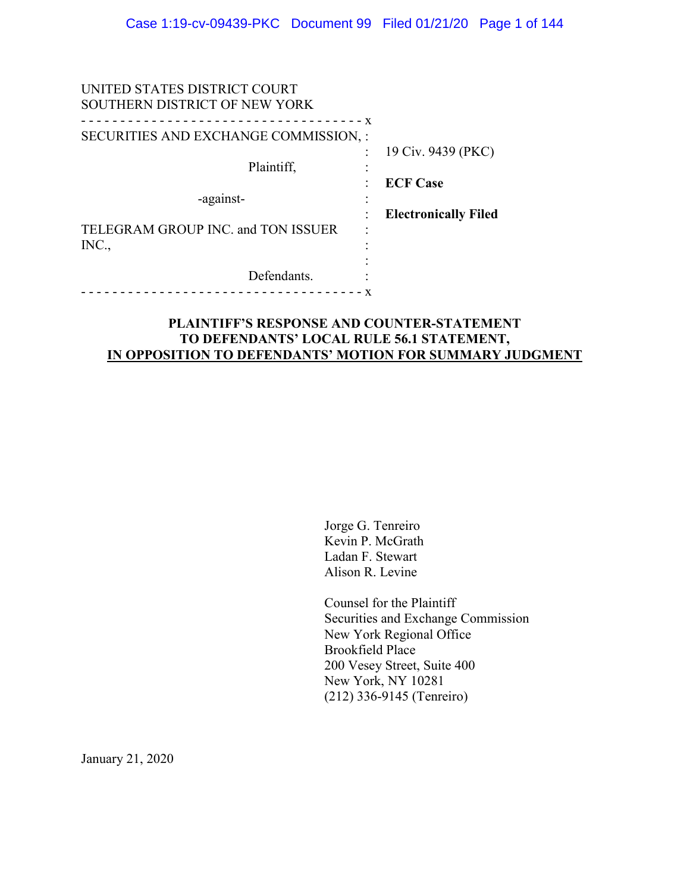| UNITED STATES DISTRICT COURT<br>SOUTHERN DISTRICT OF NEW YORK |                                       |
|---------------------------------------------------------------|---------------------------------------|
| $- x$<br>SECURITIES AND EXCHANGE COMMISSION, :                |                                       |
| Plaintiff,                                                    | 19 Civ. 9439 (PKC)<br><b>ECF Case</b> |
| -against-                                                     | <b>Electronically Filed</b>           |
| TELEGRAM GROUP INC. and TON ISSUER<br>INC.,                   |                                       |
| Defendants.                                                   |                                       |

## **PLAINTIFF'S RESPONSE AND COUNTER-STATEMENT TO DEFENDANTS' LOCAL RULE 56.1 STATEMENT, IN OPPOSITION TO DEFENDANTS' MOTION FOR SUMMARY JUDGMENT**

Jorge G. Tenreiro Kevin P. McGrath Ladan F. Stewart Alison R. Levine

Counsel for the Plaintiff Securities and Exchange Commission New York Regional Office Brookfield Place 200 Vesey Street, Suite 400 New York, NY 10281 (212) 336-9145 (Tenreiro)

January 21, 2020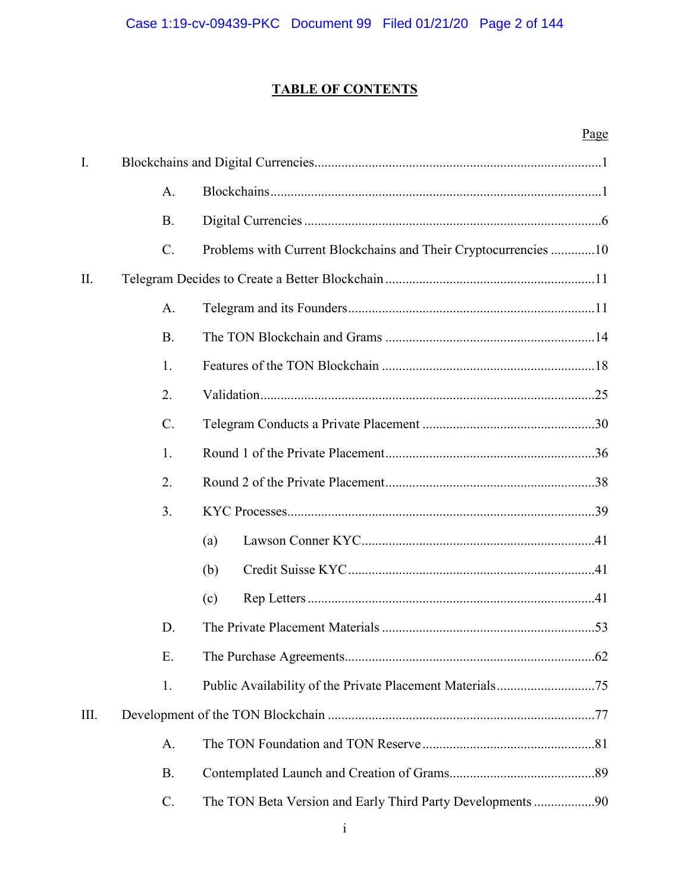## **TABLE OF CONTENTS**

# Page

| I.   |                 |                                                                 |  |
|------|-----------------|-----------------------------------------------------------------|--|
|      | A.              |                                                                 |  |
|      | <b>B.</b>       |                                                                 |  |
|      | $C$ .           | Problems with Current Blockchains and Their Cryptocurrencies 10 |  |
| Π.   |                 |                                                                 |  |
|      | A.              |                                                                 |  |
|      | <b>B.</b>       |                                                                 |  |
|      | 1.              |                                                                 |  |
|      | 2.              |                                                                 |  |
|      | $\mathcal{C}$ . |                                                                 |  |
|      | 1.              |                                                                 |  |
|      | 2.              |                                                                 |  |
|      | 3.              |                                                                 |  |
|      |                 | (a)                                                             |  |
|      |                 | (b)                                                             |  |
|      |                 | (c)                                                             |  |
|      | D.              |                                                                 |  |
|      | Ε.              |                                                                 |  |
|      | 1.              |                                                                 |  |
| III. |                 |                                                                 |  |
|      | A.              |                                                                 |  |
|      | <b>B.</b>       |                                                                 |  |
|      | C.              | The TON Beta Version and Early Third Party Developments 90      |  |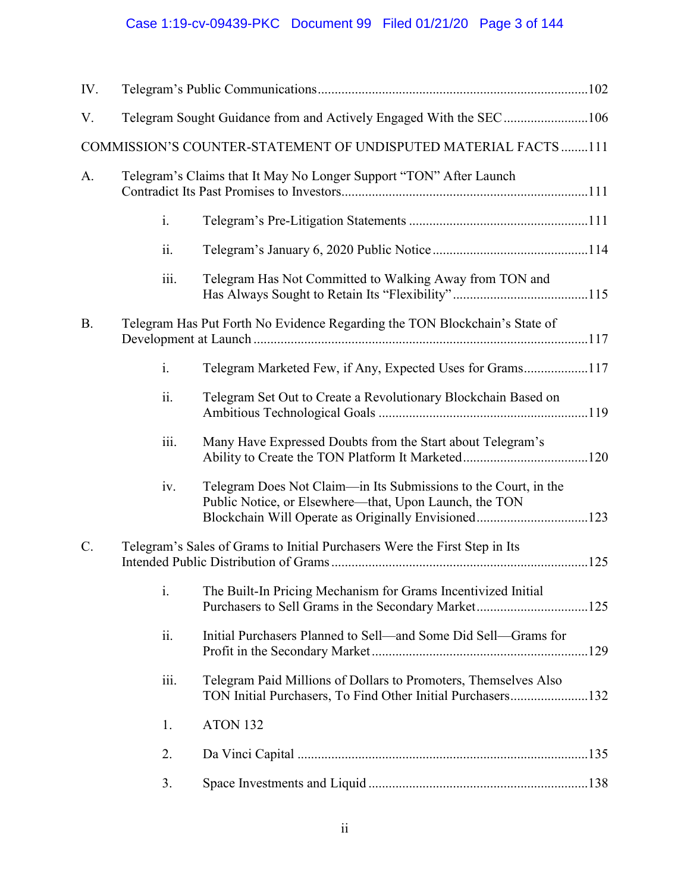# Case 1:19-cv-09439-PKC Document 99 Filed 01/21/20 Page 3 of 144

| IV.       |                                                                    |                                                                                                                                |  |
|-----------|--------------------------------------------------------------------|--------------------------------------------------------------------------------------------------------------------------------|--|
| V.        |                                                                    |                                                                                                                                |  |
|           |                                                                    | COMMISSION'S COUNTER-STATEMENT OF UNDISPUTED MATERIAL FACTS 111                                                                |  |
| A.        | Telegram's Claims that It May No Longer Support "TON" After Launch |                                                                                                                                |  |
|           | $\mathbf{i}$ .                                                     |                                                                                                                                |  |
|           | $\ddot{\mathbf{11}}$ .                                             |                                                                                                                                |  |
|           | iii.                                                               | Telegram Has Not Committed to Walking Away from TON and                                                                        |  |
| <b>B.</b> |                                                                    | Telegram Has Put Forth No Evidence Regarding the TON Blockchain's State of                                                     |  |
|           | i.                                                                 | Telegram Marketed Few, if Any, Expected Uses for Grams117                                                                      |  |
|           | ii.                                                                | Telegram Set Out to Create a Revolutionary Blockchain Based on                                                                 |  |
|           | iii.                                                               | Many Have Expressed Doubts from the Start about Telegram's                                                                     |  |
|           | iv.                                                                | Telegram Does Not Claim—in Its Submissions to the Court, in the<br>Public Notice, or Elsewhere—that, Upon Launch, the TON      |  |
| $C$ .     |                                                                    | Telegram's Sales of Grams to Initial Purchasers Were the First Step in Its                                                     |  |
|           | $\mathbf{i}$ .                                                     | The Built-In Pricing Mechanism for Grams Incentivized Initial                                                                  |  |
|           | ii.                                                                | Initial Purchasers Planned to Sell—and Some Did Sell—Grams for                                                                 |  |
|           | iii.                                                               | Telegram Paid Millions of Dollars to Promoters, Themselves Also<br>TON Initial Purchasers, To Find Other Initial Purchasers132 |  |
|           | 1.                                                                 | ATON 132                                                                                                                       |  |
|           | 2.                                                                 |                                                                                                                                |  |
|           | 3.                                                                 |                                                                                                                                |  |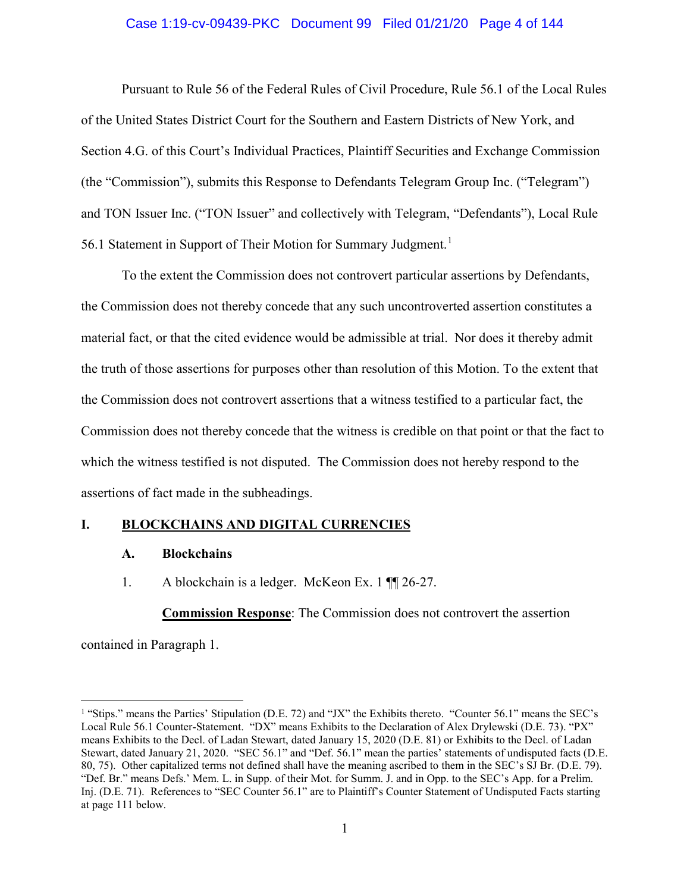#### Case 1:19-cv-09439-PKC Document 99 Filed 01/21/20 Page 4 of 144

Pursuant to Rule 56 of the Federal Rules of Civil Procedure, Rule 56.1 of the Local Rules of the United States District Court for the Southern and Eastern Districts of New York, and Section 4.G. of this Court's Individual Practices, Plaintiff Securities and Exchange Commission (the "Commission"), submits this Response to Defendants Telegram Group Inc. ("Telegram") and TON Issuer Inc. ("TON Issuer" and collectively with Telegram, "Defendants"), Local Rule 56.1 Statement in Support of Their Motion for Summary Judgment.<sup>1</sup>

To the extent the Commission does not controvert particular assertions by Defendants, the Commission does not thereby concede that any such uncontroverted assertion constitutes a material fact, or that the cited evidence would be admissible at trial. Nor does it thereby admit the truth of those assertions for purposes other than resolution of this Motion. To the extent that the Commission does not controvert assertions that a witness testified to a particular fact, the Commission does not thereby concede that the witness is credible on that point or that the fact to which the witness testified is not disputed. The Commission does not hereby respond to the assertions of fact made in the subheadings.

## **I. BLOCKCHAINS AND DIGITAL CURRENCIES**

#### **A. Blockchains**

1. A blockchain is a ledger. McKeon Ex. 1  $\P$  26-27.

**Commission Response**: The Commission does not controvert the assertion

contained in Paragraph 1.

 $\overline{a}$ 

<sup>&</sup>lt;sup>1</sup> "Stips." means the Parties' Stipulation (D.E. 72) and "JX" the Exhibits thereto. "Counter 56.1" means the SEC's Local Rule 56.1 Counter-Statement. "DX" means Exhibits to the Declaration of Alex Drylewski (D.E. 73). "PX" means Exhibits to the Decl. of Ladan Stewart, dated January 15, 2020 (D.E. 81) or Exhibits to the Decl. of Ladan Stewart, dated January 21, 2020. "SEC 56.1" and "Def. 56.1" mean the parties' statements of undisputed facts (D.E. 80, 75). Other capitalized terms not defined shall have the meaning ascribed to them in the SEC's SJ Br. (D.E. 79). "Def. Br." means Defs.' Mem. L. in Supp. of their Mot. for Summ. J. and in Opp. to the SEC's App. for a Prelim. Inj. (D.E. 71). References to "SEC Counter 56.1" are to Plaintiff's Counter Statement of Undisputed Facts starting at page 111 below.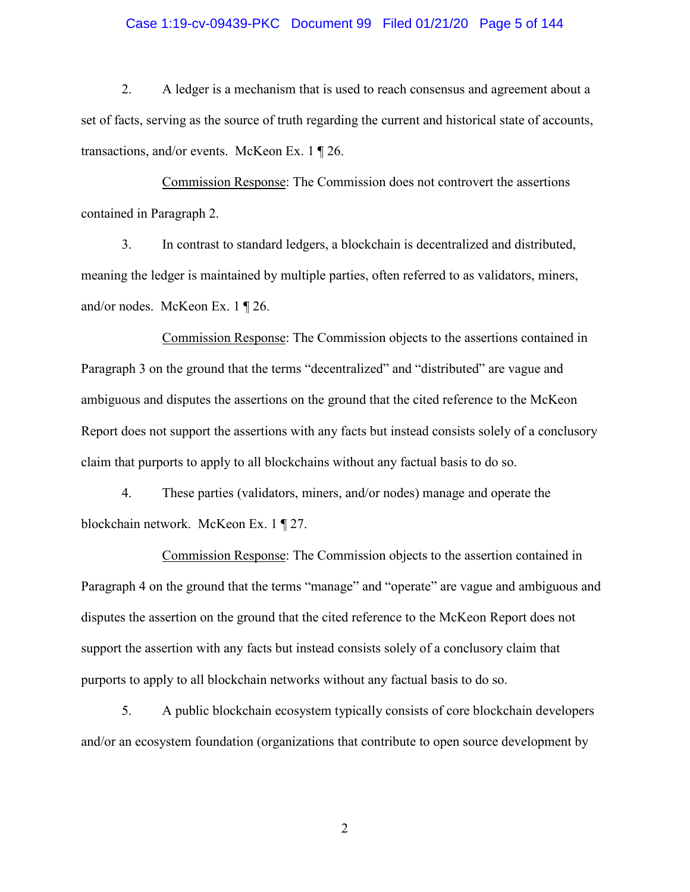#### Case 1:19-cv-09439-PKC Document 99 Filed 01/21/20 Page 5 of 144

2. A ledger is a mechanism that is used to reach consensus and agreement about a set of facts, serving as the source of truth regarding the current and historical state of accounts, transactions, and/or events. McKeon Ex. 1 ¶ 26.

Commission Response: The Commission does not controvert the assertions contained in Paragraph 2.

3. In contrast to standard ledgers, a blockchain is decentralized and distributed, meaning the ledger is maintained by multiple parties, often referred to as validators, miners, and/or nodes. McKeon Ex. 1 ¶ 26.

Commission Response: The Commission objects to the assertions contained in Paragraph 3 on the ground that the terms "decentralized" and "distributed" are vague and ambiguous and disputes the assertions on the ground that the cited reference to the McKeon Report does not support the assertions with any facts but instead consists solely of a conclusory claim that purports to apply to all blockchains without any factual basis to do so.

4. These parties (validators, miners, and/or nodes) manage and operate the blockchain network. McKeon Ex. 1 ¶ 27.

Commission Response: The Commission objects to the assertion contained in Paragraph 4 on the ground that the terms "manage" and "operate" are vague and ambiguous and disputes the assertion on the ground that the cited reference to the McKeon Report does not support the assertion with any facts but instead consists solely of a conclusory claim that purports to apply to all blockchain networks without any factual basis to do so.

5. A public blockchain ecosystem typically consists of core blockchain developers and/or an ecosystem foundation (organizations that contribute to open source development by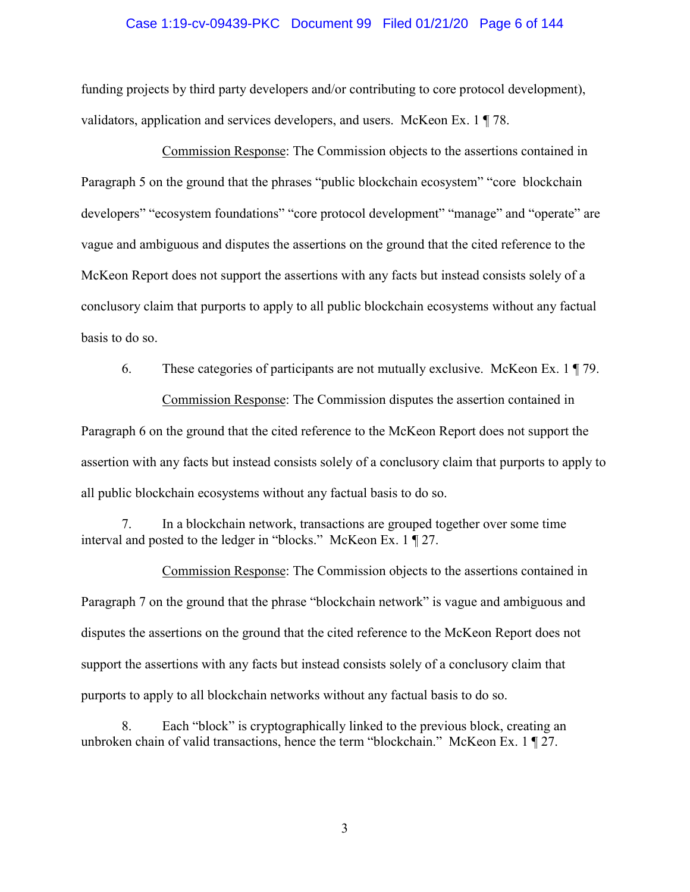#### Case 1:19-cv-09439-PKC Document 99 Filed 01/21/20 Page 6 of 144

funding projects by third party developers and/or contributing to core protocol development), validators, application and services developers, and users. McKeon Ex. 1 ¶ 78.

Commission Response: The Commission objects to the assertions contained in Paragraph 5 on the ground that the phrases "public blockchain ecosystem" "core blockchain developers" "ecosystem foundations" "core protocol development" "manage" and "operate" are vague and ambiguous and disputes the assertions on the ground that the cited reference to the McKeon Report does not support the assertions with any facts but instead consists solely of a conclusory claim that purports to apply to all public blockchain ecosystems without any factual basis to do so.

6. These categories of participants are not mutually exclusive. McKeon Ex. 1 ¶ 79. Commission Response: The Commission disputes the assertion contained in Paragraph 6 on the ground that the cited reference to the McKeon Report does not support the assertion with any facts but instead consists solely of a conclusory claim that purports to apply to all public blockchain ecosystems without any factual basis to do so.

7. In a blockchain network, transactions are grouped together over some time interval and posted to the ledger in "blocks." McKeon Ex. 1 ¶ 27.

Commission Response: The Commission objects to the assertions contained in Paragraph 7 on the ground that the phrase "blockchain network" is vague and ambiguous and disputes the assertions on the ground that the cited reference to the McKeon Report does not support the assertions with any facts but instead consists solely of a conclusory claim that purports to apply to all blockchain networks without any factual basis to do so.

8. Each "block" is cryptographically linked to the previous block, creating an unbroken chain of valid transactions, hence the term "blockchain." McKeon Ex. 1 ¶ 27.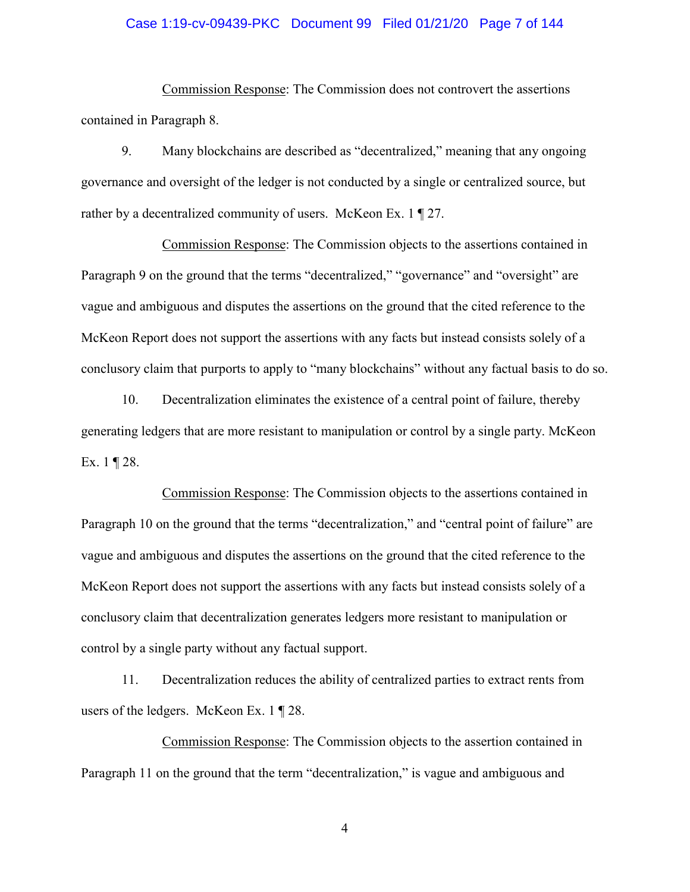#### Case 1:19-cv-09439-PKC Document 99 Filed 01/21/20 Page 7 of 144

Commission Response: The Commission does not controvert the assertions contained in Paragraph 8.

9. Many blockchains are described as "decentralized," meaning that any ongoing governance and oversight of the ledger is not conducted by a single or centralized source, but rather by a decentralized community of users. McKeon Ex. 1 ¶ 27.

Commission Response: The Commission objects to the assertions contained in Paragraph 9 on the ground that the terms "decentralized," "governance" and "oversight" are vague and ambiguous and disputes the assertions on the ground that the cited reference to the McKeon Report does not support the assertions with any facts but instead consists solely of a conclusory claim that purports to apply to "many blockchains" without any factual basis to do so.

10. Decentralization eliminates the existence of a central point of failure, thereby generating ledgers that are more resistant to manipulation or control by a single party. McKeon Ex.  $1 \nvert 28$ .

Commission Response: The Commission objects to the assertions contained in Paragraph 10 on the ground that the terms "decentralization," and "central point of failure" are vague and ambiguous and disputes the assertions on the ground that the cited reference to the McKeon Report does not support the assertions with any facts but instead consists solely of a conclusory claim that decentralization generates ledgers more resistant to manipulation or control by a single party without any factual support.

11. Decentralization reduces the ability of centralized parties to extract rents from users of the ledgers. McKeon Ex. 1 ¶ 28.

Commission Response: The Commission objects to the assertion contained in Paragraph 11 on the ground that the term "decentralization," is vague and ambiguous and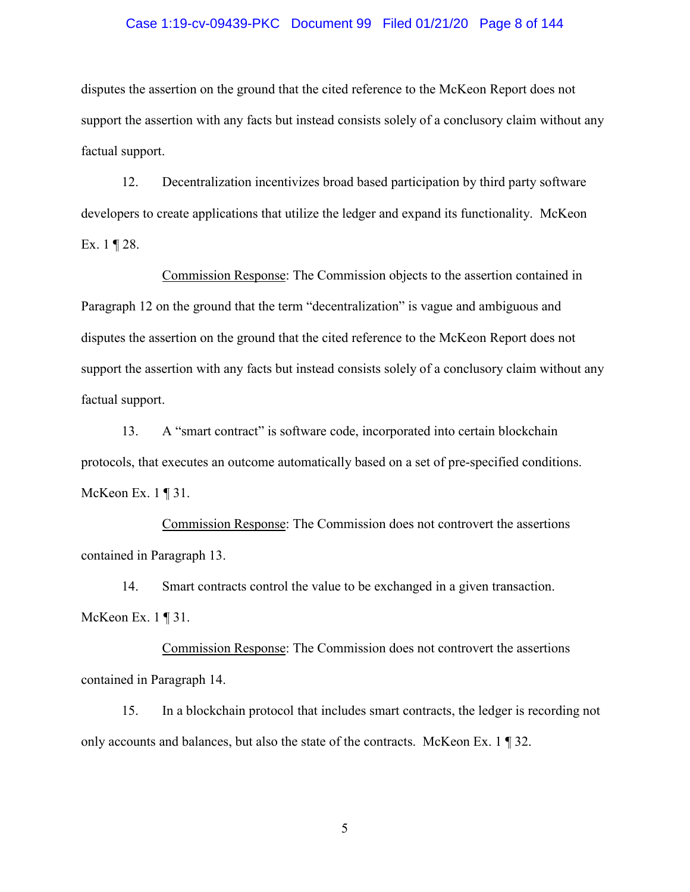#### Case 1:19-cv-09439-PKC Document 99 Filed 01/21/20 Page 8 of 144

disputes the assertion on the ground that the cited reference to the McKeon Report does not support the assertion with any facts but instead consists solely of a conclusory claim without any factual support.

12. Decentralization incentivizes broad based participation by third party software developers to create applications that utilize the ledger and expand its functionality. McKeon Ex.  $1 \nvert 28$ .

Commission Response: The Commission objects to the assertion contained in Paragraph 12 on the ground that the term "decentralization" is vague and ambiguous and disputes the assertion on the ground that the cited reference to the McKeon Report does not support the assertion with any facts but instead consists solely of a conclusory claim without any factual support.

13. A "smart contract" is software code, incorporated into certain blockchain protocols, that executes an outcome automatically based on a set of pre-specified conditions. McKeon Ex.  $1 \nvert 31$ .

Commission Response: The Commission does not controvert the assertions contained in Paragraph 13.

14. Smart contracts control the value to be exchanged in a given transaction. McKeon Ex. 1 ¶ 31.

Commission Response: The Commission does not controvert the assertions contained in Paragraph 14.

15. In a blockchain protocol that includes smart contracts, the ledger is recording not only accounts and balances, but also the state of the contracts. McKeon Ex. 1 ¶ 32.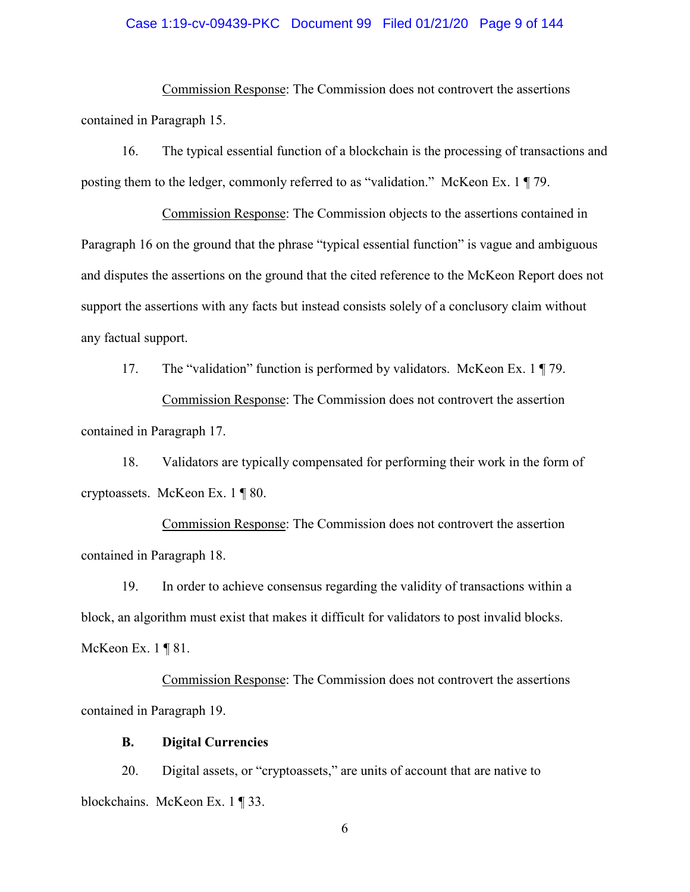#### Case 1:19-cv-09439-PKC Document 99 Filed 01/21/20 Page 9 of 144

Commission Response: The Commission does not controvert the assertions contained in Paragraph 15.

16. The typical essential function of a blockchain is the processing of transactions and posting them to the ledger, commonly referred to as "validation." McKeon Ex. 1 ¶ 79.

Commission Response: The Commission objects to the assertions contained in Paragraph 16 on the ground that the phrase "typical essential function" is vague and ambiguous and disputes the assertions on the ground that the cited reference to the McKeon Report does not support the assertions with any facts but instead consists solely of a conclusory claim without any factual support.

17. The "validation" function is performed by validators. McKeon Ex. 1 ¶ 79. Commission Response: The Commission does not controvert the assertion contained in Paragraph 17.

18. Validators are typically compensated for performing their work in the form of cryptoassets. McKeon Ex. 1 ¶ 80.

Commission Response: The Commission does not controvert the assertion contained in Paragraph 18.

19. In order to achieve consensus regarding the validity of transactions within a block, an algorithm must exist that makes it difficult for validators to post invalid blocks. McKeon Ex. 1 ¶ 81.

Commission Response: The Commission does not controvert the assertions contained in Paragraph 19.

#### **B. Digital Currencies**

20. Digital assets, or "cryptoassets," are units of account that are native to blockchains. McKeon Ex. 1 ¶ 33.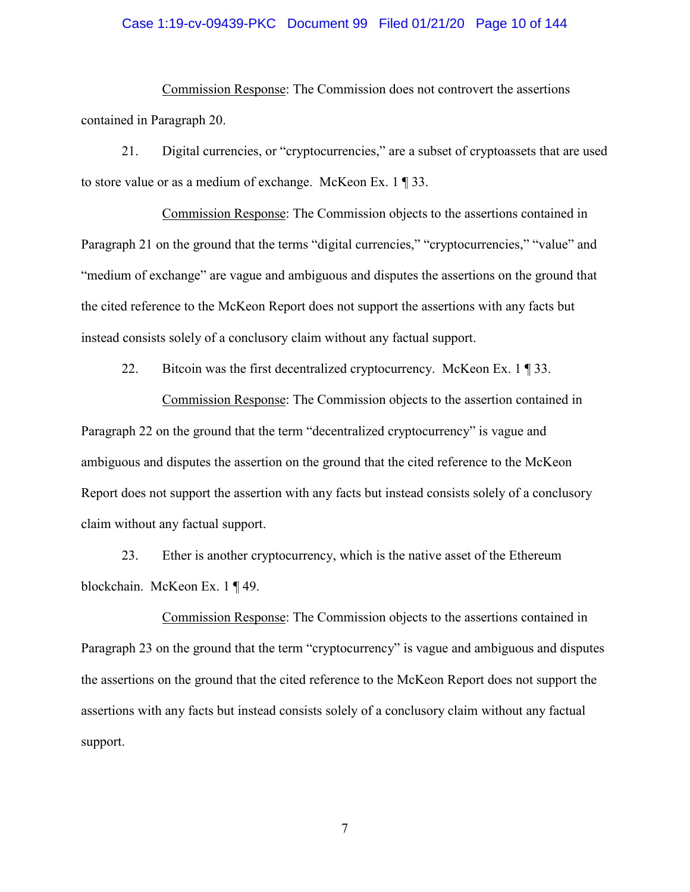#### Case 1:19-cv-09439-PKC Document 99 Filed 01/21/20 Page 10 of 144

Commission Response: The Commission does not controvert the assertions contained in Paragraph 20.

21. Digital currencies, or "cryptocurrencies," are a subset of cryptoassets that are used to store value or as a medium of exchange. McKeon Ex. 1 ¶ 33.

Commission Response: The Commission objects to the assertions contained in Paragraph 21 on the ground that the terms "digital currencies," "cryptocurrencies," "value" and "medium of exchange" are vague and ambiguous and disputes the assertions on the ground that the cited reference to the McKeon Report does not support the assertions with any facts but instead consists solely of a conclusory claim without any factual support.

22. Bitcoin was the first decentralized cryptocurrency. McKeon Ex. 1 ¶ 33.

Commission Response: The Commission objects to the assertion contained in Paragraph 22 on the ground that the term "decentralized cryptocurrency" is vague and ambiguous and disputes the assertion on the ground that the cited reference to the McKeon Report does not support the assertion with any facts but instead consists solely of a conclusory claim without any factual support.

23. Ether is another cryptocurrency, which is the native asset of the Ethereum blockchain. McKeon Ex. 1 ¶ 49.

Commission Response: The Commission objects to the assertions contained in Paragraph 23 on the ground that the term "cryptocurrency" is vague and ambiguous and disputes the assertions on the ground that the cited reference to the McKeon Report does not support the assertions with any facts but instead consists solely of a conclusory claim without any factual support.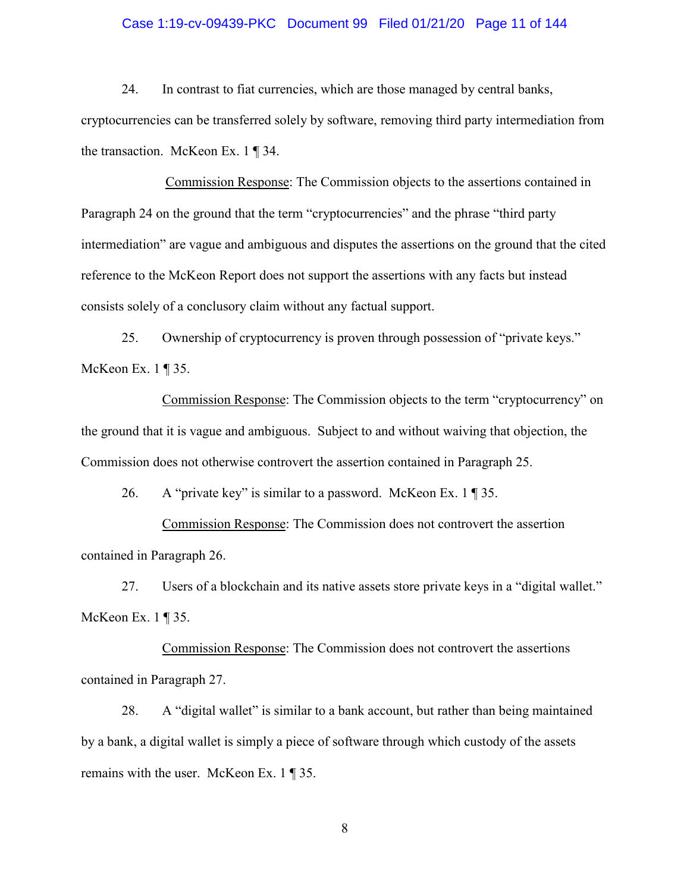#### Case 1:19-cv-09439-PKC Document 99 Filed 01/21/20 Page 11 of 144

24. In contrast to fiat currencies, which are those managed by central banks, cryptocurrencies can be transferred solely by software, removing third party intermediation from the transaction. McKeon Ex. 1 ¶ 34.

Commission Response: The Commission objects to the assertions contained in Paragraph 24 on the ground that the term "cryptocurrencies" and the phrase "third party intermediation" are vague and ambiguous and disputes the assertions on the ground that the cited reference to the McKeon Report does not support the assertions with any facts but instead consists solely of a conclusory claim without any factual support.

25. Ownership of cryptocurrency is proven through possession of "private keys." McKeon Ex. 1 ¶ 35.

Commission Response: The Commission objects to the term "cryptocurrency" on the ground that it is vague and ambiguous. Subject to and without waiving that objection, the Commission does not otherwise controvert the assertion contained in Paragraph 25.

26. A "private key" is similar to a password. McKeon Ex.  $1 \sqrt{35}$ .

Commission Response: The Commission does not controvert the assertion contained in Paragraph 26.

27. Users of a blockchain and its native assets store private keys in a "digital wallet." McKeon Ex. 1 ¶ 35.

Commission Response: The Commission does not controvert the assertions contained in Paragraph 27.

28. A "digital wallet" is similar to a bank account, but rather than being maintained by a bank, a digital wallet is simply a piece of software through which custody of the assets remains with the user. McKeon Ex. 1 ¶ 35.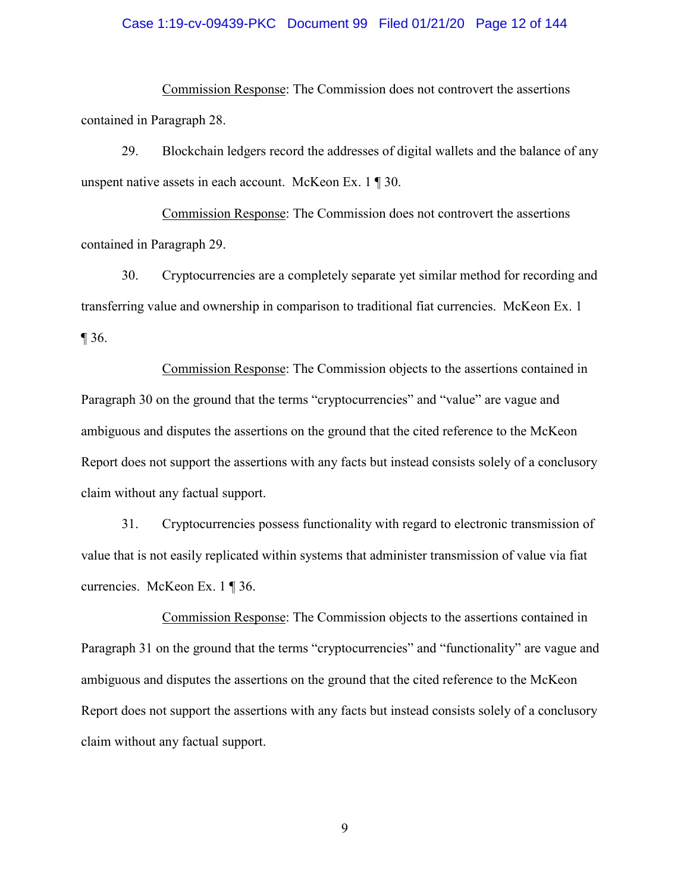#### Case 1:19-cv-09439-PKC Document 99 Filed 01/21/20 Page 12 of 144

Commission Response: The Commission does not controvert the assertions contained in Paragraph 28.

29. Blockchain ledgers record the addresses of digital wallets and the balance of any unspent native assets in each account. McKeon Ex. 1 ¶ 30.

Commission Response: The Commission does not controvert the assertions contained in Paragraph 29.

30. Cryptocurrencies are a completely separate yet similar method for recording and transferring value and ownership in comparison to traditional fiat currencies. McKeon Ex. 1 ¶ 36.

Commission Response: The Commission objects to the assertions contained in Paragraph 30 on the ground that the terms "cryptocurrencies" and "value" are vague and ambiguous and disputes the assertions on the ground that the cited reference to the McKeon Report does not support the assertions with any facts but instead consists solely of a conclusory claim without any factual support.

31. Cryptocurrencies possess functionality with regard to electronic transmission of value that is not easily replicated within systems that administer transmission of value via fiat currencies. McKeon Ex. 1 ¶ 36.

Commission Response: The Commission objects to the assertions contained in Paragraph 31 on the ground that the terms "cryptocurrencies" and "functionality" are vague and ambiguous and disputes the assertions on the ground that the cited reference to the McKeon Report does not support the assertions with any facts but instead consists solely of a conclusory claim without any factual support.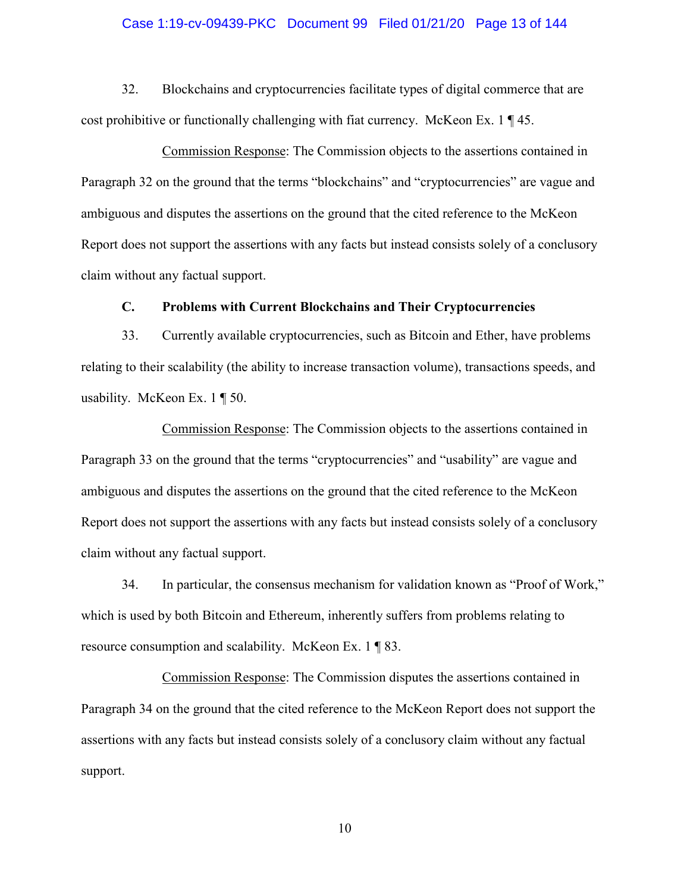#### Case 1:19-cv-09439-PKC Document 99 Filed 01/21/20 Page 13 of 144

32. Blockchains and cryptocurrencies facilitate types of digital commerce that are cost prohibitive or functionally challenging with fiat currency. McKeon Ex. 1 ¶ 45.

Commission Response: The Commission objects to the assertions contained in Paragraph 32 on the ground that the terms "blockchains" and "cryptocurrencies" are vague and ambiguous and disputes the assertions on the ground that the cited reference to the McKeon Report does not support the assertions with any facts but instead consists solely of a conclusory claim without any factual support.

#### **C. Problems with Current Blockchains and Their Cryptocurrencies**

33. Currently available cryptocurrencies, such as Bitcoin and Ether, have problems relating to their scalability (the ability to increase transaction volume), transactions speeds, and usability. McKeon Ex. 1 ¶ 50.

Commission Response: The Commission objects to the assertions contained in Paragraph 33 on the ground that the terms "cryptocurrencies" and "usability" are vague and ambiguous and disputes the assertions on the ground that the cited reference to the McKeon Report does not support the assertions with any facts but instead consists solely of a conclusory claim without any factual support.

34. In particular, the consensus mechanism for validation known as "Proof of Work," which is used by both Bitcoin and Ethereum, inherently suffers from problems relating to resource consumption and scalability. McKeon Ex. 1 ¶ 83.

Commission Response: The Commission disputes the assertions contained in Paragraph 34 on the ground that the cited reference to the McKeon Report does not support the assertions with any facts but instead consists solely of a conclusory claim without any factual support.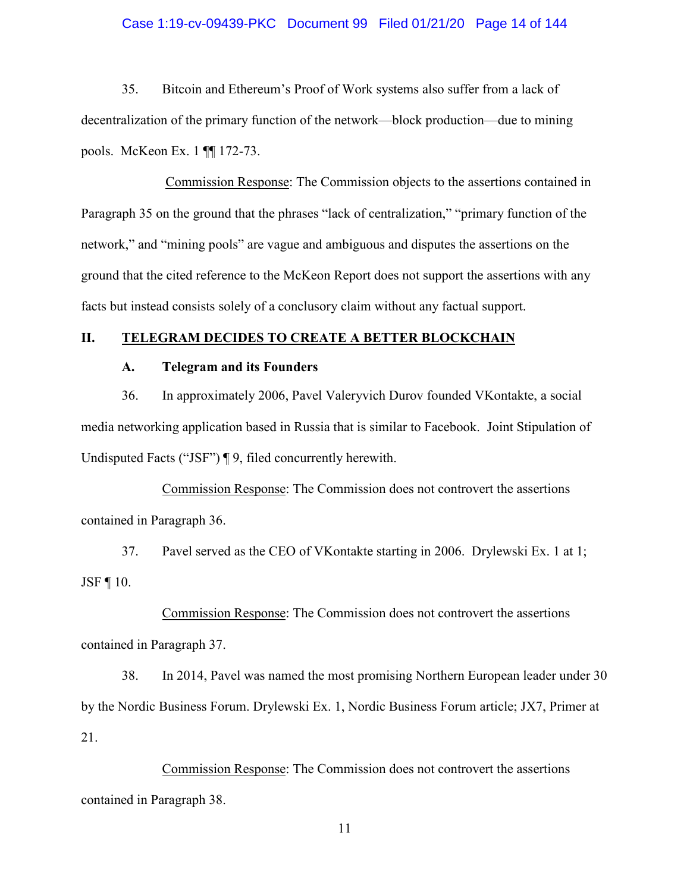#### Case 1:19-cv-09439-PKC Document 99 Filed 01/21/20 Page 14 of 144

35. Bitcoin and Ethereum's Proof of Work systems also suffer from a lack of decentralization of the primary function of the network—block production—due to mining pools. McKeon Ex. 1 ¶¶ 172-73.

Commission Response: The Commission objects to the assertions contained in Paragraph 35 on the ground that the phrases "lack of centralization," "primary function of the network," and "mining pools" are vague and ambiguous and disputes the assertions on the ground that the cited reference to the McKeon Report does not support the assertions with any facts but instead consists solely of a conclusory claim without any factual support.

## **II. TELEGRAM DECIDES TO CREATE A BETTER BLOCKCHAIN**

## **A. Telegram and its Founders**

36. In approximately 2006, Pavel Valeryvich Durov founded VKontakte, a social media networking application based in Russia that is similar to Facebook. Joint Stipulation of Undisputed Facts ("JSF") ¶ 9, filed concurrently herewith.

Commission Response: The Commission does not controvert the assertions contained in Paragraph 36.

37. Pavel served as the CEO of VKontakte starting in 2006. Drylewski Ex. 1 at 1; JSF ¶ 10.

Commission Response: The Commission does not controvert the assertions contained in Paragraph 37.

38. In 2014, Pavel was named the most promising Northern European leader under 30 by the Nordic Business Forum. Drylewski Ex. 1, Nordic Business Forum article; JX7, Primer at 21.

Commission Response: The Commission does not controvert the assertions contained in Paragraph 38.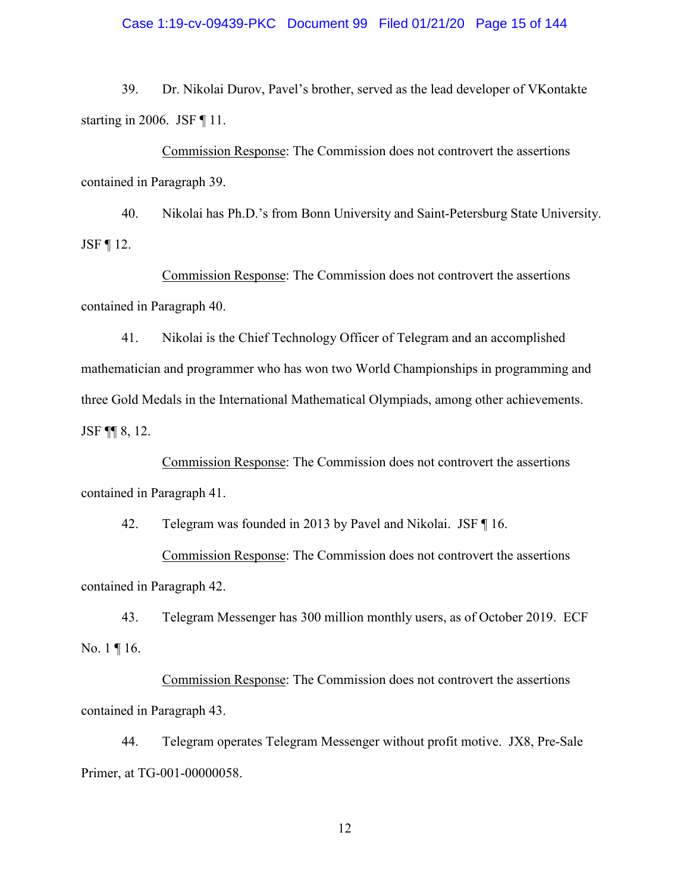#### Case 1:19-cv-09439-PKC Document 99 Filed 01/21/20 Page 15 of 144

39. Dr. Nikolai Durov, Pavel's brother, served as the lead developer of VKontakte starting in 2006. JSF ¶ 11.

Commission Response: The Commission does not controvert the assertions contained in Paragraph 39.

40. Nikolai has Ph.D.'s from Bonn University and Saint-Petersburg State University. JSF  $\P$  12.

Commission Response: The Commission does not controvert the assertions contained in Paragraph 40.

41. Nikolai is the Chief Technology Officer of Telegram and an accomplished mathematician and programmer who has won two World Championships in programming and three Gold Medals in the International Mathematical Olympiads, among other achievements. JSF ¶¶ 8, 12.

Commission Response: The Commission does not controvert the assertions contained in Paragraph 41.

42. Telegram was founded in 2013 by Pavel and Nikolai. JSF ¶ 16.

Commission Response: The Commission does not controvert the assertions contained in Paragraph 42.

43. Telegram Messenger has 300 million monthly users, as of October 2019. ECF No. 1 ¶ 16.

Commission Response: The Commission does not controvert the assertions contained in Paragraph 43.

44. Telegram operates Telegram Messenger without profit motive. JX8, Pre-Sale Primer, at TG-001-00000058.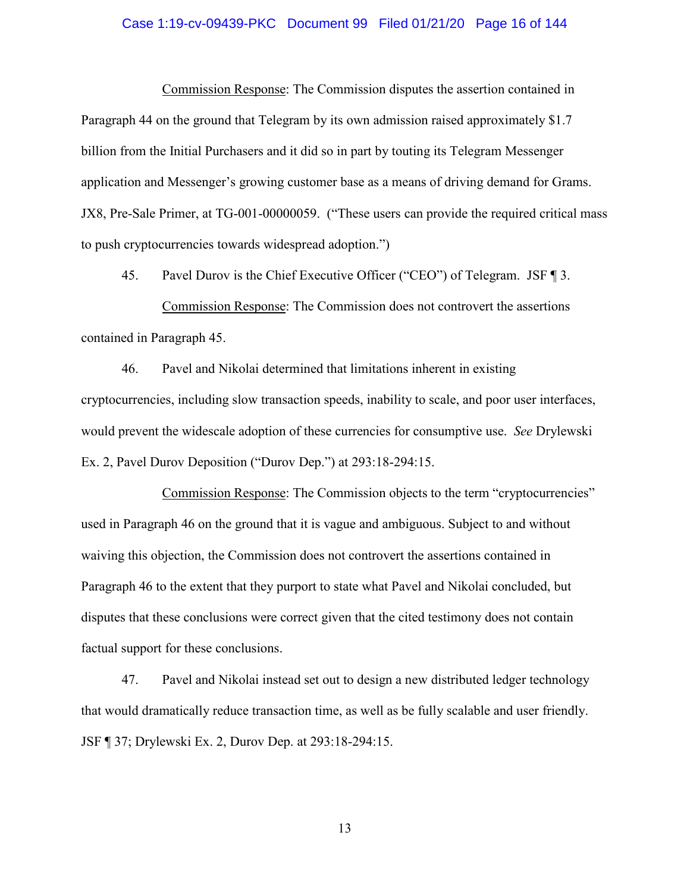#### Case 1:19-cv-09439-PKC Document 99 Filed 01/21/20 Page 16 of 144

Commission Response: The Commission disputes the assertion contained in Paragraph 44 on the ground that Telegram by its own admission raised approximately \$1.7 billion from the Initial Purchasers and it did so in part by touting its Telegram Messenger application and Messenger's growing customer base as a means of driving demand for Grams. JX8, Pre-Sale Primer, at TG-001-00000059. ("These users can provide the required critical mass to push cryptocurrencies towards widespread adoption.")

45. Pavel Durov is the Chief Executive Officer ("CEO") of Telegram. JSF ¶ 3. Commission Response: The Commission does not controvert the assertions contained in Paragraph 45.

46. Pavel and Nikolai determined that limitations inherent in existing cryptocurrencies, including slow transaction speeds, inability to scale, and poor user interfaces, would prevent the widescale adoption of these currencies for consumptive use. *See* Drylewski Ex. 2, Pavel Durov Deposition ("Durov Dep.") at 293:18-294:15.

Commission Response: The Commission objects to the term "cryptocurrencies" used in Paragraph 46 on the ground that it is vague and ambiguous. Subject to and without waiving this objection, the Commission does not controvert the assertions contained in Paragraph 46 to the extent that they purport to state what Pavel and Nikolai concluded, but disputes that these conclusions were correct given that the cited testimony does not contain factual support for these conclusions.

47. Pavel and Nikolai instead set out to design a new distributed ledger technology that would dramatically reduce transaction time, as well as be fully scalable and user friendly. JSF ¶ 37; Drylewski Ex. 2, Durov Dep. at 293:18-294:15.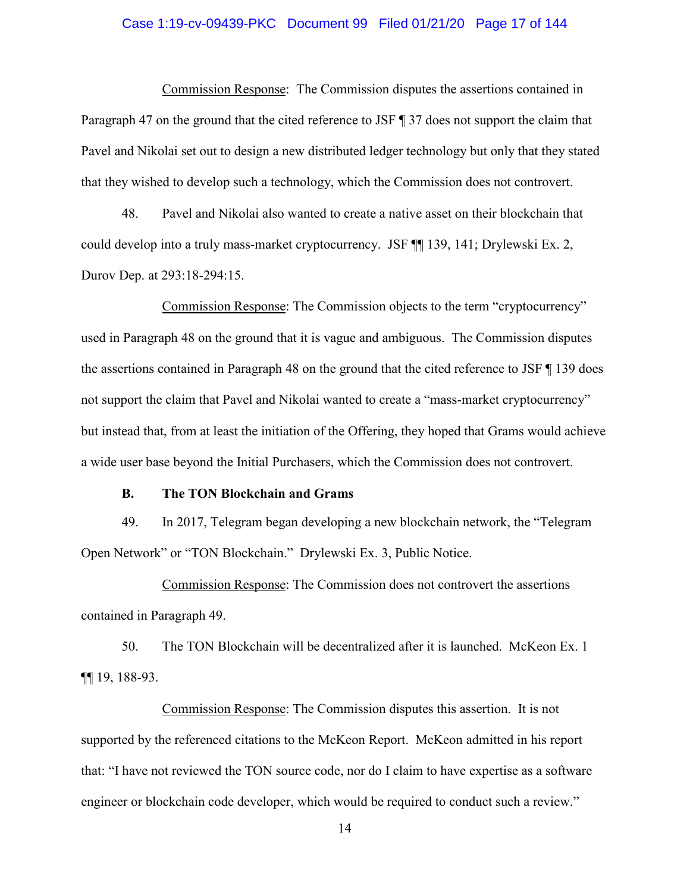#### Case 1:19-cv-09439-PKC Document 99 Filed 01/21/20 Page 17 of 144

Commission Response: The Commission disputes the assertions contained in Paragraph 47 on the ground that the cited reference to JSF ¶ 37 does not support the claim that Pavel and Nikolai set out to design a new distributed ledger technology but only that they stated that they wished to develop such a technology, which the Commission does not controvert.

48. Pavel and Nikolai also wanted to create a native asset on their blockchain that could develop into a truly mass-market cryptocurrency. JSF ¶¶ 139, 141; Drylewski Ex. 2, Durov Dep. at 293:18-294:15.

Commission Response: The Commission objects to the term "cryptocurrency" used in Paragraph 48 on the ground that it is vague and ambiguous. The Commission disputes the assertions contained in Paragraph 48 on the ground that the cited reference to JSF ¶ 139 does not support the claim that Pavel and Nikolai wanted to create a "mass-market cryptocurrency" but instead that, from at least the initiation of the Offering, they hoped that Grams would achieve a wide user base beyond the Initial Purchasers, which the Commission does not controvert.

#### **B. The TON Blockchain and Grams**

49. In 2017, Telegram began developing a new blockchain network, the "Telegram Open Network" or "TON Blockchain." Drylewski Ex. 3, Public Notice.

Commission Response: The Commission does not controvert the assertions contained in Paragraph 49.

50. The TON Blockchain will be decentralized after it is launched. McKeon Ex. 1 ¶¶ 19, 188-93.

Commission Response: The Commission disputes this assertion. It is not supported by the referenced citations to the McKeon Report. McKeon admitted in his report that: "I have not reviewed the TON source code, nor do I claim to have expertise as a software engineer or blockchain code developer, which would be required to conduct such a review."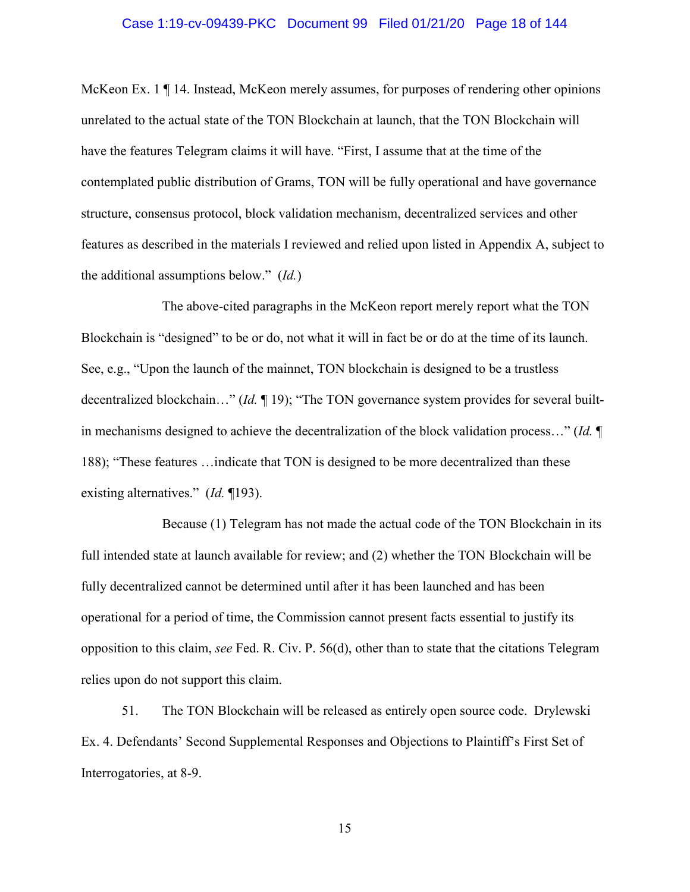#### Case 1:19-cv-09439-PKC Document 99 Filed 01/21/20 Page 18 of 144

McKeon Ex. 1 ¶ 14. Instead, McKeon merely assumes, for purposes of rendering other opinions unrelated to the actual state of the TON Blockchain at launch, that the TON Blockchain will have the features Telegram claims it will have. "First, I assume that at the time of the contemplated public distribution of Grams, TON will be fully operational and have governance structure, consensus protocol, block validation mechanism, decentralized services and other features as described in the materials I reviewed and relied upon listed in Appendix A, subject to the additional assumptions below." (*Id.*)

The above-cited paragraphs in the McKeon report merely report what the TON Blockchain is "designed" to be or do, not what it will in fact be or do at the time of its launch. See, e.g., "Upon the launch of the mainnet, TON blockchain is designed to be a trustless decentralized blockchain…" (*Id.* ¶ 19); "The TON governance system provides for several builtin mechanisms designed to achieve the decentralization of the block validation process…" (*Id.* ¶ 188); "These features …indicate that TON is designed to be more decentralized than these existing alternatives." (*Id.* ¶193).

Because (1) Telegram has not made the actual code of the TON Blockchain in its full intended state at launch available for review; and (2) whether the TON Blockchain will be fully decentralized cannot be determined until after it has been launched and has been operational for a period of time, the Commission cannot present facts essential to justify its opposition to this claim, *see* Fed. R. Civ. P. 56(d), other than to state that the citations Telegram relies upon do not support this claim.

51. The TON Blockchain will be released as entirely open source code. Drylewski Ex. 4. Defendants' Second Supplemental Responses and Objections to Plaintiff's First Set of Interrogatories, at 8-9.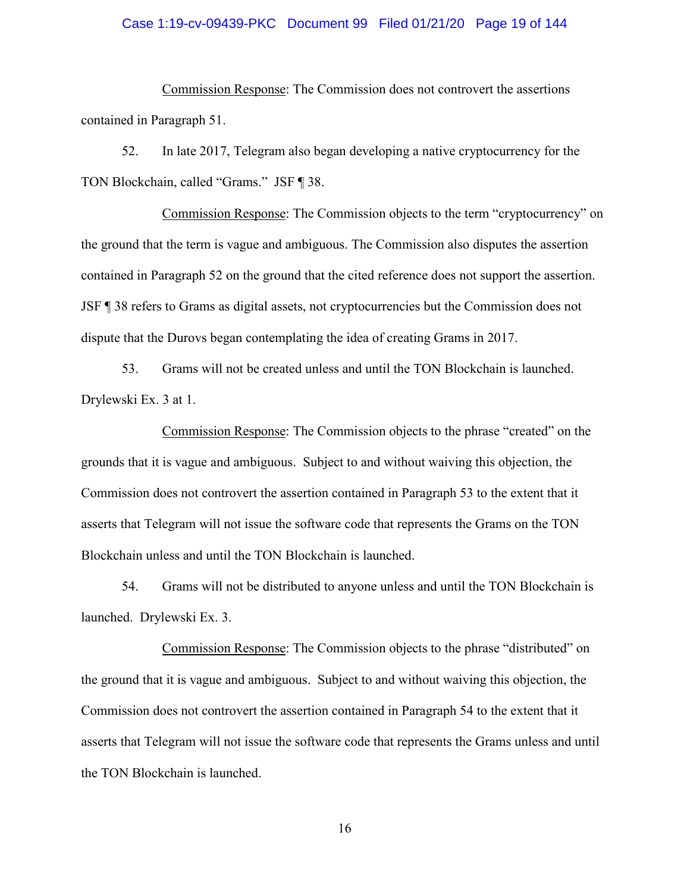#### Case 1:19-cv-09439-PKC Document 99 Filed 01/21/20 Page 19 of 144

Commission Response: The Commission does not controvert the assertions contained in Paragraph 51.

52. In late 2017, Telegram also began developing a native cryptocurrency for the TON Blockchain, called "Grams." JSF ¶ 38.

Commission Response: The Commission objects to the term "cryptocurrency" on the ground that the term is vague and ambiguous. The Commission also disputes the assertion contained in Paragraph 52 on the ground that the cited reference does not support the assertion. JSF ¶ 38 refers to Grams as digital assets, not cryptocurrencies but the Commission does not dispute that the Durovs began contemplating the idea of creating Grams in 2017.

53. Grams will not be created unless and until the TON Blockchain is launched. Drylewski Ex. 3 at 1.

Commission Response: The Commission objects to the phrase "created" on the grounds that it is vague and ambiguous. Subject to and without waiving this objection, the Commission does not controvert the assertion contained in Paragraph 53 to the extent that it asserts that Telegram will not issue the software code that represents the Grams on the TON Blockchain unless and until the TON Blockchain is launched.

54. Grams will not be distributed to anyone unless and until the TON Blockchain is launched. Drylewski Ex. 3.

Commission Response: The Commission objects to the phrase "distributed" on the ground that it is vague and ambiguous. Subject to and without waiving this objection, the Commission does not controvert the assertion contained in Paragraph 54 to the extent that it asserts that Telegram will not issue the software code that represents the Grams unless and until the TON Blockchain is launched.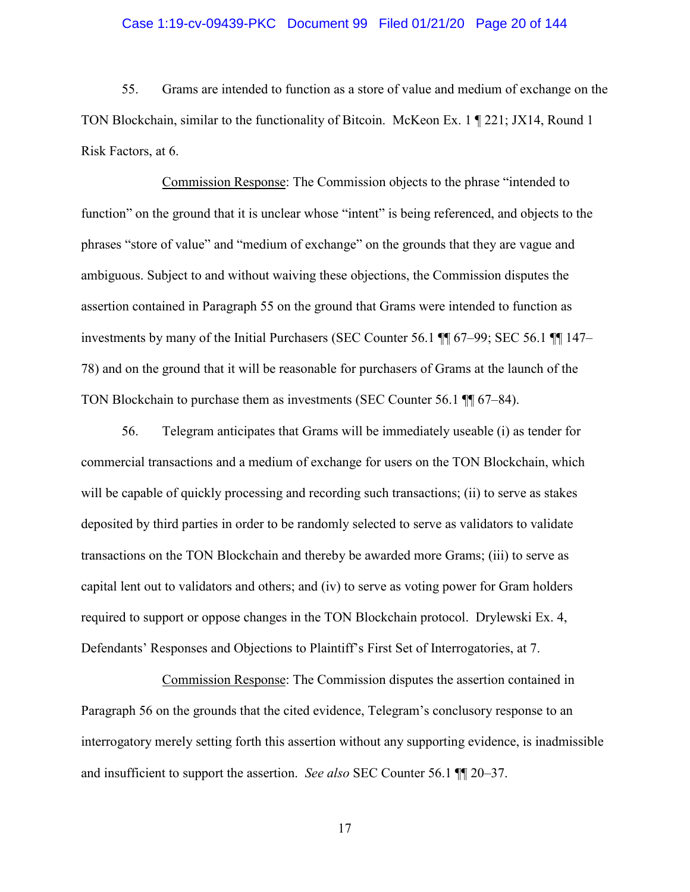#### Case 1:19-cv-09439-PKC Document 99 Filed 01/21/20 Page 20 of 144

55. Grams are intended to function as a store of value and medium of exchange on the TON Blockchain, similar to the functionality of Bitcoin. McKeon Ex. 1 ¶ 221; JX14, Round 1 Risk Factors, at 6.

Commission Response: The Commission objects to the phrase "intended to function" on the ground that it is unclear whose "intent" is being referenced, and objects to the phrases "store of value" and "medium of exchange" on the grounds that they are vague and ambiguous. Subject to and without waiving these objections, the Commission disputes the assertion contained in Paragraph 55 on the ground that Grams were intended to function as investments by many of the Initial Purchasers (SEC Counter 56.1 ¶¶ 67–99; SEC 56.1 ¶¶ 147– 78) and on the ground that it will be reasonable for purchasers of Grams at the launch of the TON Blockchain to purchase them as investments (SEC Counter 56.1 ¶¶ 67–84).

56. Telegram anticipates that Grams will be immediately useable (i) as tender for commercial transactions and a medium of exchange for users on the TON Blockchain, which will be capable of quickly processing and recording such transactions; (ii) to serve as stakes deposited by third parties in order to be randomly selected to serve as validators to validate transactions on the TON Blockchain and thereby be awarded more Grams; (iii) to serve as capital lent out to validators and others; and (iv) to serve as voting power for Gram holders required to support or oppose changes in the TON Blockchain protocol. Drylewski Ex. 4, Defendants' Responses and Objections to Plaintiff's First Set of Interrogatories, at 7.

Commission Response: The Commission disputes the assertion contained in Paragraph 56 on the grounds that the cited evidence, Telegram's conclusory response to an interrogatory merely setting forth this assertion without any supporting evidence, is inadmissible and insufficient to support the assertion. *See also* SEC Counter 56.1 ¶¶ 20–37.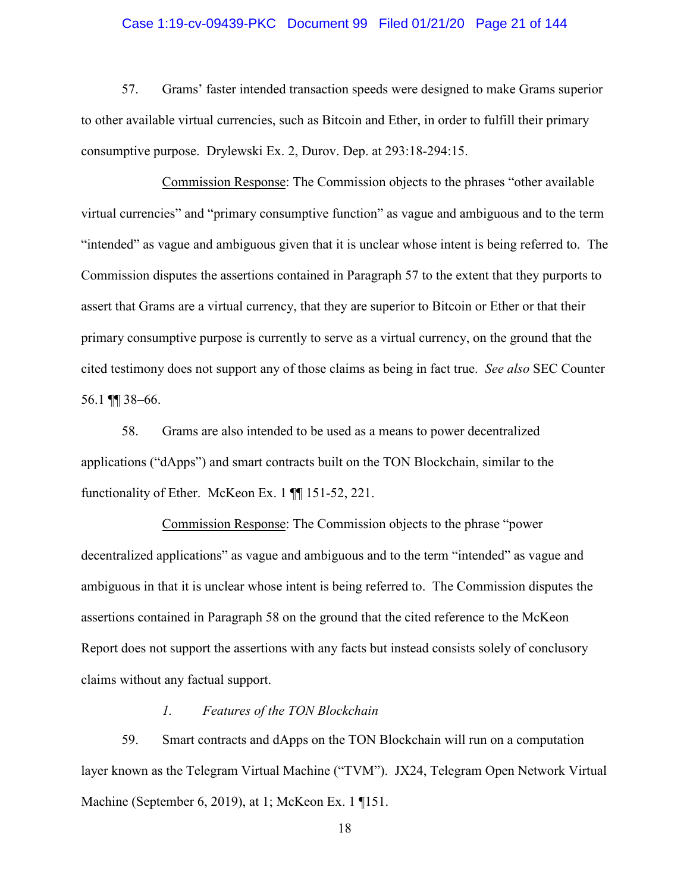#### Case 1:19-cv-09439-PKC Document 99 Filed 01/21/20 Page 21 of 144

57. Grams' faster intended transaction speeds were designed to make Grams superior to other available virtual currencies, such as Bitcoin and Ether, in order to fulfill their primary consumptive purpose. Drylewski Ex. 2, Durov. Dep. at 293:18-294:15.

Commission Response: The Commission objects to the phrases "other available virtual currencies" and "primary consumptive function" as vague and ambiguous and to the term "intended" as vague and ambiguous given that it is unclear whose intent is being referred to. The Commission disputes the assertions contained in Paragraph 57 to the extent that they purports to assert that Grams are a virtual currency, that they are superior to Bitcoin or Ether or that their primary consumptive purpose is currently to serve as a virtual currency, on the ground that the cited testimony does not support any of those claims as being in fact true. *See also* SEC Counter 56.1 ¶¶ 38–66.

58. Grams are also intended to be used as a means to power decentralized applications ("dApps") and smart contracts built on the TON Blockchain, similar to the functionality of Ether. McKeon Ex. 1 ¶¶ 151-52, 221.

Commission Response: The Commission objects to the phrase "power decentralized applications" as vague and ambiguous and to the term "intended" as vague and ambiguous in that it is unclear whose intent is being referred to. The Commission disputes the assertions contained in Paragraph 58 on the ground that the cited reference to the McKeon Report does not support the assertions with any facts but instead consists solely of conclusory claims without any factual support.

### *1. Features of the TON Blockchain*

59. Smart contracts and dApps on the TON Blockchain will run on a computation layer known as the Telegram Virtual Machine ("TVM"). JX24, Telegram Open Network Virtual Machine (September 6, 2019), at 1; McKeon Ex. 1 ¶151.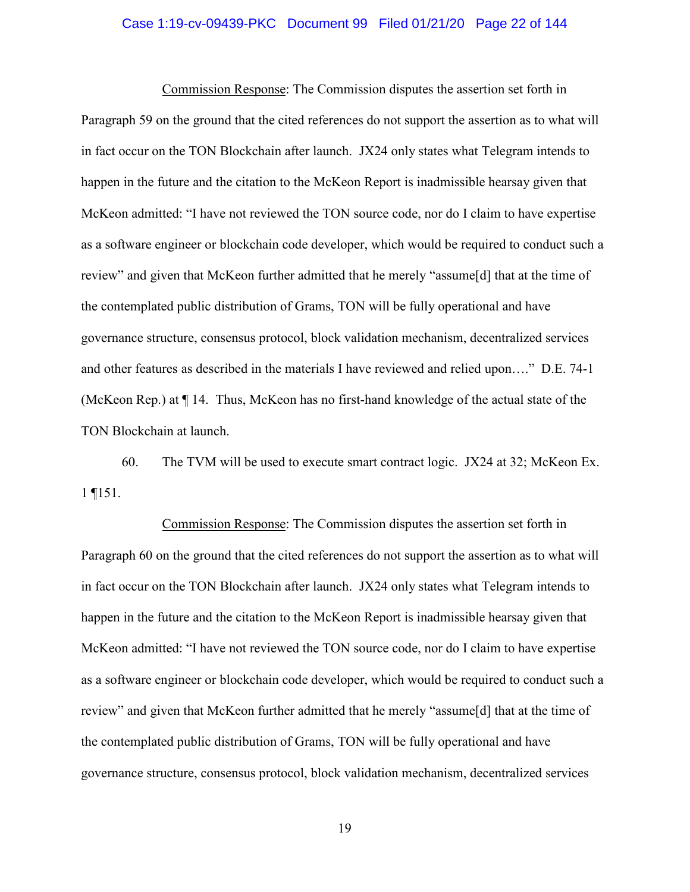#### Case 1:19-cv-09439-PKC Document 99 Filed 01/21/20 Page 22 of 144

Commission Response: The Commission disputes the assertion set forth in Paragraph 59 on the ground that the cited references do not support the assertion as to what will in fact occur on the TON Blockchain after launch. JX24 only states what Telegram intends to happen in the future and the citation to the McKeon Report is inadmissible hearsay given that McKeon admitted: "I have not reviewed the TON source code, nor do I claim to have expertise as a software engineer or blockchain code developer, which would be required to conduct such a review" and given that McKeon further admitted that he merely "assume[d] that at the time of the contemplated public distribution of Grams, TON will be fully operational and have governance structure, consensus protocol, block validation mechanism, decentralized services and other features as described in the materials I have reviewed and relied upon…." D.E. 74-1 (McKeon Rep.) at ¶ 14. Thus, McKeon has no first-hand knowledge of the actual state of the TON Blockchain at launch.

60. The TVM will be used to execute smart contract logic. JX24 at 32; McKeon Ex. 1 ¶151.

Commission Response: The Commission disputes the assertion set forth in Paragraph 60 on the ground that the cited references do not support the assertion as to what will in fact occur on the TON Blockchain after launch. JX24 only states what Telegram intends to happen in the future and the citation to the McKeon Report is inadmissible hearsay given that McKeon admitted: "I have not reviewed the TON source code, nor do I claim to have expertise as a software engineer or blockchain code developer, which would be required to conduct such a review" and given that McKeon further admitted that he merely "assume[d] that at the time of the contemplated public distribution of Grams, TON will be fully operational and have governance structure, consensus protocol, block validation mechanism, decentralized services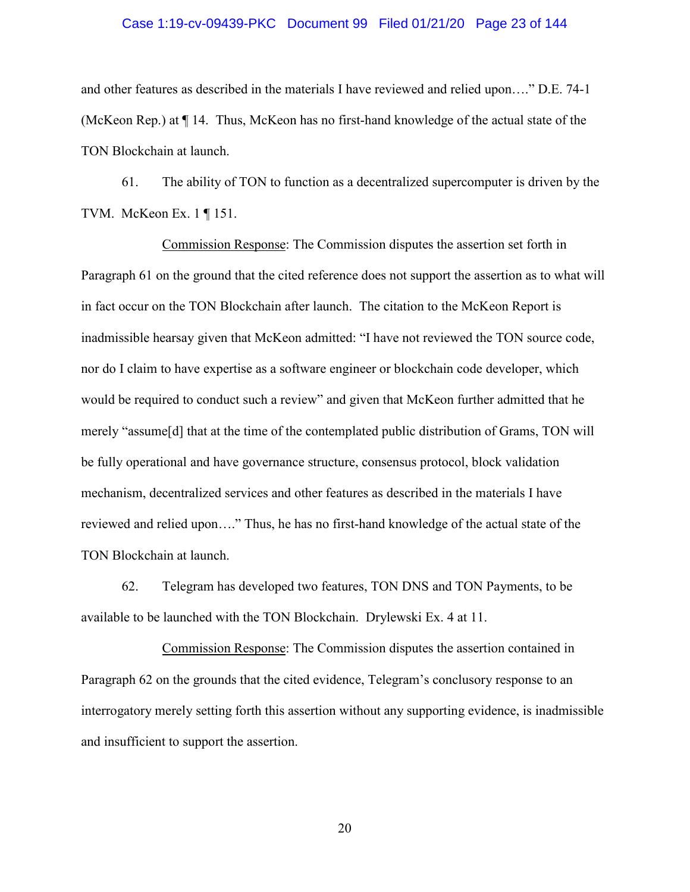#### Case 1:19-cv-09439-PKC Document 99 Filed 01/21/20 Page 23 of 144

and other features as described in the materials I have reviewed and relied upon…." D.E. 74-1 (McKeon Rep.) at ¶ 14. Thus, McKeon has no first-hand knowledge of the actual state of the TON Blockchain at launch.

61. The ability of TON to function as a decentralized supercomputer is driven by the TVM. McKeon Ex. 1 ¶ 151.

Commission Response: The Commission disputes the assertion set forth in Paragraph 61 on the ground that the cited reference does not support the assertion as to what will in fact occur on the TON Blockchain after launch. The citation to the McKeon Report is inadmissible hearsay given that McKeon admitted: "I have not reviewed the TON source code, nor do I claim to have expertise as a software engineer or blockchain code developer, which would be required to conduct such a review" and given that McKeon further admitted that he merely "assume[d] that at the time of the contemplated public distribution of Grams, TON will be fully operational and have governance structure, consensus protocol, block validation mechanism, decentralized services and other features as described in the materials I have reviewed and relied upon…." Thus, he has no first-hand knowledge of the actual state of the TON Blockchain at launch.

62. Telegram has developed two features, TON DNS and TON Payments, to be available to be launched with the TON Blockchain. Drylewski Ex. 4 at 11.

Commission Response: The Commission disputes the assertion contained in Paragraph 62 on the grounds that the cited evidence, Telegram's conclusory response to an interrogatory merely setting forth this assertion without any supporting evidence, is inadmissible and insufficient to support the assertion.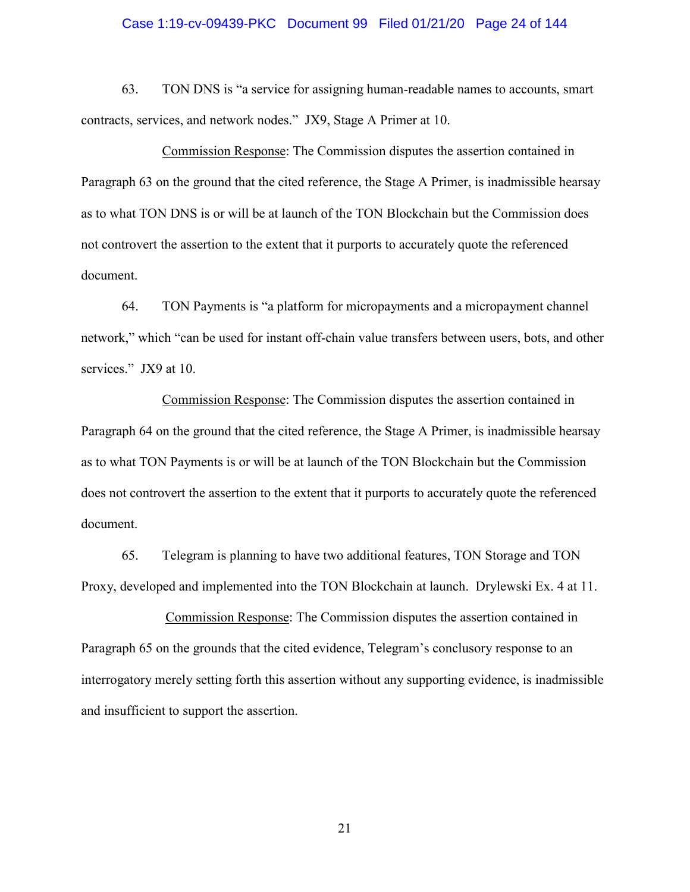#### Case 1:19-cv-09439-PKC Document 99 Filed 01/21/20 Page 24 of 144

63. TON DNS is "a service for assigning human-readable names to accounts, smart contracts, services, and network nodes." JX9, Stage A Primer at 10.

Commission Response: The Commission disputes the assertion contained in Paragraph 63 on the ground that the cited reference, the Stage A Primer, is inadmissible hearsay as to what TON DNS is or will be at launch of the TON Blockchain but the Commission does not controvert the assertion to the extent that it purports to accurately quote the referenced document.

64. TON Payments is "a platform for micropayments and a micropayment channel network," which "can be used for instant off-chain value transfers between users, bots, and other services." JX9 at 10.

Commission Response: The Commission disputes the assertion contained in Paragraph 64 on the ground that the cited reference, the Stage A Primer, is inadmissible hearsay as to what TON Payments is or will be at launch of the TON Blockchain but the Commission does not controvert the assertion to the extent that it purports to accurately quote the referenced document.

65. Telegram is planning to have two additional features, TON Storage and TON Proxy, developed and implemented into the TON Blockchain at launch. Drylewski Ex. 4 at 11.

Commission Response: The Commission disputes the assertion contained in Paragraph 65 on the grounds that the cited evidence, Telegram's conclusory response to an interrogatory merely setting forth this assertion without any supporting evidence, is inadmissible and insufficient to support the assertion.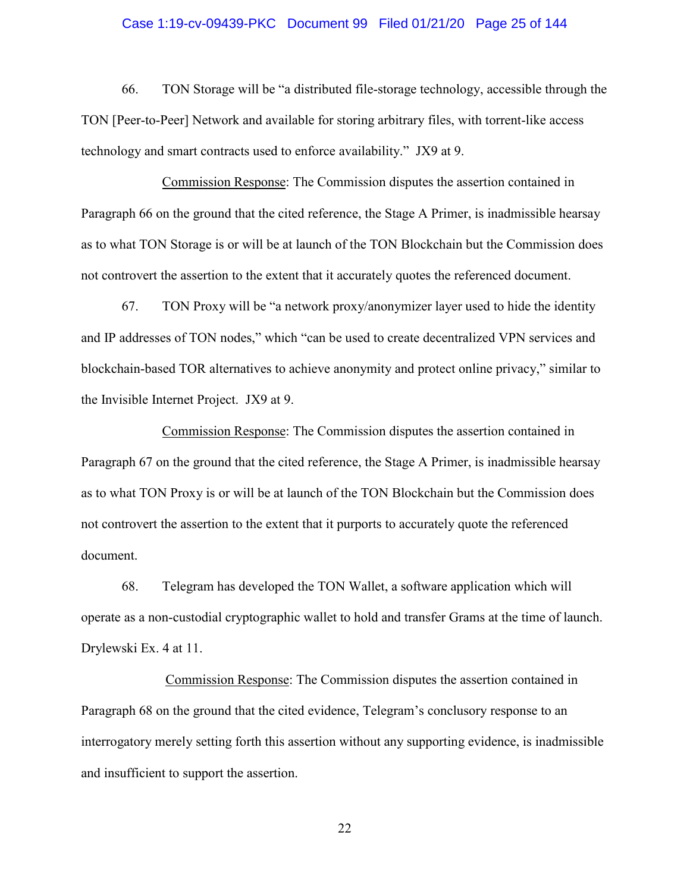#### Case 1:19-cv-09439-PKC Document 99 Filed 01/21/20 Page 25 of 144

66. TON Storage will be "a distributed file-storage technology, accessible through the TON [Peer-to-Peer] Network and available for storing arbitrary files, with torrent-like access technology and smart contracts used to enforce availability." JX9 at 9.

Commission Response: The Commission disputes the assertion contained in Paragraph 66 on the ground that the cited reference, the Stage A Primer, is inadmissible hearsay as to what TON Storage is or will be at launch of the TON Blockchain but the Commission does not controvert the assertion to the extent that it accurately quotes the referenced document.

67. TON Proxy will be "a network proxy/anonymizer layer used to hide the identity and IP addresses of TON nodes," which "can be used to create decentralized VPN services and blockchain-based TOR alternatives to achieve anonymity and protect online privacy," similar to the Invisible Internet Project. JX9 at 9.

Commission Response: The Commission disputes the assertion contained in Paragraph 67 on the ground that the cited reference, the Stage A Primer, is inadmissible hearsay as to what TON Proxy is or will be at launch of the TON Blockchain but the Commission does not controvert the assertion to the extent that it purports to accurately quote the referenced document.

68. Telegram has developed the TON Wallet, a software application which will operate as a non-custodial cryptographic wallet to hold and transfer Grams at the time of launch. Drylewski Ex. 4 at 11.

Commission Response: The Commission disputes the assertion contained in Paragraph 68 on the ground that the cited evidence, Telegram's conclusory response to an interrogatory merely setting forth this assertion without any supporting evidence, is inadmissible and insufficient to support the assertion.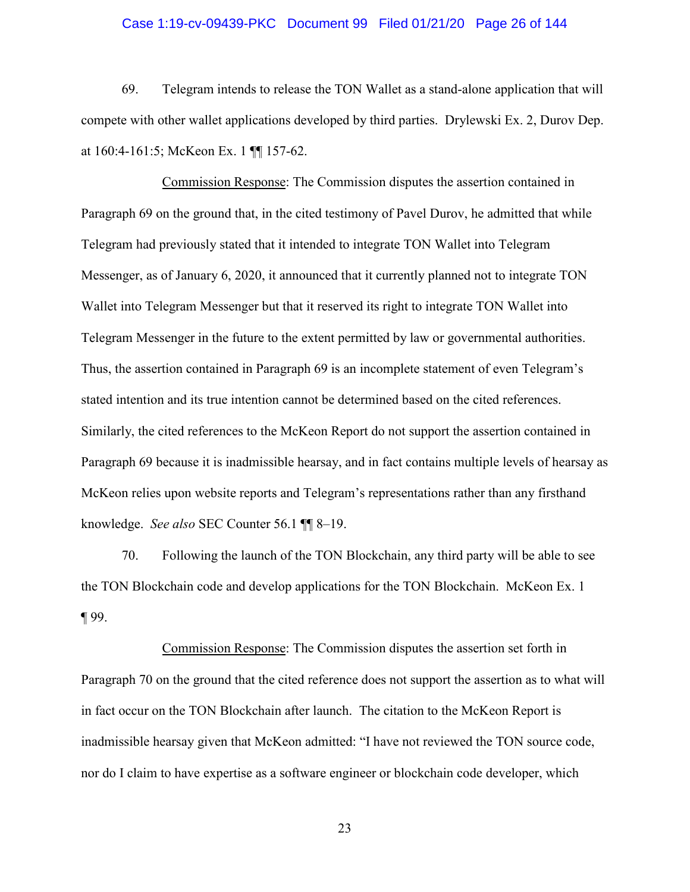#### Case 1:19-cv-09439-PKC Document 99 Filed 01/21/20 Page 26 of 144

69. Telegram intends to release the TON Wallet as a stand-alone application that will compete with other wallet applications developed by third parties. Drylewski Ex. 2, Durov Dep. at 160:4-161:5; McKeon Ex. 1 ¶¶ 157-62.

Commission Response: The Commission disputes the assertion contained in Paragraph 69 on the ground that, in the cited testimony of Pavel Durov, he admitted that while Telegram had previously stated that it intended to integrate TON Wallet into Telegram Messenger, as of January 6, 2020, it announced that it currently planned not to integrate TON Wallet into Telegram Messenger but that it reserved its right to integrate TON Wallet into Telegram Messenger in the future to the extent permitted by law or governmental authorities. Thus, the assertion contained in Paragraph 69 is an incomplete statement of even Telegram's stated intention and its true intention cannot be determined based on the cited references. Similarly, the cited references to the McKeon Report do not support the assertion contained in Paragraph 69 because it is inadmissible hearsay, and in fact contains multiple levels of hearsay as McKeon relies upon website reports and Telegram's representations rather than any firsthand knowledge. *See also* SEC Counter 56.1 ¶¶ 8–19.

70. Following the launch of the TON Blockchain, any third party will be able to see the TON Blockchain code and develop applications for the TON Blockchain. McKeon Ex. 1 ¶ 99.

Commission Response: The Commission disputes the assertion set forth in Paragraph 70 on the ground that the cited reference does not support the assertion as to what will in fact occur on the TON Blockchain after launch. The citation to the McKeon Report is inadmissible hearsay given that McKeon admitted: "I have not reviewed the TON source code, nor do I claim to have expertise as a software engineer or blockchain code developer, which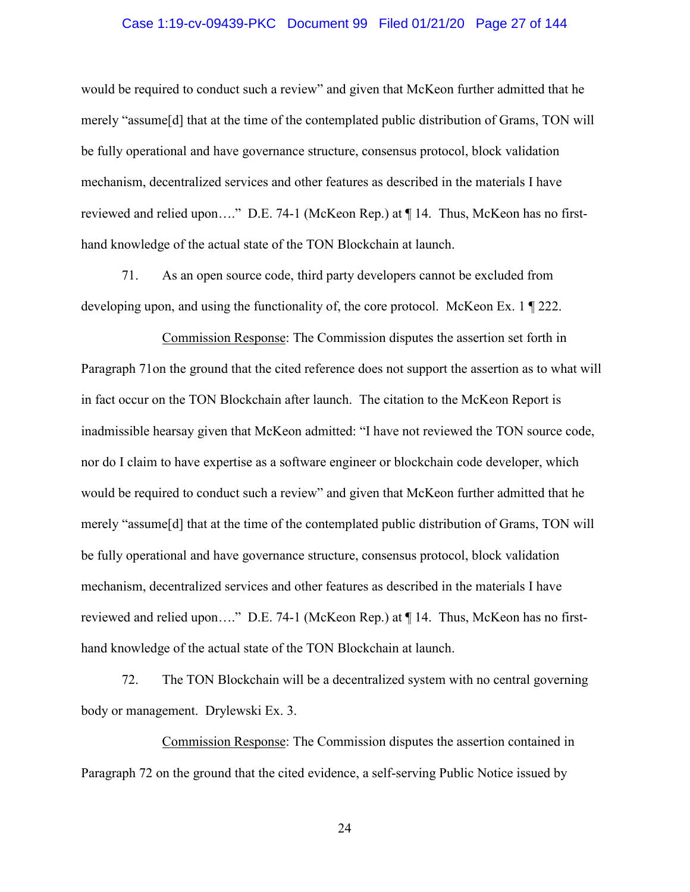#### Case 1:19-cv-09439-PKC Document 99 Filed 01/21/20 Page 27 of 144

would be required to conduct such a review" and given that McKeon further admitted that he merely "assume[d] that at the time of the contemplated public distribution of Grams, TON will be fully operational and have governance structure, consensus protocol, block validation mechanism, decentralized services and other features as described in the materials I have reviewed and relied upon…." D.E. 74-1 (McKeon Rep.) at ¶ 14. Thus, McKeon has no firsthand knowledge of the actual state of the TON Blockchain at launch.

71. As an open source code, third party developers cannot be excluded from developing upon, and using the functionality of, the core protocol. McKeon Ex. 1 ¶ 222.

Commission Response: The Commission disputes the assertion set forth in Paragraph 71on the ground that the cited reference does not support the assertion as to what will in fact occur on the TON Blockchain after launch. The citation to the McKeon Report is inadmissible hearsay given that McKeon admitted: "I have not reviewed the TON source code, nor do I claim to have expertise as a software engineer or blockchain code developer, which would be required to conduct such a review" and given that McKeon further admitted that he merely "assume[d] that at the time of the contemplated public distribution of Grams, TON will be fully operational and have governance structure, consensus protocol, block validation mechanism, decentralized services and other features as described in the materials I have reviewed and relied upon…." D.E. 74-1 (McKeon Rep.) at ¶ 14. Thus, McKeon has no firsthand knowledge of the actual state of the TON Blockchain at launch.

72. The TON Blockchain will be a decentralized system with no central governing body or management. Drylewski Ex. 3.

Commission Response: The Commission disputes the assertion contained in Paragraph 72 on the ground that the cited evidence, a self-serving Public Notice issued by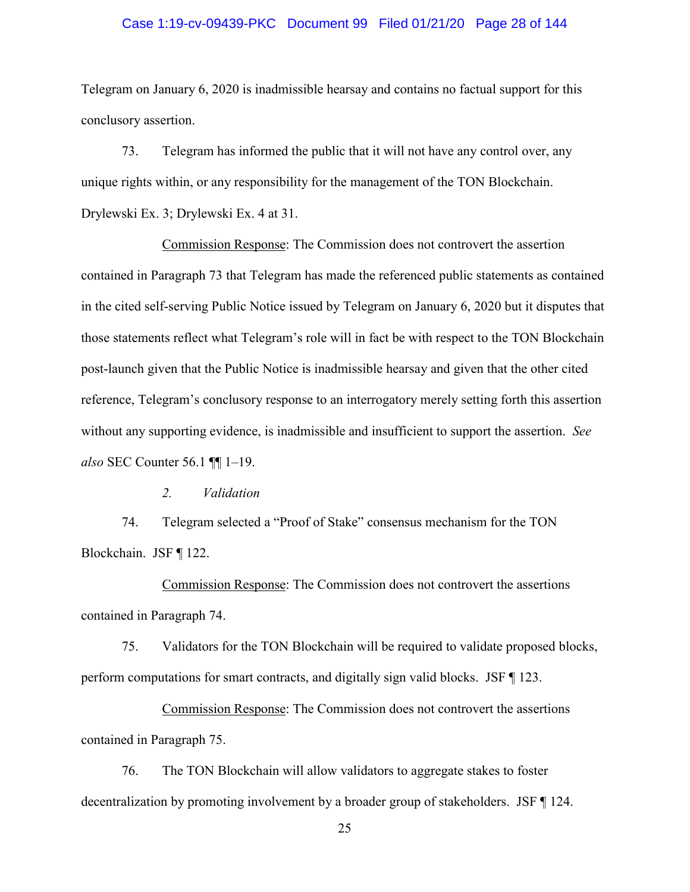#### Case 1:19-cv-09439-PKC Document 99 Filed 01/21/20 Page 28 of 144

Telegram on January 6, 2020 is inadmissible hearsay and contains no factual support for this conclusory assertion.

73. Telegram has informed the public that it will not have any control over, any unique rights within, or any responsibility for the management of the TON Blockchain. Drylewski Ex. 3; Drylewski Ex. 4 at 31.

Commission Response: The Commission does not controvert the assertion contained in Paragraph 73 that Telegram has made the referenced public statements as contained in the cited self-serving Public Notice issued by Telegram on January 6, 2020 but it disputes that those statements reflect what Telegram's role will in fact be with respect to the TON Blockchain post-launch given that the Public Notice is inadmissible hearsay and given that the other cited reference, Telegram's conclusory response to an interrogatory merely setting forth this assertion without any supporting evidence, is inadmissible and insufficient to support the assertion. *See also* SEC Counter 56.1 ¶¶ 1–19.

*2. Validation* 

74. Telegram selected a "Proof of Stake" consensus mechanism for the TON Blockchain. JSF ¶ 122.

Commission Response: The Commission does not controvert the assertions contained in Paragraph 74.

75. Validators for the TON Blockchain will be required to validate proposed blocks, perform computations for smart contracts, and digitally sign valid blocks. JSF ¶ 123.

Commission Response: The Commission does not controvert the assertions contained in Paragraph 75.

76. The TON Blockchain will allow validators to aggregate stakes to foster decentralization by promoting involvement by a broader group of stakeholders. JSF ¶ 124.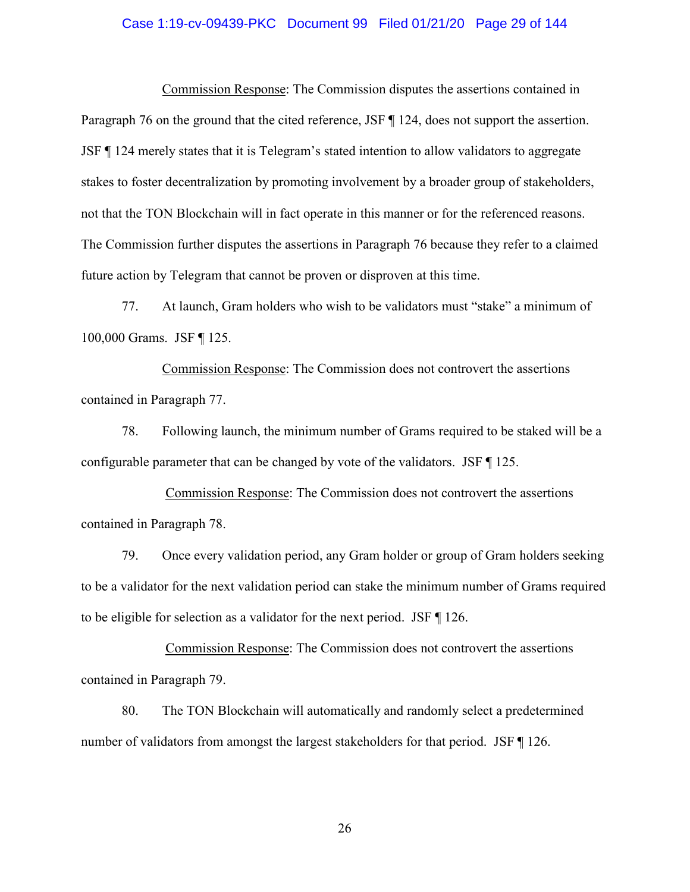#### Case 1:19-cv-09439-PKC Document 99 Filed 01/21/20 Page 29 of 144

Commission Response: The Commission disputes the assertions contained in Paragraph 76 on the ground that the cited reference, JSF ¶ 124, does not support the assertion. JSF ¶ 124 merely states that it is Telegram's stated intention to allow validators to aggregate stakes to foster decentralization by promoting involvement by a broader group of stakeholders, not that the TON Blockchain will in fact operate in this manner or for the referenced reasons. The Commission further disputes the assertions in Paragraph 76 because they refer to a claimed future action by Telegram that cannot be proven or disproven at this time.

77. At launch, Gram holders who wish to be validators must "stake" a minimum of 100,000 Grams. JSF ¶ 125.

Commission Response: The Commission does not controvert the assertions contained in Paragraph 77.

78. Following launch, the minimum number of Grams required to be staked will be a configurable parameter that can be changed by vote of the validators. JSF ¶ 125.

Commission Response: The Commission does not controvert the assertions contained in Paragraph 78.

79. Once every validation period, any Gram holder or group of Gram holders seeking to be a validator for the next validation period can stake the minimum number of Grams required to be eligible for selection as a validator for the next period. JSF ¶ 126.

Commission Response: The Commission does not controvert the assertions contained in Paragraph 79.

80. The TON Blockchain will automatically and randomly select a predetermined number of validators from amongst the largest stakeholders for that period. JSF ¶ 126.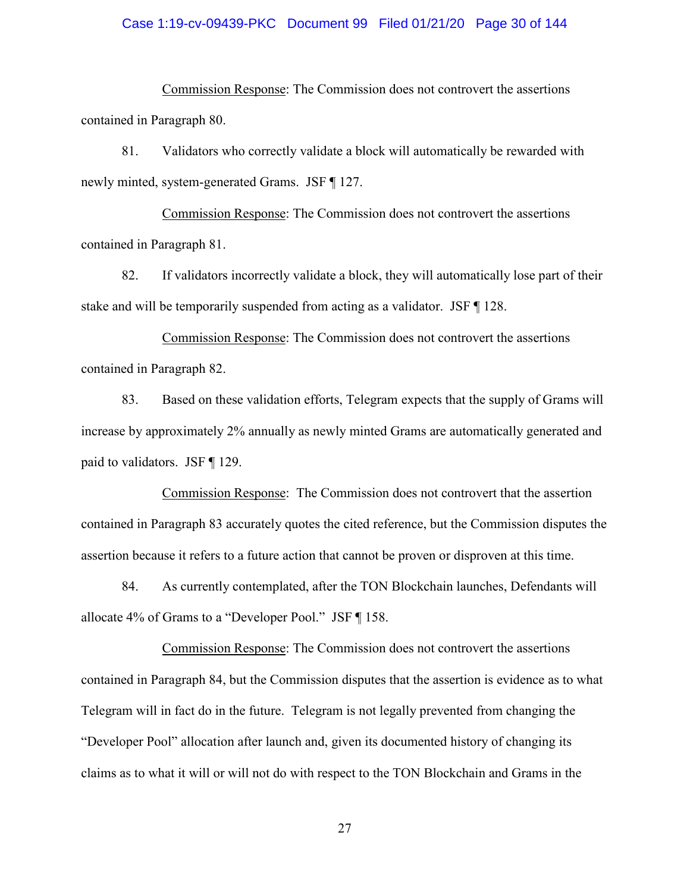#### Case 1:19-cv-09439-PKC Document 99 Filed 01/21/20 Page 30 of 144

Commission Response: The Commission does not controvert the assertions contained in Paragraph 80.

81. Validators who correctly validate a block will automatically be rewarded with newly minted, system-generated Grams. JSF ¶ 127.

Commission Response: The Commission does not controvert the assertions contained in Paragraph 81.

82. If validators incorrectly validate a block, they will automatically lose part of their stake and will be temporarily suspended from acting as a validator. JSF ¶ 128.

Commission Response: The Commission does not controvert the assertions contained in Paragraph 82.

83. Based on these validation efforts, Telegram expects that the supply of Grams will increase by approximately 2% annually as newly minted Grams are automatically generated and paid to validators. JSF ¶ 129.

Commission Response: The Commission does not controvert that the assertion contained in Paragraph 83 accurately quotes the cited reference, but the Commission disputes the assertion because it refers to a future action that cannot be proven or disproven at this time.

84. As currently contemplated, after the TON Blockchain launches, Defendants will allocate 4% of Grams to a "Developer Pool." JSF ¶ 158.

Commission Response: The Commission does not controvert the assertions contained in Paragraph 84, but the Commission disputes that the assertion is evidence as to what Telegram will in fact do in the future. Telegram is not legally prevented from changing the "Developer Pool" allocation after launch and, given its documented history of changing its claims as to what it will or will not do with respect to the TON Blockchain and Grams in the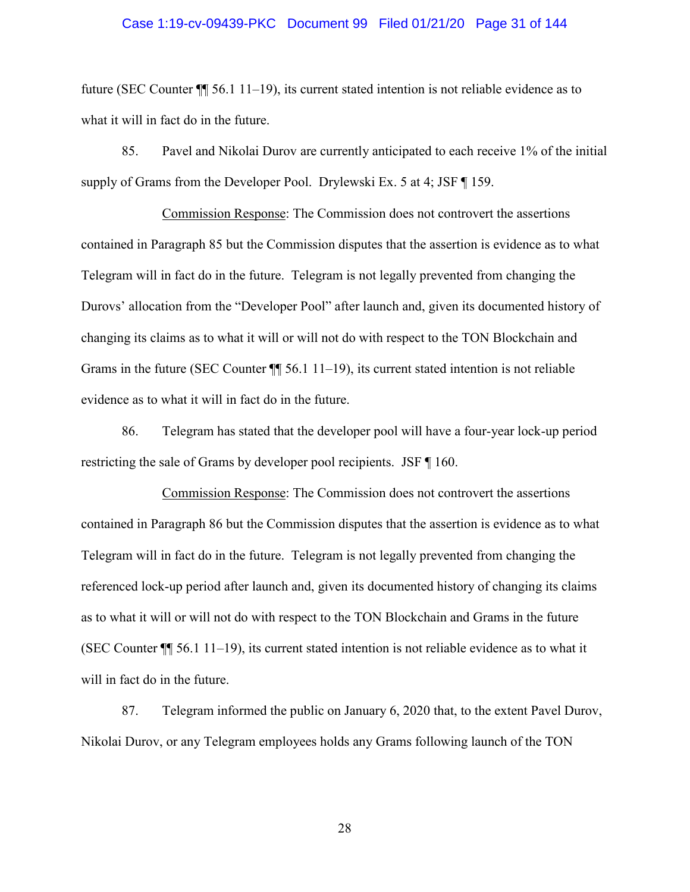#### Case 1:19-cv-09439-PKC Document 99 Filed 01/21/20 Page 31 of 144

future (SEC Counter ¶¶ 56.1 11–19), its current stated intention is not reliable evidence as to what it will in fact do in the future.

85. Pavel and Nikolai Durov are currently anticipated to each receive 1% of the initial supply of Grams from the Developer Pool. Drylewski Ex. 5 at 4; JSF ¶ 159.

Commission Response: The Commission does not controvert the assertions contained in Paragraph 85 but the Commission disputes that the assertion is evidence as to what Telegram will in fact do in the future. Telegram is not legally prevented from changing the Durovs' allocation from the "Developer Pool" after launch and, given its documented history of changing its claims as to what it will or will not do with respect to the TON Blockchain and Grams in the future (SEC Counter  $\P$  56.1 11–19), its current stated intention is not reliable evidence as to what it will in fact do in the future.

86. Telegram has stated that the developer pool will have a four-year lock-up period restricting the sale of Grams by developer pool recipients. JSF ¶ 160.

Commission Response: The Commission does not controvert the assertions contained in Paragraph 86 but the Commission disputes that the assertion is evidence as to what Telegram will in fact do in the future. Telegram is not legally prevented from changing the referenced lock-up period after launch and, given its documented history of changing its claims as to what it will or will not do with respect to the TON Blockchain and Grams in the future (SEC Counter ¶¶ 56.1 11–19), its current stated intention is not reliable evidence as to what it will in fact do in the future.

87. Telegram informed the public on January 6, 2020 that, to the extent Pavel Durov, Nikolai Durov, or any Telegram employees holds any Grams following launch of the TON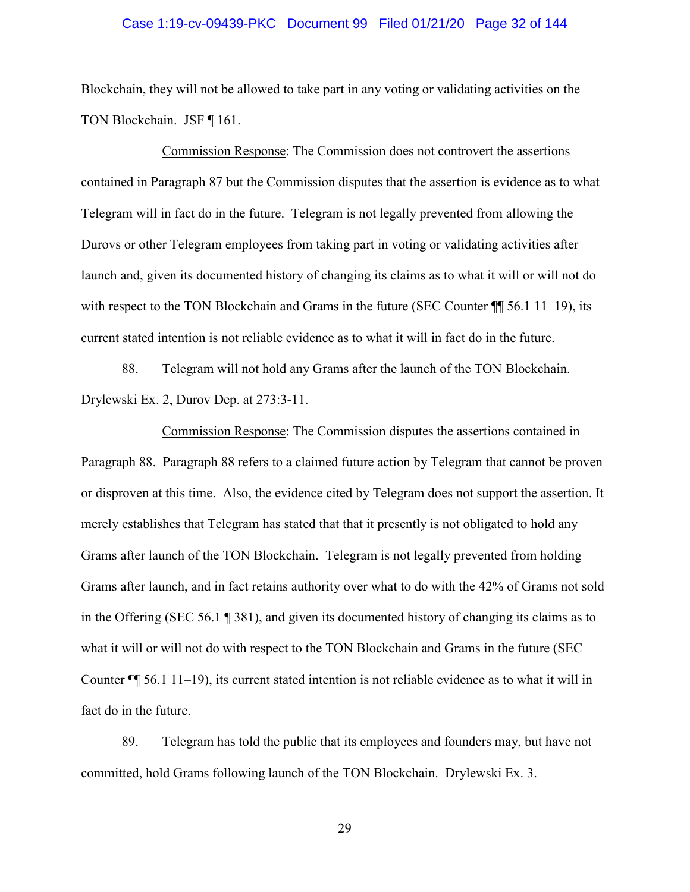#### Case 1:19-cv-09439-PKC Document 99 Filed 01/21/20 Page 32 of 144

Blockchain, they will not be allowed to take part in any voting or validating activities on the TON Blockchain. JSF ¶ 161.

Commission Response: The Commission does not controvert the assertions contained in Paragraph 87 but the Commission disputes that the assertion is evidence as to what Telegram will in fact do in the future. Telegram is not legally prevented from allowing the Durovs or other Telegram employees from taking part in voting or validating activities after launch and, given its documented history of changing its claims as to what it will or will not do with respect to the TON Blockchain and Grams in the future (SEC Counter  $\P$  56.1 11–19), its current stated intention is not reliable evidence as to what it will in fact do in the future.

88. Telegram will not hold any Grams after the launch of the TON Blockchain. Drylewski Ex. 2, Durov Dep. at 273:3-11.

Commission Response: The Commission disputes the assertions contained in Paragraph 88. Paragraph 88 refers to a claimed future action by Telegram that cannot be proven or disproven at this time. Also, the evidence cited by Telegram does not support the assertion. It merely establishes that Telegram has stated that that it presently is not obligated to hold any Grams after launch of the TON Blockchain. Telegram is not legally prevented from holding Grams after launch, and in fact retains authority over what to do with the 42% of Grams not sold in the Offering (SEC 56.1 ¶ 381), and given its documented history of changing its claims as to what it will or will not do with respect to the TON Blockchain and Grams in the future (SEC Counter ¶¶ 56.1 11–19), its current stated intention is not reliable evidence as to what it will in fact do in the future.

89. Telegram has told the public that its employees and founders may, but have not committed, hold Grams following launch of the TON Blockchain. Drylewski Ex. 3.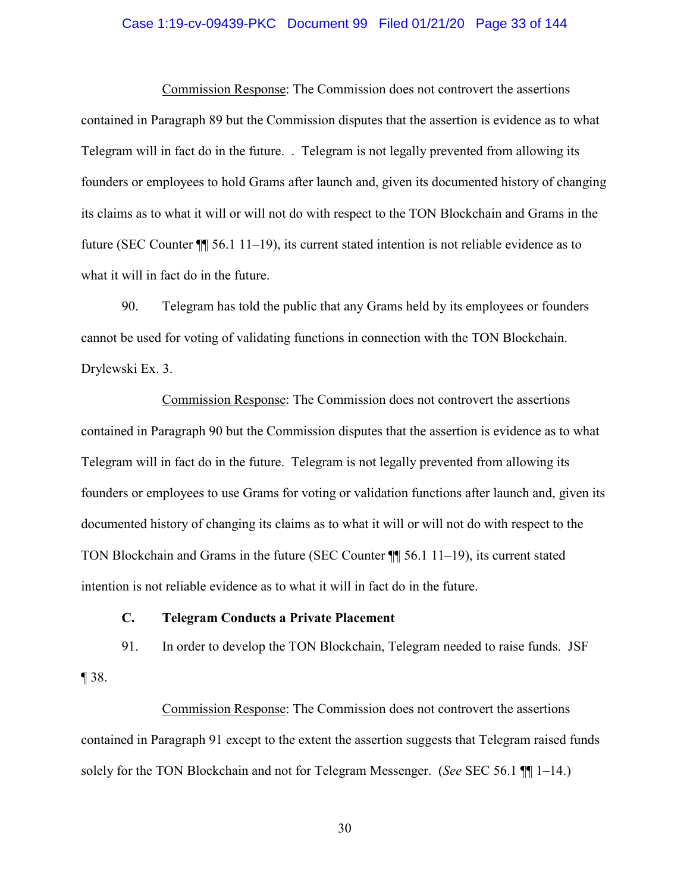#### Case 1:19-cv-09439-PKC Document 99 Filed 01/21/20 Page 33 of 144

Commission Response: The Commission does not controvert the assertions contained in Paragraph 89 but the Commission disputes that the assertion is evidence as to what Telegram will in fact do in the future. . Telegram is not legally prevented from allowing its founders or employees to hold Grams after launch and, given its documented history of changing its claims as to what it will or will not do with respect to the TON Blockchain and Grams in the future (SEC Counter ¶¶ 56.1 11–19), its current stated intention is not reliable evidence as to what it will in fact do in the future.

90. Telegram has told the public that any Grams held by its employees or founders cannot be used for voting of validating functions in connection with the TON Blockchain. Drylewski Ex. 3.

Commission Response: The Commission does not controvert the assertions contained in Paragraph 90 but the Commission disputes that the assertion is evidence as to what Telegram will in fact do in the future. Telegram is not legally prevented from allowing its founders or employees to use Grams for voting or validation functions after launch and, given its documented history of changing its claims as to what it will or will not do with respect to the TON Blockchain and Grams in the future (SEC Counter ¶¶ 56.1 11–19), its current stated intention is not reliable evidence as to what it will in fact do in the future.

## **C. Telegram Conducts a Private Placement**

91. In order to develop the TON Blockchain, Telegram needed to raise funds. JSF ¶ 38.

Commission Response: The Commission does not controvert the assertions contained in Paragraph 91 except to the extent the assertion suggests that Telegram raised funds solely for the TON Blockchain and not for Telegram Messenger. (*See* SEC 56.1 ¶¶ 1–14.)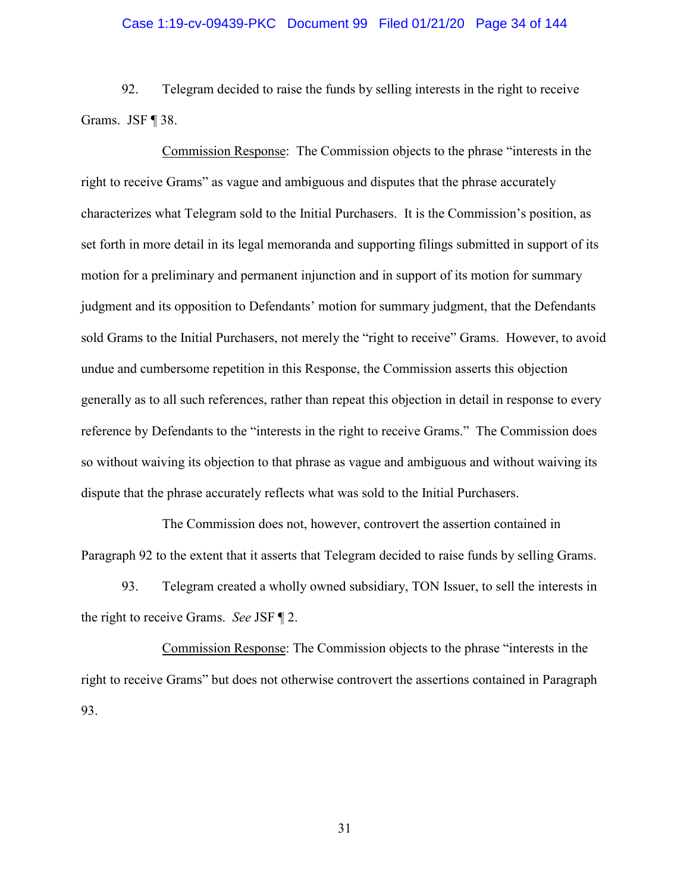#### Case 1:19-cv-09439-PKC Document 99 Filed 01/21/20 Page 34 of 144

92. Telegram decided to raise the funds by selling interests in the right to receive Grams. JSF ¶ 38.

Commission Response: The Commission objects to the phrase "interests in the right to receive Grams" as vague and ambiguous and disputes that the phrase accurately characterizes what Telegram sold to the Initial Purchasers. It is the Commission's position, as set forth in more detail in its legal memoranda and supporting filings submitted in support of its motion for a preliminary and permanent injunction and in support of its motion for summary judgment and its opposition to Defendants' motion for summary judgment, that the Defendants sold Grams to the Initial Purchasers, not merely the "right to receive" Grams. However, to avoid undue and cumbersome repetition in this Response, the Commission asserts this objection generally as to all such references, rather than repeat this objection in detail in response to every reference by Defendants to the "interests in the right to receive Grams." The Commission does so without waiving its objection to that phrase as vague and ambiguous and without waiving its dispute that the phrase accurately reflects what was sold to the Initial Purchasers.

The Commission does not, however, controvert the assertion contained in Paragraph 92 to the extent that it asserts that Telegram decided to raise funds by selling Grams.

93. Telegram created a wholly owned subsidiary, TON Issuer, to sell the interests in the right to receive Grams. *See* JSF ¶ 2.

Commission Response: The Commission objects to the phrase "interests in the right to receive Grams" but does not otherwise controvert the assertions contained in Paragraph 93.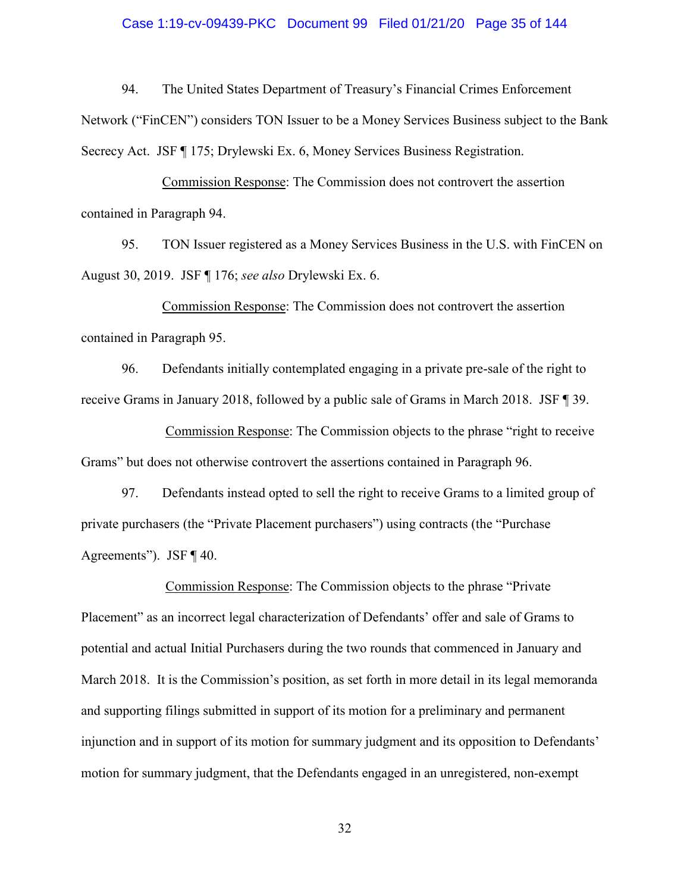#### Case 1:19-cv-09439-PKC Document 99 Filed 01/21/20 Page 35 of 144

94. The United States Department of Treasury's Financial Crimes Enforcement Network ("FinCEN") considers TON Issuer to be a Money Services Business subject to the Bank Secrecy Act. JSF ¶ 175; Drylewski Ex. 6, Money Services Business Registration.

Commission Response: The Commission does not controvert the assertion contained in Paragraph 94.

95. TON Issuer registered as a Money Services Business in the U.S. with FinCEN on August 30, 2019. JSF ¶ 176; *see also* Drylewski Ex. 6.

Commission Response: The Commission does not controvert the assertion contained in Paragraph 95.

96. Defendants initially contemplated engaging in a private pre-sale of the right to receive Grams in January 2018, followed by a public sale of Grams in March 2018. JSF ¶ 39.

Commission Response: The Commission objects to the phrase "right to receive Grams" but does not otherwise controvert the assertions contained in Paragraph 96.

97. Defendants instead opted to sell the right to receive Grams to a limited group of private purchasers (the "Private Placement purchasers") using contracts (the "Purchase Agreements"). JSF ¶ 40.

Commission Response: The Commission objects to the phrase "Private Placement" as an incorrect legal characterization of Defendants' offer and sale of Grams to potential and actual Initial Purchasers during the two rounds that commenced in January and March 2018. It is the Commission's position, as set forth in more detail in its legal memoranda and supporting filings submitted in support of its motion for a preliminary and permanent injunction and in support of its motion for summary judgment and its opposition to Defendants' motion for summary judgment, that the Defendants engaged in an unregistered, non-exempt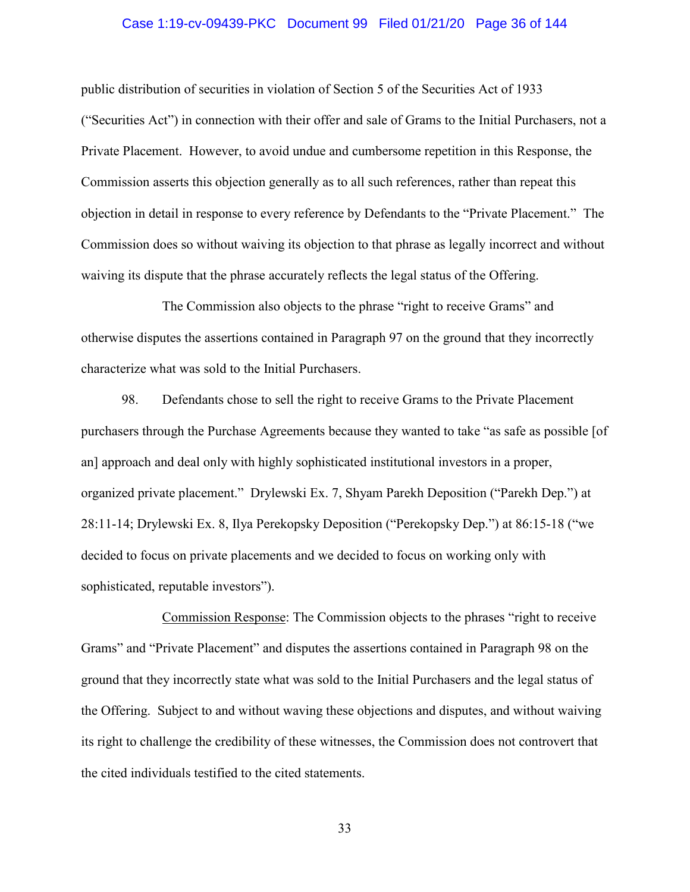#### Case 1:19-cv-09439-PKC Document 99 Filed 01/21/20 Page 36 of 144

public distribution of securities in violation of Section 5 of the Securities Act of 1933 ("Securities Act") in connection with their offer and sale of Grams to the Initial Purchasers, not a Private Placement. However, to avoid undue and cumbersome repetition in this Response, the Commission asserts this objection generally as to all such references, rather than repeat this objection in detail in response to every reference by Defendants to the "Private Placement." The Commission does so without waiving its objection to that phrase as legally incorrect and without waiving its dispute that the phrase accurately reflects the legal status of the Offering.

The Commission also objects to the phrase "right to receive Grams" and otherwise disputes the assertions contained in Paragraph 97 on the ground that they incorrectly characterize what was sold to the Initial Purchasers.

98. Defendants chose to sell the right to receive Grams to the Private Placement purchasers through the Purchase Agreements because they wanted to take "as safe as possible [of an] approach and deal only with highly sophisticated institutional investors in a proper, organized private placement." Drylewski Ex. 7, Shyam Parekh Deposition ("Parekh Dep.") at 28:11-14; Drylewski Ex. 8, Ilya Perekopsky Deposition ("Perekopsky Dep.") at 86:15-18 ("we decided to focus on private placements and we decided to focus on working only with sophisticated, reputable investors").

Commission Response: The Commission objects to the phrases "right to receive Grams" and "Private Placement" and disputes the assertions contained in Paragraph 98 on the ground that they incorrectly state what was sold to the Initial Purchasers and the legal status of the Offering. Subject to and without waving these objections and disputes, and without waiving its right to challenge the credibility of these witnesses, the Commission does not controvert that the cited individuals testified to the cited statements.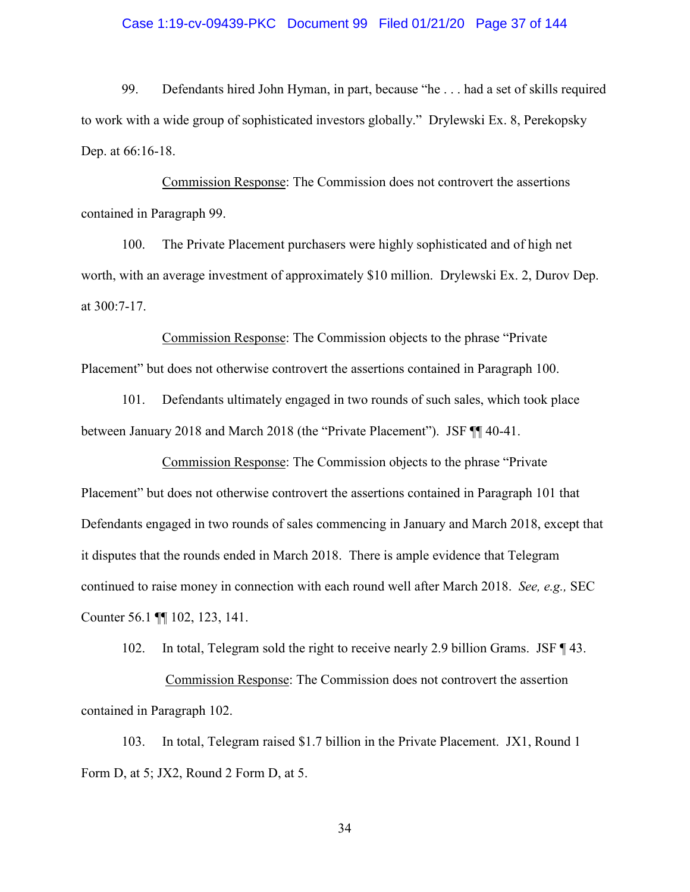## Case 1:19-cv-09439-PKC Document 99 Filed 01/21/20 Page 37 of 144

99. Defendants hired John Hyman, in part, because "he . . . had a set of skills required to work with a wide group of sophisticated investors globally." Drylewski Ex. 8, Perekopsky Dep. at 66:16-18.

Commission Response: The Commission does not controvert the assertions contained in Paragraph 99.

100. The Private Placement purchasers were highly sophisticated and of high net worth, with an average investment of approximately \$10 million. Drylewski Ex. 2, Durov Dep. at 300:7-17.

Commission Response: The Commission objects to the phrase "Private Placement" but does not otherwise controvert the assertions contained in Paragraph 100.

101. Defendants ultimately engaged in two rounds of such sales, which took place between January 2018 and March 2018 (the "Private Placement"). JSF ¶¶ 40-41.

Commission Response: The Commission objects to the phrase "Private Placement" but does not otherwise controvert the assertions contained in Paragraph 101 that Defendants engaged in two rounds of sales commencing in January and March 2018, except that it disputes that the rounds ended in March 2018. There is ample evidence that Telegram continued to raise money in connection with each round well after March 2018. *See, e.g.,* SEC Counter 56.1 ¶¶ 102, 123, 141.

102. In total, Telegram sold the right to receive nearly 2.9 billion Grams. JSF ¶ 43. Commission Response: The Commission does not controvert the assertion contained in Paragraph 102.

103. In total, Telegram raised \$1.7 billion in the Private Placement. JX1, Round 1 Form D, at 5; JX2, Round 2 Form D, at 5.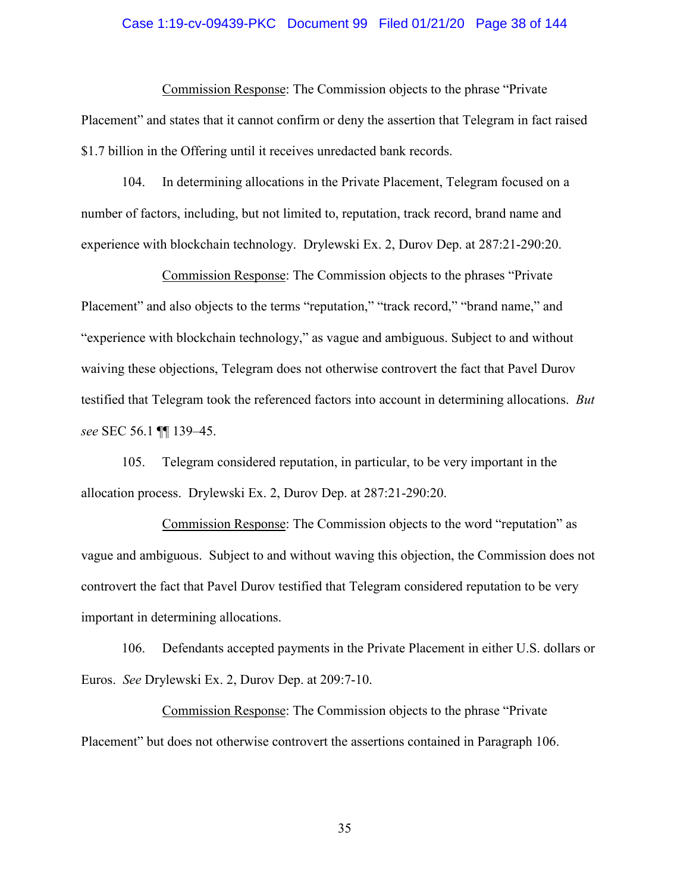## Case 1:19-cv-09439-PKC Document 99 Filed 01/21/20 Page 38 of 144

Commission Response: The Commission objects to the phrase "Private Placement" and states that it cannot confirm or deny the assertion that Telegram in fact raised \$1.7 billion in the Offering until it receives unredacted bank records.

104. In determining allocations in the Private Placement, Telegram focused on a number of factors, including, but not limited to, reputation, track record, brand name and experience with blockchain technology. Drylewski Ex. 2, Durov Dep. at 287:21-290:20.

Commission Response: The Commission objects to the phrases "Private Placement" and also objects to the terms "reputation," "track record," "brand name," and "experience with blockchain technology," as vague and ambiguous. Subject to and without waiving these objections, Telegram does not otherwise controvert the fact that Pavel Durov testified that Telegram took the referenced factors into account in determining allocations. *But see* SEC 56.1 ¶¶ 139–45.

105. Telegram considered reputation, in particular, to be very important in the allocation process. Drylewski Ex. 2, Durov Dep. at 287:21-290:20.

Commission Response: The Commission objects to the word "reputation" as vague and ambiguous. Subject to and without waving this objection, the Commission does not controvert the fact that Pavel Durov testified that Telegram considered reputation to be very important in determining allocations.

106. Defendants accepted payments in the Private Placement in either U.S. dollars or Euros. *See* Drylewski Ex. 2, Durov Dep. at 209:7-10.

Commission Response: The Commission objects to the phrase "Private Placement" but does not otherwise controvert the assertions contained in Paragraph 106.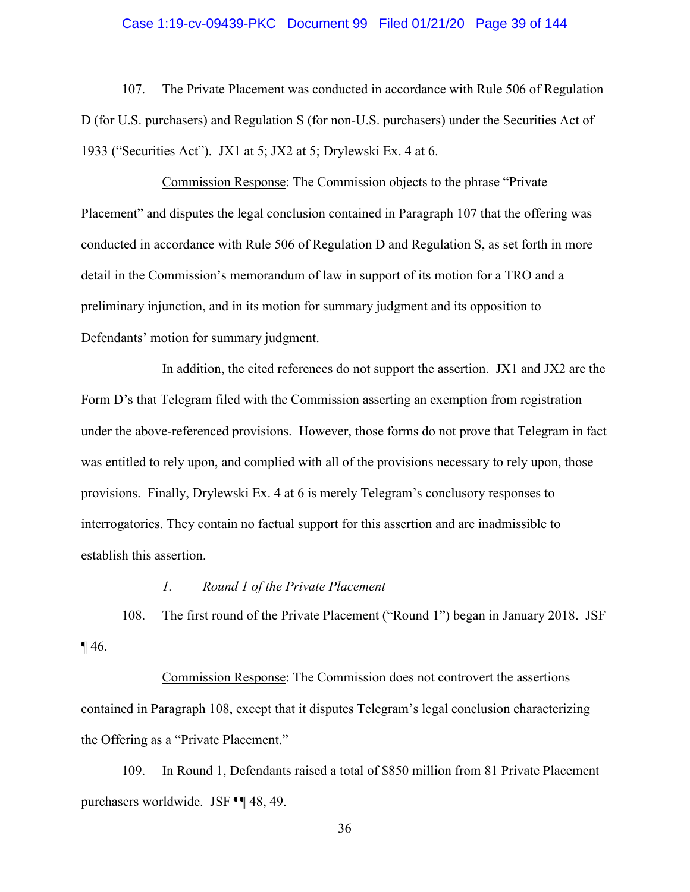## Case 1:19-cv-09439-PKC Document 99 Filed 01/21/20 Page 39 of 144

107. The Private Placement was conducted in accordance with Rule 506 of Regulation D (for U.S. purchasers) and Regulation S (for non-U.S. purchasers) under the Securities Act of 1933 ("Securities Act"). JX1 at 5; JX2 at 5; Drylewski Ex. 4 at 6.

Commission Response: The Commission objects to the phrase "Private Placement" and disputes the legal conclusion contained in Paragraph 107 that the offering was conducted in accordance with Rule 506 of Regulation D and Regulation S, as set forth in more detail in the Commission's memorandum of law in support of its motion for a TRO and a preliminary injunction, and in its motion for summary judgment and its opposition to Defendants' motion for summary judgment.

In addition, the cited references do not support the assertion. JX1 and JX2 are the Form D's that Telegram filed with the Commission asserting an exemption from registration under the above-referenced provisions. However, those forms do not prove that Telegram in fact was entitled to rely upon, and complied with all of the provisions necessary to rely upon, those provisions. Finally, Drylewski Ex. 4 at 6 is merely Telegram's conclusory responses to interrogatories. They contain no factual support for this assertion and are inadmissible to establish this assertion.

## *1. Round 1 of the Private Placement*

108. The first round of the Private Placement ("Round 1") began in January 2018. JSF  $\P$  46.

Commission Response: The Commission does not controvert the assertions contained in Paragraph 108, except that it disputes Telegram's legal conclusion characterizing the Offering as a "Private Placement."

109. In Round 1, Defendants raised a total of \$850 million from 81 Private Placement purchasers worldwide. JSF ¶¶ 48, 49.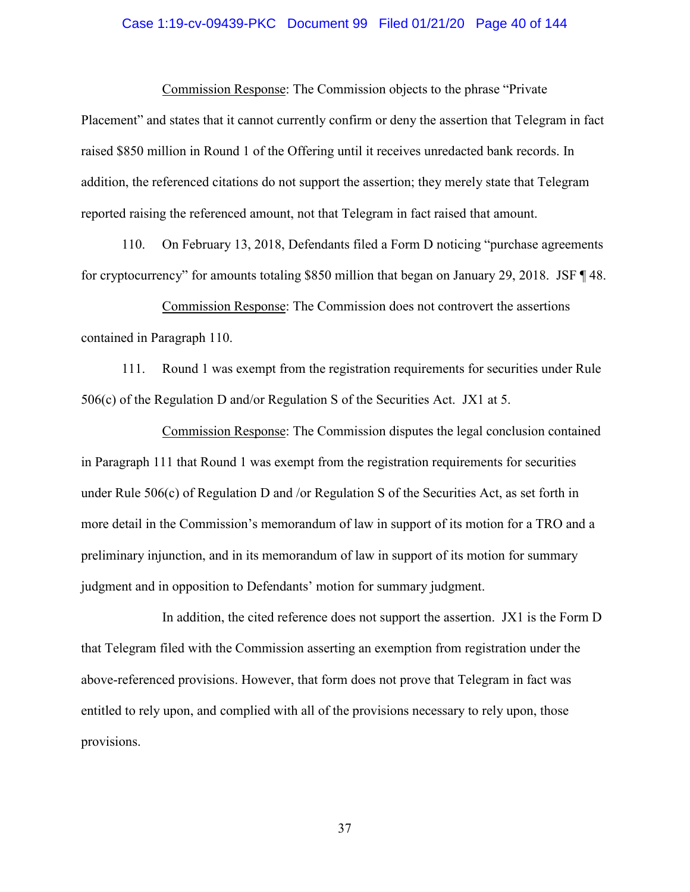## Case 1:19-cv-09439-PKC Document 99 Filed 01/21/20 Page 40 of 144

Commission Response: The Commission objects to the phrase "Private Placement" and states that it cannot currently confirm or deny the assertion that Telegram in fact raised \$850 million in Round 1 of the Offering until it receives unredacted bank records. In addition, the referenced citations do not support the assertion; they merely state that Telegram reported raising the referenced amount, not that Telegram in fact raised that amount.

110. On February 13, 2018, Defendants filed a Form D noticing "purchase agreements for cryptocurrency" for amounts totaling \$850 million that began on January 29, 2018. JSF ¶ 48.

Commission Response: The Commission does not controvert the assertions contained in Paragraph 110.

111. Round 1 was exempt from the registration requirements for securities under Rule 506(c) of the Regulation D and/or Regulation S of the Securities Act. JX1 at 5.

Commission Response: The Commission disputes the legal conclusion contained in Paragraph 111 that Round 1 was exempt from the registration requirements for securities under Rule 506(c) of Regulation D and /or Regulation S of the Securities Act, as set forth in more detail in the Commission's memorandum of law in support of its motion for a TRO and a preliminary injunction, and in its memorandum of law in support of its motion for summary judgment and in opposition to Defendants' motion for summary judgment.

In addition, the cited reference does not support the assertion. JX1 is the Form D that Telegram filed with the Commission asserting an exemption from registration under the above-referenced provisions. However, that form does not prove that Telegram in fact was entitled to rely upon, and complied with all of the provisions necessary to rely upon, those provisions.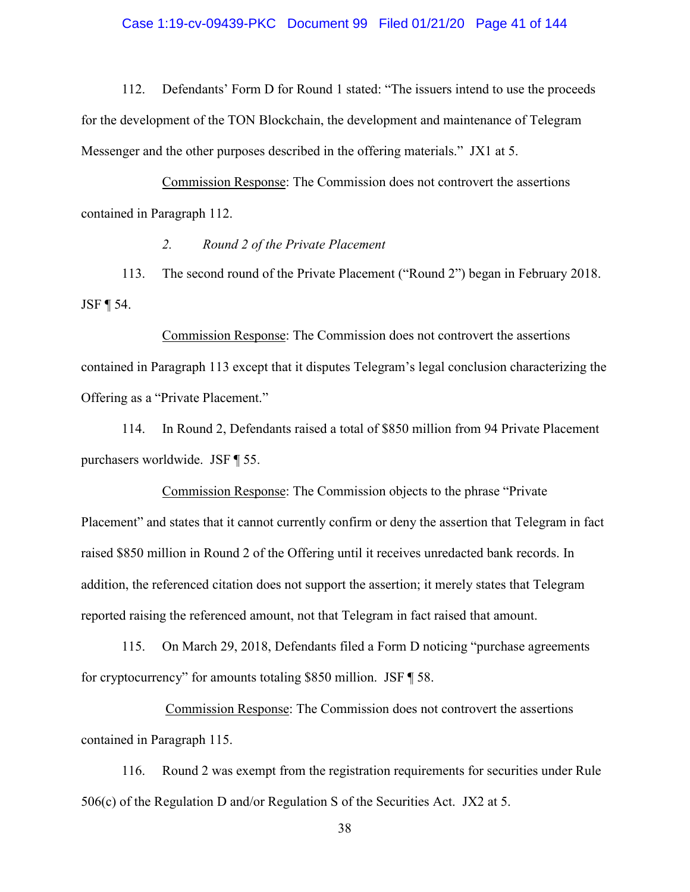## Case 1:19-cv-09439-PKC Document 99 Filed 01/21/20 Page 41 of 144

112. Defendants' Form D for Round 1 stated: "The issuers intend to use the proceeds for the development of the TON Blockchain, the development and maintenance of Telegram Messenger and the other purposes described in the offering materials." JX1 at 5.

Commission Response: The Commission does not controvert the assertions contained in Paragraph 112.

## *2. Round 2 of the Private Placement*

113. The second round of the Private Placement ("Round 2") began in February 2018. JSF ¶ 54.

Commission Response: The Commission does not controvert the assertions contained in Paragraph 113 except that it disputes Telegram's legal conclusion characterizing the Offering as a "Private Placement."

114. In Round 2, Defendants raised a total of \$850 million from 94 Private Placement purchasers worldwide. JSF ¶ 55.

Commission Response: The Commission objects to the phrase "Private Placement" and states that it cannot currently confirm or deny the assertion that Telegram in fact raised \$850 million in Round 2 of the Offering until it receives unredacted bank records. In addition, the referenced citation does not support the assertion; it merely states that Telegram reported raising the referenced amount, not that Telegram in fact raised that amount.

115. On March 29, 2018, Defendants filed a Form D noticing "purchase agreements for cryptocurrency" for amounts totaling \$850 million. JSF ¶ 58.

Commission Response: The Commission does not controvert the assertions contained in Paragraph 115.

116. Round 2 was exempt from the registration requirements for securities under Rule  $506(c)$  of the Regulation D and/or Regulation S of the Securities Act. JX2 at 5.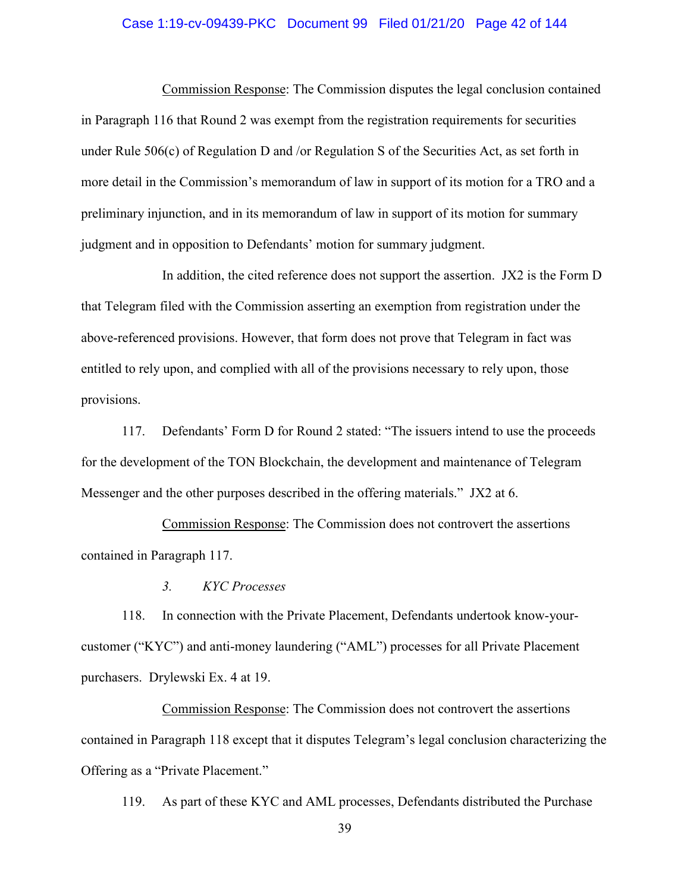## Case 1:19-cv-09439-PKC Document 99 Filed 01/21/20 Page 42 of 144

Commission Response: The Commission disputes the legal conclusion contained in Paragraph 116 that Round 2 was exempt from the registration requirements for securities under Rule 506(c) of Regulation D and /or Regulation S of the Securities Act, as set forth in more detail in the Commission's memorandum of law in support of its motion for a TRO and a preliminary injunction, and in its memorandum of law in support of its motion for summary judgment and in opposition to Defendants' motion for summary judgment.

In addition, the cited reference does not support the assertion. JX2 is the Form D that Telegram filed with the Commission asserting an exemption from registration under the above-referenced provisions. However, that form does not prove that Telegram in fact was entitled to rely upon, and complied with all of the provisions necessary to rely upon, those provisions.

117. Defendants' Form D for Round 2 stated: "The issuers intend to use the proceeds for the development of the TON Blockchain, the development and maintenance of Telegram Messenger and the other purposes described in the offering materials." JX2 at 6.

Commission Response: The Commission does not controvert the assertions contained in Paragraph 117.

*3. KYC Processes*

118. In connection with the Private Placement, Defendants undertook know-yourcustomer ("KYC") and anti-money laundering ("AML") processes for all Private Placement purchasers. Drylewski Ex. 4 at 19.

Commission Response: The Commission does not controvert the assertions contained in Paragraph 118 except that it disputes Telegram's legal conclusion characterizing the Offering as a "Private Placement."

119. As part of these KYC and AML processes, Defendants distributed the Purchase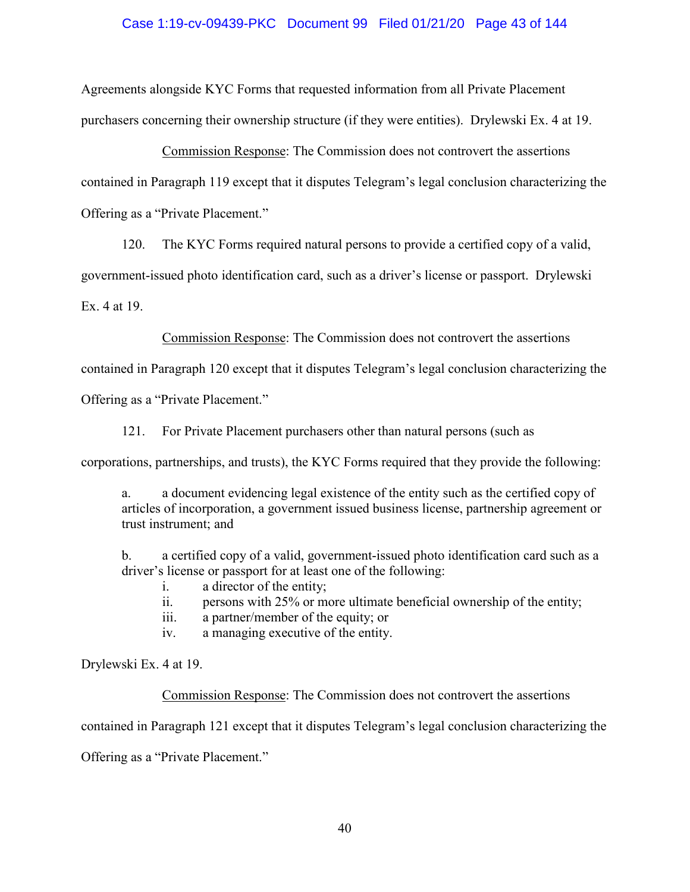## Case 1:19-cv-09439-PKC Document 99 Filed 01/21/20 Page 43 of 144

Agreements alongside KYC Forms that requested information from all Private Placement purchasers concerning their ownership structure (if they were entities). Drylewski Ex. 4 at 19.

Commission Response: The Commission does not controvert the assertions contained in Paragraph 119 except that it disputes Telegram's legal conclusion characterizing the Offering as a "Private Placement."

120. The KYC Forms required natural persons to provide a certified copy of a valid,

government-issued photo identification card, such as a driver's license or passport. Drylewski

Ex. 4 at 19.

Commission Response: The Commission does not controvert the assertions

contained in Paragraph 120 except that it disputes Telegram's legal conclusion characterizing the

Offering as a "Private Placement."

121. For Private Placement purchasers other than natural persons (such as

corporations, partnerships, and trusts), the KYC Forms required that they provide the following:

a. a document evidencing legal existence of the entity such as the certified copy of articles of incorporation, a government issued business license, partnership agreement or trust instrument; and

b. a certified copy of a valid, government-issued photo identification card such as a driver's license or passport for at least one of the following:

- i. a director of the entity;
- ii. persons with 25% or more ultimate beneficial ownership of the entity;
- iii. a partner/member of the equity; or

iv. a managing executive of the entity.

Drylewski Ex. 4 at 19.

Commission Response: The Commission does not controvert the assertions

contained in Paragraph 121 except that it disputes Telegram's legal conclusion characterizing the

Offering as a "Private Placement."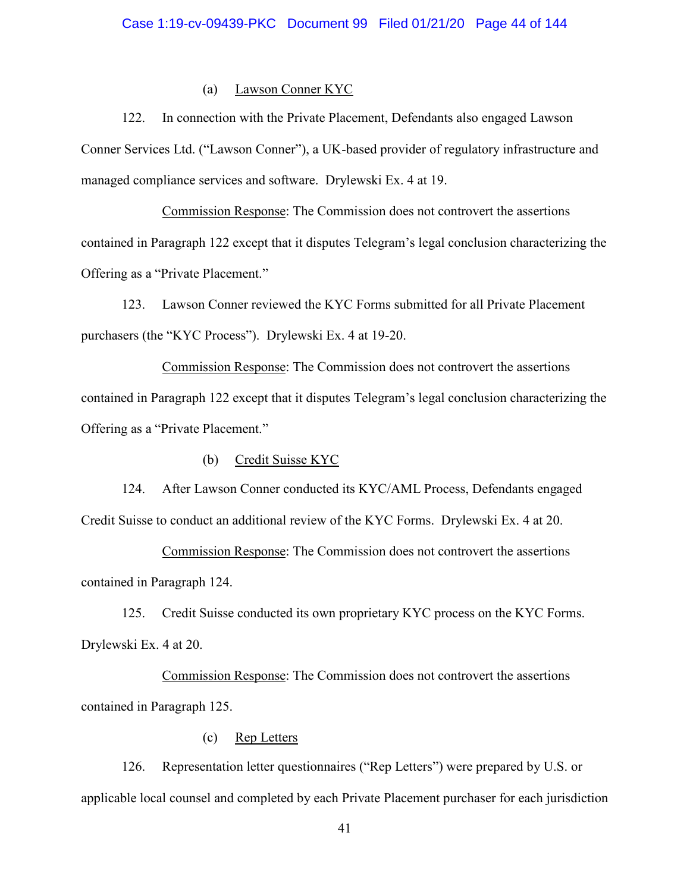## (a) Lawson Conner KYC

122. In connection with the Private Placement, Defendants also engaged Lawson Conner Services Ltd. ("Lawson Conner"), a UK-based provider of regulatory infrastructure and managed compliance services and software. Drylewski Ex. 4 at 19.

Commission Response: The Commission does not controvert the assertions contained in Paragraph 122 except that it disputes Telegram's legal conclusion characterizing the Offering as a "Private Placement."

123. Lawson Conner reviewed the KYC Forms submitted for all Private Placement purchasers (the "KYC Process"). Drylewski Ex. 4 at 19-20.

Commission Response: The Commission does not controvert the assertions contained in Paragraph 122 except that it disputes Telegram's legal conclusion characterizing the Offering as a "Private Placement."

(b) Credit Suisse KYC

124. After Lawson Conner conducted its KYC/AML Process, Defendants engaged Credit Suisse to conduct an additional review of the KYC Forms. Drylewski Ex. 4 at 20.

Commission Response: The Commission does not controvert the assertions contained in Paragraph 124.

125. Credit Suisse conducted its own proprietary KYC process on the KYC Forms. Drylewski Ex. 4 at 20.

Commission Response: The Commission does not controvert the assertions contained in Paragraph 125.

(c) Rep Letters

126. Representation letter questionnaires ("Rep Letters") were prepared by U.S. or applicable local counsel and completed by each Private Placement purchaser for each jurisdiction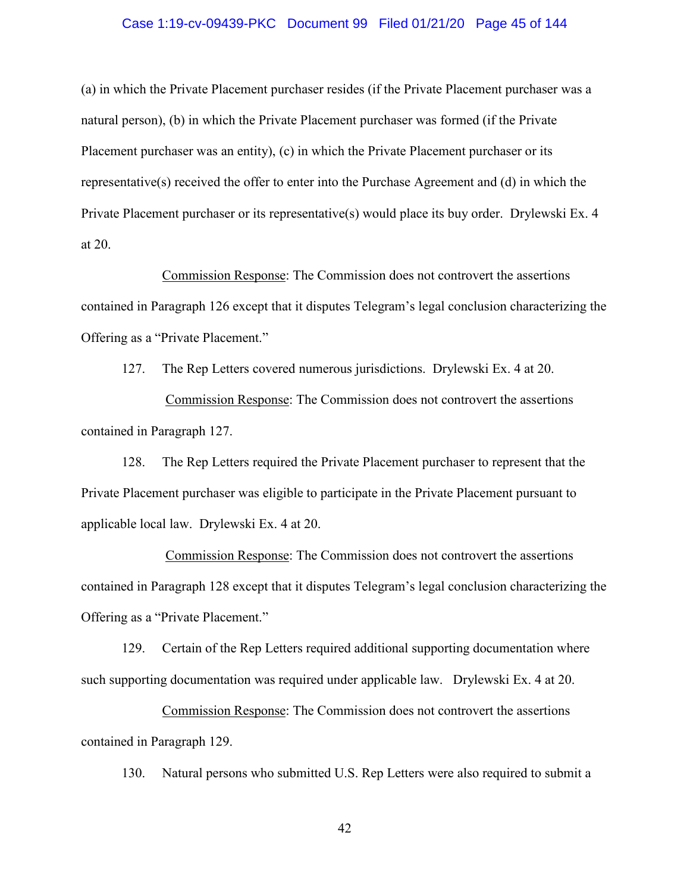## Case 1:19-cv-09439-PKC Document 99 Filed 01/21/20 Page 45 of 144

(a) in which the Private Placement purchaser resides (if the Private Placement purchaser was a natural person), (b) in which the Private Placement purchaser was formed (if the Private Placement purchaser was an entity), (c) in which the Private Placement purchaser or its representative(s) received the offer to enter into the Purchase Agreement and (d) in which the Private Placement purchaser or its representative(s) would place its buy order. Drylewski Ex. 4 at 20.

Commission Response: The Commission does not controvert the assertions contained in Paragraph 126 except that it disputes Telegram's legal conclusion characterizing the Offering as a "Private Placement."

127. The Rep Letters covered numerous jurisdictions. Drylewski Ex. 4 at 20. Commission Response: The Commission does not controvert the assertions contained in Paragraph 127.

128. The Rep Letters required the Private Placement purchaser to represent that the Private Placement purchaser was eligible to participate in the Private Placement pursuant to applicable local law. Drylewski Ex. 4 at 20.

Commission Response: The Commission does not controvert the assertions contained in Paragraph 128 except that it disputes Telegram's legal conclusion characterizing the Offering as a "Private Placement."

129. Certain of the Rep Letters required additional supporting documentation where such supporting documentation was required under applicable law. Drylewski Ex. 4 at 20.

Commission Response: The Commission does not controvert the assertions contained in Paragraph 129.

130. Natural persons who submitted U.S. Rep Letters were also required to submit a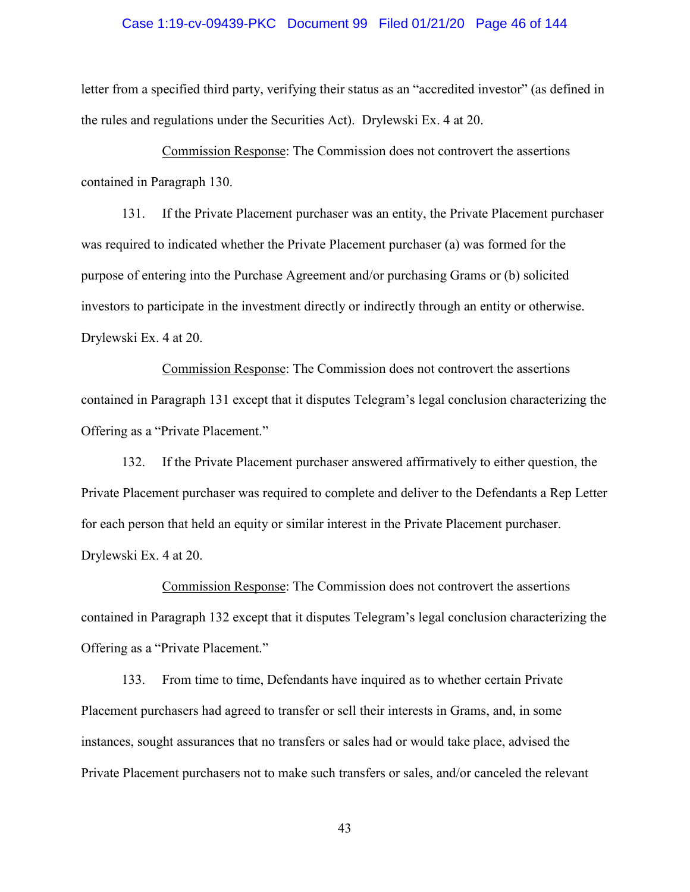## Case 1:19-cv-09439-PKC Document 99 Filed 01/21/20 Page 46 of 144

letter from a specified third party, verifying their status as an "accredited investor" (as defined in the rules and regulations under the Securities Act). Drylewski Ex. 4 at 20.

Commission Response: The Commission does not controvert the assertions contained in Paragraph 130.

131. If the Private Placement purchaser was an entity, the Private Placement purchaser was required to indicated whether the Private Placement purchaser (a) was formed for the purpose of entering into the Purchase Agreement and/or purchasing Grams or (b) solicited investors to participate in the investment directly or indirectly through an entity or otherwise. Drylewski Ex. 4 at 20.

Commission Response: The Commission does not controvert the assertions contained in Paragraph 131 except that it disputes Telegram's legal conclusion characterizing the Offering as a "Private Placement."

132. If the Private Placement purchaser answered affirmatively to either question, the Private Placement purchaser was required to complete and deliver to the Defendants a Rep Letter for each person that held an equity or similar interest in the Private Placement purchaser. Drylewski Ex. 4 at 20.

Commission Response: The Commission does not controvert the assertions contained in Paragraph 132 except that it disputes Telegram's legal conclusion characterizing the Offering as a "Private Placement."

133. From time to time, Defendants have inquired as to whether certain Private Placement purchasers had agreed to transfer or sell their interests in Grams, and, in some instances, sought assurances that no transfers or sales had or would take place, advised the Private Placement purchasers not to make such transfers or sales, and/or canceled the relevant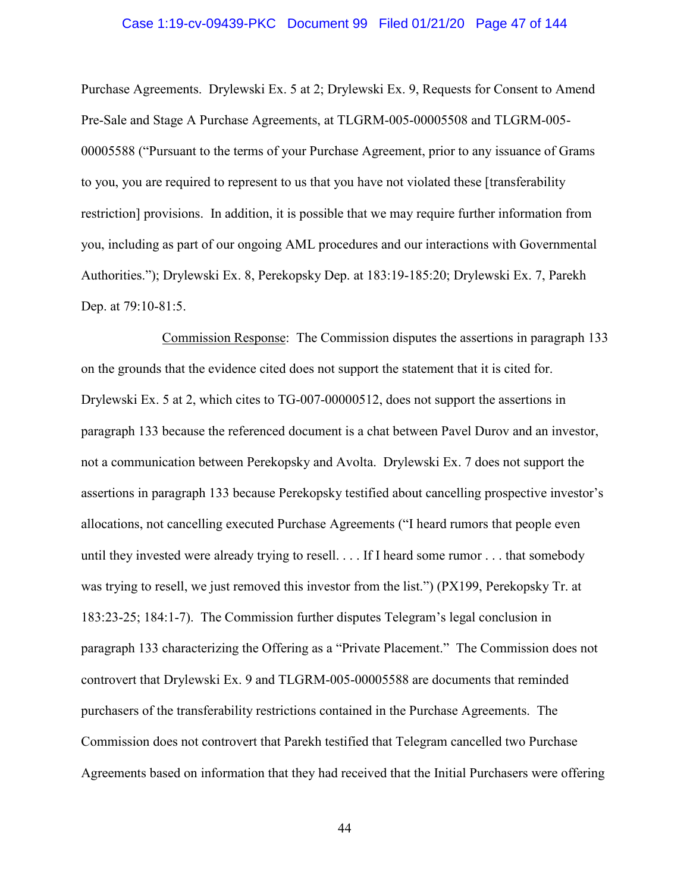## Case 1:19-cv-09439-PKC Document 99 Filed 01/21/20 Page 47 of 144

Purchase Agreements. Drylewski Ex. 5 at 2; Drylewski Ex. 9, Requests for Consent to Amend Pre-Sale and Stage A Purchase Agreements, at TLGRM-005-00005508 and TLGRM-005- 00005588 ("Pursuant to the terms of your Purchase Agreement, prior to any issuance of Grams to you, you are required to represent to us that you have not violated these [transferability restriction] provisions. In addition, it is possible that we may require further information from you, including as part of our ongoing AML procedures and our interactions with Governmental Authorities."); Drylewski Ex. 8, Perekopsky Dep. at 183:19-185:20; Drylewski Ex. 7, Parekh Dep. at 79:10-81:5.

Commission Response: The Commission disputes the assertions in paragraph 133 on the grounds that the evidence cited does not support the statement that it is cited for. Drylewski Ex. 5 at 2, which cites to TG-007-00000512, does not support the assertions in paragraph 133 because the referenced document is a chat between Pavel Durov and an investor, not a communication between Perekopsky and Avolta. Drylewski Ex. 7 does not support the assertions in paragraph 133 because Perekopsky testified about cancelling prospective investor's allocations, not cancelling executed Purchase Agreements ("I heard rumors that people even until they invested were already trying to resell. . . . If I heard some rumor . . . that somebody was trying to resell, we just removed this investor from the list.") (PX199, Perekopsky Tr. at 183:23-25; 184:1-7). The Commission further disputes Telegram's legal conclusion in paragraph 133 characterizing the Offering as a "Private Placement." The Commission does not controvert that Drylewski Ex. 9 and TLGRM-005-00005588 are documents that reminded purchasers of the transferability restrictions contained in the Purchase Agreements. The Commission does not controvert that Parekh testified that Telegram cancelled two Purchase Agreements based on information that they had received that the Initial Purchasers were offering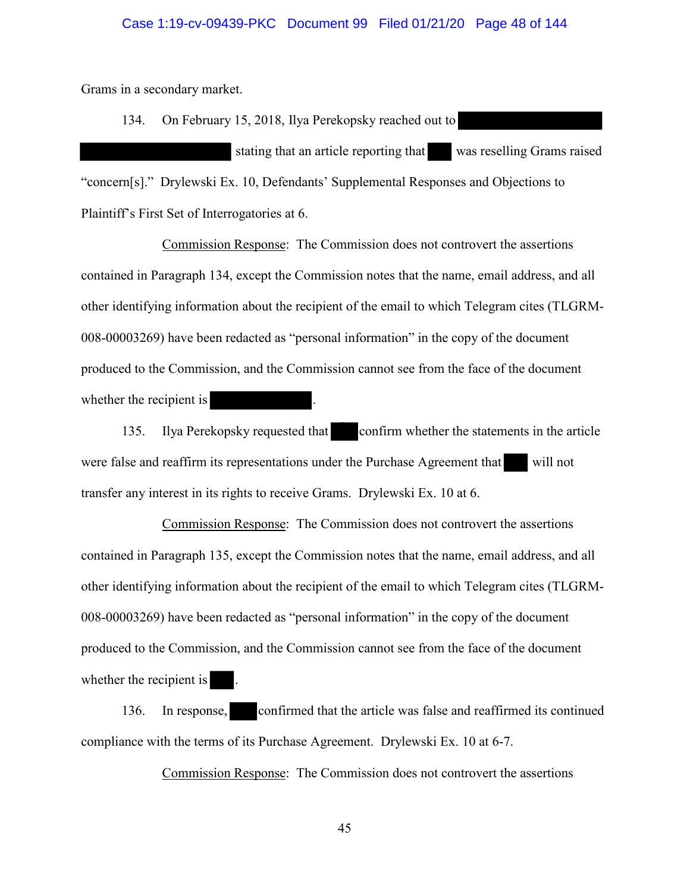#### Case 1:19-cv-09439-PKC Document 99 Filed 01/21/20 Page 48 of 144

Grams in a secondary market.

134. On February 15, 2018, Ilya Perekopsky reached out to stating that an article reporting that was reselling Grams raised "concern[s]." Drylewski Ex. 10, Defendants' Supplemental Responses and Objections to Plaintiff's First Set of Interrogatories at 6.

Commission Response: The Commission does not controvert the assertions contained in Paragraph 134, except the Commission notes that the name, email address, and all other identifying information about the recipient of the email to which Telegram cites (TLGRM-008-00003269) have been redacted as "personal information" in the copy of the document produced to the Commission, and the Commission cannot see from the face of the document whether the recipient is

135. Ilya Perekopsky requested that confirm whether the statements in the article were false and reaffirm its representations under the Purchase Agreement that will not transfer any interest in its rights to receive Grams. Drylewski Ex. 10 at 6.

Commission Response: The Commission does not controvert the assertions contained in Paragraph 135, except the Commission notes that the name, email address, and all other identifying information about the recipient of the email to which Telegram cites (TLGRM-008-00003269) have been redacted as "personal information" in the copy of the document produced to the Commission, and the Commission cannot see from the face of the document whether the recipient is

136. In response, confirmed that the article was false and reaffirmed its continued compliance with the terms of its Purchase Agreement. Drylewski Ex. 10 at 6-7.

Commission Response: The Commission does not controvert the assertions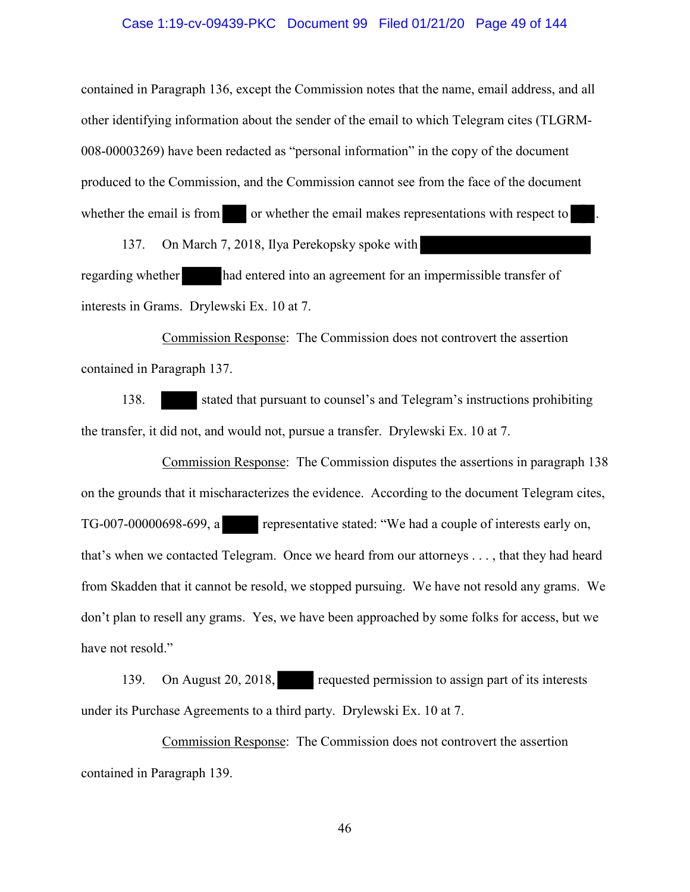## Case 1:19-cv-09439-PKC Document 99 Filed 01/21/20 Page 49 of 144

contained in Paragraph 136, except the Commission notes that the name, email address, and all other identifying information about the sender of the email to which Telegram cites (TLGRM-008-00003269) have been redacted as "personal information" in the copy of the document produced to the Commission, and the Commission cannot see from the face of the document whether the email is from or whether the email makes representations with respect to

137. On March 7, 2018, Ilya Perekopsky spoke with regarding whether had entered into an agreement for an impermissible transfer of interests in Grams. Drylewski Ex. 10 at 7.

Commission Response: The Commission does not controvert the assertion contained in Paragraph 137.

138. stated that pursuant to counsel's and Telegram's instructions prohibiting the transfer, it did not, and would not, pursue a transfer. Drylewski Ex. 10 at 7.

Commission Response: The Commission disputes the assertions in paragraph 138 on the grounds that it mischaracterizes the evidence. According to the document Telegram cites, TG-007-00000698-699, a representative stated: "We had a couple of interests early on, that's when we contacted Telegram. Once we heard from our attorneys . . . , that they had heard from Skadden that it cannot be resold, we stopped pursuing. We have not resold any grams. We don't plan to resell any grams. Yes, we have been approached by some folks for access, but we have not resold."

139. On August 20, 2018, requested permission to assign part of its interests under its Purchase Agreements to a third party. Drylewski Ex. 10 at 7.

Commission Response: The Commission does not controvert the assertion contained in Paragraph 139.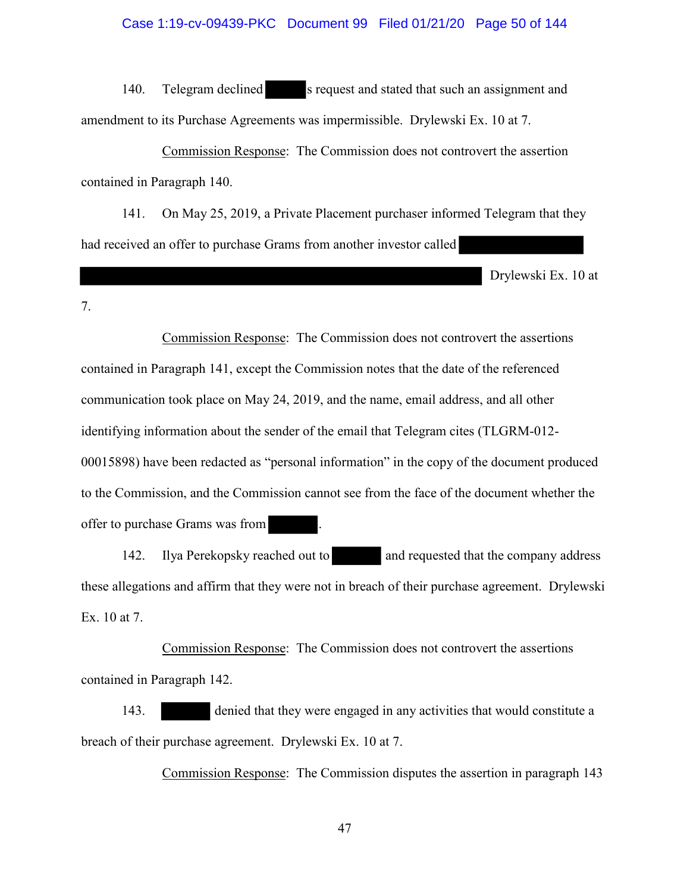# Case 1:19-cv-09439-PKC Document 99 Filed 01/21/20 Page 50 of 144

140. Telegram declined s request and stated that such an assignment and amendment to its Purchase Agreements was impermissible. Drylewski Ex. 10 at 7.

Commission Response: The Commission does not controvert the assertion contained in Paragraph 140.

141. On May 25, 2019, a Private Placement purchaser informed Telegram that they had received an offer to purchase Grams from another investor called

Drylewski Ex. 10 at

7.

Commission Response: The Commission does not controvert the assertions contained in Paragraph 141, except the Commission notes that the date of the referenced communication took place on May 24, 2019, and the name, email address, and all other identifying information about the sender of the email that Telegram cites (TLGRM-012- 00015898) have been redacted as "personal information" in the copy of the document produced to the Commission, and the Commission cannot see from the face of the document whether the offer to purchase Grams was from .

142. Ilya Perekopsky reached out to and requested that the company address these allegations and affirm that they were not in breach of their purchase agreement. Drylewski Ex. 10 at 7.

Commission Response: The Commission does not controvert the assertions contained in Paragraph 142.

143. denied that they were engaged in any activities that would constitute a breach of their purchase agreement. Drylewski Ex. 10 at 7.

Commission Response: The Commission disputes the assertion in paragraph 143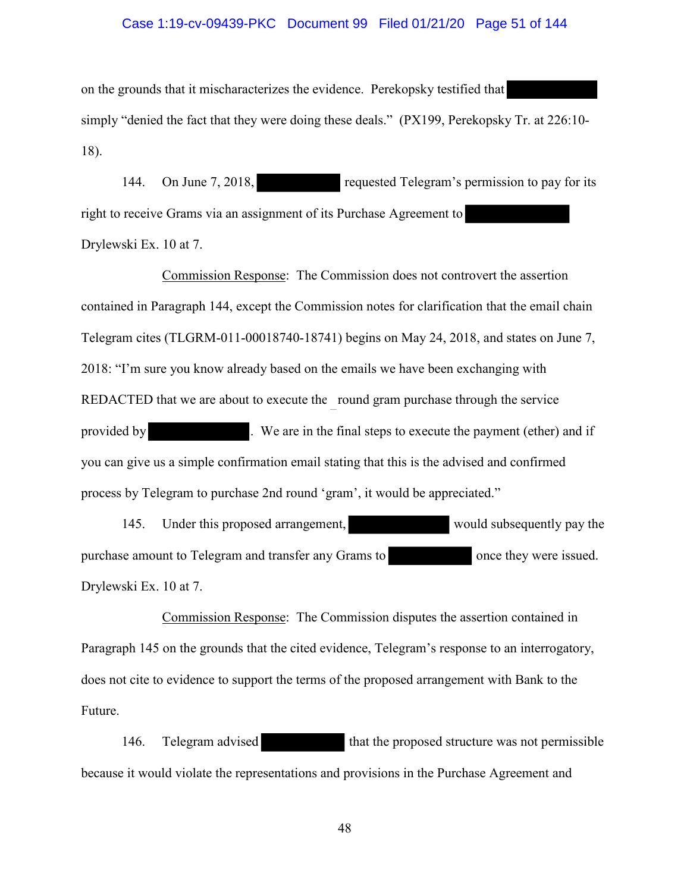### Case 1:19-cv-09439-PKC Document 99 Filed 01/21/20 Page 51 of 144

on the grounds that it mischaracterizes the evidence. Perekopsky testified that simply "denied the fact that they were doing these deals." (PX199, Perekopsky Tr. at 226:10- 18).

144. On June 7, 2018, requested Telegram's permission to pay for its right to receive Grams via an assignment of its Purchase Agreement to Drylewski Ex. 10 at 7.

Commission Response: The Commission does not controvert the assertion contained in Paragraph 144, except the Commission notes for clarification that the email chain Telegram cites (TLGRM-011-00018740-18741) begins on May 24, 2018, and states on June 7, 2018: "I'm sure you know already based on the emails we have been exchanging with REDACTED that we are about to execute the round gram purchase through the service provided by . We are in the final steps to execute the payment (ether) and if you can give us a simple confirmation email stating that this is the advised and confirmed process by Telegram to purchase 2nd round 'gram', it would be appreciated."

145. Under this proposed arrangement, would subsequently pay the purchase amount to Telegram and transfer any Grams to once they were issued. Drylewski Ex. 10 at 7.

Commission Response: The Commission disputes the assertion contained in Paragraph 145 on the grounds that the cited evidence, Telegram's response to an interrogatory, does not cite to evidence to support the terms of the proposed arrangement with Bank to the Future.

146. Telegram advised that the proposed structure was not permissible because it would violate the representations and provisions in the Purchase Agreement and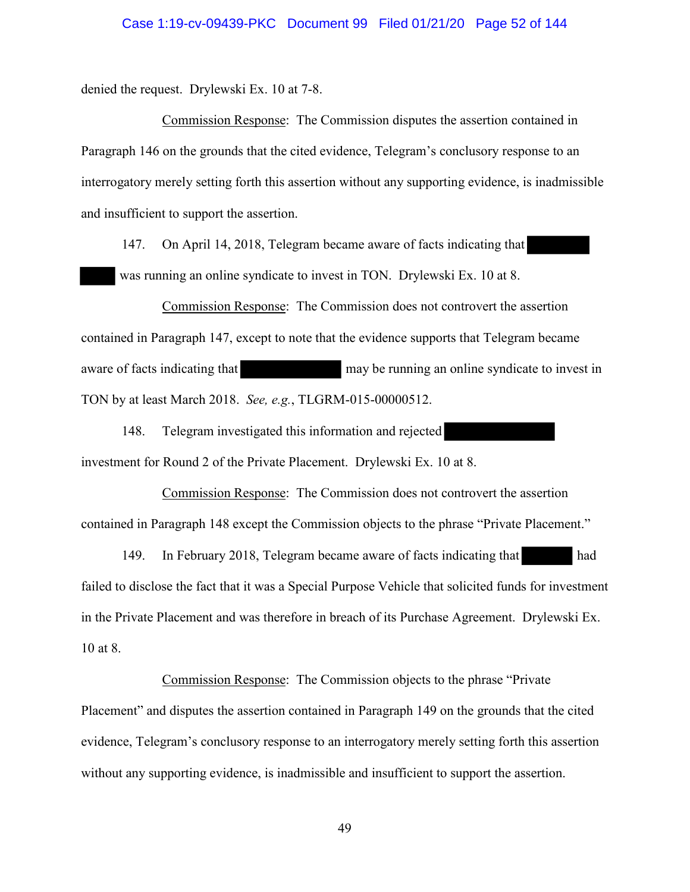#### Case 1:19-cv-09439-PKC Document 99 Filed 01/21/20 Page 52 of 144

denied the request. Drylewski Ex. 10 at 7-8.

Commission Response: The Commission disputes the assertion contained in Paragraph 146 on the grounds that the cited evidence, Telegram's conclusory response to an interrogatory merely setting forth this assertion without any supporting evidence, is inadmissible and insufficient to support the assertion.

147. On April 14, 2018, Telegram became aware of facts indicating that was running an online syndicate to invest in TON. Drylewski Ex. 10 at 8.

Commission Response: The Commission does not controvert the assertion contained in Paragraph 147, except to note that the evidence supports that Telegram became aware of facts indicating that may be running an online syndicate to invest in TON by at least March 2018. *See, e.g.*, TLGRM-015-00000512.

148. Telegram investigated this information and rejected investment for Round 2 of the Private Placement. Drylewski Ex. 10 at 8.

Commission Response: The Commission does not controvert the assertion contained in Paragraph 148 except the Commission objects to the phrase "Private Placement."

149. In February 2018, Telegram became aware of facts indicating that had failed to disclose the fact that it was a Special Purpose Vehicle that solicited funds for investment in the Private Placement and was therefore in breach of its Purchase Agreement. Drylewski Ex. 10 at 8.

Commission Response: The Commission objects to the phrase "Private Placement" and disputes the assertion contained in Paragraph 149 on the grounds that the cited evidence, Telegram's conclusory response to an interrogatory merely setting forth this assertion without any supporting evidence, is inadmissible and insufficient to support the assertion.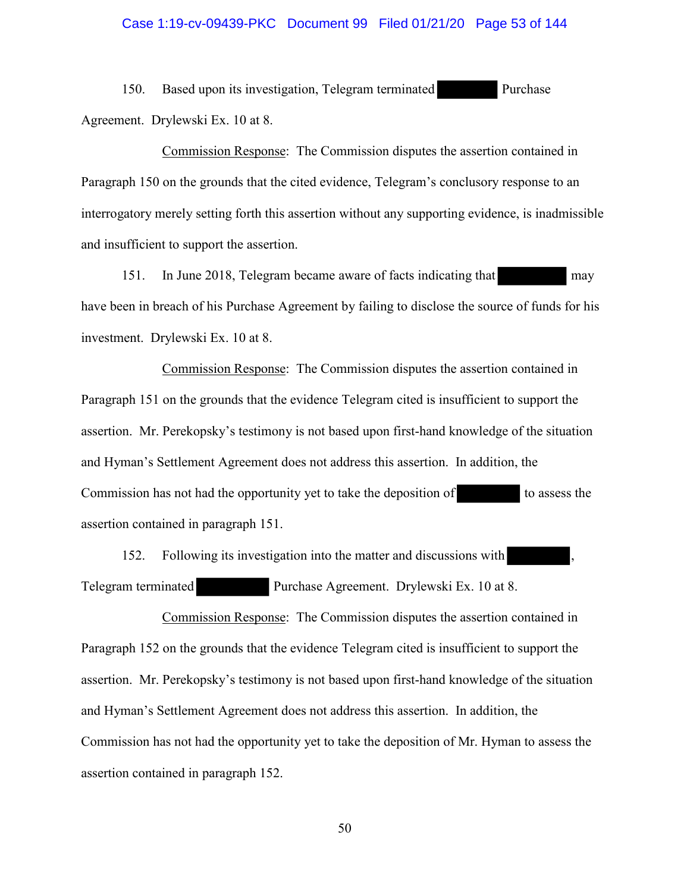#### Case 1:19-cv-09439-PKC Document 99 Filed 01/21/20 Page 53 of 144

150. Based upon its investigation, Telegram terminated Purchase Agreement. Drylewski Ex. 10 at 8.

Commission Response: The Commission disputes the assertion contained in Paragraph 150 on the grounds that the cited evidence, Telegram's conclusory response to an interrogatory merely setting forth this assertion without any supporting evidence, is inadmissible and insufficient to support the assertion.

151. In June 2018, Telegram became aware of facts indicating that may have been in breach of his Purchase Agreement by failing to disclose the source of funds for his investment. Drylewski Ex. 10 at 8.

Commission Response: The Commission disputes the assertion contained in Paragraph 151 on the grounds that the evidence Telegram cited is insufficient to support the assertion. Mr. Perekopsky's testimony is not based upon first-hand knowledge of the situation and Hyman's Settlement Agreement does not address this assertion. In addition, the Commission has not had the opportunity yet to take the deposition of to assess the assertion contained in paragraph 151.

152. Following its investigation into the matter and discussions with Telegram terminated Purchase Agreement. Drylewski Ex. 10 at 8.

Commission Response: The Commission disputes the assertion contained in Paragraph 152 on the grounds that the evidence Telegram cited is insufficient to support the assertion. Mr. Perekopsky's testimony is not based upon first-hand knowledge of the situation and Hyman's Settlement Agreement does not address this assertion. In addition, the Commission has not had the opportunity yet to take the deposition of Mr. Hyman to assess the assertion contained in paragraph 152.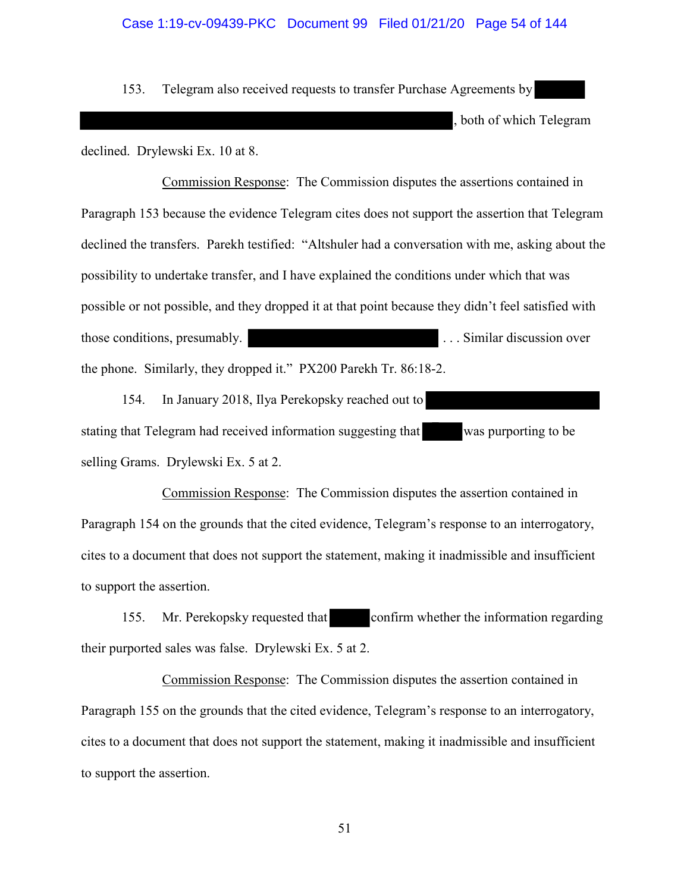## Case 1:19-cv-09439-PKC Document 99 Filed 01/21/20 Page 54 of 144

153. Telegram also received requests to transfer Purchase Agreements by

both of which Telegram

declined. Drylewski Ex. 10 at 8.

Commission Response: The Commission disputes the assertions contained in Paragraph 153 because the evidence Telegram cites does not support the assertion that Telegram declined the transfers. Parekh testified: "Altshuler had a conversation with me, asking about the possibility to undertake transfer, and I have explained the conditions under which that was possible or not possible, and they dropped it at that point because they didn't feel satisfied with those conditions, presumably. The same state of the set of the set of the set of the set of the set of the set of the set of the set of the set of the set of the set of the set of the set of the set of the set of the set o the phone. Similarly, they dropped it." PX200 Parekh Tr. 86:18-2.

154. In January 2018, Ilya Perekopsky reached out to stating that Telegram had received information suggesting that was purporting to be selling Grams. Drylewski Ex. 5 at 2.

Commission Response: The Commission disputes the assertion contained in Paragraph 154 on the grounds that the cited evidence, Telegram's response to an interrogatory, cites to a document that does not support the statement, making it inadmissible and insufficient to support the assertion.

155. Mr. Perekopsky requested that confirm whether the information regarding their purported sales was false. Drylewski Ex. 5 at 2.

Commission Response: The Commission disputes the assertion contained in Paragraph 155 on the grounds that the cited evidence, Telegram's response to an interrogatory, cites to a document that does not support the statement, making it inadmissible and insufficient to support the assertion.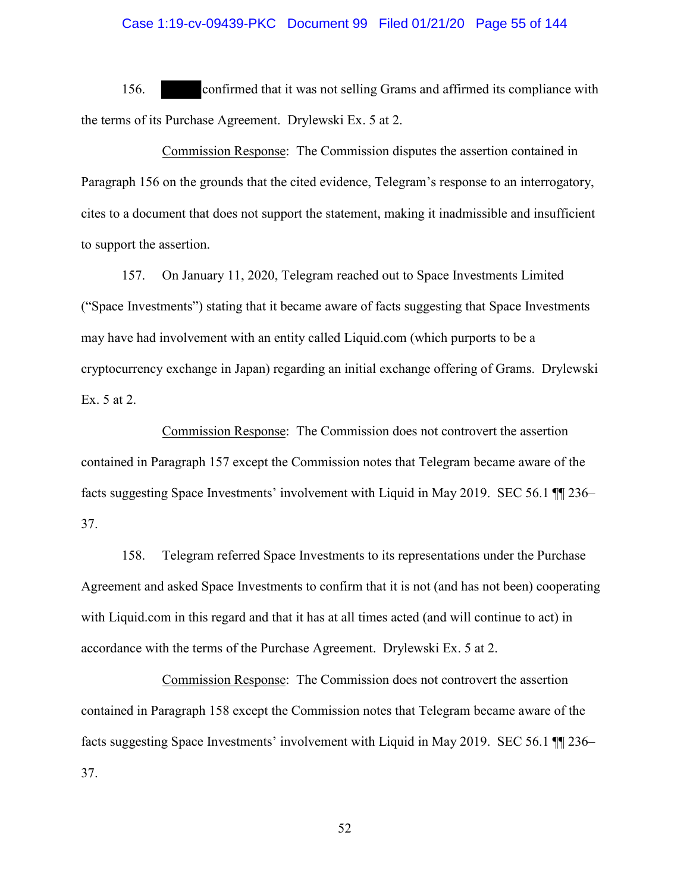## Case 1:19-cv-09439-PKC Document 99 Filed 01/21/20 Page 55 of 144

156. confirmed that it was not selling Grams and affirmed its compliance with the terms of its Purchase Agreement. Drylewski Ex. 5 at 2.

Commission Response: The Commission disputes the assertion contained in Paragraph 156 on the grounds that the cited evidence, Telegram's response to an interrogatory, cites to a document that does not support the statement, making it inadmissible and insufficient to support the assertion.

157. On January 11, 2020, Telegram reached out to Space Investments Limited ("Space Investments") stating that it became aware of facts suggesting that Space Investments may have had involvement with an entity called Liquid.com (which purports to be a cryptocurrency exchange in Japan) regarding an initial exchange offering of Grams. Drylewski Ex. 5 at 2.

Commission Response: The Commission does not controvert the assertion contained in Paragraph 157 except the Commission notes that Telegram became aware of the facts suggesting Space Investments' involvement with Liquid in May 2019. SEC 56.1 ¶¶ 236– 37.

158. Telegram referred Space Investments to its representations under the Purchase Agreement and asked Space Investments to confirm that it is not (and has not been) cooperating with Liquid.com in this regard and that it has at all times acted (and will continue to act) in accordance with the terms of the Purchase Agreement. Drylewski Ex. 5 at 2.

Commission Response: The Commission does not controvert the assertion contained in Paragraph 158 except the Commission notes that Telegram became aware of the facts suggesting Space Investments' involvement with Liquid in May 2019. SEC 56.1 ¶¶ 236– 37.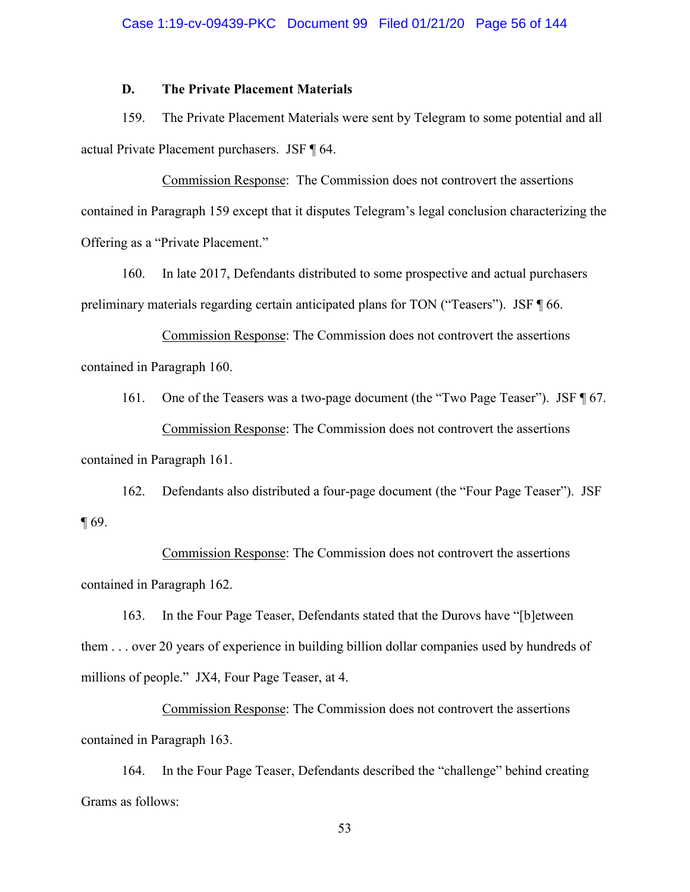## **D. The Private Placement Materials**

159. The Private Placement Materials were sent by Telegram to some potential and all actual Private Placement purchasers. JSF ¶ 64.

Commission Response: The Commission does not controvert the assertions contained in Paragraph 159 except that it disputes Telegram's legal conclusion characterizing the Offering as a "Private Placement."

160. In late 2017, Defendants distributed to some prospective and actual purchasers preliminary materials regarding certain anticipated plans for TON ("Teasers"). JSF ¶ 66.

Commission Response: The Commission does not controvert the assertions contained in Paragraph 160.

161. One of the Teasers was a two-page document (the "Two Page Teaser"). JSF ¶ 67. Commission Response: The Commission does not controvert the assertions contained in Paragraph 161.

162. Defendants also distributed a four-page document (the "Four Page Teaser"). JSF ¶ 69.

Commission Response: The Commission does not controvert the assertions contained in Paragraph 162.

163. In the Four Page Teaser, Defendants stated that the Durovs have "[b]etween them . . . over 20 years of experience in building billion dollar companies used by hundreds of millions of people." JX4, Four Page Teaser, at 4.

Commission Response: The Commission does not controvert the assertions contained in Paragraph 163.

164. In the Four Page Teaser, Defendants described the "challenge" behind creating Grams as follows: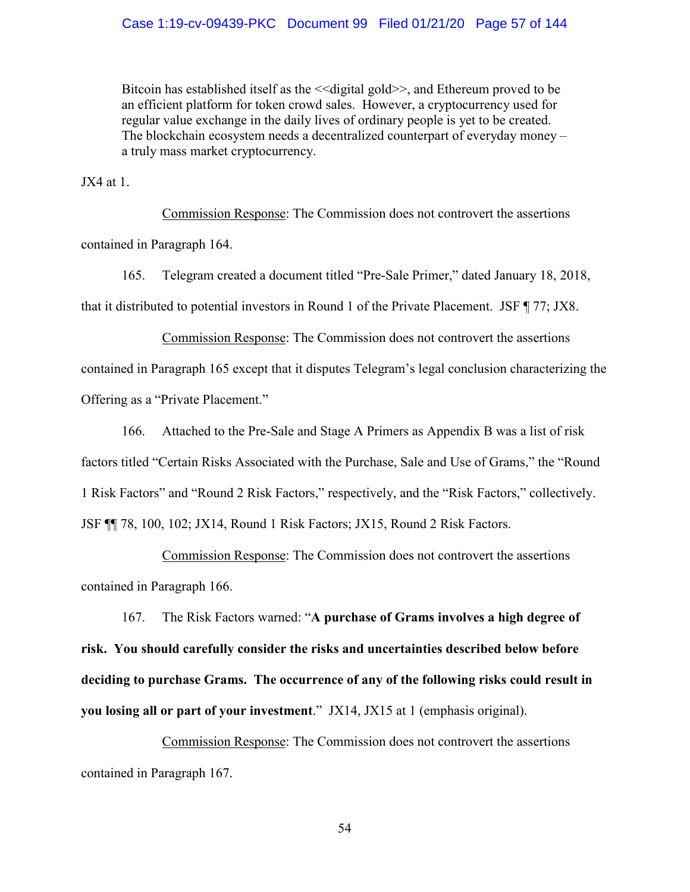## Case 1:19-cv-09439-PKC Document 99 Filed 01/21/20 Page 57 of 144

Bitcoin has established itself as the <<digital gold>>, and Ethereum proved to be an efficient platform for token crowd sales. However, a cryptocurrency used for regular value exchange in the daily lives of ordinary people is yet to be created. The blockchain ecosystem needs a decentralized counterpart of everyday money – a truly mass market cryptocurrency.

 $JX4$  at 1.

 Commission Response: The Commission does not controvert the assertions contained in Paragraph 164.

165. Telegram created a document titled "Pre-Sale Primer," dated January 18, 2018, that it distributed to potential investors in Round 1 of the Private Placement. JSF ¶ 77; JX8.

Commission Response: The Commission does not controvert the assertions contained in Paragraph 165 except that it disputes Telegram's legal conclusion characterizing the Offering as a "Private Placement."

166. Attached to the Pre-Sale and Stage A Primers as Appendix B was a list of risk factors titled "Certain Risks Associated with the Purchase, Sale and Use of Grams," the "Round 1 Risk Factors" and "Round 2 Risk Factors," respectively, and the "Risk Factors," collectively. JSF ¶¶ 78, 100, 102; JX14, Round 1 Risk Factors; JX15, Round 2 Risk Factors.

Commission Response: The Commission does not controvert the assertions contained in Paragraph 166.

167. The Risk Factors warned: "**A purchase of Grams involves a high degree of risk. You should carefully consider the risks and uncertainties described below before deciding to purchase Grams. The occurrence of any of the following risks could result in you losing all or part of your investment**." JX14, JX15 at 1 (emphasis original).

Commission Response: The Commission does not controvert the assertions contained in Paragraph 167.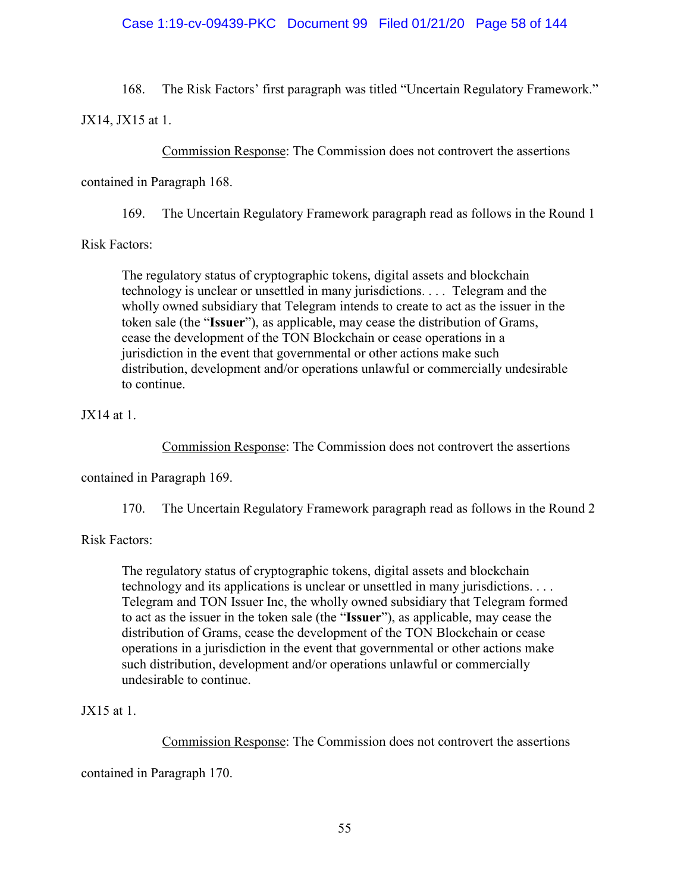## Case 1:19-cv-09439-PKC Document 99 Filed 01/21/20 Page 58 of 144

168. The Risk Factors' first paragraph was titled "Uncertain Regulatory Framework."

JX14, JX15 at 1.

Commission Response: The Commission does not controvert the assertions

contained in Paragraph 168.

169. The Uncertain Regulatory Framework paragraph read as follows in the Round 1

Risk Factors:

The regulatory status of cryptographic tokens, digital assets and blockchain technology is unclear or unsettled in many jurisdictions. . . . Telegram and the wholly owned subsidiary that Telegram intends to create to act as the issuer in the token sale (the "**Issuer**"), as applicable, may cease the distribution of Grams, cease the development of the TON Blockchain or cease operations in a jurisdiction in the event that governmental or other actions make such distribution, development and/or operations unlawful or commercially undesirable to continue.

JX14 at 1.

Commission Response: The Commission does not controvert the assertions

contained in Paragraph 169.

170. The Uncertain Regulatory Framework paragraph read as follows in the Round 2

Risk Factors:

The regulatory status of cryptographic tokens, digital assets and blockchain technology and its applications is unclear or unsettled in many jurisdictions. . . . Telegram and TON Issuer Inc, the wholly owned subsidiary that Telegram formed to act as the issuer in the token sale (the "**Issuer**"), as applicable, may cease the distribution of Grams, cease the development of the TON Blockchain or cease operations in a jurisdiction in the event that governmental or other actions make such distribution, development and/or operations unlawful or commercially undesirable to continue.

JX15 at 1.

Commission Response: The Commission does not controvert the assertions

contained in Paragraph 170.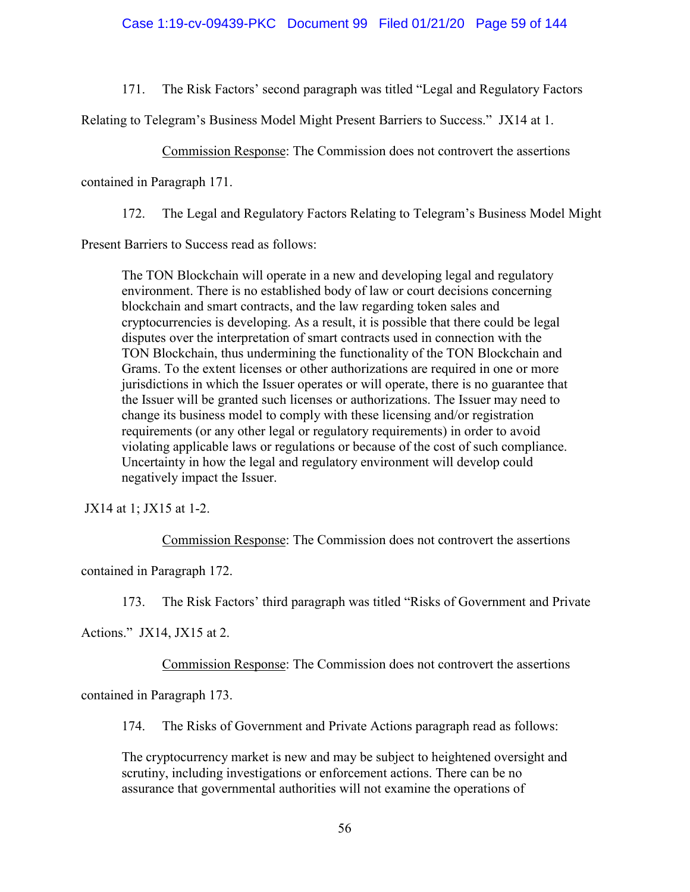## Case 1:19-cv-09439-PKC Document 99 Filed 01/21/20 Page 59 of 144

171. The Risk Factors' second paragraph was titled "Legal and Regulatory Factors

Relating to Telegram's Business Model Might Present Barriers to Success." JX14 at 1.

Commission Response: The Commission does not controvert the assertions

contained in Paragraph 171.

172. The Legal and Regulatory Factors Relating to Telegram's Business Model Might

Present Barriers to Success read as follows:

The TON Blockchain will operate in a new and developing legal and regulatory environment. There is no established body of law or court decisions concerning blockchain and smart contracts, and the law regarding token sales and cryptocurrencies is developing. As a result, it is possible that there could be legal disputes over the interpretation of smart contracts used in connection with the TON Blockchain, thus undermining the functionality of the TON Blockchain and Grams. To the extent licenses or other authorizations are required in one or more jurisdictions in which the Issuer operates or will operate, there is no guarantee that the Issuer will be granted such licenses or authorizations. The Issuer may need to change its business model to comply with these licensing and/or registration requirements (or any other legal or regulatory requirements) in order to avoid violating applicable laws or regulations or because of the cost of such compliance. Uncertainty in how the legal and regulatory environment will develop could negatively impact the Issuer.

JX14 at 1; JX15 at 1-2.

Commission Response: The Commission does not controvert the assertions

contained in Paragraph 172.

173. The Risk Factors' third paragraph was titled "Risks of Government and Private

Actions." JX14, JX15 at 2.

Commission Response: The Commission does not controvert the assertions

contained in Paragraph 173.

174. The Risks of Government and Private Actions paragraph read as follows:

The cryptocurrency market is new and may be subject to heightened oversight and scrutiny, including investigations or enforcement actions. There can be no assurance that governmental authorities will not examine the operations of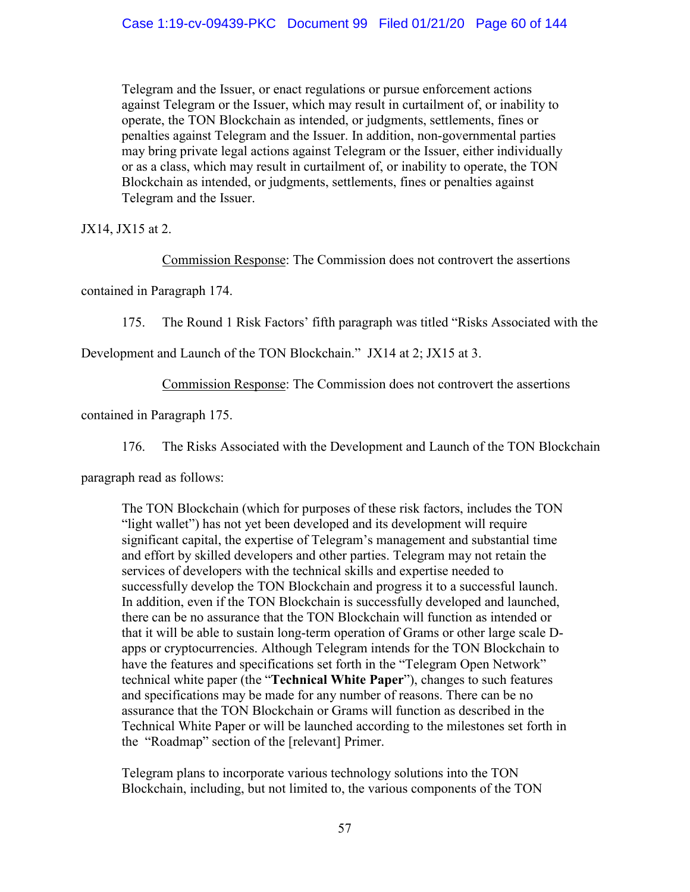Telegram and the Issuer, or enact regulations or pursue enforcement actions against Telegram or the Issuer, which may result in curtailment of, or inability to operate, the TON Blockchain as intended, or judgments, settlements, fines or penalties against Telegram and the Issuer. In addition, non-governmental parties may bring private legal actions against Telegram or the Issuer, either individually or as a class, which may result in curtailment of, or inability to operate, the TON Blockchain as intended, or judgments, settlements, fines or penalties against Telegram and the Issuer.

JX14, JX15 at 2.

Commission Response: The Commission does not controvert the assertions

contained in Paragraph 174.

175. The Round 1 Risk Factors' fifth paragraph was titled "Risks Associated with the

Development and Launch of the TON Blockchain." JX14 at 2; JX15 at 3.

Commission Response: The Commission does not controvert the assertions

contained in Paragraph 175.

176. The Risks Associated with the Development and Launch of the TON Blockchain

paragraph read as follows:

The TON Blockchain (which for purposes of these risk factors, includes the TON "light wallet") has not yet been developed and its development will require significant capital, the expertise of Telegram's management and substantial time and effort by skilled developers and other parties. Telegram may not retain the services of developers with the technical skills and expertise needed to successfully develop the TON Blockchain and progress it to a successful launch. In addition, even if the TON Blockchain is successfully developed and launched, there can be no assurance that the TON Blockchain will function as intended or that it will be able to sustain long-term operation of Grams or other large scale Dapps or cryptocurrencies. Although Telegram intends for the TON Blockchain to have the features and specifications set forth in the "Telegram Open Network" technical white paper (the "**Technical White Paper**"), changes to such features and specifications may be made for any number of reasons. There can be no assurance that the TON Blockchain or Grams will function as described in the Technical White Paper or will be launched according to the milestones set forth in the "Roadmap" section of the [relevant] Primer.

Telegram plans to incorporate various technology solutions into the TON Blockchain, including, but not limited to, the various components of the TON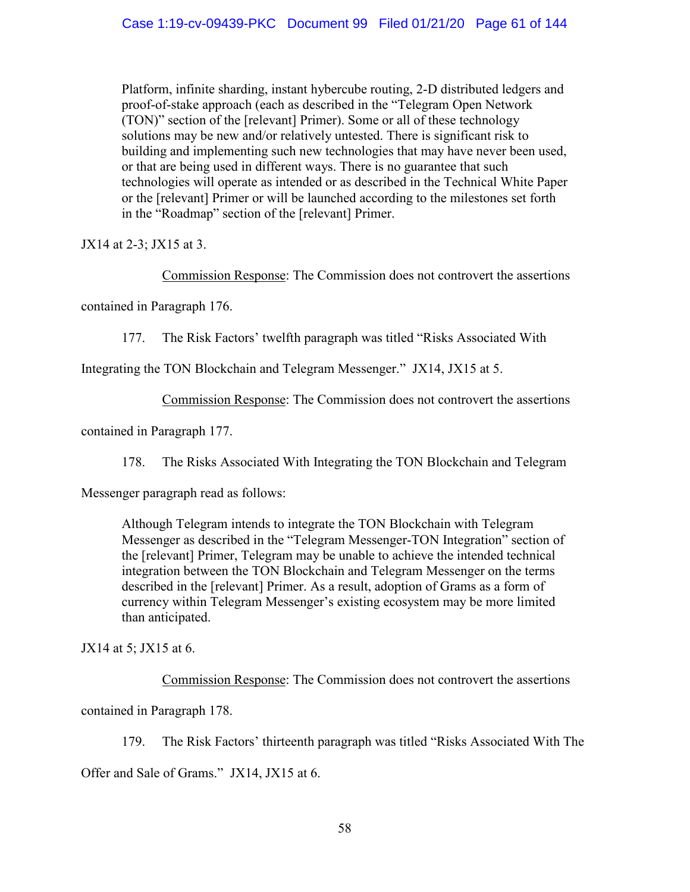Platform, infinite sharding, instant hybercube routing, 2-D distributed ledgers and proof-of-stake approach (each as described in the "Telegram Open Network (TON)" section of the [relevant] Primer). Some or all of these technology solutions may be new and/or relatively untested. There is significant risk to building and implementing such new technologies that may have never been used, or that are being used in different ways. There is no guarantee that such technologies will operate as intended or as described in the Technical White Paper or the [relevant] Primer or will be launched according to the milestones set forth in the "Roadmap" section of the [relevant] Primer.

JX14 at 2-3; JX15 at 3.

Commission Response: The Commission does not controvert the assertions

contained in Paragraph 176.

177. The Risk Factors' twelfth paragraph was titled "Risks Associated With

Integrating the TON Blockchain and Telegram Messenger." JX14, JX15 at 5.

Commission Response: The Commission does not controvert the assertions

contained in Paragraph 177.

178. The Risks Associated With Integrating the TON Blockchain and Telegram

Messenger paragraph read as follows:

Although Telegram intends to integrate the TON Blockchain with Telegram Messenger as described in the "Telegram Messenger-TON Integration" section of the [relevant] Primer, Telegram may be unable to achieve the intended technical integration between the TON Blockchain and Telegram Messenger on the terms described in the [relevant] Primer. As a result, adoption of Grams as a form of currency within Telegram Messenger's existing ecosystem may be more limited than anticipated.

JX14 at 5; JX15 at 6.

Commission Response: The Commission does not controvert the assertions

contained in Paragraph 178.

179. The Risk Factors' thirteenth paragraph was titled "Risks Associated With The Offer and Sale of Grams." JX14, JX15 at 6.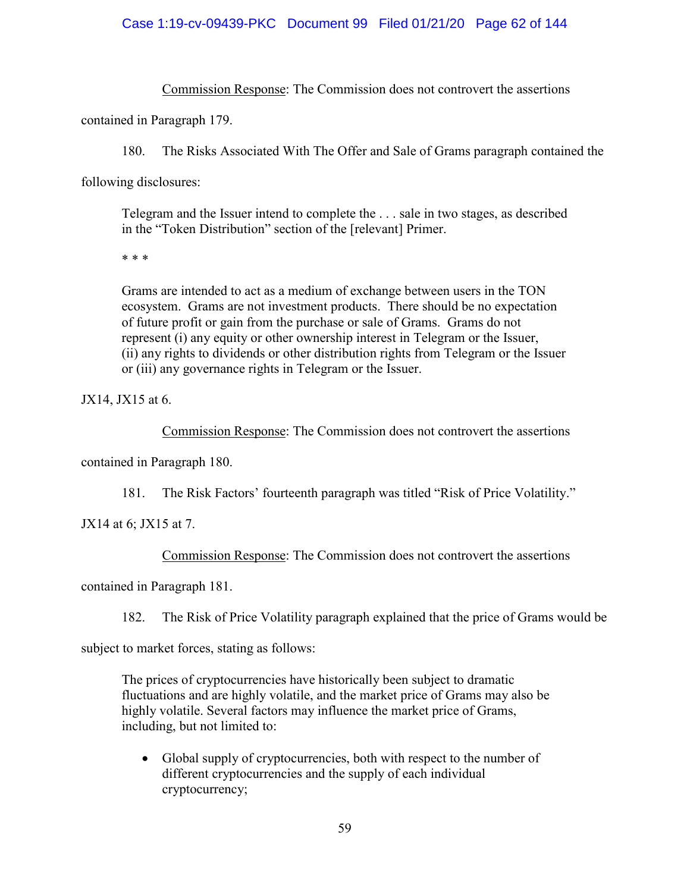## Case 1:19-cv-09439-PKC Document 99 Filed 01/21/20 Page 62 of 144

Commission Response: The Commission does not controvert the assertions

contained in Paragraph 179.

180. The Risks Associated With The Offer and Sale of Grams paragraph contained the

following disclosures:

Telegram and the Issuer intend to complete the . . . sale in two stages, as described in the "Token Distribution" section of the [relevant] Primer.

\* \* \*

Grams are intended to act as a medium of exchange between users in the TON ecosystem. Grams are not investment products. There should be no expectation of future profit or gain from the purchase or sale of Grams. Grams do not represent (i) any equity or other ownership interest in Telegram or the Issuer, (ii) any rights to dividends or other distribution rights from Telegram or the Issuer or (iii) any governance rights in Telegram or the Issuer.

JX14, JX15 at 6.

Commission Response: The Commission does not controvert the assertions

contained in Paragraph 180.

181. The Risk Factors' fourteenth paragraph was titled "Risk of Price Volatility."

JX14 at 6; JX15 at 7.

Commission Response: The Commission does not controvert the assertions

contained in Paragraph 181.

182. The Risk of Price Volatility paragraph explained that the price of Grams would be

subject to market forces, stating as follows:

The prices of cryptocurrencies have historically been subject to dramatic fluctuations and are highly volatile, and the market price of Grams may also be highly volatile. Several factors may influence the market price of Grams, including, but not limited to:

• Global supply of cryptocurrencies, both with respect to the number of different cryptocurrencies and the supply of each individual cryptocurrency;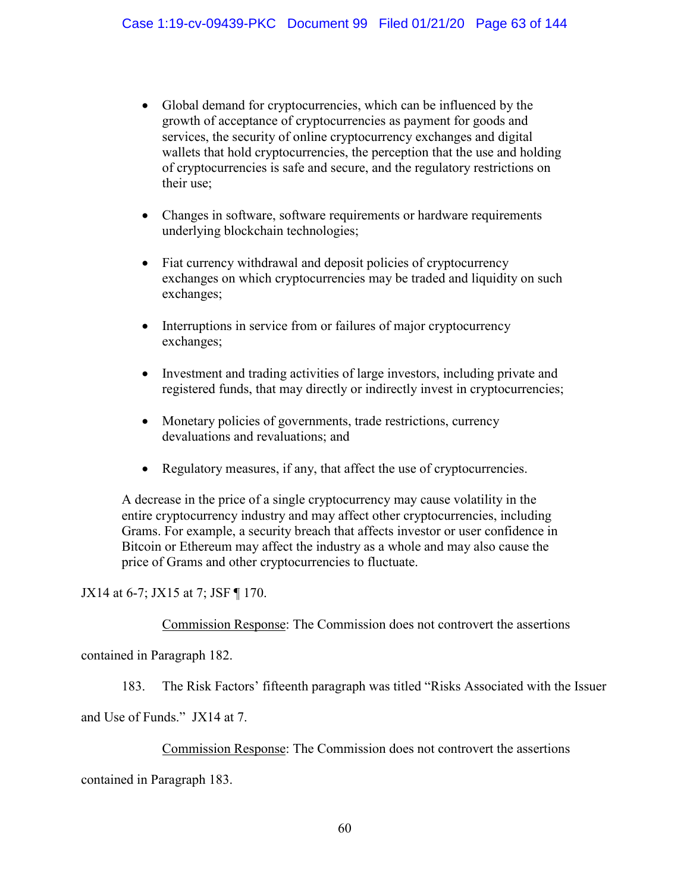- Global demand for cryptocurrencies, which can be influenced by the growth of acceptance of cryptocurrencies as payment for goods and services, the security of online cryptocurrency exchanges and digital wallets that hold cryptocurrencies, the perception that the use and holding of cryptocurrencies is safe and secure, and the regulatory restrictions on their use;
- Changes in software, software requirements or hardware requirements underlying blockchain technologies;
- Fiat currency withdrawal and deposit policies of cryptocurrency exchanges on which cryptocurrencies may be traded and liquidity on such exchanges;
- Interruptions in service from or failures of major cryptocurrency exchanges;
- Investment and trading activities of large investors, including private and registered funds, that may directly or indirectly invest in cryptocurrencies;
- Monetary policies of governments, trade restrictions, currency devaluations and revaluations; and
- Regulatory measures, if any, that affect the use of cryptocurrencies.

A decrease in the price of a single cryptocurrency may cause volatility in the entire cryptocurrency industry and may affect other cryptocurrencies, including Grams. For example, a security breach that affects investor or user confidence in Bitcoin or Ethereum may affect the industry as a whole and may also cause the price of Grams and other cryptocurrencies to fluctuate.

JX14 at 6-7; JX15 at 7; JSF ¶ 170.

Commission Response: The Commission does not controvert the assertions

contained in Paragraph 182.

183. The Risk Factors' fifteenth paragraph was titled "Risks Associated with the Issuer

and Use of Funds." JX14 at 7.

# Commission Response: The Commission does not controvert the assertions

contained in Paragraph 183.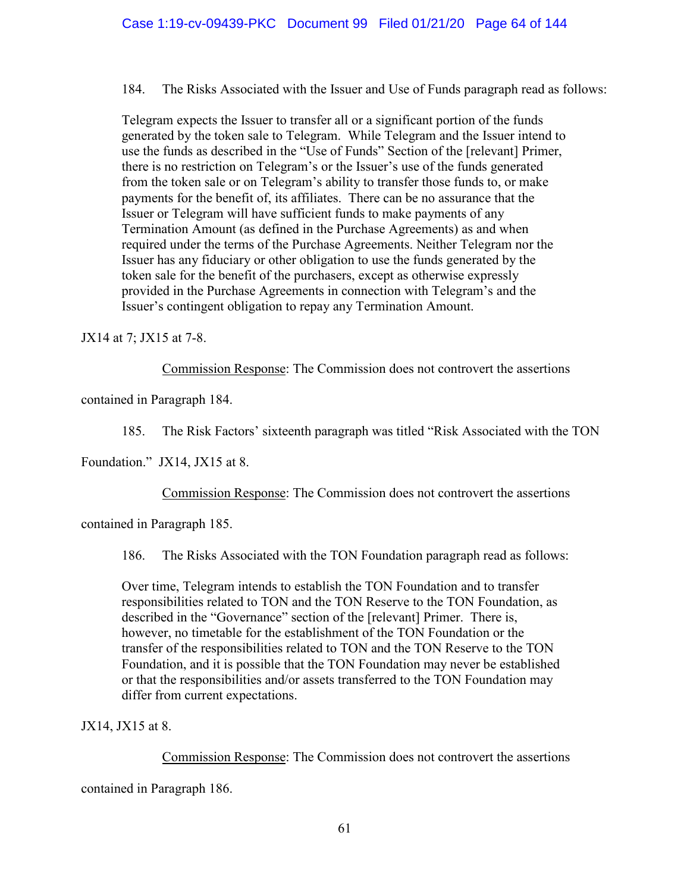184. The Risks Associated with the Issuer and Use of Funds paragraph read as follows:

Telegram expects the Issuer to transfer all or a significant portion of the funds generated by the token sale to Telegram. While Telegram and the Issuer intend to use the funds as described in the "Use of Funds" Section of the [relevant] Primer, there is no restriction on Telegram's or the Issuer's use of the funds generated from the token sale or on Telegram's ability to transfer those funds to, or make payments for the benefit of, its affiliates. There can be no assurance that the Issuer or Telegram will have sufficient funds to make payments of any Termination Amount (as defined in the Purchase Agreements) as and when required under the terms of the Purchase Agreements. Neither Telegram nor the Issuer has any fiduciary or other obligation to use the funds generated by the token sale for the benefit of the purchasers, except as otherwise expressly provided in the Purchase Agreements in connection with Telegram's and the Issuer's contingent obligation to repay any Termination Amount.

JX14 at 7; JX15 at 7-8.

Commission Response: The Commission does not controvert the assertions

contained in Paragraph 184.

185. The Risk Factors' sixteenth paragraph was titled "Risk Associated with the TON

Foundation." JX14, JX15 at 8.

Commission Response: The Commission does not controvert the assertions

contained in Paragraph 185.

186. The Risks Associated with the TON Foundation paragraph read as follows:

Over time, Telegram intends to establish the TON Foundation and to transfer responsibilities related to TON and the TON Reserve to the TON Foundation, as described in the "Governance" section of the [relevant] Primer. There is, however, no timetable for the establishment of the TON Foundation or the transfer of the responsibilities related to TON and the TON Reserve to the TON Foundation, and it is possible that the TON Foundation may never be established or that the responsibilities and/or assets transferred to the TON Foundation may differ from current expectations.

JX14, JX15 at 8.

Commission Response: The Commission does not controvert the assertions

contained in Paragraph 186.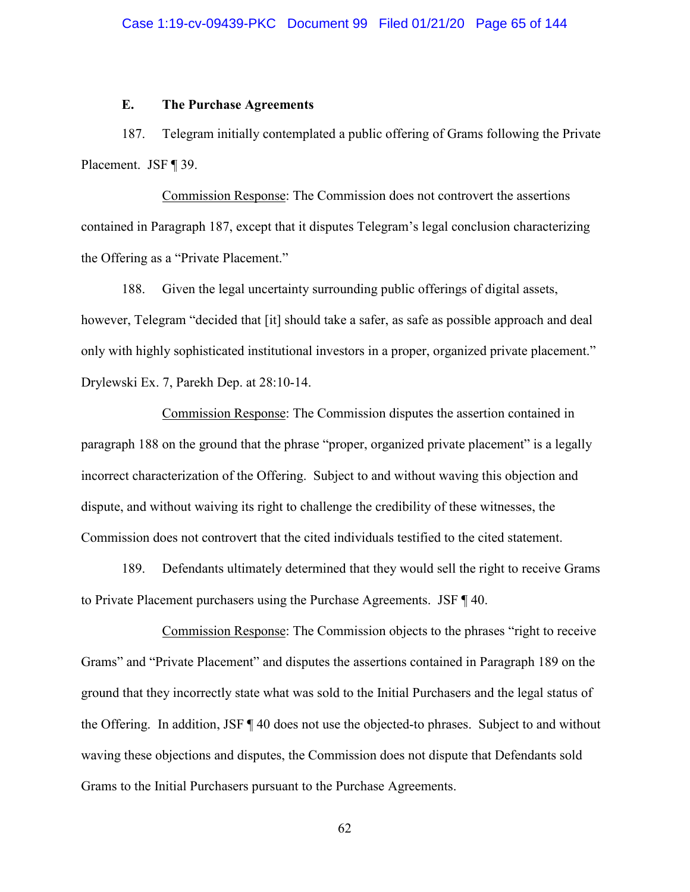## **E. The Purchase Agreements**

187. Telegram initially contemplated a public offering of Grams following the Private Placement. JSF ¶ 39.

Commission Response: The Commission does not controvert the assertions contained in Paragraph 187, except that it disputes Telegram's legal conclusion characterizing the Offering as a "Private Placement."

188. Given the legal uncertainty surrounding public offerings of digital assets, however, Telegram "decided that [it] should take a safer, as safe as possible approach and deal only with highly sophisticated institutional investors in a proper, organized private placement." Drylewski Ex. 7, Parekh Dep. at 28:10-14.

Commission Response: The Commission disputes the assertion contained in paragraph 188 on the ground that the phrase "proper, organized private placement" is a legally incorrect characterization of the Offering. Subject to and without waving this objection and dispute, and without waiving its right to challenge the credibility of these witnesses, the Commission does not controvert that the cited individuals testified to the cited statement.

189. Defendants ultimately determined that they would sell the right to receive Grams to Private Placement purchasers using the Purchase Agreements. JSF ¶ 40.

Commission Response: The Commission objects to the phrases "right to receive Grams" and "Private Placement" and disputes the assertions contained in Paragraph 189 on the ground that they incorrectly state what was sold to the Initial Purchasers and the legal status of the Offering. In addition, JSF ¶ 40 does not use the objected-to phrases. Subject to and without waving these objections and disputes, the Commission does not dispute that Defendants sold Grams to the Initial Purchasers pursuant to the Purchase Agreements.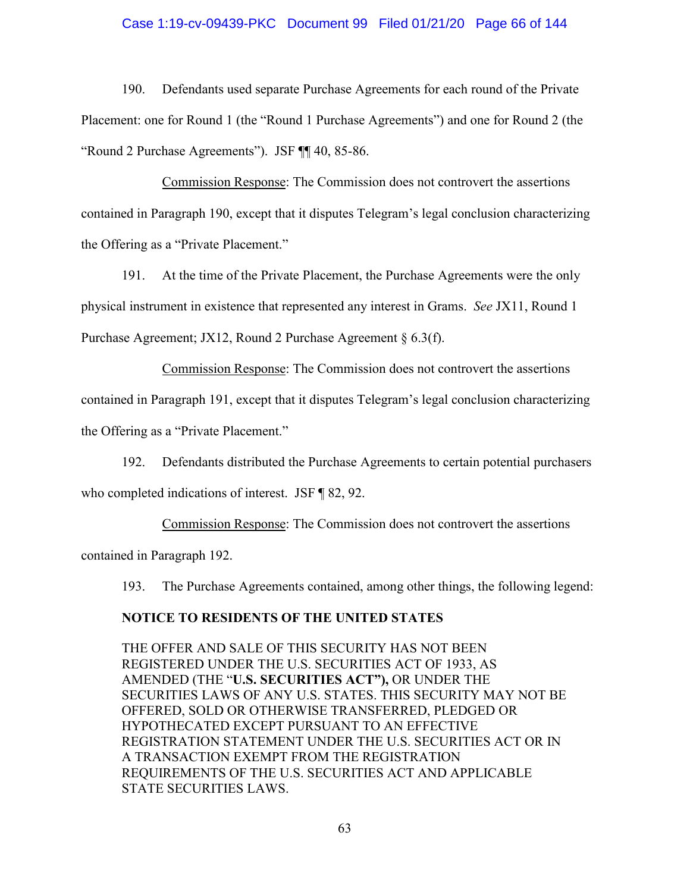## Case 1:19-cv-09439-PKC Document 99 Filed 01/21/20 Page 66 of 144

190. Defendants used separate Purchase Agreements for each round of the Private Placement: one for Round 1 (the "Round 1 Purchase Agreements") and one for Round 2 (the "Round 2 Purchase Agreements"). JSF ¶¶ 40, 85-86.

Commission Response: The Commission does not controvert the assertions contained in Paragraph 190, except that it disputes Telegram's legal conclusion characterizing the Offering as a "Private Placement."

191. At the time of the Private Placement, the Purchase Agreements were the only physical instrument in existence that represented any interest in Grams. *See* JX11, Round 1 Purchase Agreement; JX12, Round 2 Purchase Agreement § 6.3(f).

Commission Response: The Commission does not controvert the assertions contained in Paragraph 191, except that it disputes Telegram's legal conclusion characterizing the Offering as a "Private Placement."

192. Defendants distributed the Purchase Agreements to certain potential purchasers who completed indications of interest. JSF ¶ 82, 92.

Commission Response: The Commission does not controvert the assertions contained in Paragraph 192.

193. The Purchase Agreements contained, among other things, the following legend:

## **NOTICE TO RESIDENTS OF THE UNITED STATES**

THE OFFER AND SALE OF THIS SECURITY HAS NOT BEEN REGISTERED UNDER THE U.S. SECURITIES ACT OF 1933, AS AMENDED (THE "**U.S. SECURITIES ACT"),** OR UNDER THE SECURITIES LAWS OF ANY U.S. STATES. THIS SECURITY MAY NOT BE OFFERED, SOLD OR OTHERWISE TRANSFERRED, PLEDGED OR HYPOTHECATED EXCEPT PURSUANT TO AN EFFECTIVE REGISTRATION STATEMENT UNDER THE U.S. SECURITIES ACT OR IN A TRANSACTION EXEMPT FROM THE REGISTRATION REQUIREMENTS OF THE U.S. SECURITIES ACT AND APPLICABLE STATE SECURITIES LAWS.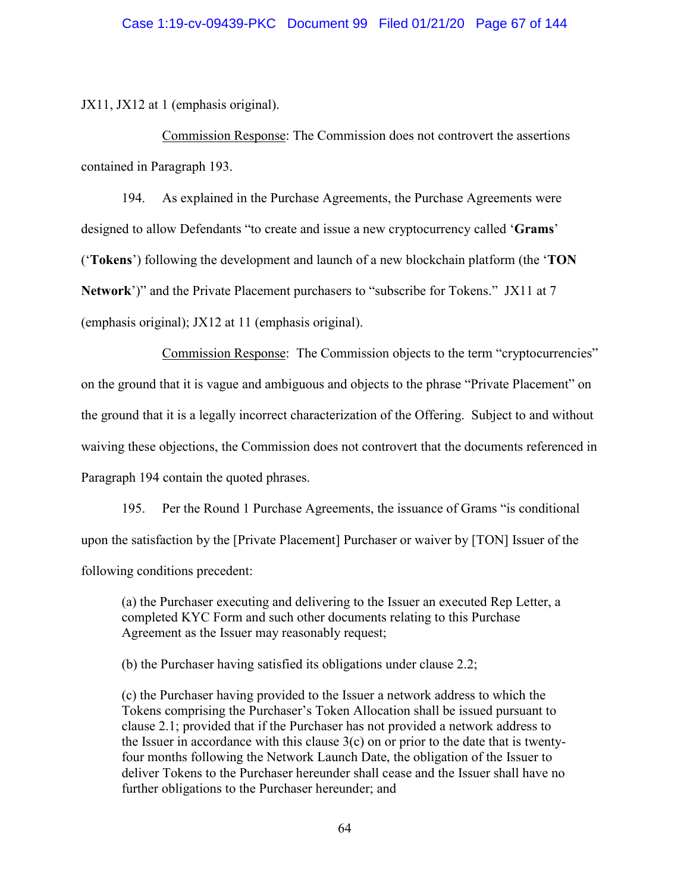JX11, JX12 at 1 (emphasis original).

Commission Response: The Commission does not controvert the assertions contained in Paragraph 193.

194. As explained in the Purchase Agreements, the Purchase Agreements were designed to allow Defendants "to create and issue a new cryptocurrency called '**Grams**' ('**Tokens**') following the development and launch of a new blockchain platform (the '**TON Network**')" and the Private Placement purchasers to "subscribe for Tokens." JX11 at 7 (emphasis original); JX12 at 11 (emphasis original).

Commission Response: The Commission objects to the term "cryptocurrencies" on the ground that it is vague and ambiguous and objects to the phrase "Private Placement" on the ground that it is a legally incorrect characterization of the Offering. Subject to and without waiving these objections, the Commission does not controvert that the documents referenced in Paragraph 194 contain the quoted phrases.

195. Per the Round 1 Purchase Agreements, the issuance of Grams "is conditional upon the satisfaction by the [Private Placement] Purchaser or waiver by [TON] Issuer of the following conditions precedent:

(a) the Purchaser executing and delivering to the Issuer an executed Rep Letter, a completed KYC Form and such other documents relating to this Purchase Agreement as the Issuer may reasonably request;

(b) the Purchaser having satisfied its obligations under clause 2.2;

(c) the Purchaser having provided to the Issuer a network address to which the Tokens comprising the Purchaser's Token Allocation shall be issued pursuant to clause 2.1; provided that if the Purchaser has not provided a network address to the Issuer in accordance with this clause  $3(c)$  on or prior to the date that is twentyfour months following the Network Launch Date, the obligation of the Issuer to deliver Tokens to the Purchaser hereunder shall cease and the Issuer shall have no further obligations to the Purchaser hereunder; and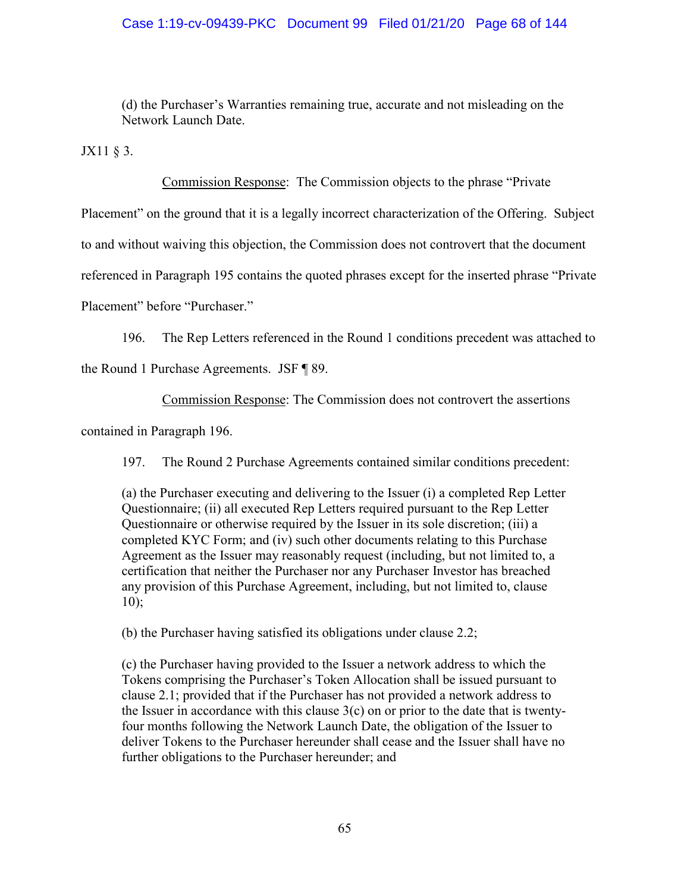## Case 1:19-cv-09439-PKC Document 99 Filed 01/21/20 Page 68 of 144

(d) the Purchaser's Warranties remaining true, accurate and not misleading on the Network Launch Date.

JX11 § 3.

Commission Response: The Commission objects to the phrase "Private

Placement" on the ground that it is a legally incorrect characterization of the Offering. Subject

to and without waiving this objection, the Commission does not controvert that the document

referenced in Paragraph 195 contains the quoted phrases except for the inserted phrase "Private

Placement" before "Purchaser."

196. The Rep Letters referenced in the Round 1 conditions precedent was attached to

the Round 1 Purchase Agreements. JSF ¶ 89.

Commission Response: The Commission does not controvert the assertions

contained in Paragraph 196.

197. The Round 2 Purchase Agreements contained similar conditions precedent:

(a) the Purchaser executing and delivering to the Issuer (i) a completed Rep Letter Questionnaire; (ii) all executed Rep Letters required pursuant to the Rep Letter Questionnaire or otherwise required by the Issuer in its sole discretion; (iii) a completed KYC Form; and (iv) such other documents relating to this Purchase Agreement as the Issuer may reasonably request (including, but not limited to, a certification that neither the Purchaser nor any Purchaser Investor has breached any provision of this Purchase Agreement, including, but not limited to, clause 10);

(b) the Purchaser having satisfied its obligations under clause 2.2;

(c) the Purchaser having provided to the Issuer a network address to which the Tokens comprising the Purchaser's Token Allocation shall be issued pursuant to clause 2.1; provided that if the Purchaser has not provided a network address to the Issuer in accordance with this clause  $3(c)$  on or prior to the date that is twentyfour months following the Network Launch Date, the obligation of the Issuer to deliver Tokens to the Purchaser hereunder shall cease and the Issuer shall have no further obligations to the Purchaser hereunder; and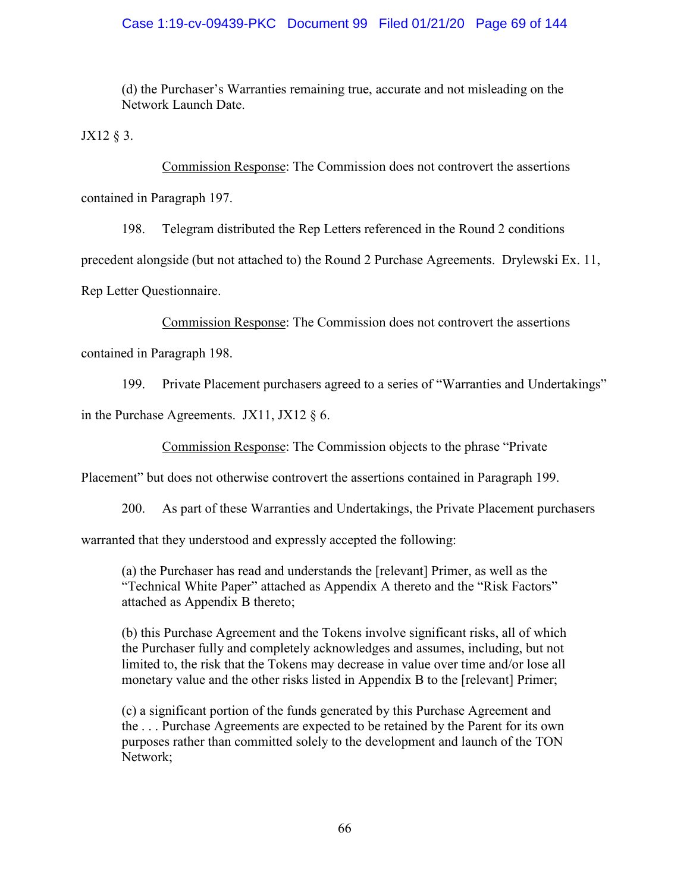## Case 1:19-cv-09439-PKC Document 99 Filed 01/21/20 Page 69 of 144

(d) the Purchaser's Warranties remaining true, accurate and not misleading on the Network Launch Date.

JX12 § 3.

Commission Response: The Commission does not controvert the assertions

contained in Paragraph 197.

198. Telegram distributed the Rep Letters referenced in the Round 2 conditions

precedent alongside (but not attached to) the Round 2 Purchase Agreements. Drylewski Ex. 11,

Rep Letter Questionnaire.

Commission Response: The Commission does not controvert the assertions

contained in Paragraph 198.

199. Private Placement purchasers agreed to a series of "Warranties and Undertakings"

in the Purchase Agreements. JX11, JX12  $\S$  6.

Commission Response: The Commission objects to the phrase "Private

Placement" but does not otherwise controvert the assertions contained in Paragraph 199.

200. As part of these Warranties and Undertakings, the Private Placement purchasers

warranted that they understood and expressly accepted the following:

(a) the Purchaser has read and understands the [relevant] Primer, as well as the "Technical White Paper" attached as Appendix A thereto and the "Risk Factors" attached as Appendix B thereto;

(b) this Purchase Agreement and the Tokens involve significant risks, all of which the Purchaser fully and completely acknowledges and assumes, including, but not limited to, the risk that the Tokens may decrease in value over time and/or lose all monetary value and the other risks listed in Appendix B to the [relevant] Primer;

(c) a significant portion of the funds generated by this Purchase Agreement and the . . . Purchase Agreements are expected to be retained by the Parent for its own purposes rather than committed solely to the development and launch of the TON Network;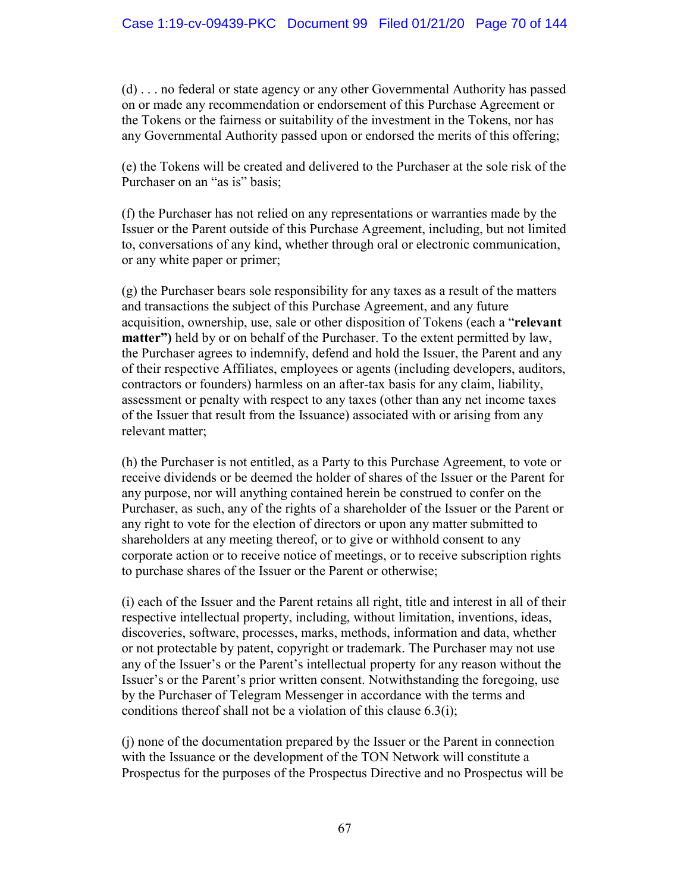(d) . . . no federal or state agency or any other Governmental Authority has passed on or made any recommendation or endorsement of this Purchase Agreement or the Tokens or the fairness or suitability of the investment in the Tokens, nor has any Governmental Authority passed upon or endorsed the merits of this offering;

(e) the Tokens will be created and delivered to the Purchaser at the sole risk of the Purchaser on an "as is" basis;

(f) the Purchaser has not relied on any representations or warranties made by the Issuer or the Parent outside of this Purchase Agreement, including, but not limited to, conversations of any kind, whether through oral or electronic communication, or any white paper or primer;

(g) the Purchaser bears sole responsibility for any taxes as a result of the matters and transactions the subject of this Purchase Agreement, and any future acquisition, ownership, use, sale or other disposition of Tokens (each a "**relevant matter")** held by or on behalf of the Purchaser. To the extent permitted by law, the Purchaser agrees to indemnify, defend and hold the Issuer, the Parent and any of their respective Affiliates, employees or agents (including developers, auditors, contractors or founders) harmless on an after-tax basis for any claim, liability, assessment or penalty with respect to any taxes (other than any net income taxes of the Issuer that result from the Issuance) associated with or arising from any relevant matter;

(h) the Purchaser is not entitled, as a Party to this Purchase Agreement, to vote or receive dividends or be deemed the holder of shares of the Issuer or the Parent for any purpose, nor will anything contained herein be construed to confer on the Purchaser, as such, any of the rights of a shareholder of the Issuer or the Parent or any right to vote for the election of directors or upon any matter submitted to shareholders at any meeting thereof, or to give or withhold consent to any corporate action or to receive notice of meetings, or to receive subscription rights to purchase shares of the Issuer or the Parent or otherwise;

(i) each of the Issuer and the Parent retains all right, title and interest in all of their respective intellectual property, including, without limitation, inventions, ideas, discoveries, software, processes, marks, methods, information and data, whether or not protectable by patent, copyright or trademark. The Purchaser may not use any of the Issuer's or the Parent's intellectual property for any reason without the Issuer's or the Parent's prior written consent. Notwithstanding the foregoing, use by the Purchaser of Telegram Messenger in accordance with the terms and conditions thereof shall not be a violation of this clause 6.3(i);

(j) none of the documentation prepared by the Issuer or the Parent in connection with the Issuance or the development of the TON Network will constitute a Prospectus for the purposes of the Prospectus Directive and no Prospectus will be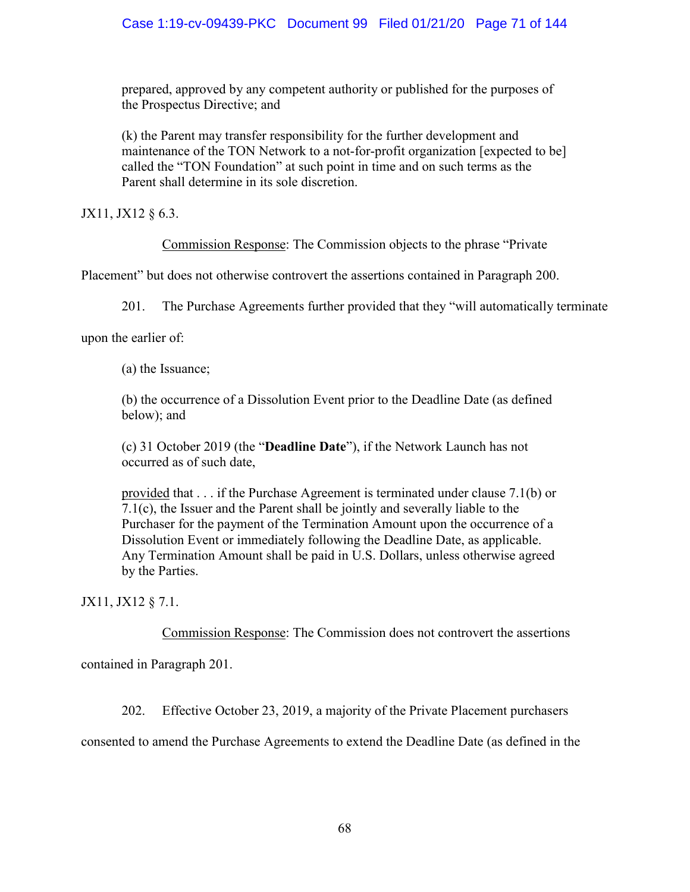prepared, approved by any competent authority or published for the purposes of the Prospectus Directive; and

(k) the Parent may transfer responsibility for the further development and maintenance of the TON Network to a not-for-profit organization [expected to be] called the "TON Foundation" at such point in time and on such terms as the Parent shall determine in its sole discretion.

JX11, JX12 § 6.3.

Commission Response: The Commission objects to the phrase "Private

Placement" but does not otherwise controvert the assertions contained in Paragraph 200.

201. The Purchase Agreements further provided that they "will automatically terminate

upon the earlier of:

(a) the Issuance;

(b) the occurrence of a Dissolution Event prior to the Deadline Date (as defined below); and

(c) 31 October 2019 (the "**Deadline Date**"), if the Network Launch has not occurred as of such date,

provided that . . . if the Purchase Agreement is terminated under clause 7.1(b) or 7.1(c), the Issuer and the Parent shall be jointly and severally liable to the Purchaser for the payment of the Termination Amount upon the occurrence of a Dissolution Event or immediately following the Deadline Date, as applicable. Any Termination Amount shall be paid in U.S. Dollars, unless otherwise agreed by the Parties.

JX11, JX12 § 7.1.

Commission Response: The Commission does not controvert the assertions

contained in Paragraph 201.

202. Effective October 23, 2019, a majority of the Private Placement purchasers

consented to amend the Purchase Agreements to extend the Deadline Date (as defined in the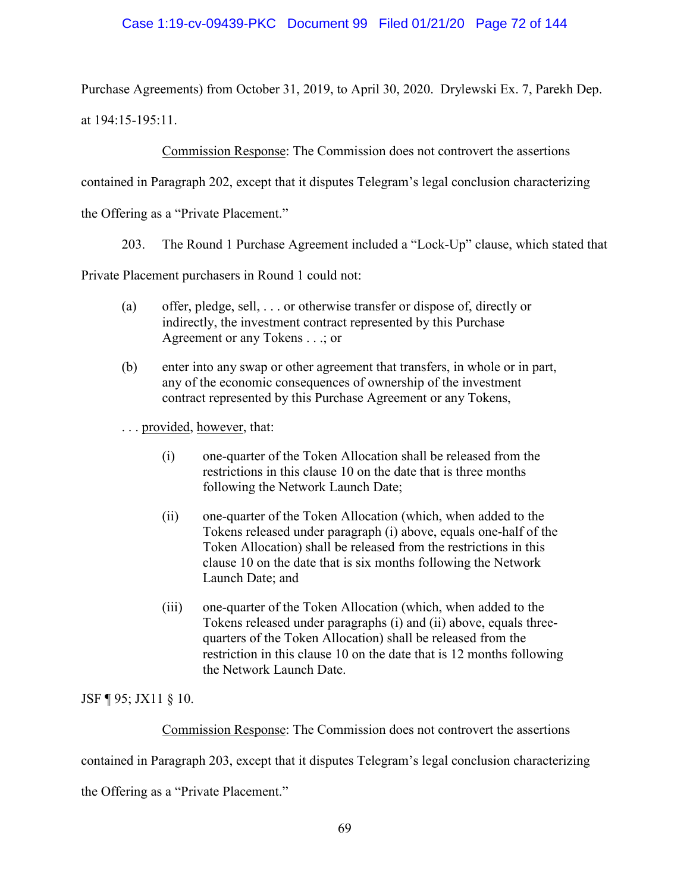## Case 1:19-cv-09439-PKC Document 99 Filed 01/21/20 Page 72 of 144

Purchase Agreements) from October 31, 2019, to April 30, 2020. Drylewski Ex. 7, Parekh Dep. at 194:15-195:11.

Commission Response: The Commission does not controvert the assertions

contained in Paragraph 202, except that it disputes Telegram's legal conclusion characterizing

the Offering as a "Private Placement."

203. The Round 1 Purchase Agreement included a "Lock-Up" clause, which stated that

Private Placement purchasers in Round 1 could not:

- (a) offer, pledge, sell, . . . or otherwise transfer or dispose of, directly or indirectly, the investment contract represented by this Purchase Agreement or any Tokens . . .; or
- (b) enter into any swap or other agreement that transfers, in whole or in part, any of the economic consequences of ownership of the investment contract represented by this Purchase Agreement or any Tokens,

... provided, however, that:

- (i) one-quarter of the Token Allocation shall be released from the restrictions in this clause 10 on the date that is three months following the Network Launch Date;
- (ii) one-quarter of the Token Allocation (which, when added to the Tokens released under paragraph (i) above, equals one-half of the Token Allocation) shall be released from the restrictions in this clause 10 on the date that is six months following the Network Launch Date; and
- (iii) one-quarter of the Token Allocation (which, when added to the Tokens released under paragraphs (i) and (ii) above, equals threequarters of the Token Allocation) shall be released from the restriction in this clause 10 on the date that is 12 months following the Network Launch Date.

JSF ¶ 95; JX11 § 10.

Commission Response: The Commission does not controvert the assertions

contained in Paragraph 203, except that it disputes Telegram's legal conclusion characterizing

the Offering as a "Private Placement."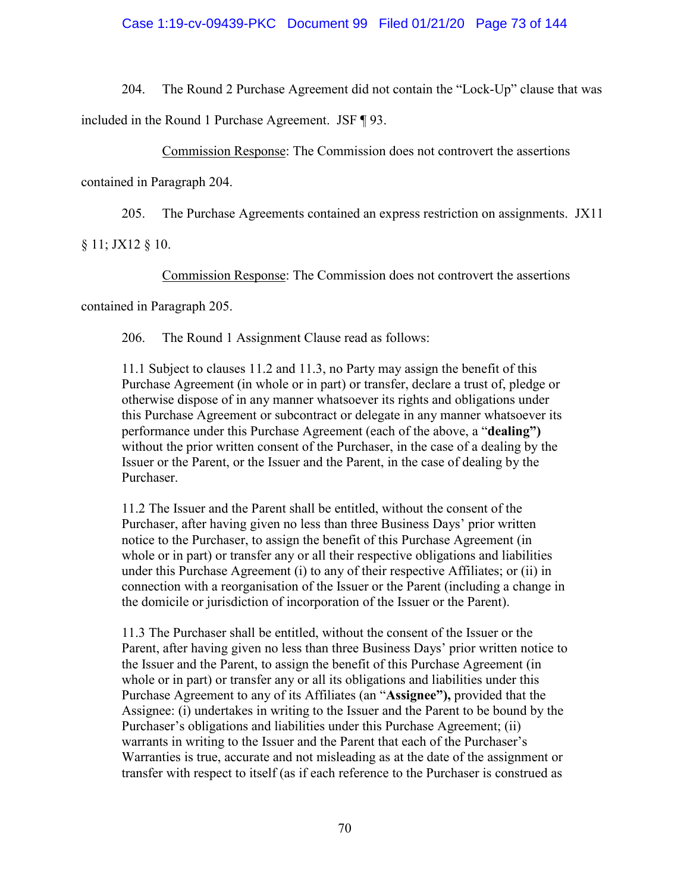### Case 1:19-cv-09439-PKC Document 99 Filed 01/21/20 Page 73 of 144

204. The Round 2 Purchase Agreement did not contain the "Lock-Up" clause that was

included in the Round 1 Purchase Agreement. JSF ¶ 93.

Commission Response: The Commission does not controvert the assertions

contained in Paragraph 204.

205. The Purchase Agreements contained an express restriction on assignments. JX11

§ 11; JX12 § 10.

Commission Response: The Commission does not controvert the assertions

contained in Paragraph 205.

206. The Round 1 Assignment Clause read as follows:

11.1 Subject to clauses 11.2 and 11.3, no Party may assign the benefit of this Purchase Agreement (in whole or in part) or transfer, declare a trust of, pledge or otherwise dispose of in any manner whatsoever its rights and obligations under this Purchase Agreement or subcontract or delegate in any manner whatsoever its performance under this Purchase Agreement (each of the above, a "**dealing")**  without the prior written consent of the Purchaser, in the case of a dealing by the Issuer or the Parent, or the Issuer and the Parent, in the case of dealing by the Purchaser.

11.2 The Issuer and the Parent shall be entitled, without the consent of the Purchaser, after having given no less than three Business Days' prior written notice to the Purchaser, to assign the benefit of this Purchase Agreement (in whole or in part) or transfer any or all their respective obligations and liabilities under this Purchase Agreement (i) to any of their respective Affiliates; or (ii) in connection with a reorganisation of the Issuer or the Parent (including a change in the domicile or jurisdiction of incorporation of the Issuer or the Parent).

11.3 The Purchaser shall be entitled, without the consent of the Issuer or the Parent, after having given no less than three Business Days' prior written notice to the Issuer and the Parent, to assign the benefit of this Purchase Agreement (in whole or in part) or transfer any or all its obligations and liabilities under this Purchase Agreement to any of its Affiliates (an "**Assignee"),** provided that the Assignee: (i) undertakes in writing to the Issuer and the Parent to be bound by the Purchaser's obligations and liabilities under this Purchase Agreement; (ii) warrants in writing to the Issuer and the Parent that each of the Purchaser's Warranties is true, accurate and not misleading as at the date of the assignment or transfer with respect to itself (as if each reference to the Purchaser is construed as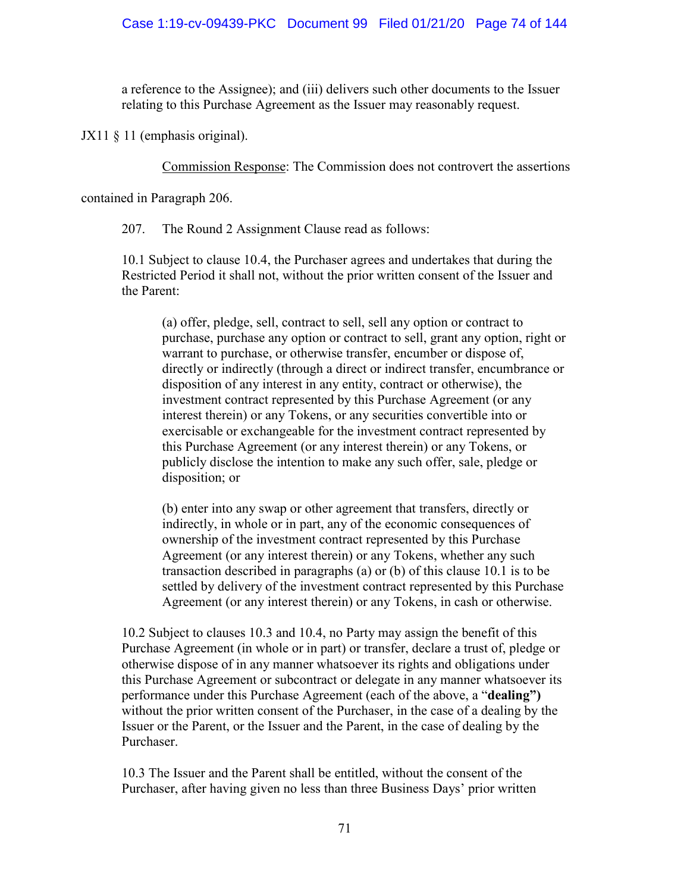a reference to the Assignee); and (iii) delivers such other documents to the Issuer relating to this Purchase Agreement as the Issuer may reasonably request.

JX11 § 11 (emphasis original).

Commission Response: The Commission does not controvert the assertions

contained in Paragraph 206.

207. The Round 2 Assignment Clause read as follows:

10.1 Subject to clause 10.4, the Purchaser agrees and undertakes that during the Restricted Period it shall not, without the prior written consent of the Issuer and the Parent:

(a) offer, pledge, sell, contract to sell, sell any option or contract to purchase, purchase any option or contract to sell, grant any option, right or warrant to purchase, or otherwise transfer, encumber or dispose of, directly or indirectly (through a direct or indirect transfer, encumbrance or disposition of any interest in any entity, contract or otherwise), the investment contract represented by this Purchase Agreement (or any interest therein) or any Tokens, or any securities convertible into or exercisable or exchangeable for the investment contract represented by this Purchase Agreement (or any interest therein) or any Tokens, or publicly disclose the intention to make any such offer, sale, pledge or disposition; or

(b) enter into any swap or other agreement that transfers, directly or indirectly, in whole or in part, any of the economic consequences of ownership of the investment contract represented by this Purchase Agreement (or any interest therein) or any Tokens, whether any such transaction described in paragraphs (a) or (b) of this clause 10.1 is to be settled by delivery of the investment contract represented by this Purchase Agreement (or any interest therein) or any Tokens, in cash or otherwise.

10.2 Subject to clauses 10.3 and 10.4, no Party may assign the benefit of this Purchase Agreement (in whole or in part) or transfer, declare a trust of, pledge or otherwise dispose of in any manner whatsoever its rights and obligations under this Purchase Agreement or subcontract or delegate in any manner whatsoever its performance under this Purchase Agreement (each of the above, a "**dealing")**  without the prior written consent of the Purchaser, in the case of a dealing by the Issuer or the Parent, or the Issuer and the Parent, in the case of dealing by the Purchaser.

10.3 The Issuer and the Parent shall be entitled, without the consent of the Purchaser, after having given no less than three Business Days' prior written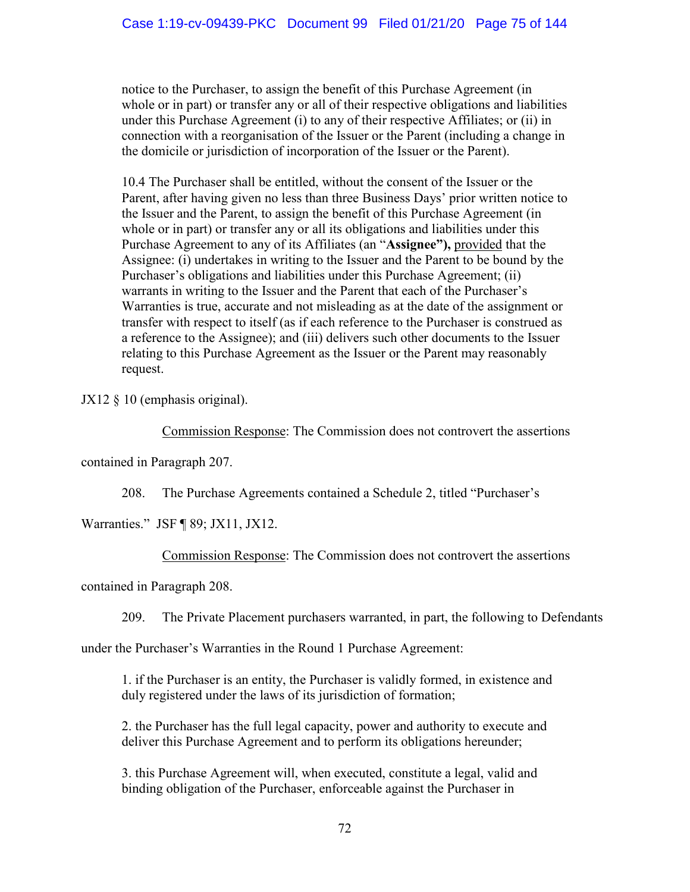notice to the Purchaser, to assign the benefit of this Purchase Agreement (in whole or in part) or transfer any or all of their respective obligations and liabilities under this Purchase Agreement (i) to any of their respective Affiliates; or (ii) in connection with a reorganisation of the Issuer or the Parent (including a change in the domicile or jurisdiction of incorporation of the Issuer or the Parent).

10.4 The Purchaser shall be entitled, without the consent of the Issuer or the Parent, after having given no less than three Business Days' prior written notice to the Issuer and the Parent, to assign the benefit of this Purchase Agreement (in whole or in part) or transfer any or all its obligations and liabilities under this Purchase Agreement to any of its Affiliates (an "**Assignee"),** provided that the Assignee: (i) undertakes in writing to the Issuer and the Parent to be bound by the Purchaser's obligations and liabilities under this Purchase Agreement; (ii) warrants in writing to the Issuer and the Parent that each of the Purchaser's Warranties is true, accurate and not misleading as at the date of the assignment or transfer with respect to itself (as if each reference to the Purchaser is construed as a reference to the Assignee); and (iii) delivers such other documents to the Issuer relating to this Purchase Agreement as the Issuer or the Parent may reasonably request.

JX12 § 10 (emphasis original).

Commission Response: The Commission does not controvert the assertions

contained in Paragraph 207.

208. The Purchase Agreements contained a Schedule 2, titled "Purchaser's

Warranties." JSF ¶ 89; JX11, JX12.

Commission Response: The Commission does not controvert the assertions

contained in Paragraph 208.

209. The Private Placement purchasers warranted, in part, the following to Defendants

under the Purchaser's Warranties in the Round 1 Purchase Agreement:

1. if the Purchaser is an entity, the Purchaser is validly formed, in existence and duly registered under the laws of its jurisdiction of formation;

2. the Purchaser has the full legal capacity, power and authority to execute and deliver this Purchase Agreement and to perform its obligations hereunder;

3. this Purchase Agreement will, when executed, constitute a legal, valid and binding obligation of the Purchaser, enforceable against the Purchaser in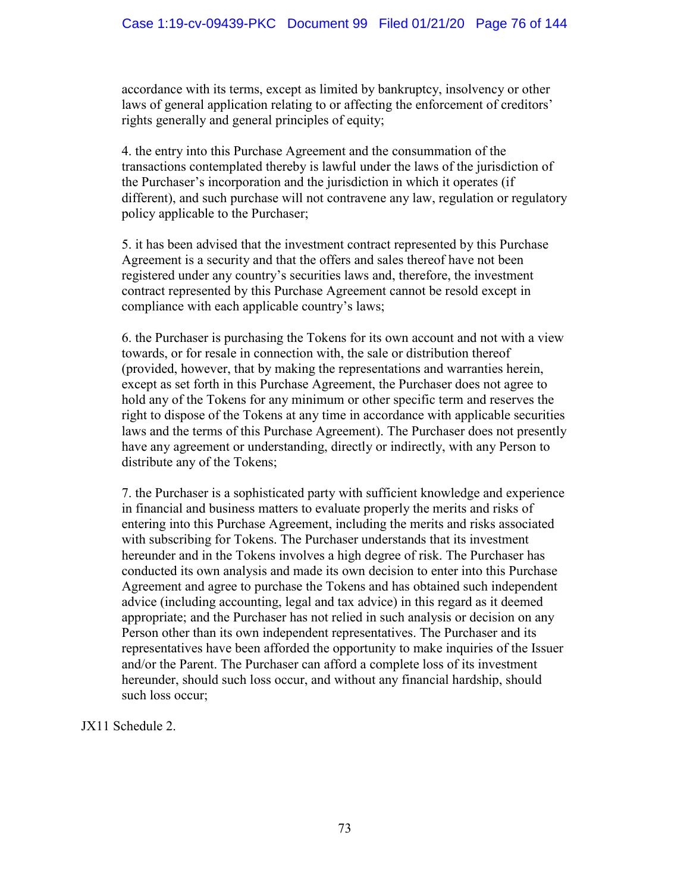accordance with its terms, except as limited by bankruptcy, insolvency or other laws of general application relating to or affecting the enforcement of creditors' rights generally and general principles of equity;

4. the entry into this Purchase Agreement and the consummation of the transactions contemplated thereby is lawful under the laws of the jurisdiction of the Purchaser's incorporation and the jurisdiction in which it operates (if different), and such purchase will not contravene any law, regulation or regulatory policy applicable to the Purchaser;

5. it has been advised that the investment contract represented by this Purchase Agreement is a security and that the offers and sales thereof have not been registered under any country's securities laws and, therefore, the investment contract represented by this Purchase Agreement cannot be resold except in compliance with each applicable country's laws;

6. the Purchaser is purchasing the Tokens for its own account and not with a view towards, or for resale in connection with, the sale or distribution thereof (provided, however, that by making the representations and warranties herein, except as set forth in this Purchase Agreement, the Purchaser does not agree to hold any of the Tokens for any minimum or other specific term and reserves the right to dispose of the Tokens at any time in accordance with applicable securities laws and the terms of this Purchase Agreement). The Purchaser does not presently have any agreement or understanding, directly or indirectly, with any Person to distribute any of the Tokens;

7. the Purchaser is a sophisticated party with sufficient knowledge and experience in financial and business matters to evaluate properly the merits and risks of entering into this Purchase Agreement, including the merits and risks associated with subscribing for Tokens. The Purchaser understands that its investment hereunder and in the Tokens involves a high degree of risk. The Purchaser has conducted its own analysis and made its own decision to enter into this Purchase Agreement and agree to purchase the Tokens and has obtained such independent advice (including accounting, legal and tax advice) in this regard as it deemed appropriate; and the Purchaser has not relied in such analysis or decision on any Person other than its own independent representatives. The Purchaser and its representatives have been afforded the opportunity to make inquiries of the Issuer and/or the Parent. The Purchaser can afford a complete loss of its investment hereunder, should such loss occur, and without any financial hardship, should such loss occur;

JX11 Schedule 2.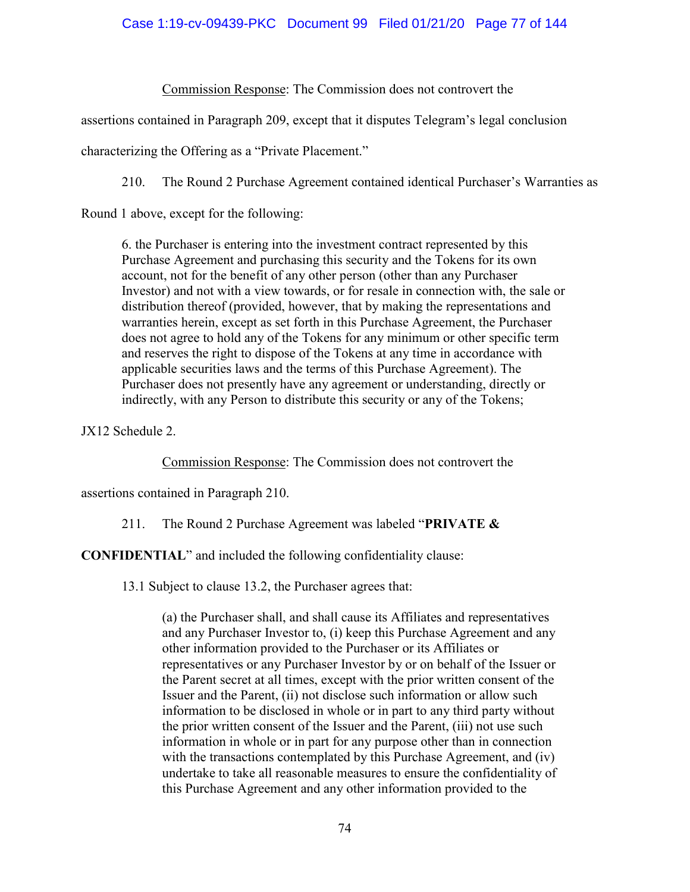## Case 1:19-cv-09439-PKC Document 99 Filed 01/21/20 Page 77 of 144

Commission Response: The Commission does not controvert the

assertions contained in Paragraph 209, except that it disputes Telegram's legal conclusion

characterizing the Offering as a "Private Placement."

210. The Round 2 Purchase Agreement contained identical Purchaser's Warranties as

Round 1 above, except for the following:

6. the Purchaser is entering into the investment contract represented by this Purchase Agreement and purchasing this security and the Tokens for its own account, not for the benefit of any other person (other than any Purchaser Investor) and not with a view towards, or for resale in connection with, the sale or distribution thereof (provided, however, that by making the representations and warranties herein, except as set forth in this Purchase Agreement, the Purchaser does not agree to hold any of the Tokens for any minimum or other specific term and reserves the right to dispose of the Tokens at any time in accordance with applicable securities laws and the terms of this Purchase Agreement). The Purchaser does not presently have any agreement or understanding, directly or indirectly, with any Person to distribute this security or any of the Tokens;

JX12 Schedule 2.

Commission Response: The Commission does not controvert the

assertions contained in Paragraph 210.

211. The Round 2 Purchase Agreement was labeled "**PRIVATE &** 

**CONFIDENTIAL**" and included the following confidentiality clause:

13.1 Subject to clause 13.2, the Purchaser agrees that:

(a) the Purchaser shall, and shall cause its Affiliates and representatives and any Purchaser Investor to, (i) keep this Purchase Agreement and any other information provided to the Purchaser or its Affiliates or representatives or any Purchaser Investor by or on behalf of the Issuer or the Parent secret at all times, except with the prior written consent of the Issuer and the Parent, (ii) not disclose such information or allow such information to be disclosed in whole or in part to any third party without the prior written consent of the Issuer and the Parent, (iii) not use such information in whole or in part for any purpose other than in connection with the transactions contemplated by this Purchase Agreement, and *(iv)* undertake to take all reasonable measures to ensure the confidentiality of this Purchase Agreement and any other information provided to the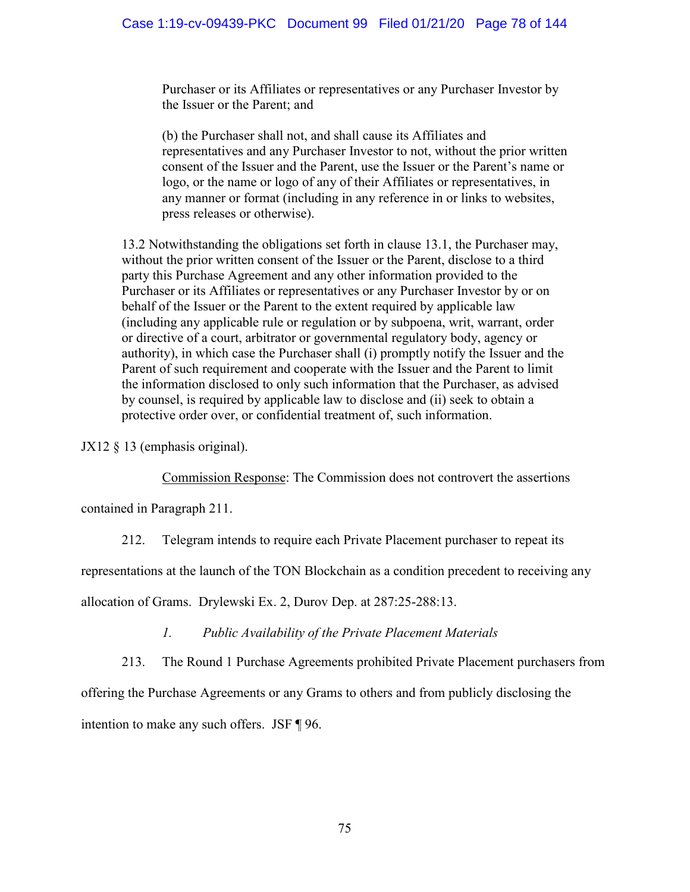Purchaser or its Affiliates or representatives or any Purchaser Investor by the Issuer or the Parent; and

(b) the Purchaser shall not, and shall cause its Affiliates and representatives and any Purchaser Investor to not, without the prior written consent of the Issuer and the Parent, use the Issuer or the Parent's name or logo, or the name or logo of any of their Affiliates or representatives, in any manner or format (including in any reference in or links to websites, press releases or otherwise).

13.2 Notwithstanding the obligations set forth in clause 13.1, the Purchaser may, without the prior written consent of the Issuer or the Parent, disclose to a third party this Purchase Agreement and any other information provided to the Purchaser or its Affiliates or representatives or any Purchaser Investor by or on behalf of the Issuer or the Parent to the extent required by applicable law (including any applicable rule or regulation or by subpoena, writ, warrant, order or directive of a court, arbitrator or governmental regulatory body, agency or authority), in which case the Purchaser shall (i) promptly notify the Issuer and the Parent of such requirement and cooperate with the Issuer and the Parent to limit the information disclosed to only such information that the Purchaser, as advised by counsel, is required by applicable law to disclose and (ii) seek to obtain a protective order over, or confidential treatment of, such information.

JX12 § 13 (emphasis original).

Commission Response: The Commission does not controvert the assertions

contained in Paragraph 211.

212. Telegram intends to require each Private Placement purchaser to repeat its

representations at the launch of the TON Blockchain as a condition precedent to receiving any

allocation of Grams. Drylewski Ex. 2, Durov Dep. at 287:25-288:13.

*1. Public Availability of the Private Placement Materials*

213. The Round 1 Purchase Agreements prohibited Private Placement purchasers from

offering the Purchase Agreements or any Grams to others and from publicly disclosing the

intention to make any such offers. JSF ¶ 96.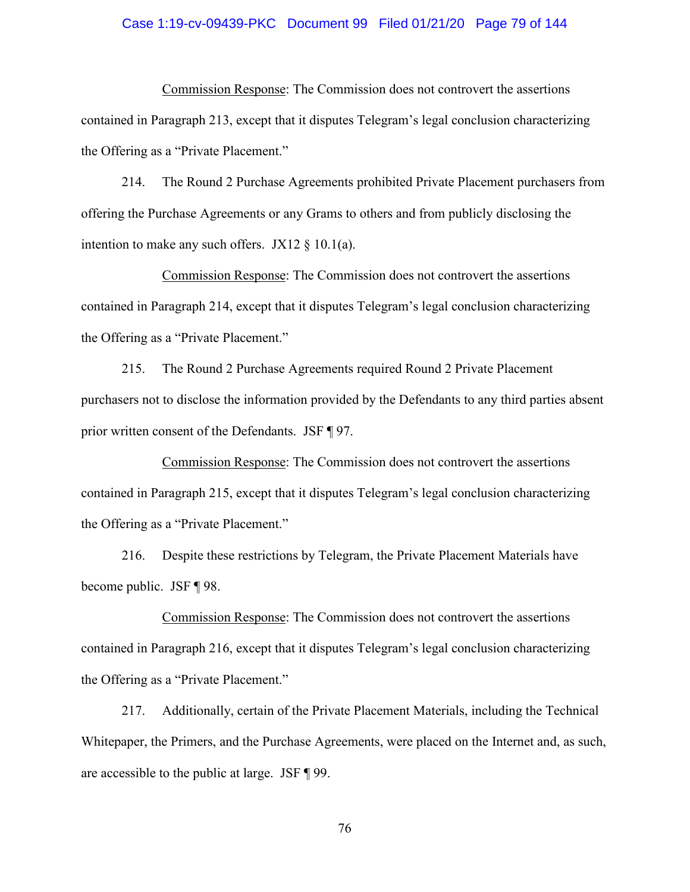#### Case 1:19-cv-09439-PKC Document 99 Filed 01/21/20 Page 79 of 144

Commission Response: The Commission does not controvert the assertions contained in Paragraph 213, except that it disputes Telegram's legal conclusion characterizing the Offering as a "Private Placement."

214. The Round 2 Purchase Agreements prohibited Private Placement purchasers from offering the Purchase Agreements or any Grams to others and from publicly disclosing the intention to make any such offers. JX12  $\S$  10.1(a).

Commission Response: The Commission does not controvert the assertions contained in Paragraph 214, except that it disputes Telegram's legal conclusion characterizing the Offering as a "Private Placement."

215. The Round 2 Purchase Agreements required Round 2 Private Placement purchasers not to disclose the information provided by the Defendants to any third parties absent prior written consent of the Defendants. JSF ¶ 97.

Commission Response: The Commission does not controvert the assertions contained in Paragraph 215, except that it disputes Telegram's legal conclusion characterizing the Offering as a "Private Placement."

216. Despite these restrictions by Telegram, the Private Placement Materials have become public. JSF ¶ 98.

Commission Response: The Commission does not controvert the assertions contained in Paragraph 216, except that it disputes Telegram's legal conclusion characterizing the Offering as a "Private Placement."

217. Additionally, certain of the Private Placement Materials, including the Technical Whitepaper, the Primers, and the Purchase Agreements, were placed on the Internet and, as such, are accessible to the public at large. JSF ¶ 99.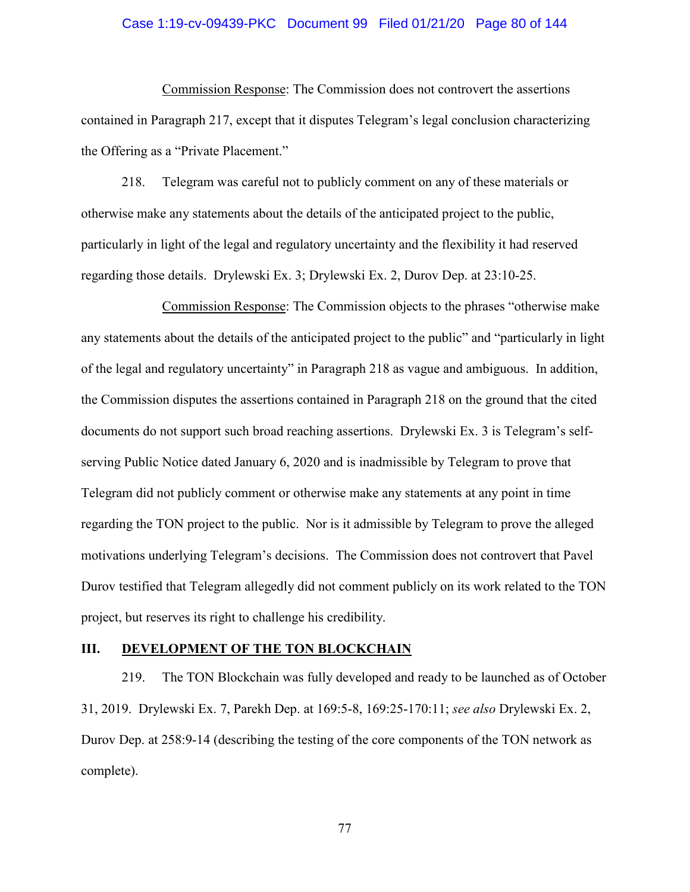#### Case 1:19-cv-09439-PKC Document 99 Filed 01/21/20 Page 80 of 144

Commission Response: The Commission does not controvert the assertions contained in Paragraph 217, except that it disputes Telegram's legal conclusion characterizing the Offering as a "Private Placement."

218. Telegram was careful not to publicly comment on any of these materials or otherwise make any statements about the details of the anticipated project to the public, particularly in light of the legal and regulatory uncertainty and the flexibility it had reserved regarding those details. Drylewski Ex. 3; Drylewski Ex. 2, Durov Dep. at 23:10-25.

Commission Response: The Commission objects to the phrases "otherwise make any statements about the details of the anticipated project to the public" and "particularly in light of the legal and regulatory uncertainty" in Paragraph 218 as vague and ambiguous. In addition, the Commission disputes the assertions contained in Paragraph 218 on the ground that the cited documents do not support such broad reaching assertions. Drylewski Ex. 3 is Telegram's selfserving Public Notice dated January 6, 2020 and is inadmissible by Telegram to prove that Telegram did not publicly comment or otherwise make any statements at any point in time regarding the TON project to the public. Nor is it admissible by Telegram to prove the alleged motivations underlying Telegram's decisions. The Commission does not controvert that Pavel Durov testified that Telegram allegedly did not comment publicly on its work related to the TON project, but reserves its right to challenge his credibility.

#### **III. DEVELOPMENT OF THE TON BLOCKCHAIN**

219. The TON Blockchain was fully developed and ready to be launched as of October 31, 2019. Drylewski Ex. 7, Parekh Dep. at 169:5-8, 169:25-170:11; *see also* Drylewski Ex. 2, Durov Dep. at 258:9-14 (describing the testing of the core components of the TON network as complete).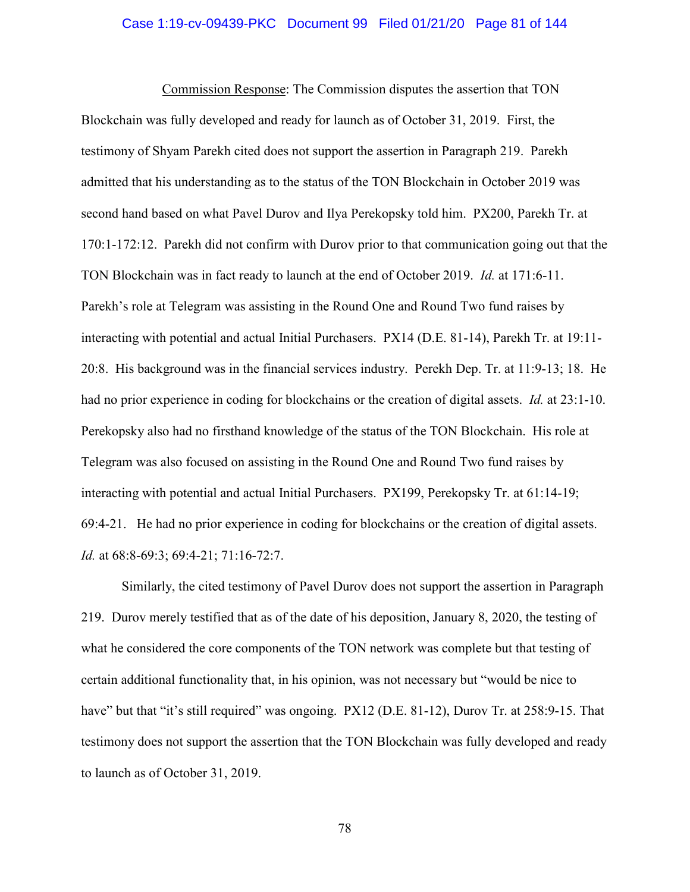#### Case 1:19-cv-09439-PKC Document 99 Filed 01/21/20 Page 81 of 144

Commission Response: The Commission disputes the assertion that TON Blockchain was fully developed and ready for launch as of October 31, 2019. First, the testimony of Shyam Parekh cited does not support the assertion in Paragraph 219. Parekh admitted that his understanding as to the status of the TON Blockchain in October 2019 was second hand based on what Pavel Durov and Ilya Perekopsky told him. PX200, Parekh Tr. at 170:1-172:12. Parekh did not confirm with Durov prior to that communication going out that the TON Blockchain was in fact ready to launch at the end of October 2019. *Id.* at 171:6-11. Parekh's role at Telegram was assisting in the Round One and Round Two fund raises by interacting with potential and actual Initial Purchasers. PX14 (D.E. 81-14), Parekh Tr. at 19:11- 20:8. His background was in the financial services industry. Perekh Dep. Tr. at 11:9-13; 18. He had no prior experience in coding for blockchains or the creation of digital assets. *Id.* at 23:1-10. Perekopsky also had no firsthand knowledge of the status of the TON Blockchain. His role at Telegram was also focused on assisting in the Round One and Round Two fund raises by interacting with potential and actual Initial Purchasers. PX199, Perekopsky Tr. at 61:14-19; 69:4-21. He had no prior experience in coding for blockchains or the creation of digital assets. *Id.* at 68:8-69:3; 69:4-21; 71:16-72:7.

Similarly, the cited testimony of Pavel Durov does not support the assertion in Paragraph 219. Durov merely testified that as of the date of his deposition, January 8, 2020, the testing of what he considered the core components of the TON network was complete but that testing of certain additional functionality that, in his opinion, was not necessary but "would be nice to have" but that "it's still required" was ongoing. PX12 (D.E. 81-12), Durov Tr. at 258:9-15. That testimony does not support the assertion that the TON Blockchain was fully developed and ready to launch as of October 31, 2019.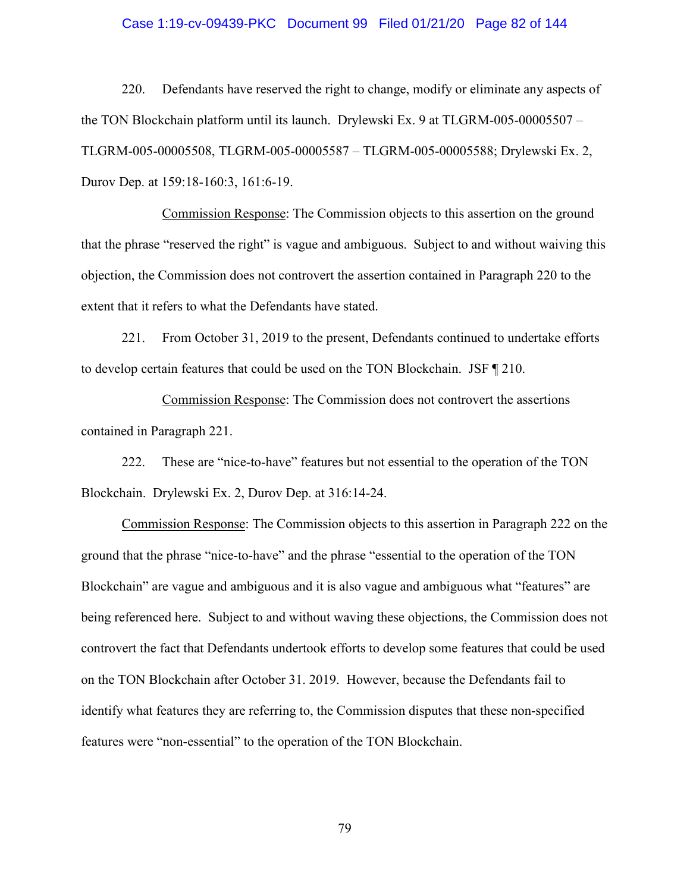#### Case 1:19-cv-09439-PKC Document 99 Filed 01/21/20 Page 82 of 144

220. Defendants have reserved the right to change, modify or eliminate any aspects of the TON Blockchain platform until its launch. Drylewski Ex. 9 at TLGRM-005-00005507 – TLGRM-005-00005508, TLGRM-005-00005587 – TLGRM-005-00005588; Drylewski Ex. 2, Durov Dep. at 159:18-160:3, 161:6-19.

Commission Response: The Commission objects to this assertion on the ground that the phrase "reserved the right" is vague and ambiguous. Subject to and without waiving this objection, the Commission does not controvert the assertion contained in Paragraph 220 to the extent that it refers to what the Defendants have stated.

221. From October 31, 2019 to the present, Defendants continued to undertake efforts to develop certain features that could be used on the TON Blockchain. JSF ¶ 210.

Commission Response: The Commission does not controvert the assertions contained in Paragraph 221.

222. These are "nice-to-have" features but not essential to the operation of the TON Blockchain. Drylewski Ex. 2, Durov Dep. at 316:14-24.

Commission Response: The Commission objects to this assertion in Paragraph 222 on the ground that the phrase "nice-to-have" and the phrase "essential to the operation of the TON Blockchain" are vague and ambiguous and it is also vague and ambiguous what "features" are being referenced here. Subject to and without waving these objections, the Commission does not controvert the fact that Defendants undertook efforts to develop some features that could be used on the TON Blockchain after October 31. 2019. However, because the Defendants fail to identify what features they are referring to, the Commission disputes that these non-specified features were "non-essential" to the operation of the TON Blockchain.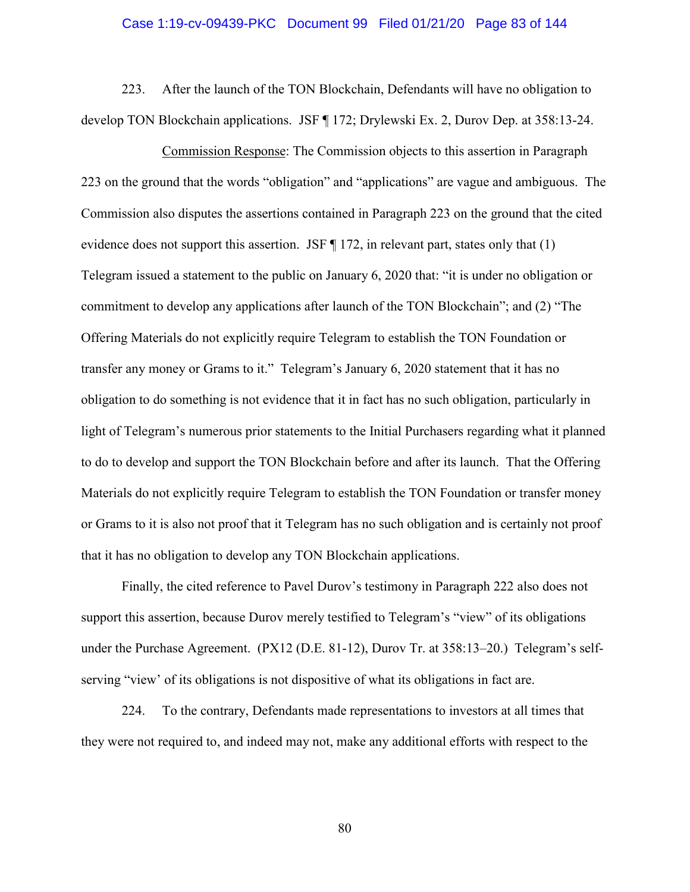#### Case 1:19-cv-09439-PKC Document 99 Filed 01/21/20 Page 83 of 144

223. After the launch of the TON Blockchain, Defendants will have no obligation to develop TON Blockchain applications. JSF ¶ 172; Drylewski Ex. 2, Durov Dep. at 358:13-24.

Commission Response: The Commission objects to this assertion in Paragraph 223 on the ground that the words "obligation" and "applications" are vague and ambiguous. The Commission also disputes the assertions contained in Paragraph 223 on the ground that the cited evidence does not support this assertion. JSF  $\P$  172, in relevant part, states only that (1) Telegram issued a statement to the public on January 6, 2020 that: "it is under no obligation or commitment to develop any applications after launch of the TON Blockchain"; and (2) "The Offering Materials do not explicitly require Telegram to establish the TON Foundation or transfer any money or Grams to it." Telegram's January 6, 2020 statement that it has no obligation to do something is not evidence that it in fact has no such obligation, particularly in light of Telegram's numerous prior statements to the Initial Purchasers regarding what it planned to do to develop and support the TON Blockchain before and after its launch. That the Offering Materials do not explicitly require Telegram to establish the TON Foundation or transfer money or Grams to it is also not proof that it Telegram has no such obligation and is certainly not proof that it has no obligation to develop any TON Blockchain applications.

Finally, the cited reference to Pavel Durov's testimony in Paragraph 222 also does not support this assertion, because Durov merely testified to Telegram's "view" of its obligations under the Purchase Agreement. (PX12 (D.E. 81-12), Durov Tr. at 358:13–20.) Telegram's selfserving "view' of its obligations is not dispositive of what its obligations in fact are.

224. To the contrary, Defendants made representations to investors at all times that they were not required to, and indeed may not, make any additional efforts with respect to the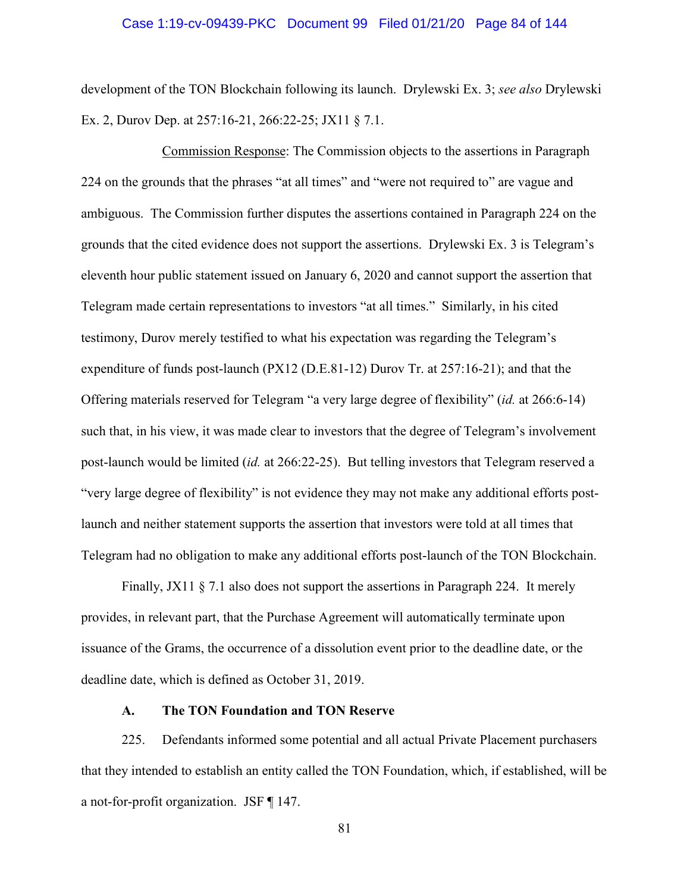#### Case 1:19-cv-09439-PKC Document 99 Filed 01/21/20 Page 84 of 144

development of the TON Blockchain following its launch. Drylewski Ex. 3; *see also* Drylewski Ex. 2, Durov Dep. at 257:16-21, 266:22-25; JX11 § 7.1.

Commission Response: The Commission objects to the assertions in Paragraph 224 on the grounds that the phrases "at all times" and "were not required to" are vague and ambiguous. The Commission further disputes the assertions contained in Paragraph 224 on the grounds that the cited evidence does not support the assertions. Drylewski Ex. 3 is Telegram's eleventh hour public statement issued on January 6, 2020 and cannot support the assertion that Telegram made certain representations to investors "at all times." Similarly, in his cited testimony, Durov merely testified to what his expectation was regarding the Telegram's expenditure of funds post-launch (PX12 (D.E.81-12) Durov Tr. at 257:16-21); and that the Offering materials reserved for Telegram "a very large degree of flexibility" (*id.* at 266:6-14) such that, in his view, it was made clear to investors that the degree of Telegram's involvement post-launch would be limited (*id.* at 266:22-25). But telling investors that Telegram reserved a "very large degree of flexibility" is not evidence they may not make any additional efforts postlaunch and neither statement supports the assertion that investors were told at all times that Telegram had no obligation to make any additional efforts post-launch of the TON Blockchain.

Finally, JX11 § 7.1 also does not support the assertions in Paragraph 224. It merely provides, in relevant part, that the Purchase Agreement will automatically terminate upon issuance of the Grams, the occurrence of a dissolution event prior to the deadline date, or the deadline date, which is defined as October 31, 2019.

#### **A. The TON Foundation and TON Reserve**

225. Defendants informed some potential and all actual Private Placement purchasers that they intended to establish an entity called the TON Foundation, which, if established, will be a not-for-profit organization. JSF ¶ 147.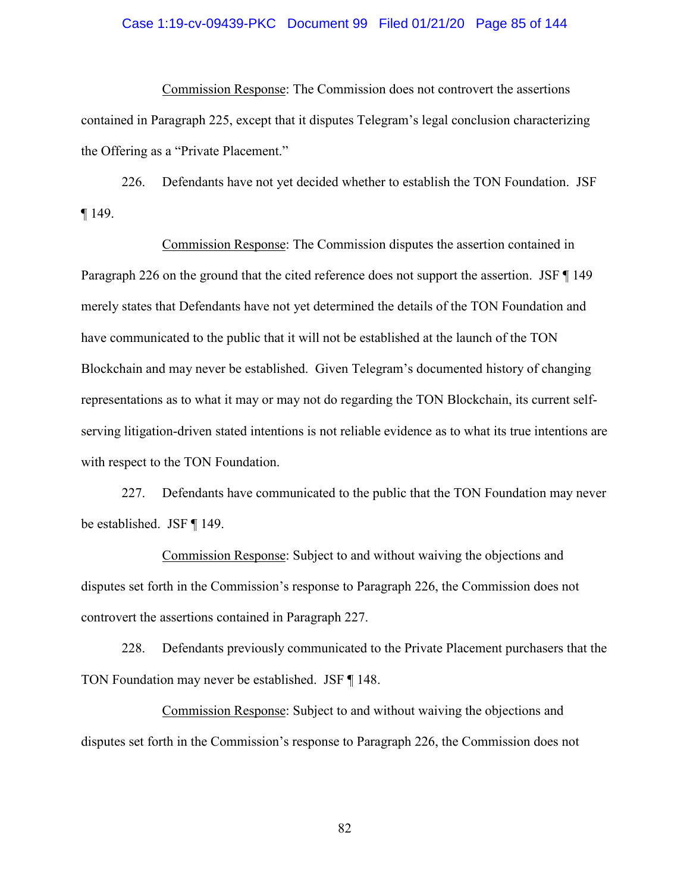#### Case 1:19-cv-09439-PKC Document 99 Filed 01/21/20 Page 85 of 144

Commission Response: The Commission does not controvert the assertions contained in Paragraph 225, except that it disputes Telegram's legal conclusion characterizing the Offering as a "Private Placement."

226. Defendants have not yet decided whether to establish the TON Foundation. JSF ¶ 149.

Commission Response: The Commission disputes the assertion contained in Paragraph 226 on the ground that the cited reference does not support the assertion. JSF ¶ 149 merely states that Defendants have not yet determined the details of the TON Foundation and have communicated to the public that it will not be established at the launch of the TON Blockchain and may never be established. Given Telegram's documented history of changing representations as to what it may or may not do regarding the TON Blockchain, its current selfserving litigation-driven stated intentions is not reliable evidence as to what its true intentions are with respect to the TON Foundation.

227. Defendants have communicated to the public that the TON Foundation may never be established. JSF ¶ 149.

Commission Response: Subject to and without waiving the objections and disputes set forth in the Commission's response to Paragraph 226, the Commission does not controvert the assertions contained in Paragraph 227.

228. Defendants previously communicated to the Private Placement purchasers that the TON Foundation may never be established. JSF ¶ 148.

Commission Response: Subject to and without waiving the objections and disputes set forth in the Commission's response to Paragraph 226, the Commission does not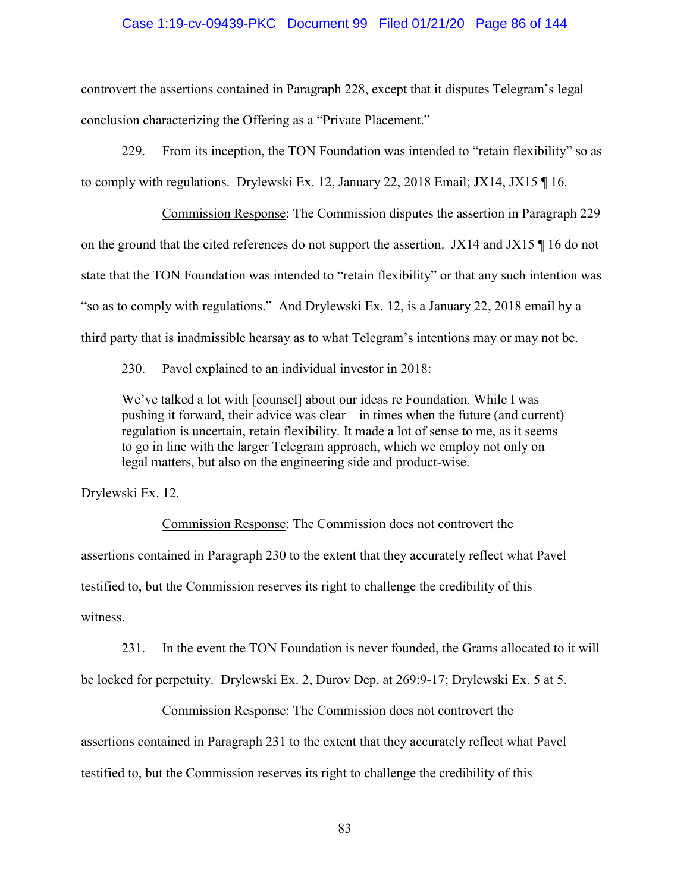#### Case 1:19-cv-09439-PKC Document 99 Filed 01/21/20 Page 86 of 144

controvert the assertions contained in Paragraph 228, except that it disputes Telegram's legal conclusion characterizing the Offering as a "Private Placement."

229. From its inception, the TON Foundation was intended to "retain flexibility" so as to comply with regulations. Drylewski Ex. 12, January 22, 2018 Email; JX14, JX15 ¶ 16.

Commission Response: The Commission disputes the assertion in Paragraph 229 on the ground that the cited references do not support the assertion. JX14 and JX15 ¶ 16 do not state that the TON Foundation was intended to "retain flexibility" or that any such intention was "so as to comply with regulations." And Drylewski Ex. 12, is a January 22, 2018 email by a third party that is inadmissible hearsay as to what Telegram's intentions may or may not be.

230. Pavel explained to an individual investor in 2018:

We've talked a lot with [counsel] about our ideas re Foundation. While I was pushing it forward, their advice was clear – in times when the future (and current) regulation is uncertain, retain flexibility. It made a lot of sense to me, as it seems to go in line with the larger Telegram approach, which we employ not only on legal matters, but also on the engineering side and product-wise.

Drylewski Ex. 12.

 Commission Response: The Commission does not controvert the assertions contained in Paragraph 230 to the extent that they accurately reflect what Pavel testified to, but the Commission reserves its right to challenge the credibility of this witness.

231. In the event the TON Foundation is never founded, the Grams allocated to it will

be locked for perpetuity. Drylewski Ex. 2, Durov Dep. at 269:9-17; Drylewski Ex. 5 at 5.

Commission Response: The Commission does not controvert the

assertions contained in Paragraph 231 to the extent that they accurately reflect what Pavel testified to, but the Commission reserves its right to challenge the credibility of this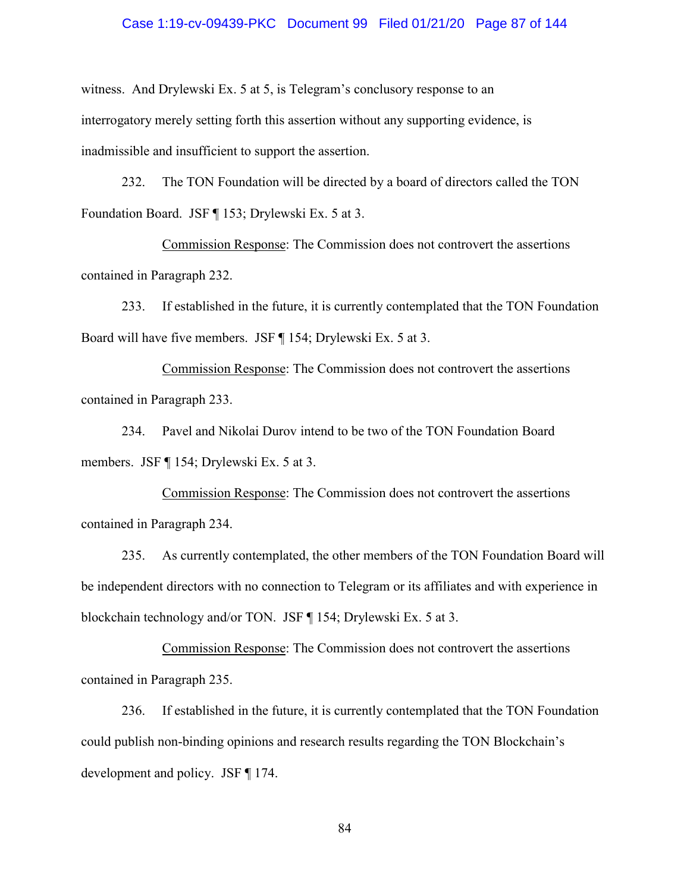#### Case 1:19-cv-09439-PKC Document 99 Filed 01/21/20 Page 87 of 144

witness. And Drylewski Ex. 5 at 5, is Telegram's conclusory response to an interrogatory merely setting forth this assertion without any supporting evidence, is inadmissible and insufficient to support the assertion.

232. The TON Foundation will be directed by a board of directors called the TON Foundation Board. JSF ¶ 153; Drylewski Ex. 5 at 3.

Commission Response: The Commission does not controvert the assertions contained in Paragraph 232.

233. If established in the future, it is currently contemplated that the TON Foundation Board will have five members. JSF ¶ 154; Drylewski Ex. 5 at 3.

Commission Response: The Commission does not controvert the assertions contained in Paragraph 233.

234. Pavel and Nikolai Durov intend to be two of the TON Foundation Board members. JSF ¶ 154; Drylewski Ex. 5 at 3.

Commission Response: The Commission does not controvert the assertions contained in Paragraph 234.

235. As currently contemplated, the other members of the TON Foundation Board will be independent directors with no connection to Telegram or its affiliates and with experience in blockchain technology and/or TON. JSF ¶ 154; Drylewski Ex. 5 at 3.

Commission Response: The Commission does not controvert the assertions contained in Paragraph 235.

236. If established in the future, it is currently contemplated that the TON Foundation could publish non-binding opinions and research results regarding the TON Blockchain's development and policy. JSF ¶ 174.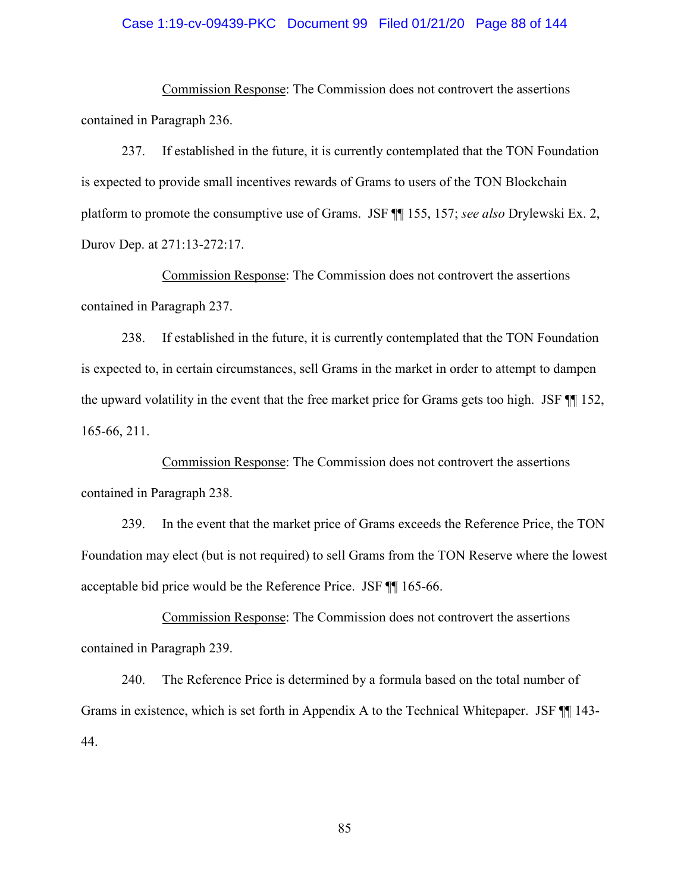#### Case 1:19-cv-09439-PKC Document 99 Filed 01/21/20 Page 88 of 144

Commission Response: The Commission does not controvert the assertions contained in Paragraph 236.

237. If established in the future, it is currently contemplated that the TON Foundation is expected to provide small incentives rewards of Grams to users of the TON Blockchain platform to promote the consumptive use of Grams. JSF ¶¶ 155, 157; *see also* Drylewski Ex. 2, Durov Dep. at 271:13-272:17.

Commission Response: The Commission does not controvert the assertions contained in Paragraph 237.

238. If established in the future, it is currently contemplated that the TON Foundation is expected to, in certain circumstances, sell Grams in the market in order to attempt to dampen the upward volatility in the event that the free market price for Grams gets too high. JSF ¶¶ 152, 165-66, 211.

Commission Response: The Commission does not controvert the assertions contained in Paragraph 238.

239. In the event that the market price of Grams exceeds the Reference Price, the TON Foundation may elect (but is not required) to sell Grams from the TON Reserve where the lowest acceptable bid price would be the Reference Price. JSF ¶¶ 165-66.

Commission Response: The Commission does not controvert the assertions contained in Paragraph 239.

240. The Reference Price is determined by a formula based on the total number of Grams in existence, which is set forth in Appendix A to the Technical Whitepaper. JSF ¶¶ 143- 44.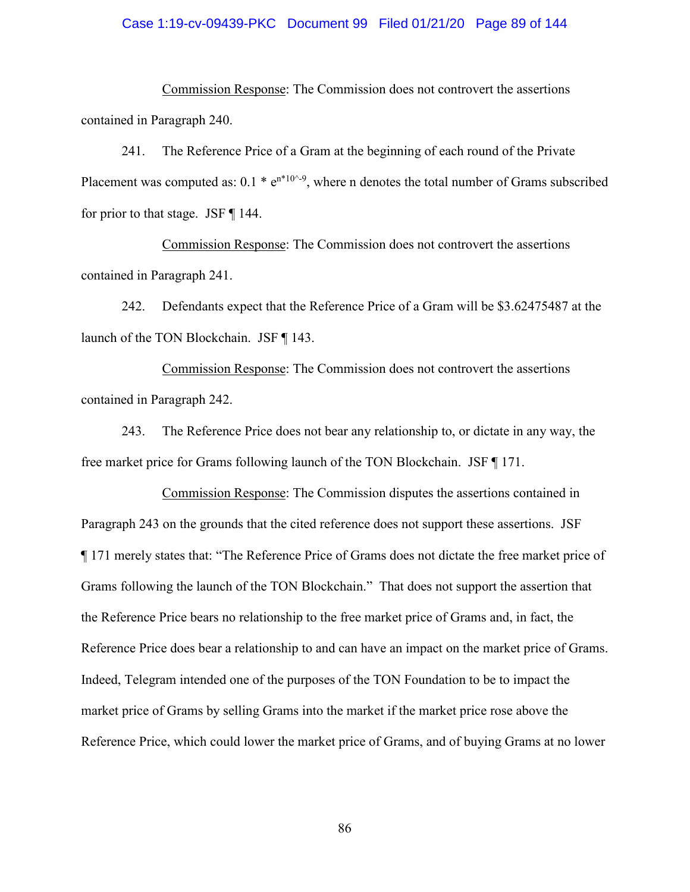#### Case 1:19-cv-09439-PKC Document 99 Filed 01/21/20 Page 89 of 144

Commission Response: The Commission does not controvert the assertions contained in Paragraph 240.

241. The Reference Price of a Gram at the beginning of each round of the Private Placement was computed as:  $0.1 * e^{n*10^{-9}}$ , where n denotes the total number of Grams subscribed for prior to that stage. JSF ¶ 144.

Commission Response: The Commission does not controvert the assertions contained in Paragraph 241.

242. Defendants expect that the Reference Price of a Gram will be \$3.62475487 at the launch of the TON Blockchain. JSF ¶ 143.

Commission Response: The Commission does not controvert the assertions contained in Paragraph 242.

243. The Reference Price does not bear any relationship to, or dictate in any way, the free market price for Grams following launch of the TON Blockchain. JSF ¶ 171.

Commission Response: The Commission disputes the assertions contained in Paragraph 243 on the grounds that the cited reference does not support these assertions. JSF ¶ 171 merely states that: "The Reference Price of Grams does not dictate the free market price of Grams following the launch of the TON Blockchain." That does not support the assertion that the Reference Price bears no relationship to the free market price of Grams and, in fact, the Reference Price does bear a relationship to and can have an impact on the market price of Grams. Indeed, Telegram intended one of the purposes of the TON Foundation to be to impact the market price of Grams by selling Grams into the market if the market price rose above the Reference Price, which could lower the market price of Grams, and of buying Grams at no lower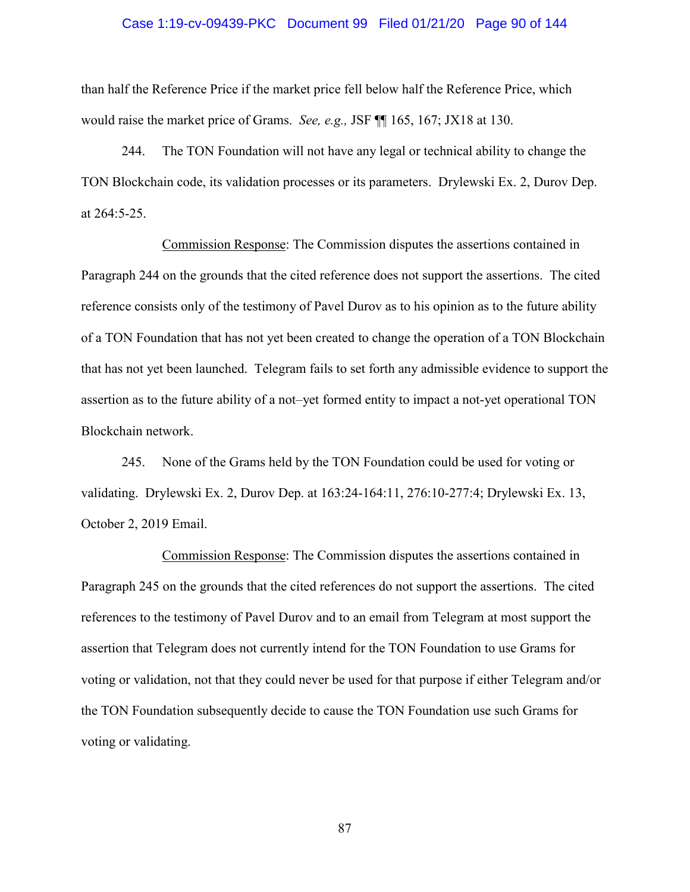#### Case 1:19-cv-09439-PKC Document 99 Filed 01/21/20 Page 90 of 144

than half the Reference Price if the market price fell below half the Reference Price, which would raise the market price of Grams. *See, e.g.,* JSF ¶¶ 165, 167; JX18 at 130.

244. The TON Foundation will not have any legal or technical ability to change the TON Blockchain code, its validation processes or its parameters. Drylewski Ex. 2, Durov Dep. at 264:5-25.

Commission Response: The Commission disputes the assertions contained in Paragraph 244 on the grounds that the cited reference does not support the assertions. The cited reference consists only of the testimony of Pavel Durov as to his opinion as to the future ability of a TON Foundation that has not yet been created to change the operation of a TON Blockchain that has not yet been launched. Telegram fails to set forth any admissible evidence to support the assertion as to the future ability of a not–yet formed entity to impact a not-yet operational TON Blockchain network.

245. None of the Grams held by the TON Foundation could be used for voting or validating. Drylewski Ex. 2, Durov Dep. at 163:24-164:11, 276:10-277:4; Drylewski Ex. 13, October 2, 2019 Email.

Commission Response: The Commission disputes the assertions contained in Paragraph 245 on the grounds that the cited references do not support the assertions. The cited references to the testimony of Pavel Durov and to an email from Telegram at most support the assertion that Telegram does not currently intend for the TON Foundation to use Grams for voting or validation, not that they could never be used for that purpose if either Telegram and/or the TON Foundation subsequently decide to cause the TON Foundation use such Grams for voting or validating.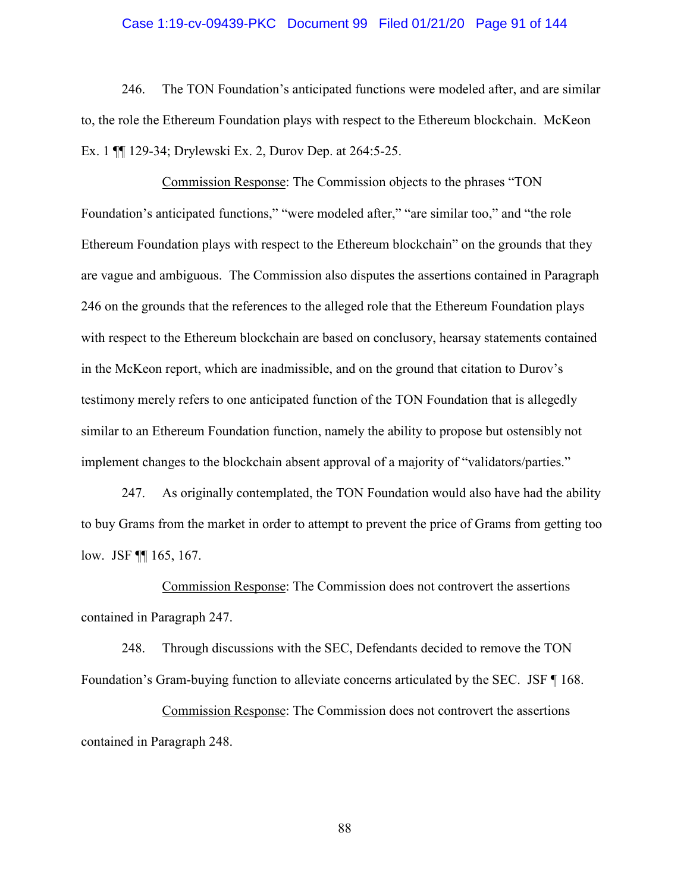#### Case 1:19-cv-09439-PKC Document 99 Filed 01/21/20 Page 91 of 144

246. The TON Foundation's anticipated functions were modeled after, and are similar to, the role the Ethereum Foundation plays with respect to the Ethereum blockchain. McKeon Ex. 1 ¶¶ 129-34; Drylewski Ex. 2, Durov Dep. at 264:5-25.

Commission Response: The Commission objects to the phrases "TON Foundation's anticipated functions," "were modeled after," "are similar too," and "the role Ethereum Foundation plays with respect to the Ethereum blockchain" on the grounds that they are vague and ambiguous. The Commission also disputes the assertions contained in Paragraph 246 on the grounds that the references to the alleged role that the Ethereum Foundation plays with respect to the Ethereum blockchain are based on conclusory, hearsay statements contained in the McKeon report, which are inadmissible, and on the ground that citation to Durov's testimony merely refers to one anticipated function of the TON Foundation that is allegedly similar to an Ethereum Foundation function, namely the ability to propose but ostensibly not implement changes to the blockchain absent approval of a majority of "validators/parties."

247. As originally contemplated, the TON Foundation would also have had the ability to buy Grams from the market in order to attempt to prevent the price of Grams from getting too low. JSF ¶¶ 165, 167.

Commission Response: The Commission does not controvert the assertions contained in Paragraph 247.

248. Through discussions with the SEC, Defendants decided to remove the TON Foundation's Gram-buying function to alleviate concerns articulated by the SEC. JSF ¶ 168.

Commission Response: The Commission does not controvert the assertions contained in Paragraph 248.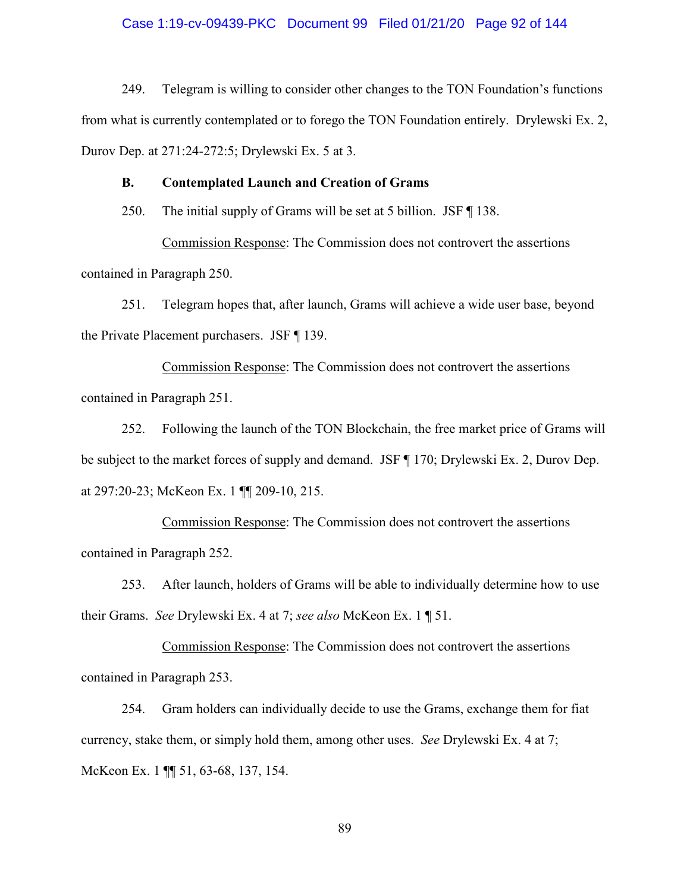#### Case 1:19-cv-09439-PKC Document 99 Filed 01/21/20 Page 92 of 144

249. Telegram is willing to consider other changes to the TON Foundation's functions from what is currently contemplated or to forego the TON Foundation entirely. Drylewski Ex. 2, Durov Dep. at 271:24-272:5; Drylewski Ex. 5 at 3.

### **B. Contemplated Launch and Creation of Grams**

250. The initial supply of Grams will be set at 5 billion. JSF ¶ 138.

Commission Response: The Commission does not controvert the assertions contained in Paragraph 250.

251. Telegram hopes that, after launch, Grams will achieve a wide user base, beyond the Private Placement purchasers. JSF ¶ 139.

Commission Response: The Commission does not controvert the assertions contained in Paragraph 251.

252. Following the launch of the TON Blockchain, the free market price of Grams will be subject to the market forces of supply and demand. JSF ¶ 170; Drylewski Ex. 2, Durov Dep. at 297:20-23; McKeon Ex. 1 ¶¶ 209-10, 215.

Commission Response: The Commission does not controvert the assertions contained in Paragraph 252.

253. After launch, holders of Grams will be able to individually determine how to use their Grams. *See* Drylewski Ex. 4 at 7; *see also* McKeon Ex. 1 ¶ 51.

Commission Response: The Commission does not controvert the assertions contained in Paragraph 253.

254. Gram holders can individually decide to use the Grams, exchange them for fiat currency, stake them, or simply hold them, among other uses. *See* Drylewski Ex. 4 at 7; McKeon Ex. 1 ¶¶ 51, 63-68, 137, 154.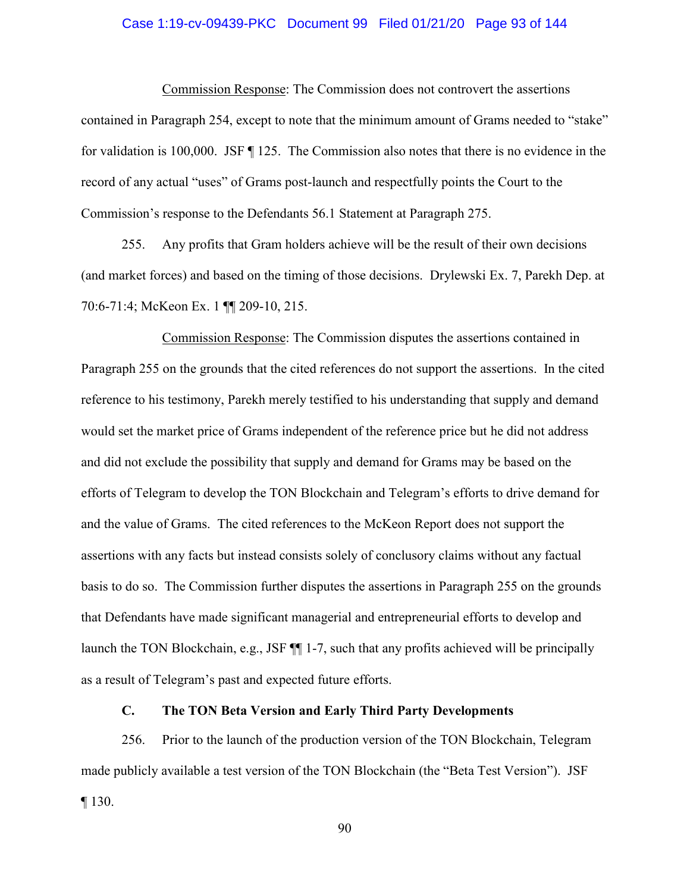#### Case 1:19-cv-09439-PKC Document 99 Filed 01/21/20 Page 93 of 144

Commission Response: The Commission does not controvert the assertions contained in Paragraph 254, except to note that the minimum amount of Grams needed to "stake" for validation is 100,000. JSF ¶ 125. The Commission also notes that there is no evidence in the record of any actual "uses" of Grams post-launch and respectfully points the Court to the Commission's response to the Defendants 56.1 Statement at Paragraph 275.

255. Any profits that Gram holders achieve will be the result of their own decisions (and market forces) and based on the timing of those decisions. Drylewski Ex. 7, Parekh Dep. at 70:6-71:4; McKeon Ex. 1 ¶¶ 209-10, 215.

Commission Response: The Commission disputes the assertions contained in Paragraph 255 on the grounds that the cited references do not support the assertions. In the cited reference to his testimony, Parekh merely testified to his understanding that supply and demand would set the market price of Grams independent of the reference price but he did not address and did not exclude the possibility that supply and demand for Grams may be based on the efforts of Telegram to develop the TON Blockchain and Telegram's efforts to drive demand for and the value of Grams. The cited references to the McKeon Report does not support the assertions with any facts but instead consists solely of conclusory claims without any factual basis to do so. The Commission further disputes the assertions in Paragraph 255 on the grounds that Defendants have made significant managerial and entrepreneurial efforts to develop and launch the TON Blockchain, e.g., JSF ¶¶ 1-7, such that any profits achieved will be principally as a result of Telegram's past and expected future efforts.

#### **C. The TON Beta Version and Early Third Party Developments**

256. Prior to the launch of the production version of the TON Blockchain, Telegram made publicly available a test version of the TON Blockchain (the "Beta Test Version"). JSF  $\P$  130.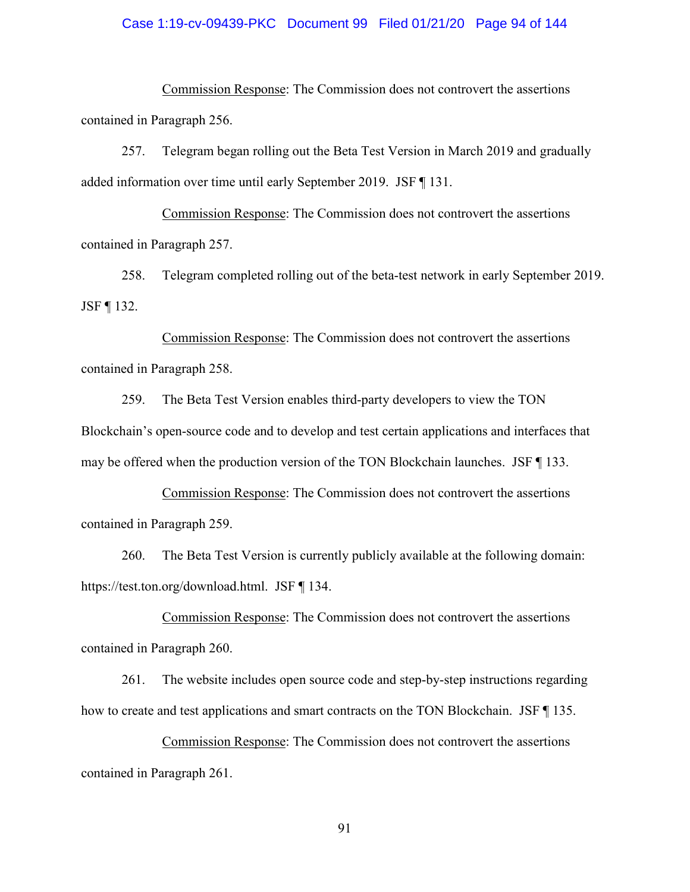#### Case 1:19-cv-09439-PKC Document 99 Filed 01/21/20 Page 94 of 144

Commission Response: The Commission does not controvert the assertions contained in Paragraph 256.

257. Telegram began rolling out the Beta Test Version in March 2019 and gradually added information over time until early September 2019. JSF ¶ 131.

Commission Response: The Commission does not controvert the assertions contained in Paragraph 257.

258. Telegram completed rolling out of the beta-test network in early September 2019. JSF ¶ 132.

Commission Response: The Commission does not controvert the assertions contained in Paragraph 258.

259. The Beta Test Version enables third-party developers to view the TON Blockchain's open-source code and to develop and test certain applications and interfaces that may be offered when the production version of the TON Blockchain launches. JSF ¶ 133.

Commission Response: The Commission does not controvert the assertions contained in Paragraph 259.

260. The Beta Test Version is currently publicly available at the following domain: https://test.ton.org/download.html. JSF ¶ 134.

Commission Response: The Commission does not controvert the assertions contained in Paragraph 260.

261. The website includes open source code and step-by-step instructions regarding how to create and test applications and smart contracts on the TON Blockchain. JSF  $\P$  135.

Commission Response: The Commission does not controvert the assertions contained in Paragraph 261.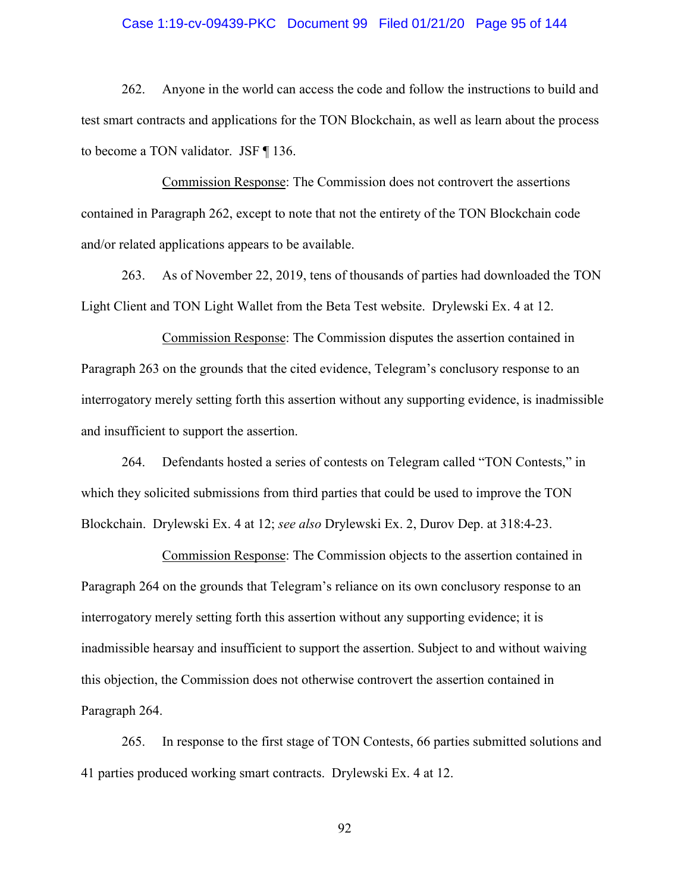#### Case 1:19-cv-09439-PKC Document 99 Filed 01/21/20 Page 95 of 144

262. Anyone in the world can access the code and follow the instructions to build and test smart contracts and applications for the TON Blockchain, as well as learn about the process to become a TON validator. JSF ¶ 136.

Commission Response: The Commission does not controvert the assertions contained in Paragraph 262, except to note that not the entirety of the TON Blockchain code and/or related applications appears to be available.

263. As of November 22, 2019, tens of thousands of parties had downloaded the TON Light Client and TON Light Wallet from the Beta Test website. Drylewski Ex. 4 at 12.

Commission Response: The Commission disputes the assertion contained in Paragraph 263 on the grounds that the cited evidence, Telegram's conclusory response to an interrogatory merely setting forth this assertion without any supporting evidence, is inadmissible and insufficient to support the assertion.

264. Defendants hosted a series of contests on Telegram called "TON Contests," in which they solicited submissions from third parties that could be used to improve the TON Blockchain. Drylewski Ex. 4 at 12; *see also* Drylewski Ex. 2, Durov Dep. at 318:4-23.

Commission Response: The Commission objects to the assertion contained in Paragraph 264 on the grounds that Telegram's reliance on its own conclusory response to an interrogatory merely setting forth this assertion without any supporting evidence; it is inadmissible hearsay and insufficient to support the assertion. Subject to and without waiving this objection, the Commission does not otherwise controvert the assertion contained in Paragraph 264.

265. In response to the first stage of TON Contests, 66 parties submitted solutions and 41 parties produced working smart contracts. Drylewski Ex. 4 at 12.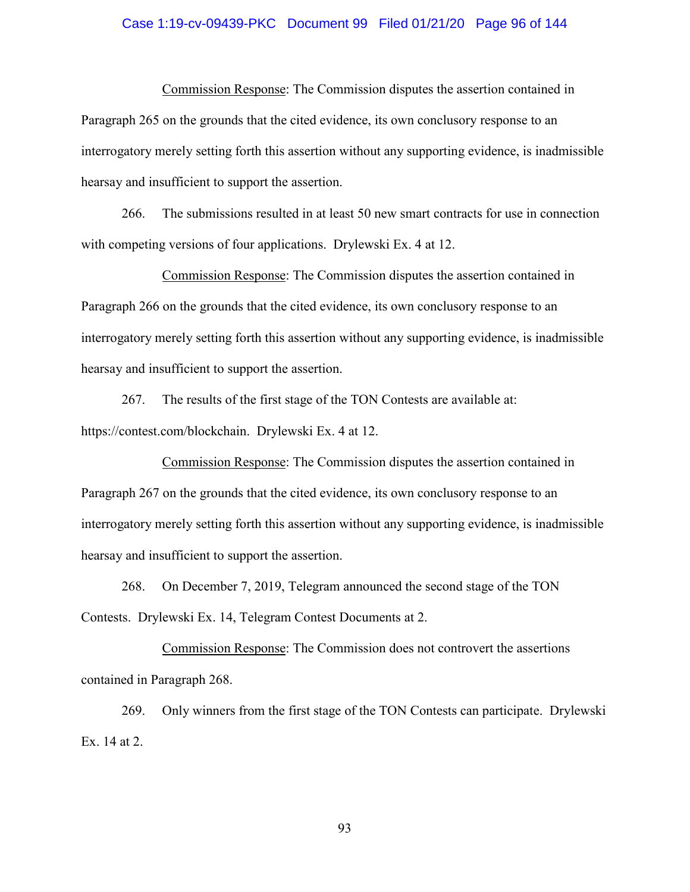#### Case 1:19-cv-09439-PKC Document 99 Filed 01/21/20 Page 96 of 144

Commission Response: The Commission disputes the assertion contained in Paragraph 265 on the grounds that the cited evidence, its own conclusory response to an interrogatory merely setting forth this assertion without any supporting evidence, is inadmissible hearsay and insufficient to support the assertion.

266. The submissions resulted in at least 50 new smart contracts for use in connection with competing versions of four applications. Drylewski Ex. 4 at 12.

Commission Response: The Commission disputes the assertion contained in Paragraph 266 on the grounds that the cited evidence, its own conclusory response to an interrogatory merely setting forth this assertion without any supporting evidence, is inadmissible hearsay and insufficient to support the assertion.

267. The results of the first stage of the TON Contests are available at: https://contest.com/blockchain. Drylewski Ex. 4 at 12.

Commission Response: The Commission disputes the assertion contained in Paragraph 267 on the grounds that the cited evidence, its own conclusory response to an interrogatory merely setting forth this assertion without any supporting evidence, is inadmissible hearsay and insufficient to support the assertion.

268. On December 7, 2019, Telegram announced the second stage of the TON Contests. Drylewski Ex. 14, Telegram Contest Documents at 2.

Commission Response: The Commission does not controvert the assertions contained in Paragraph 268.

269. Only winners from the first stage of the TON Contests can participate. Drylewski Ex. 14 at 2.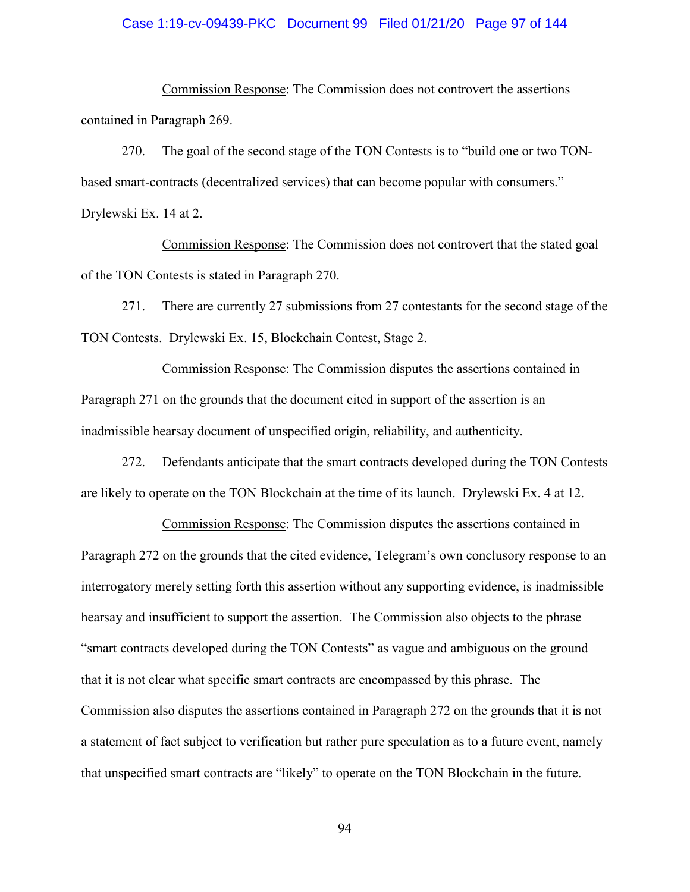#### Case 1:19-cv-09439-PKC Document 99 Filed 01/21/20 Page 97 of 144

Commission Response: The Commission does not controvert the assertions contained in Paragraph 269.

270. The goal of the second stage of the TON Contests is to "build one or two TONbased smart-contracts (decentralized services) that can become popular with consumers." Drylewski Ex. 14 at 2.

Commission Response: The Commission does not controvert that the stated goal of the TON Contests is stated in Paragraph 270.

271. There are currently 27 submissions from 27 contestants for the second stage of the TON Contests. Drylewski Ex. 15, Blockchain Contest, Stage 2.

Commission Response: The Commission disputes the assertions contained in Paragraph 271 on the grounds that the document cited in support of the assertion is an inadmissible hearsay document of unspecified origin, reliability, and authenticity.

272. Defendants anticipate that the smart contracts developed during the TON Contests are likely to operate on the TON Blockchain at the time of its launch. Drylewski Ex. 4 at 12.

Commission Response: The Commission disputes the assertions contained in Paragraph 272 on the grounds that the cited evidence, Telegram's own conclusory response to an interrogatory merely setting forth this assertion without any supporting evidence, is inadmissible hearsay and insufficient to support the assertion. The Commission also objects to the phrase "smart contracts developed during the TON Contests" as vague and ambiguous on the ground that it is not clear what specific smart contracts are encompassed by this phrase. The Commission also disputes the assertions contained in Paragraph 272 on the grounds that it is not a statement of fact subject to verification but rather pure speculation as to a future event, namely that unspecified smart contracts are "likely" to operate on the TON Blockchain in the future.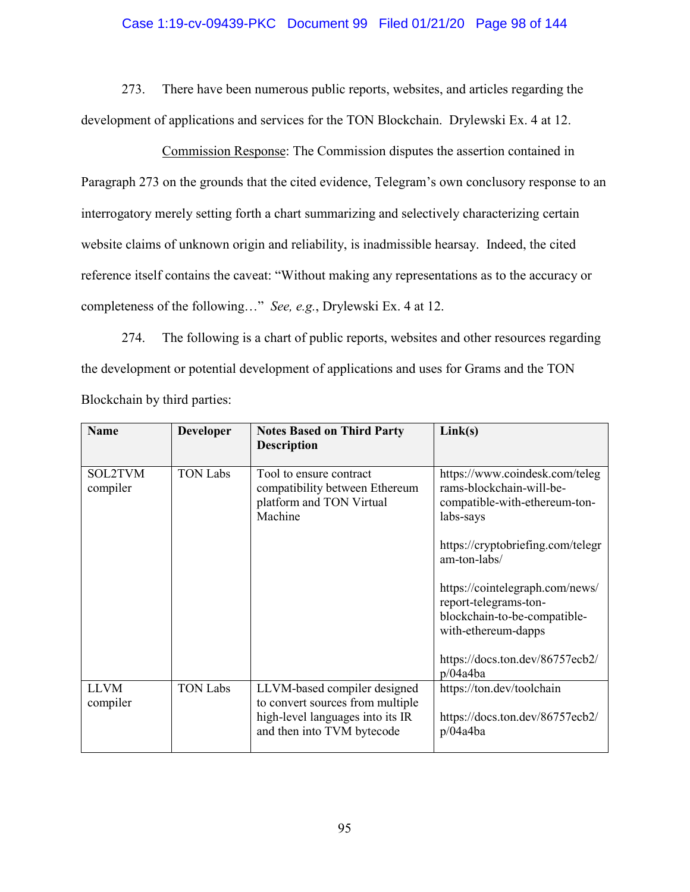### Case 1:19-cv-09439-PKC Document 99 Filed 01/21/20 Page 98 of 144

273. There have been numerous public reports, websites, and articles regarding the development of applications and services for the TON Blockchain. Drylewski Ex. 4 at 12.

Commission Response: The Commission disputes the assertion contained in Paragraph 273 on the grounds that the cited evidence, Telegram's own conclusory response to an interrogatory merely setting forth a chart summarizing and selectively characterizing certain website claims of unknown origin and reliability, is inadmissible hearsay. Indeed, the cited reference itself contains the caveat: "Without making any representations as to the accuracy or completeness of the following…" *See, e.g.*, Drylewski Ex. 4 at 12.

274. The following is a chart of public reports, websites and other resources regarding the development or potential development of applications and uses for Grams and the TON Blockchain by third parties:

| <b>Name</b>             | <b>Developer</b> | <b>Notes Based on Third Party</b><br><b>Description</b>                                                                            | Link(s)                                                                                                         |
|-------------------------|------------------|------------------------------------------------------------------------------------------------------------------------------------|-----------------------------------------------------------------------------------------------------------------|
| SOL2TVM<br>compiler     | <b>TON Labs</b>  | Tool to ensure contract<br>compatibility between Ethereum<br>platform and TON Virtual<br>Machine                                   | https://www.coindesk.com/teleg<br>rams-blockchain-will-be-<br>compatible-with-ethereum-ton-<br>labs-says        |
|                         |                  |                                                                                                                                    | https://cryptobriefing.com/telegr<br>am-ton-labs/                                                               |
|                         |                  |                                                                                                                                    | https://cointelegraph.com/news/<br>report-telegrams-ton-<br>blockchain-to-be-compatible-<br>with-ethereum-dapps |
|                         |                  |                                                                                                                                    | https://docs.ton.dev/86757ecb2/<br>p/04a4ba                                                                     |
| <b>LLVM</b><br>compiler | <b>TON Labs</b>  | LLVM-based compiler designed<br>to convert sources from multiple<br>high-level languages into its IR<br>and then into TVM bytecode | https://ton.dev/toolchain<br>https://docs.ton.dev/86757ecb2/<br>p/04a4ba                                        |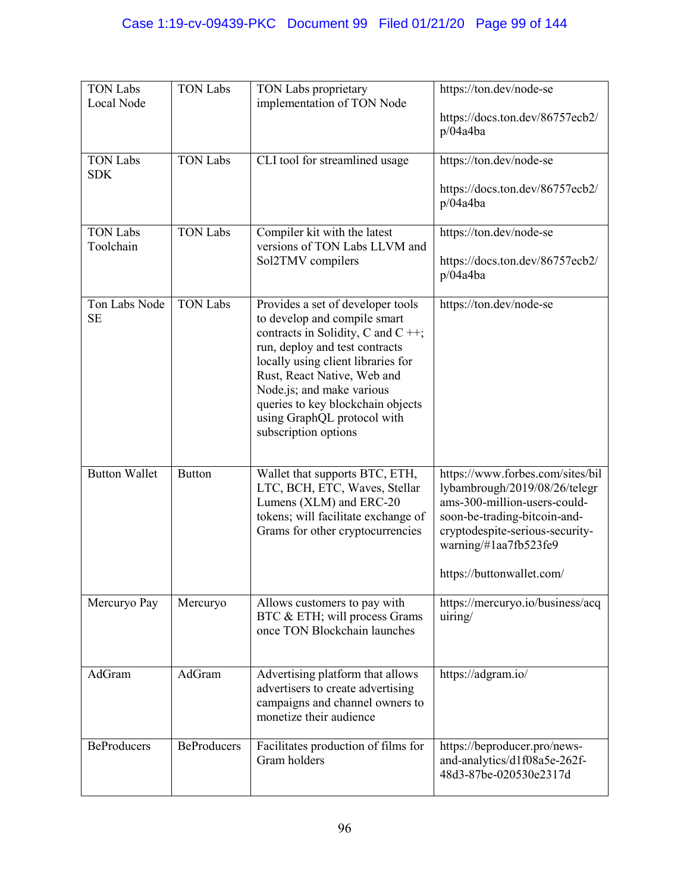| <b>TON Labs</b><br>Local Node | <b>TON Labs</b>    | TON Labs proprietary<br>implementation of TON Node                                                                                                                                                                                                                                                                                         | https://ton.dev/node-se<br>https://docs.ton.dev/86757ecb2/<br>p/04a4ba                                                                                                                                                     |
|-------------------------------|--------------------|--------------------------------------------------------------------------------------------------------------------------------------------------------------------------------------------------------------------------------------------------------------------------------------------------------------------------------------------|----------------------------------------------------------------------------------------------------------------------------------------------------------------------------------------------------------------------------|
| <b>TON Labs</b><br><b>SDK</b> | <b>TON Labs</b>    | CLI tool for streamlined usage                                                                                                                                                                                                                                                                                                             | https://ton.dev/node-se<br>https://docs.ton.dev/86757ecb2/<br>p/04a4ba                                                                                                                                                     |
| <b>TON Labs</b><br>Toolchain  | <b>TON Labs</b>    | Compiler kit with the latest<br>versions of TON Labs LLVM and<br>Sol2TMV compilers                                                                                                                                                                                                                                                         | https://ton.dev/node-se<br>https://docs.ton.dev/86757ecb2/<br>p/04a4ba                                                                                                                                                     |
| Ton Labs Node<br><b>SE</b>    | <b>TON Labs</b>    | Provides a set of developer tools<br>to develop and compile smart<br>contracts in Solidity, C and C $++$ ;<br>run, deploy and test contracts<br>locally using client libraries for<br>Rust, React Native, Web and<br>Node.js; and make various<br>queries to key blockchain objects<br>using GraphQL protocol with<br>subscription options | https://ton.dev/node-se                                                                                                                                                                                                    |
| <b>Button Wallet</b>          | <b>Button</b>      | Wallet that supports BTC, ETH,<br>LTC, BCH, ETC, Waves, Stellar<br>Lumens (XLM) and ERC-20<br>tokens; will facilitate exchange of<br>Grams for other cryptocurrencies                                                                                                                                                                      | https://www.forbes.com/sites/bil<br>lybambrough/2019/08/26/telegr<br>ams-300-million-users-could-<br>soon-be-trading-bitcoin-and-<br>cryptodespite-serious-security-<br>warning/#1aa7fb523fe9<br>https://buttonwallet.com/ |
| Mercuryo Pay                  | Mercuryo           | Allows customers to pay with<br>BTC & ETH; will process Grams<br>once TON Blockchain launches                                                                                                                                                                                                                                              | https://mercuryo.io/business/acq<br>uiring/                                                                                                                                                                                |
| AdGram                        | AdGram             | Advertising platform that allows<br>advertisers to create advertising<br>campaigns and channel owners to<br>monetize their audience                                                                                                                                                                                                        | https://adgram.io/                                                                                                                                                                                                         |
| <b>BeProducers</b>            | <b>BeProducers</b> | Facilitates production of films for<br>Gram holders                                                                                                                                                                                                                                                                                        | https://beproducer.pro/news-<br>and-analytics/d1f08a5e-262f-<br>48d3-87be-020530e2317d                                                                                                                                     |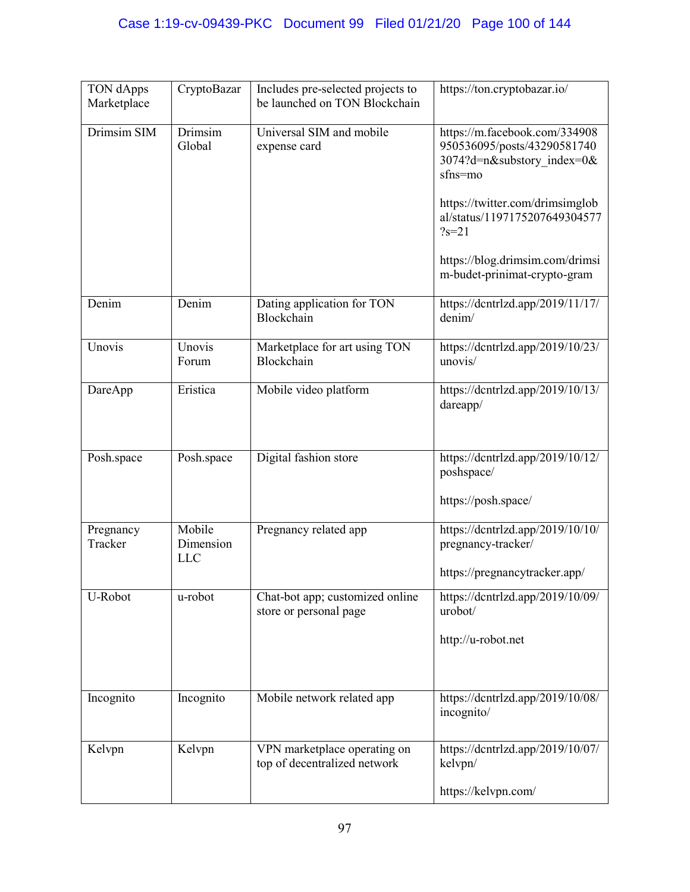| TON dApps<br>Marketplace | CryptoBazar                       | Includes pre-selected projects to<br>be launched on TON Blockchain | https://ton.cryptobazar.io/                                                                                                                                                                                                                               |
|--------------------------|-----------------------------------|--------------------------------------------------------------------|-----------------------------------------------------------------------------------------------------------------------------------------------------------------------------------------------------------------------------------------------------------|
| Drimsim SIM              | Drimsim<br>Global                 | Universal SIM and mobile<br>expense card                           | https://m.facebook.com/334908<br>950536095/posts/43290581740<br>3074?d=n&substory index=0&<br>sfns=mo<br>https://twitter.com/drimsimglob<br>al/status/1197175207649304577<br>$?s = 21$<br>https://blog.drimsim.com/drimsi<br>m-budet-prinimat-crypto-gram |
| Denim                    | Denim                             | Dating application for TON<br>Blockchain                           | https://dcntrlzd.app/2019/11/17/<br>denim/                                                                                                                                                                                                                |
| Unovis                   | Unovis<br>Forum                   | Marketplace for art using TON<br>Blockchain                        | https://dcntrlzd.app/2019/10/23/<br>unovis/                                                                                                                                                                                                               |
| DareApp                  | Eristica                          | Mobile video platform                                              | https://dcntrlzd.app/2019/10/13/<br>dareapp/                                                                                                                                                                                                              |
| Posh.space               | Posh.space                        | Digital fashion store                                              | https://dcntrlzd.app/2019/10/12/<br>poshspace/<br>https://posh.space/                                                                                                                                                                                     |
| Pregnancy<br>Tracker     | Mobile<br>Dimension<br><b>LLC</b> | Pregnancy related app                                              | https://dcntrlzd.app/2019/10/10/<br>pregnancy-tracker/<br>https://pregnancytracker.app/                                                                                                                                                                   |
| U-Robot                  | u-robot                           | Chat-bot app; customized online<br>store or personal page          | https://dcntrlzd.app/2019/10/09/<br>urobot/<br>http://u-robot.net                                                                                                                                                                                         |
| Incognito                | Incognito                         | Mobile network related app                                         | https://dcntrlzd.app/2019/10/08/<br>incognito/                                                                                                                                                                                                            |
| Kelvpn                   | Kelvpn                            | VPN marketplace operating on<br>top of decentralized network       | https://dcntrlzd.app/2019/10/07/<br>kelvpn/<br>https://kelvpn.com/                                                                                                                                                                                        |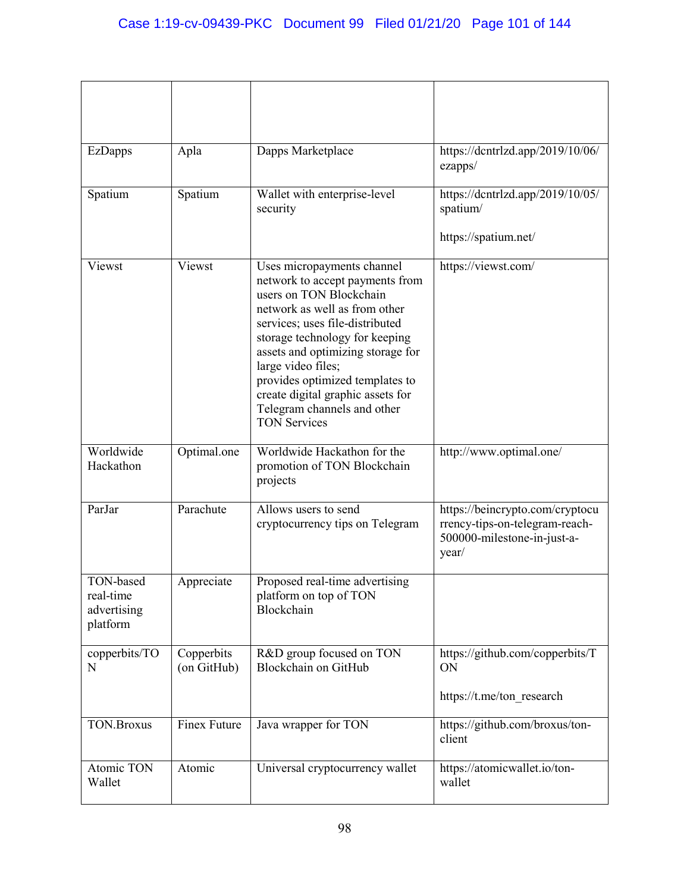| <b>EzDapps</b>                                    | Apla                      | Dapps Marketplace                                                                                                                                                                                                                                                                                                                                                                       | https://dcntrlzd.app/2019/10/06/<br>ezapps/                                                               |
|---------------------------------------------------|---------------------------|-----------------------------------------------------------------------------------------------------------------------------------------------------------------------------------------------------------------------------------------------------------------------------------------------------------------------------------------------------------------------------------------|-----------------------------------------------------------------------------------------------------------|
| Spatium                                           | Spatium                   | Wallet with enterprise-level<br>security                                                                                                                                                                                                                                                                                                                                                | https://dcntrlzd.app/2019/10/05/<br>spatium/                                                              |
|                                                   |                           |                                                                                                                                                                                                                                                                                                                                                                                         | https://spatium.net/                                                                                      |
| Viewst                                            | Viewst                    | Uses micropayments channel<br>network to accept payments from<br>users on TON Blockchain<br>network as well as from other<br>services; uses file-distributed<br>storage technology for keeping<br>assets and optimizing storage for<br>large video files;<br>provides optimized templates to<br>create digital graphic assets for<br>Telegram channels and other<br><b>TON Services</b> | https://viewst.com/                                                                                       |
| Worldwide<br>Hackathon                            | Optimal.one               | Worldwide Hackathon for the<br>promotion of TON Blockchain<br>projects                                                                                                                                                                                                                                                                                                                  | http://www.optimal.one/                                                                                   |
| ParJar                                            | Parachute                 | Allows users to send<br>cryptocurrency tips on Telegram                                                                                                                                                                                                                                                                                                                                 | https://beincrypto.com/cryptocu<br>rrency-tips-on-telegram-reach-<br>500000-milestone-in-just-a-<br>year/ |
| TON-based<br>real-time<br>advertising<br>platform | Appreciate                | Proposed real-time advertising<br>platform on top of TON<br>Blockchain                                                                                                                                                                                                                                                                                                                  |                                                                                                           |
| copperbits/TO<br>$\mathbf N$                      | Copperbits<br>(on GitHub) | R&D group focused on TON<br>Blockchain on GitHub                                                                                                                                                                                                                                                                                                                                        | https://github.com/copperbits/T<br>ON<br>https://t.me/ton research                                        |
| <b>TON.Broxus</b>                                 | Finex Future              | Java wrapper for TON                                                                                                                                                                                                                                                                                                                                                                    | https://github.com/broxus/ton-<br>client                                                                  |
| Atomic TON<br>Wallet                              | Atomic                    | Universal cryptocurrency wallet                                                                                                                                                                                                                                                                                                                                                         | https://atomicwallet.io/ton-<br>wallet                                                                    |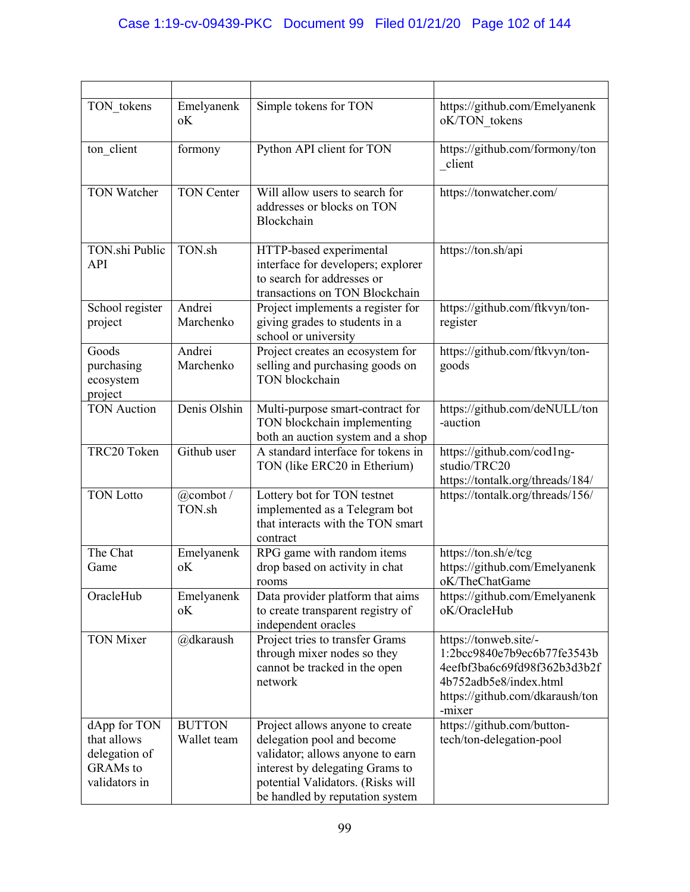| TON tokens                                                                       | Emelyanenk<br>оK             | Simple tokens for TON                                                                                                                                                                                        | https://github.com/Emelyanenk<br>oK/TON tokens                                                                                                              |
|----------------------------------------------------------------------------------|------------------------------|--------------------------------------------------------------------------------------------------------------------------------------------------------------------------------------------------------------|-------------------------------------------------------------------------------------------------------------------------------------------------------------|
| ton client                                                                       | formony                      | Python API client for TON                                                                                                                                                                                    | https://github.com/formony/ton<br>client                                                                                                                    |
| <b>TON Watcher</b>                                                               | <b>TON Center</b>            | Will allow users to search for<br>addresses or blocks on TON<br>Blockchain                                                                                                                                   | https://tonwatcher.com/                                                                                                                                     |
| TON.shi Public<br>API                                                            | TON.sh                       | HTTP-based experimental<br>interface for developers; explorer<br>to search for addresses or<br>transactions on TON Blockchain                                                                                | https://ton.sh/api                                                                                                                                          |
| School register<br>project                                                       | Andrei<br>Marchenko          | Project implements a register for<br>giving grades to students in a<br>school or university                                                                                                                  | https://github.com/ftkvyn/ton-<br>register                                                                                                                  |
| Goods<br>purchasing<br>ecosystem<br>project                                      | Andrei<br>Marchenko          | Project creates an ecosystem for<br>selling and purchasing goods on<br>TON blockchain                                                                                                                        | https://github.com/ftkvyn/ton-<br>goods                                                                                                                     |
| <b>TON</b> Auction                                                               | Denis Olshin                 | Multi-purpose smart-contract for<br>TON blockchain implementing<br>both an auction system and a shop                                                                                                         | https://github.com/deNULL/ton<br>-auction                                                                                                                   |
| TRC20 Token                                                                      | Github user                  | A standard interface for tokens in<br>TON (like ERC20 in Etherium)                                                                                                                                           | https://github.com/cod1ng-<br>studio/TRC20<br>https://tontalk.org/threads/184/                                                                              |
| <b>TON Lotto</b>                                                                 | @combot/<br>TON.sh           | Lottery bot for TON testnet<br>implemented as a Telegram bot<br>that interacts with the TON smart<br>contract                                                                                                | https://tontalk.org/threads/156/                                                                                                                            |
| The Chat<br>Game                                                                 | Emelyanenk<br>оK             | RPG game with random items<br>drop based on activity in chat<br>rooms                                                                                                                                        | https://ton.sh/e/tcg<br>https://github.com/Emelyanenk<br>oK/TheChatGame                                                                                     |
| OracleHub                                                                        | Emelyanenk<br>оK             | Data provider platform that aims<br>to create transparent registry of<br>independent oracles                                                                                                                 | https://github.com/Emelyanenk<br>oK/OracleHub                                                                                                               |
| <b>TON Mixer</b>                                                                 | @dkaraush                    | Project tries to transfer Grams<br>through mixer nodes so they<br>cannot be tracked in the open<br>network                                                                                                   | https://tonweb.site/-<br>1:2bcc9840e7b9ec6b77fe3543b<br>4eefbf3ba6c69fd98f362b3d3b2f<br>4b752adb5e8/index.html<br>https://github.com/dkaraush/ton<br>-mixer |
| dApp for TON<br>that allows<br>delegation of<br><b>GRAMs</b> to<br>validators in | <b>BUTTON</b><br>Wallet team | Project allows anyone to create<br>delegation pool and become<br>validator; allows anyone to earn<br>interest by delegating Grams to<br>potential Validators. (Risks will<br>be handled by reputation system | https://github.com/button-<br>tech/ton-delegation-pool                                                                                                      |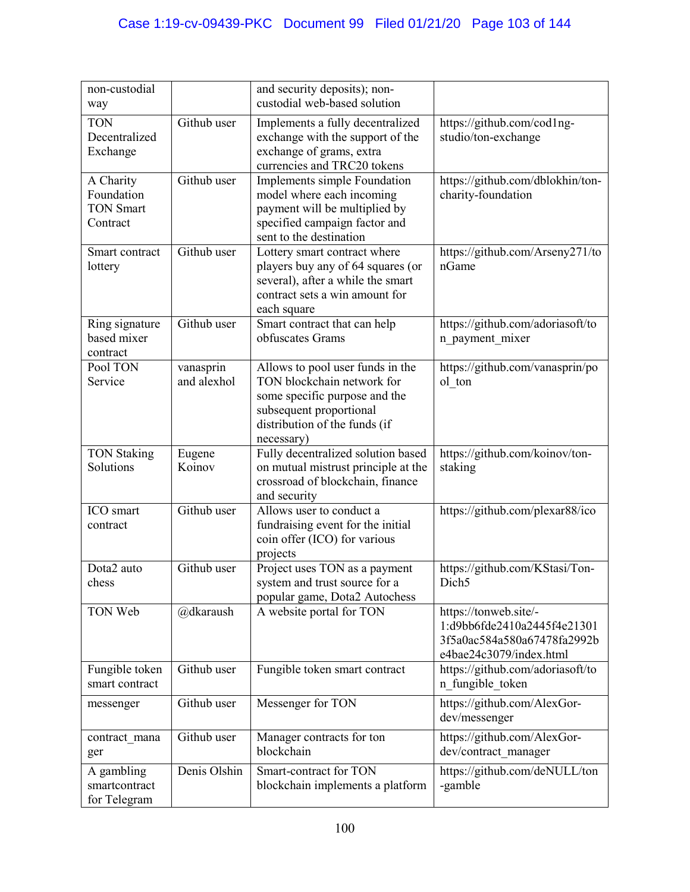| non-custodial                                           |                          | and security deposits); non-<br>custodial web-based solution                                                                                                              |                                                                                                                |
|---------------------------------------------------------|--------------------------|---------------------------------------------------------------------------------------------------------------------------------------------------------------------------|----------------------------------------------------------------------------------------------------------------|
| way                                                     |                          |                                                                                                                                                                           |                                                                                                                |
| <b>TON</b><br>Decentralized<br>Exchange                 | Github user              | Implements a fully decentralized<br>exchange with the support of the<br>exchange of grams, extra<br>currencies and TRC20 tokens                                           | https://github.com/cod1ng-<br>studio/ton-exchange                                                              |
| A Charity<br>Foundation<br><b>TON Smart</b><br>Contract | Github user              | Implements simple Foundation<br>model where each incoming<br>payment will be multiplied by<br>specified campaign factor and<br>sent to the destination                    | https://github.com/dblokhin/ton-<br>charity-foundation                                                         |
| Smart contract<br>lottery                               | Github user              | Lottery smart contract where<br>players buy any of 64 squares (or<br>several), after a while the smart<br>contract sets a win amount for<br>each square                   | https://github.com/Arseny271/to<br>nGame                                                                       |
| Ring signature<br>based mixer<br>contract               | Github user              | Smart contract that can help<br>obfuscates Grams                                                                                                                          | https://github.com/adoriasoft/to<br>n_payment_mixer                                                            |
| Pool TON<br>Service                                     | vanasprin<br>and alexhol | Allows to pool user funds in the<br>TON blockchain network for<br>some specific purpose and the<br>subsequent proportional<br>distribution of the funds (if<br>necessary) | https://github.com/vanasprin/po<br>ol ton                                                                      |
| <b>TON Staking</b><br>Solutions                         | Eugene<br>Koinov         | Fully decentralized solution based<br>on mutual mistrust principle at the<br>crossroad of blockchain, finance<br>and security                                             | https://github.com/koinov/ton-<br>staking                                                                      |
| ICO smart<br>contract                                   | Github user              | Allows user to conduct a<br>fundraising event for the initial<br>coin offer (ICO) for various<br>projects                                                                 | https://github.com/plexar88/ico                                                                                |
| Dota2 auto<br>chess                                     | Github user              | Project uses TON as a payment<br>system and trust source for a<br>popular game, Dota2 Autochess                                                                           | https://github.com/KStasi/Ton-<br>Dich <sub>5</sub>                                                            |
| TON Web                                                 | @dkaraush                | A website portal for TON                                                                                                                                                  | https://tonweb.site/-<br>1:d9bb6fde2410a2445f4e21301<br>3f5a0ac584a580a67478fa2992b<br>e4bae24c3079/index.html |
| Fungible token<br>smart contract                        | Github user              | Fungible token smart contract                                                                                                                                             | https://github.com/adoriasoft/to<br>n fungible token                                                           |
| messenger                                               | Github user              | Messenger for TON                                                                                                                                                         | https://github.com/AlexGor-<br>dev/messenger                                                                   |
| contract mana<br>ger                                    | Github user              | Manager contracts for ton<br>blockchain                                                                                                                                   | https://github.com/AlexGor-<br>dev/contract_manager                                                            |
| A gambling<br>smartcontract<br>for Telegram             | Denis Olshin             | Smart-contract for TON<br>blockchain implements a platform                                                                                                                | https://github.com/deNULL/ton<br>-gamble                                                                       |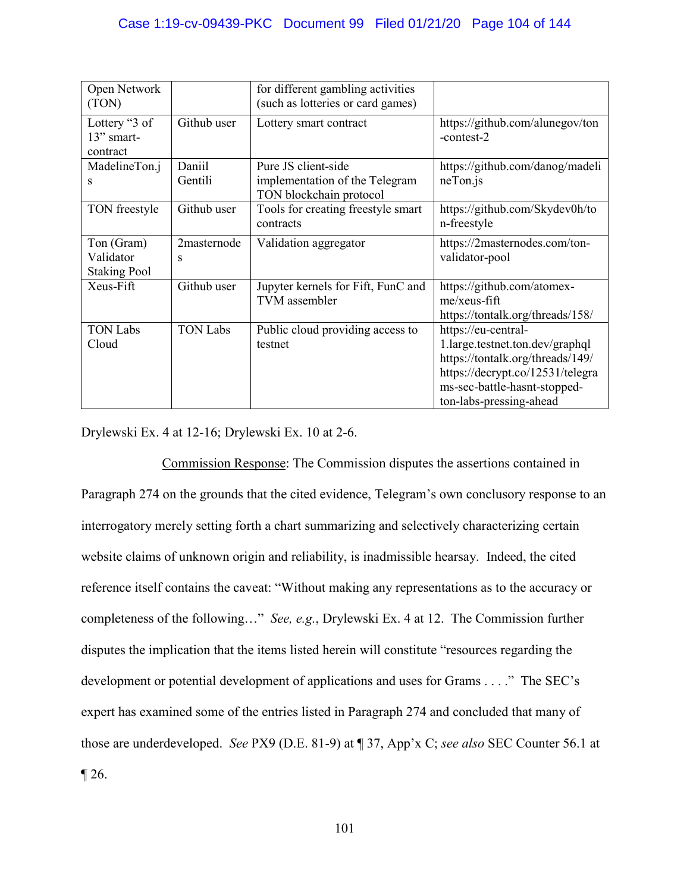| Open Network<br>(TON)                          |                   | for different gambling activities<br>(such as lotteries or card games)           |                                                                                                                                                                                           |
|------------------------------------------------|-------------------|----------------------------------------------------------------------------------|-------------------------------------------------------------------------------------------------------------------------------------------------------------------------------------------|
| Lottery "3 of<br>13" smart-<br>contract        | Github user       | Lottery smart contract                                                           | https://github.com/alunegov/ton<br>-contest-2                                                                                                                                             |
| MadelineTon.j<br>s                             | Daniil<br>Gentili | Pure JS client-side<br>implementation of the Telegram<br>TON blockchain protocol | https://github.com/danog/madeli<br>$neT$ on.js                                                                                                                                            |
| TON freestyle                                  | Github user       | Tools for creating freestyle smart<br>contracts                                  | https://github.com/Skydev0h/to<br>n-freestyle                                                                                                                                             |
| Ton (Gram)<br>Validator<br><b>Staking Pool</b> | 2masternode<br>S  | Validation aggregator                                                            | https://2masternodes.com/ton-<br>validator-pool                                                                                                                                           |
| Xeus-Fift                                      | Github user       | Jupyter kernels for Fift, FunC and<br>TVM assembler                              | https://github.com/atomex-<br>$me$ /xeus-fift<br>https://tontalk.org/threads/158/                                                                                                         |
| <b>TON Labs</b><br>Cloud                       | <b>TON Labs</b>   | Public cloud providing access to<br>testnet                                      | https://eu-central-<br>1.large.testnet.ton.dev/graphql<br>https://tontalk.org/threads/149/<br>https://decrypt.co/12531/telegra<br>ms-sec-battle-hasnt-stopped-<br>ton-labs-pressing-ahead |

Drylewski Ex. 4 at 12-16; Drylewski Ex. 10 at 2-6.

 Commission Response: The Commission disputes the assertions contained in Paragraph 274 on the grounds that the cited evidence, Telegram's own conclusory response to an interrogatory merely setting forth a chart summarizing and selectively characterizing certain website claims of unknown origin and reliability, is inadmissible hearsay. Indeed, the cited reference itself contains the caveat: "Without making any representations as to the accuracy or completeness of the following…" *See, e.g.*, Drylewski Ex. 4 at 12. The Commission further disputes the implication that the items listed herein will constitute "resources regarding the development or potential development of applications and uses for Grams . . . ." The SEC's expert has examined some of the entries listed in Paragraph 274 and concluded that many of those are underdeveloped. *See* PX9 (D.E. 81-9) at ¶ 37, App'x C; *see also* SEC Counter 56.1 at  $\P$  26.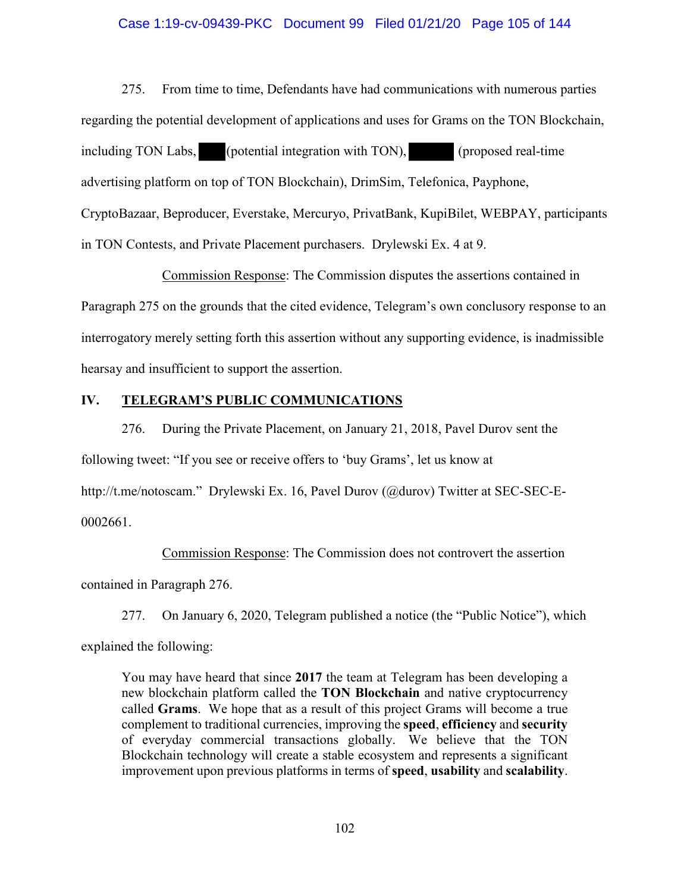### Case 1:19-cv-09439-PKC Document 99 Filed 01/21/20 Page 105 of 144

275. From time to time, Defendants have had communications with numerous parties regarding the potential development of applications and uses for Grams on the TON Blockchain, including TON Labs, (potential integration with TON), (proposed real-time advertising platform on top of TON Blockchain), DrimSim, Telefonica, Payphone, CryptoBazaar, Beproducer, Everstake, Mercuryo, PrivatBank, KupiBilet, WEBPAY, participants in TON Contests, and Private Placement purchasers. Drylewski Ex. 4 at 9.

Commission Response: The Commission disputes the assertions contained in Paragraph 275 on the grounds that the cited evidence, Telegram's own conclusory response to an interrogatory merely setting forth this assertion without any supporting evidence, is inadmissible hearsay and insufficient to support the assertion.

# **IV. TELEGRAM'S PUBLIC COMMUNICATIONS**

276. During the Private Placement, on January 21, 2018, Pavel Durov sent the following tweet: "If you see or receive offers to 'buy Grams', let us know at http://t.me/notoscam." Drylewski Ex. 16, Pavel Durov (@durov) Twitter at SEC-SEC-E-0002661.

Commission Response: The Commission does not controvert the assertion contained in Paragraph 276.

277. On January 6, 2020, Telegram published a notice (the "Public Notice"), which explained the following:

You may have heard that since **2017** the team at Telegram has been developing a new blockchain platform called the **TON Blockchain** and native cryptocurrency called **Grams**. We hope that as a result of this project Grams will become a true complement to traditional currencies, improving the **speed**, **efficiency** and **security** of everyday commercial transactions globally. We believe that the TON Blockchain technology will create a stable ecosystem and represents a significant improvement upon previous platforms in terms of **speed**, **usability** and **scalability**.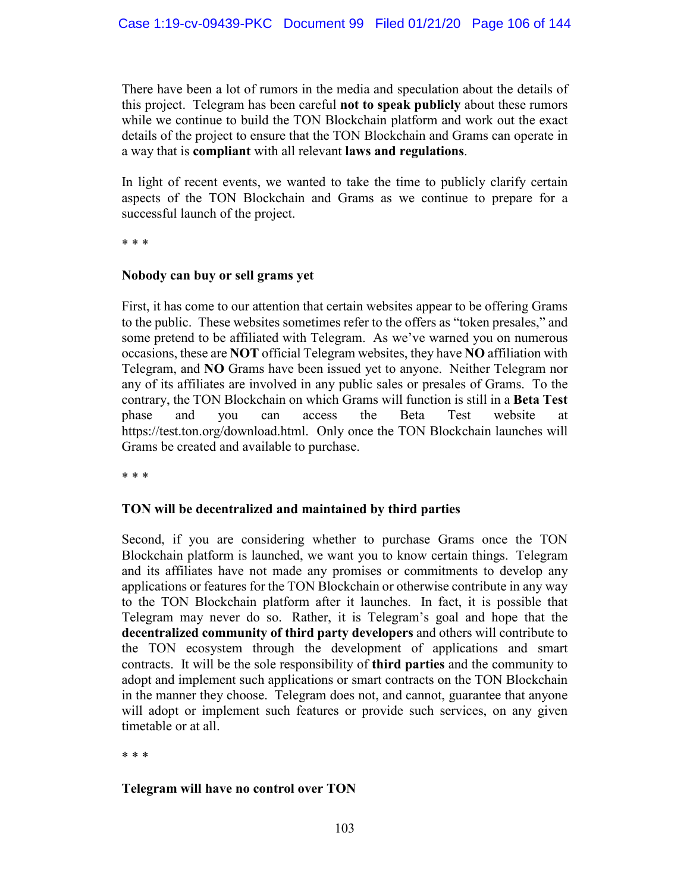# Case 1:19-cv-09439-PKC Document 99 Filed 01/21/20 Page 106 of 144

There have been a lot of rumors in the media and speculation about the details of this project. Telegram has been careful **not to speak publicly** about these rumors while we continue to build the TON Blockchain platform and work out the exact details of the project to ensure that the TON Blockchain and Grams can operate in a way that is **compliant** with all relevant **laws and regulations**.

In light of recent events, we wanted to take the time to publicly clarify certain aspects of the TON Blockchain and Grams as we continue to prepare for a successful launch of the project.

\* \* \*

## **Nobody can buy or sell grams yet**

First, it has come to our attention that certain websites appear to be offering Grams to the public. These websites sometimes refer to the offers as "token presales," and some pretend to be affiliated with Telegram. As we've warned you on numerous occasions, these are **NOT** official Telegram websites, they have **NO** affiliation with Telegram, and **NO** Grams have been issued yet to anyone. Neither Telegram nor any of its affiliates are involved in any public sales or presales of Grams. To the contrary, the TON Blockchain on which Grams will function is still in a **Beta Test** phase and you can access the Beta Test website at https://test.ton.org/download.html. Only once the TON Blockchain launches will Grams be created and available to purchase.

\* \* \*

## **TON will be decentralized and maintained by third parties**

Second, if you are considering whether to purchase Grams once the TON Blockchain platform is launched, we want you to know certain things. Telegram and its affiliates have not made any promises or commitments to develop any applications or features for the TON Blockchain or otherwise contribute in any way to the TON Blockchain platform after it launches. In fact, it is possible that Telegram may never do so. Rather, it is Telegram's goal and hope that the **decentralized community of third party developers** and others will contribute to the TON ecosystem through the development of applications and smart contracts. It will be the sole responsibility of **third parties** and the community to adopt and implement such applications or smart contracts on the TON Blockchain in the manner they choose. Telegram does not, and cannot, guarantee that anyone will adopt or implement such features or provide such services, on any given timetable or at all.

\* \* \*

## **Telegram will have no control over TON**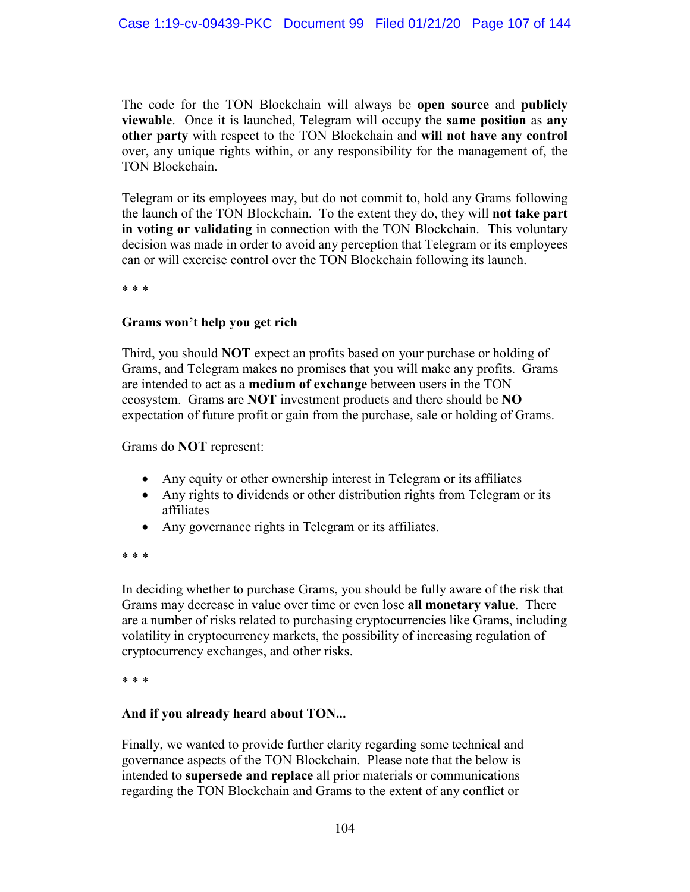The code for the TON Blockchain will always be **open source** and **publicly viewable**. Once it is launched, Telegram will occupy the **same position** as **any other party** with respect to the TON Blockchain and **will not have any control** over, any unique rights within, or any responsibility for the management of, the TON Blockchain.

Telegram or its employees may, but do not commit to, hold any Grams following the launch of the TON Blockchain. To the extent they do, they will **not take part in voting or validating** in connection with the TON Blockchain. This voluntary decision was made in order to avoid any perception that Telegram or its employees can or will exercise control over the TON Blockchain following its launch.

\* \* \*

## **Grams won't help you get rich**

Third, you should **NOT** expect an profits based on your purchase or holding of Grams, and Telegram makes no promises that you will make any profits. Grams are intended to act as a **medium of exchange** between users in the TON ecosystem. Grams are **NOT** investment products and there should be **NO** expectation of future profit or gain from the purchase, sale or holding of Grams.

Grams do **NOT** represent:

- Any equity or other ownership interest in Telegram or its affiliates
- Any rights to dividends or other distribution rights from Telegram or its affiliates
- Any governance rights in Telegram or its affiliates.

\* \* \*

In deciding whether to purchase Grams, you should be fully aware of the risk that Grams may decrease in value over time or even lose **all monetary value**. There are a number of risks related to purchasing cryptocurrencies like Grams, including volatility in cryptocurrency markets, the possibility of increasing regulation of cryptocurrency exchanges, and other risks.

\* \* \*

## **And if you already heard about TON...**

Finally, we wanted to provide further clarity regarding some technical and governance aspects of the TON Blockchain. Please note that the below is intended to **supersede and replace** all prior materials or communications regarding the TON Blockchain and Grams to the extent of any conflict or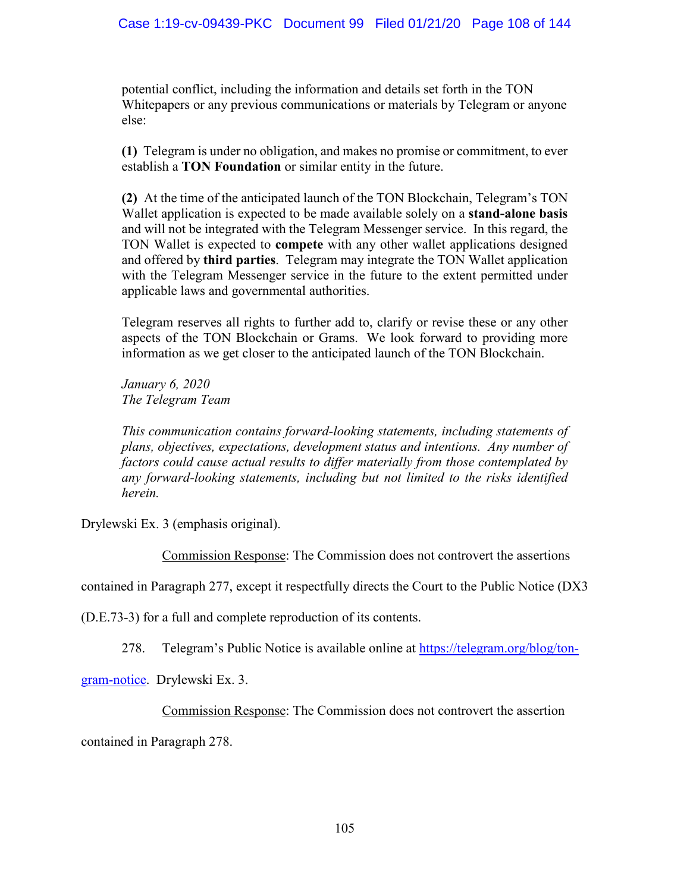# Case 1:19-cv-09439-PKC Document 99 Filed 01/21/20 Page 108 of 144

potential conflict, including the information and details set forth in the TON Whitepapers or any previous communications or materials by Telegram or anyone else:

**(1)** Telegram is under no obligation, and makes no promise or commitment, to ever establish a **TON Foundation** or similar entity in the future.

**(2)** At the time of the anticipated launch of the TON Blockchain, Telegram's TON Wallet application is expected to be made available solely on a **stand-alone basis** and will not be integrated with the Telegram Messenger service. In this regard, the TON Wallet is expected to **compete** with any other wallet applications designed and offered by **third parties**. Telegram may integrate the TON Wallet application with the Telegram Messenger service in the future to the extent permitted under applicable laws and governmental authorities.

Telegram reserves all rights to further add to, clarify or revise these or any other aspects of the TON Blockchain or Grams. We look forward to providing more information as we get closer to the anticipated launch of the TON Blockchain.

*January 6, 2020 The Telegram Team*

*This communication contains forward-looking statements, including statements of plans, objectives, expectations, development status and intentions. Any number of factors could cause actual results to differ materially from those contemplated by any forward-looking statements, including but not limited to the risks identified herein.* 

Drylewski Ex. 3 (emphasis original).

Commission Response: The Commission does not controvert the assertions

contained in Paragraph 277, except it respectfully directs the Court to the Public Notice (DX3

(D.E.73-3) for a full and complete reproduction of its contents.

278. Telegram's Public Notice is available online at https://telegram.org/blog/ton-

gram-notice. Drylewski Ex. 3.

# Commission Response: The Commission does not controvert the assertion

contained in Paragraph 278.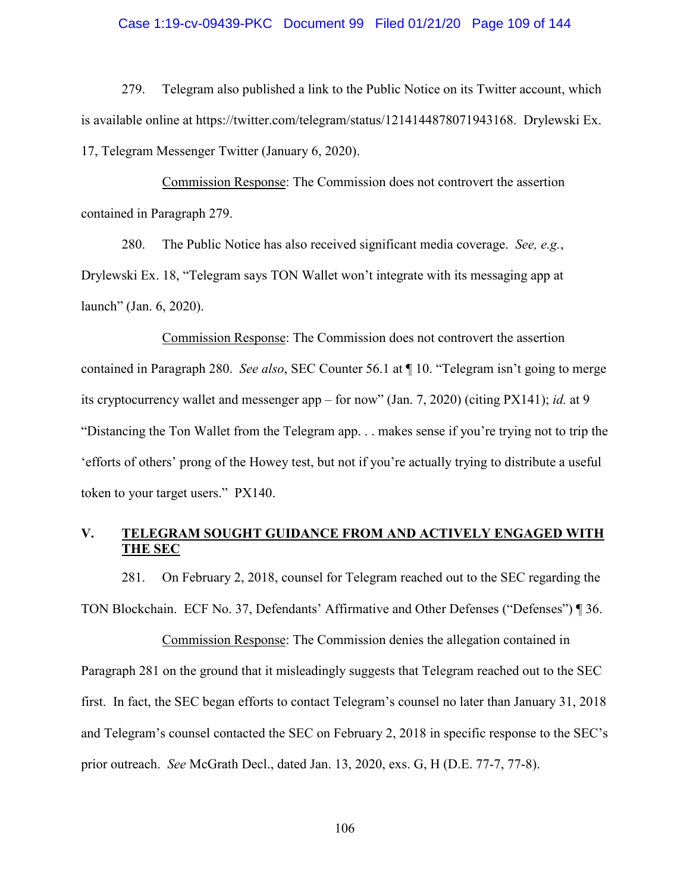### Case 1:19-cv-09439-PKC Document 99 Filed 01/21/20 Page 109 of 144

279. Telegram also published a link to the Public Notice on its Twitter account, which is available online at https://twitter.com/telegram/status/1214144878071943168. Drylewski Ex. 17, Telegram Messenger Twitter (January 6, 2020).

Commission Response: The Commission does not controvert the assertion contained in Paragraph 279.

280. The Public Notice has also received significant media coverage. *See, e.g.*, Drylewski Ex. 18, "Telegram says TON Wallet won't integrate with its messaging app at launch" (Jan. 6, 2020).

Commission Response: The Commission does not controvert the assertion contained in Paragraph 280. *See also*, SEC Counter 56.1 at ¶ 10. "Telegram isn't going to merge its cryptocurrency wallet and messenger app – for now" (Jan. 7, 2020) (citing PX141); *id.* at 9 "Distancing the Ton Wallet from the Telegram app. . . makes sense if you're trying not to trip the 'efforts of others' prong of the Howey test, but not if you're actually trying to distribute a useful token to your target users." PX140.

### **V. TELEGRAM SOUGHT GUIDANCE FROM AND ACTIVELY ENGAGED WITH THE SEC**

281. On February 2, 2018, counsel for Telegram reached out to the SEC regarding the TON Blockchain. ECF No. 37, Defendants' Affirmative and Other Defenses ("Defenses") ¶ 36.

Commission Response: The Commission denies the allegation contained in Paragraph 281 on the ground that it misleadingly suggests that Telegram reached out to the SEC first. In fact, the SEC began efforts to contact Telegram's counsel no later than January 31, 2018 and Telegram's counsel contacted the SEC on February 2, 2018 in specific response to the SEC's prior outreach. *See* McGrath Decl., dated Jan. 13, 2020, exs. G, H (D.E. 77-7, 77-8).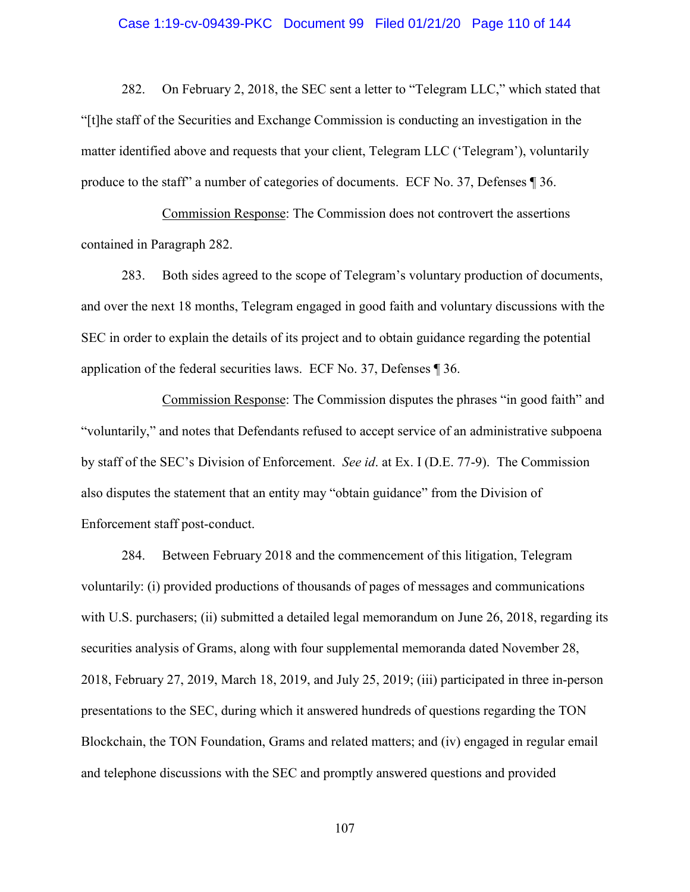### Case 1:19-cv-09439-PKC Document 99 Filed 01/21/20 Page 110 of 144

282. On February 2, 2018, the SEC sent a letter to "Telegram LLC," which stated that "[t]he staff of the Securities and Exchange Commission is conducting an investigation in the matter identified above and requests that your client, Telegram LLC ('Telegram'), voluntarily produce to the staff" a number of categories of documents. ECF No. 37, Defenses ¶ 36.

Commission Response: The Commission does not controvert the assertions contained in Paragraph 282.

283. Both sides agreed to the scope of Telegram's voluntary production of documents, and over the next 18 months, Telegram engaged in good faith and voluntary discussions with the SEC in order to explain the details of its project and to obtain guidance regarding the potential application of the federal securities laws. ECF No. 37, Defenses ¶ 36.

Commission Response: The Commission disputes the phrases "in good faith" and "voluntarily," and notes that Defendants refused to accept service of an administrative subpoena by staff of the SEC's Division of Enforcement. *See id*. at Ex. I (D.E. 77-9). The Commission also disputes the statement that an entity may "obtain guidance" from the Division of Enforcement staff post-conduct.

284. Between February 2018 and the commencement of this litigation, Telegram voluntarily: (i) provided productions of thousands of pages of messages and communications with U.S. purchasers; (ii) submitted a detailed legal memorandum on June 26, 2018, regarding its securities analysis of Grams, along with four supplemental memoranda dated November 28, 2018, February 27, 2019, March 18, 2019, and July 25, 2019; (iii) participated in three in-person presentations to the SEC, during which it answered hundreds of questions regarding the TON Blockchain, the TON Foundation, Grams and related matters; and (iv) engaged in regular email and telephone discussions with the SEC and promptly answered questions and provided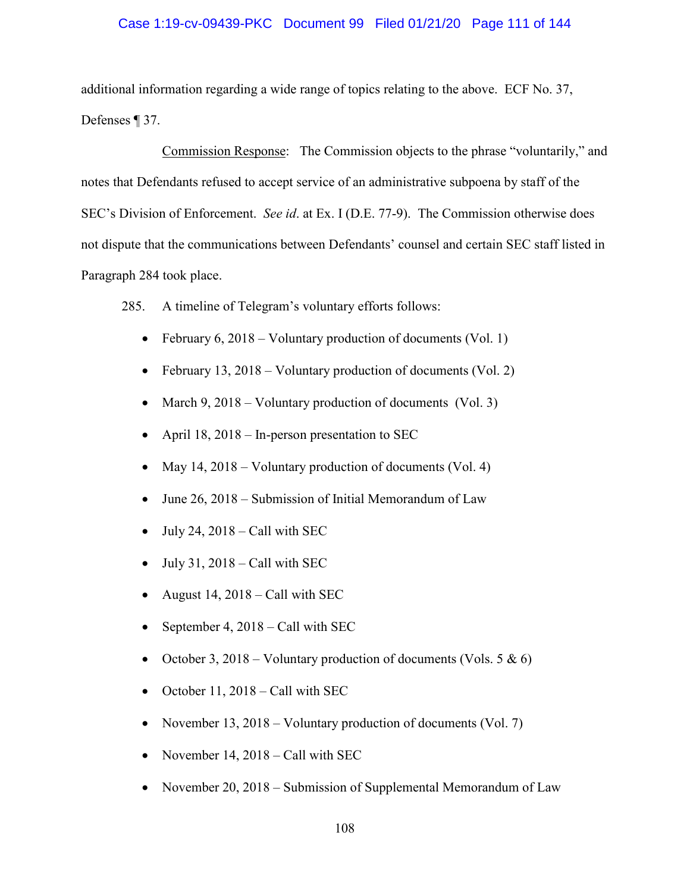### Case 1:19-cv-09439-PKC Document 99 Filed 01/21/20 Page 111 of 144

additional information regarding a wide range of topics relating to the above. ECF No. 37, Defenses ¶ 37.

Commission Response: The Commission objects to the phrase "voluntarily," and notes that Defendants refused to accept service of an administrative subpoena by staff of the SEC's Division of Enforcement. *See id*. at Ex. I (D.E. 77-9). The Commission otherwise does not dispute that the communications between Defendants' counsel and certain SEC staff listed in Paragraph 284 took place.

285. A timeline of Telegram's voluntary efforts follows:

- February 6, 2018 Voluntary production of documents (Vol. 1)
- February 13, 2018 Voluntary production of documents (Vol. 2)
- March  $9, 2018$  Voluntary production of documents (Vol. 3)
- April 18, 2018 In-person presentation to SEC
- May  $14$ ,  $2018$  Voluntary production of documents (Vol. 4)
- June 26, 2018 Submission of Initial Memorandum of Law
- July 24,  $2018 -$ Call with SEC
- July 31, 2018 Call with SEC
- August 14, 2018 Call with SEC
- September 4, 2018 Call with SEC
- October 3, 2018 Voluntary production of documents (Vols.  $5 \& 6$ )
- October 11, 2018 Call with SEC
- November 13, 2018 Voluntary production of documents (Vol. 7)
- November 14, 2018 Call with SEC
- November 20, 2018 Submission of Supplemental Memorandum of Law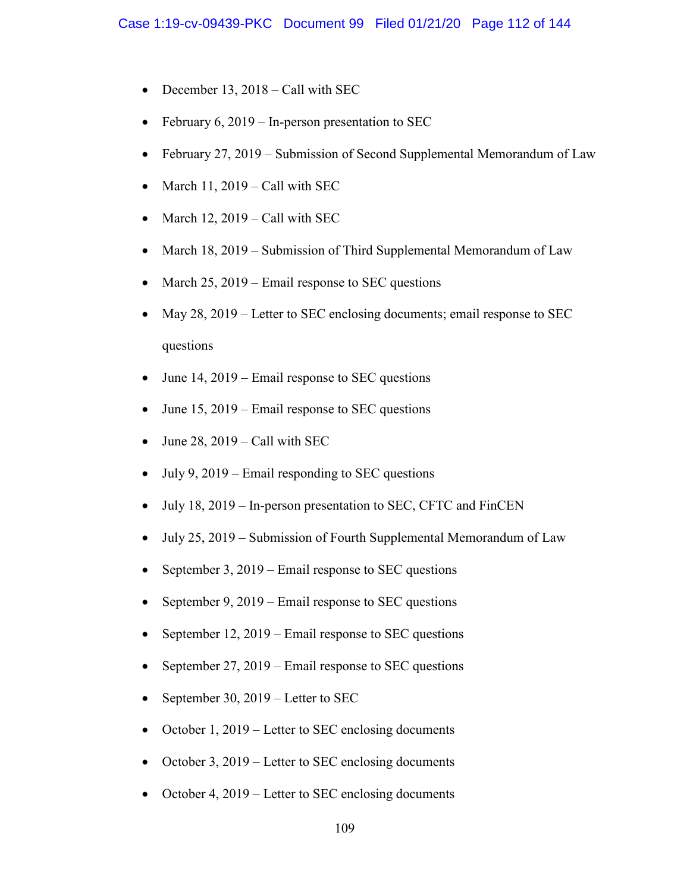- December 13, 2018 Call with SEC
- February 6, 2019 In-person presentation to SEC
- February 27, 2019 Submission of Second Supplemental Memorandum of Law
- March  $11$ ,  $2019$  Call with SEC
- March 12,  $2019 -$ Call with SEC
- March 18, 2019 Submission of Third Supplemental Memorandum of Law
- March  $25$ ,  $2019$  Email response to SEC questions
- May 28, 2019 Letter to SEC enclosing documents; email response to SEC questions
- June 14, 2019 Email response to SEC questions
- June 15, 2019 Email response to SEC questions
- June 28,  $2019 -$  Call with SEC
- July 9, 2019 Email responding to SEC questions
- July 18, 2019 In-person presentation to SEC, CFTC and FinCEN
- July 25, 2019 Submission of Fourth Supplemental Memorandum of Law
- September 3, 2019 Email response to SEC questions
- September 9, 2019 Email response to SEC questions
- September 12, 2019 Email response to SEC questions
- September 27, 2019 Email response to SEC questions
- September 30, 2019 Letter to SEC
- October 1, 2019 Letter to SEC enclosing documents
- October 3, 2019 Letter to SEC enclosing documents
- October 4, 2019 Letter to SEC enclosing documents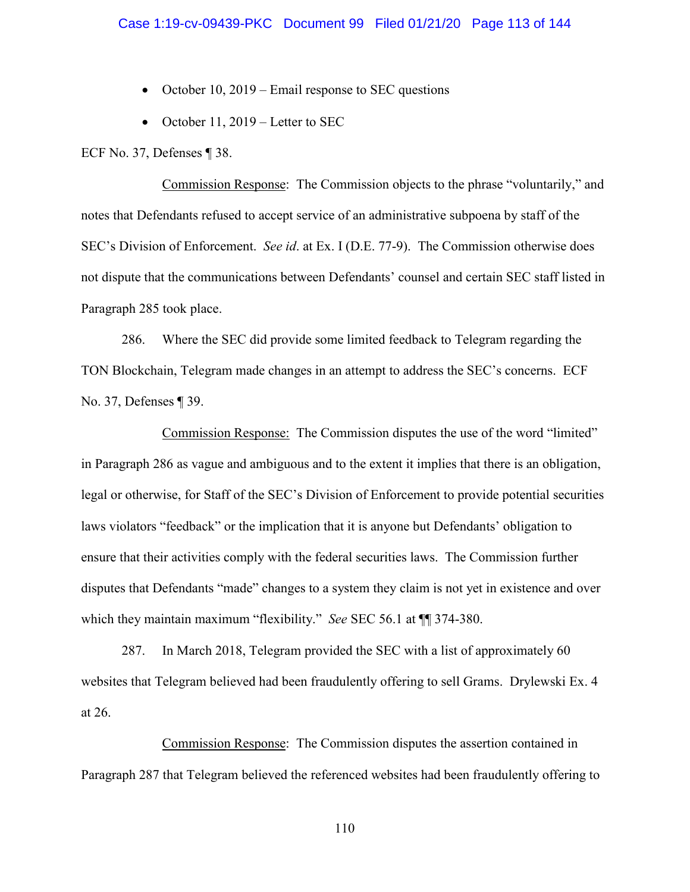- October 10, 2019 Email response to SEC questions
- October 11, 2019 Letter to SEC

ECF No. 37, Defenses ¶ 38.

Commission Response: The Commission objects to the phrase "voluntarily," and notes that Defendants refused to accept service of an administrative subpoena by staff of the SEC's Division of Enforcement. *See id*. at Ex. I (D.E. 77-9). The Commission otherwise does not dispute that the communications between Defendants' counsel and certain SEC staff listed in Paragraph 285 took place.

286. Where the SEC did provide some limited feedback to Telegram regarding the TON Blockchain, Telegram made changes in an attempt to address the SEC's concerns. ECF No. 37, Defenses ¶ 39.

Commission Response: The Commission disputes the use of the word "limited" in Paragraph 286 as vague and ambiguous and to the extent it implies that there is an obligation, legal or otherwise, for Staff of the SEC's Division of Enforcement to provide potential securities laws violators "feedback" or the implication that it is anyone but Defendants' obligation to ensure that their activities comply with the federal securities laws. The Commission further disputes that Defendants "made" changes to a system they claim is not yet in existence and over which they maintain maximum "flexibility." *See* SEC 56.1 at ¶¶ 374-380.

287. In March 2018, Telegram provided the SEC with a list of approximately 60 websites that Telegram believed had been fraudulently offering to sell Grams. Drylewski Ex. 4 at 26.

Commission Response: The Commission disputes the assertion contained in Paragraph 287 that Telegram believed the referenced websites had been fraudulently offering to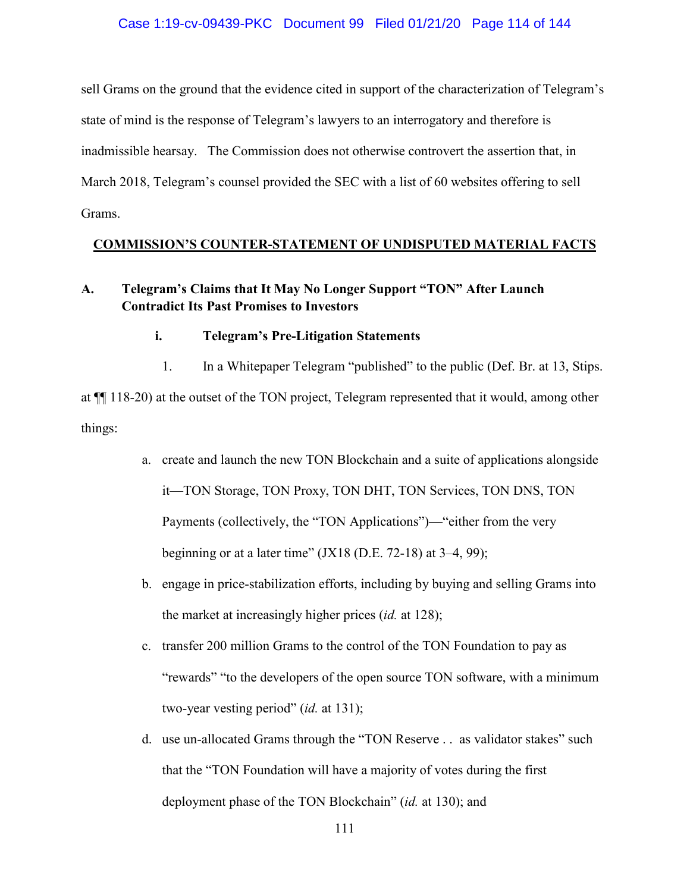### Case 1:19-cv-09439-PKC Document 99 Filed 01/21/20 Page 114 of 144

sell Grams on the ground that the evidence cited in support of the characterization of Telegram's state of mind is the response of Telegram's lawyers to an interrogatory and therefore is inadmissible hearsay. The Commission does not otherwise controvert the assertion that, in March 2018, Telegram's counsel provided the SEC with a list of 60 websites offering to sell Grams.

### **COMMISSION'S COUNTER-STATEMENT OF UNDISPUTED MATERIAL FACTS**

# **A. Telegram's Claims that It May No Longer Support "TON" After Launch Contradict Its Past Promises to Investors**

### **i. Telegram's Pre-Litigation Statements**

1. In a Whitepaper Telegram "published" to the public (Def. Br. at 13, Stips.

at ¶¶ 118-20) at the outset of the TON project, Telegram represented that it would, among other things:

- a. create and launch the new TON Blockchain and a suite of applications alongside it—TON Storage, TON Proxy, TON DHT, TON Services, TON DNS, TON Payments (collectively, the "TON Applications")—"either from the very beginning or at a later time"  $(JX18 (D.E. 72-18)$  at 3-4, 99);
- b. engage in price-stabilization efforts, including by buying and selling Grams into the market at increasingly higher prices (*id.* at 128);
- c. transfer 200 million Grams to the control of the TON Foundation to pay as "rewards" "to the developers of the open source TON software, with a minimum two-year vesting period" (*id.* at 131);
- d. use un-allocated Grams through the "TON Reserve . . as validator stakes" such that the "TON Foundation will have a majority of votes during the first deployment phase of the TON Blockchain" (*id.* at 130); and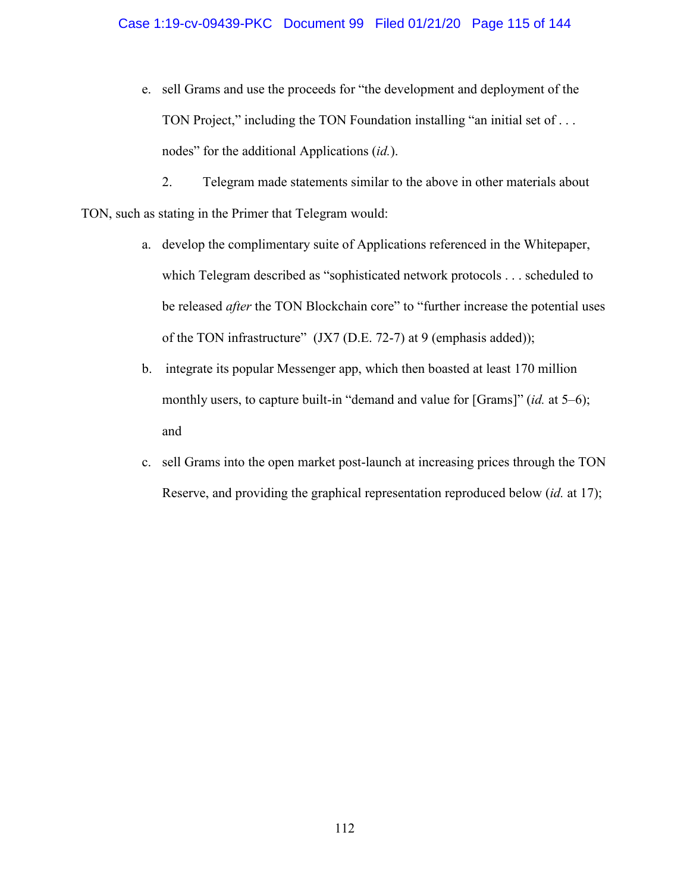### Case 1:19-cv-09439-PKC Document 99 Filed 01/21/20 Page 115 of 144

e. sell Grams and use the proceeds for "the development and deployment of the TON Project," including the TON Foundation installing "an initial set of ... nodes" for the additional Applications (*id.*).

2. Telegram made statements similar to the above in other materials about TON, such as stating in the Primer that Telegram would:

- a. develop the complimentary suite of Applications referenced in the Whitepaper, which Telegram described as "sophisticated network protocols . . . scheduled to be released *after* the TON Blockchain core" to "further increase the potential uses of the TON infrastructure" (JX7 (D.E. 72-7) at 9 (emphasis added));
- b. integrate its popular Messenger app, which then boasted at least 170 million monthly users, to capture built-in "demand and value for [Grams]" (*id.* at 5–6); and
- c. sell Grams into the open market post-launch at increasing prices through the TON Reserve, and providing the graphical representation reproduced below (*id.* at 17);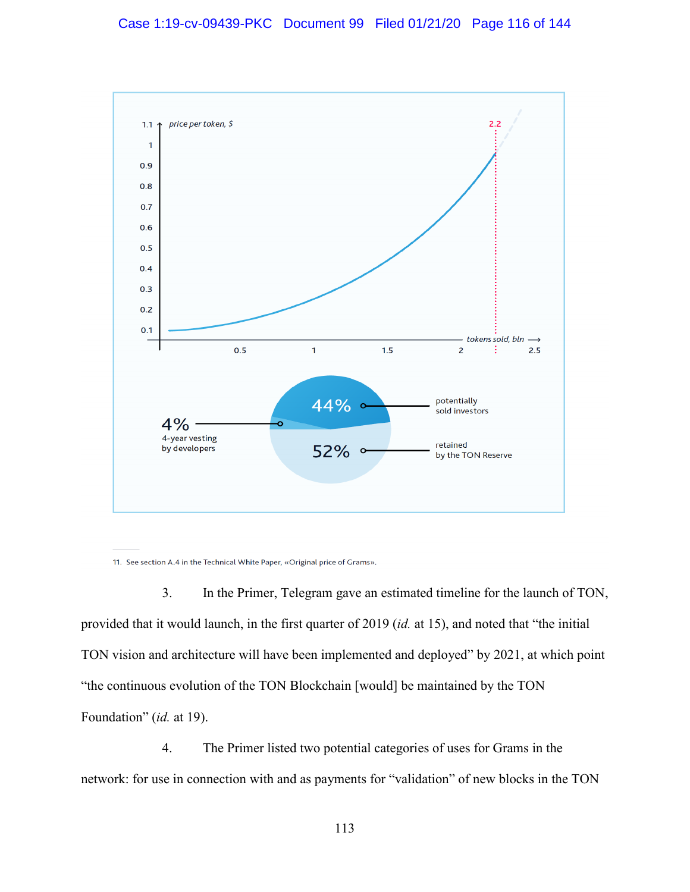

11. See section A.4 in the Technical White Paper, «Original price of Grams».

3. In the Primer, Telegram gave an estimated timeline for the launch of TON, provided that it would launch, in the first quarter of 2019 (*id.* at 15), and noted that "the initial TON vision and architecture will have been implemented and deployed" by 2021, at which point "the continuous evolution of the TON Blockchain [would] be maintained by the TON Foundation" (*id.* at 19).

4. The Primer listed two potential categories of uses for Grams in the network: for use in connection with and as payments for "validation" of new blocks in the TON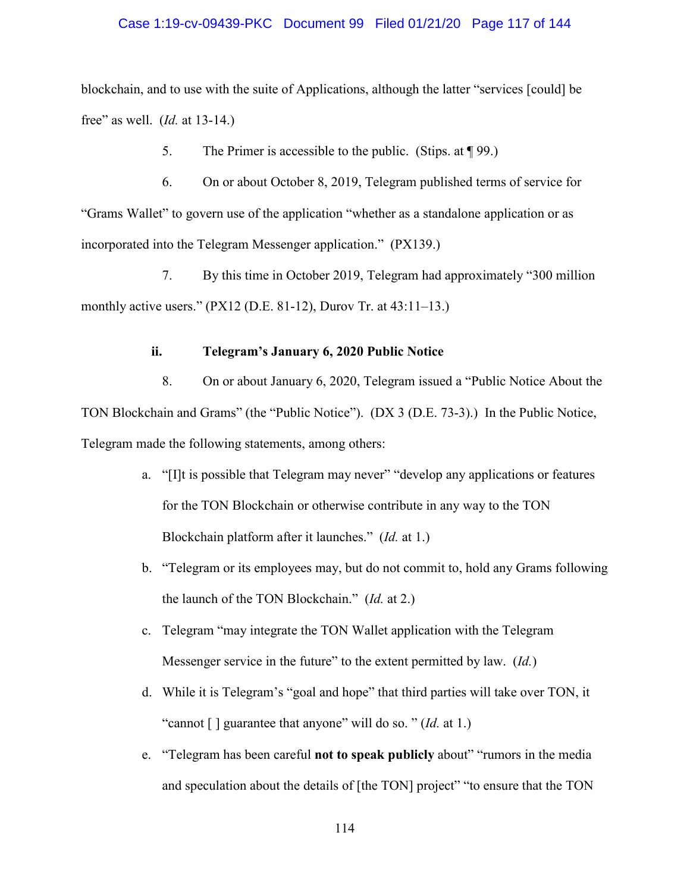### Case 1:19-cv-09439-PKC Document 99 Filed 01/21/20 Page 117 of 144

blockchain, and to use with the suite of Applications, although the latter "services [could] be free" as well. (*Id.* at 13-14.)

5. The Primer is accessible to the public. (Stips. at ¶ 99.)

6. On or about October 8, 2019, Telegram published terms of service for "Grams Wallet" to govern use of the application "whether as a standalone application or as incorporated into the Telegram Messenger application." (PX139.)

7. By this time in October 2019, Telegram had approximately "300 million monthly active users."  $(PX12 (D.E. 81-12)$ , Durov Tr. at  $43:11-13$ .

### **ii. Telegram's January 6, 2020 Public Notice**

8. On or about January 6, 2020, Telegram issued a "Public Notice About the TON Blockchain and Grams" (the "Public Notice"). (DX 3 (D.E. 73-3).) In the Public Notice, Telegram made the following statements, among others:

- a. "[I]t is possible that Telegram may never" "develop any applications or features for the TON Blockchain or otherwise contribute in any way to the TON Blockchain platform after it launches." (*Id.* at 1.)
- b. "Telegram or its employees may, but do not commit to, hold any Grams following the launch of the TON Blockchain." (*Id.* at 2.)
- c. Telegram "may integrate the TON Wallet application with the Telegram Messenger service in the future" to the extent permitted by law. (*Id.*)
- d. While it is Telegram's "goal and hope" that third parties will take over TON, it "cannot [ ] guarantee that anyone" will do so. " (*Id.* at 1.)
- e. "Telegram has been careful **not to speak publicly** about" "rumors in the media and speculation about the details of [the TON] project" "to ensure that the TON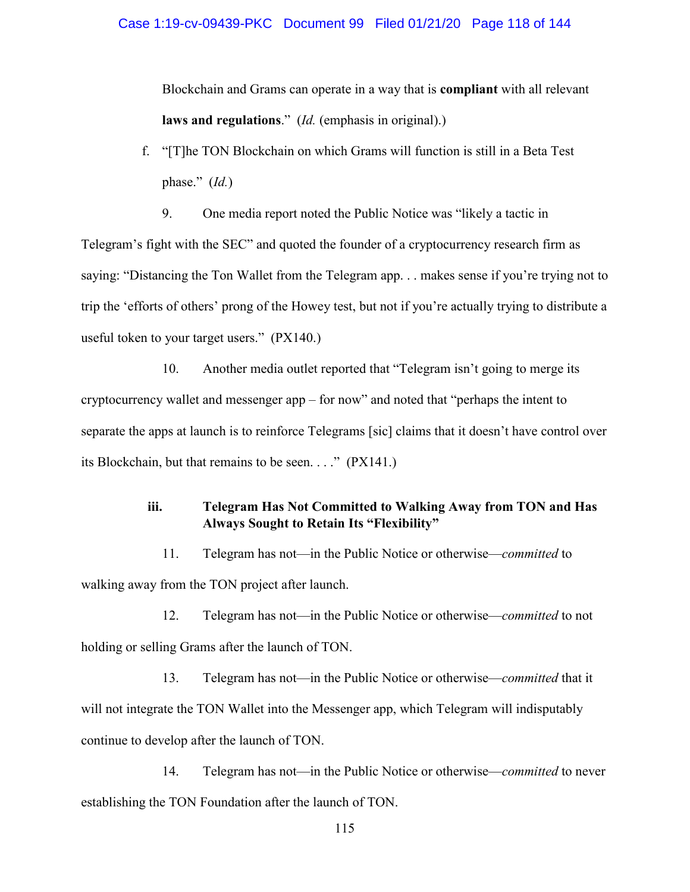### Case 1:19-cv-09439-PKC Document 99 Filed 01/21/20 Page 118 of 144

Blockchain and Grams can operate in a way that is **compliant** with all relevant **laws and regulations**." (*Id.* (emphasis in original).)

- f. "[T]he TON Blockchain on which Grams will function is still in a Beta Test phase." (*Id.*)
	- 9. One media report noted the Public Notice was "likely a tactic in

Telegram's fight with the SEC" and quoted the founder of a cryptocurrency research firm as saying: "Distancing the Ton Wallet from the Telegram app. . . makes sense if you're trying not to trip the 'efforts of others' prong of the Howey test, but not if you're actually trying to distribute a useful token to your target users." (PX140.)

10. Another media outlet reported that "Telegram isn't going to merge its cryptocurrency wallet and messenger app – for now" and noted that "perhaps the intent to separate the apps at launch is to reinforce Telegrams [sic] claims that it doesn't have control over its Blockchain, but that remains to be seen. . . ." (PX141.)

# **iii. Telegram Has Not Committed to Walking Away from TON and Has Always Sought to Retain Its "Flexibility"**

11. Telegram has not—in the Public Notice or otherwise—*committed* to walking away from the TON project after launch.

12. Telegram has not—in the Public Notice or otherwise—*committed* to not holding or selling Grams after the launch of TON.

13. Telegram has not—in the Public Notice or otherwise—*committed* that it will not integrate the TON Wallet into the Messenger app, which Telegram will indisputably continue to develop after the launch of TON.

14. Telegram has not—in the Public Notice or otherwise—*committed* to never establishing the TON Foundation after the launch of TON.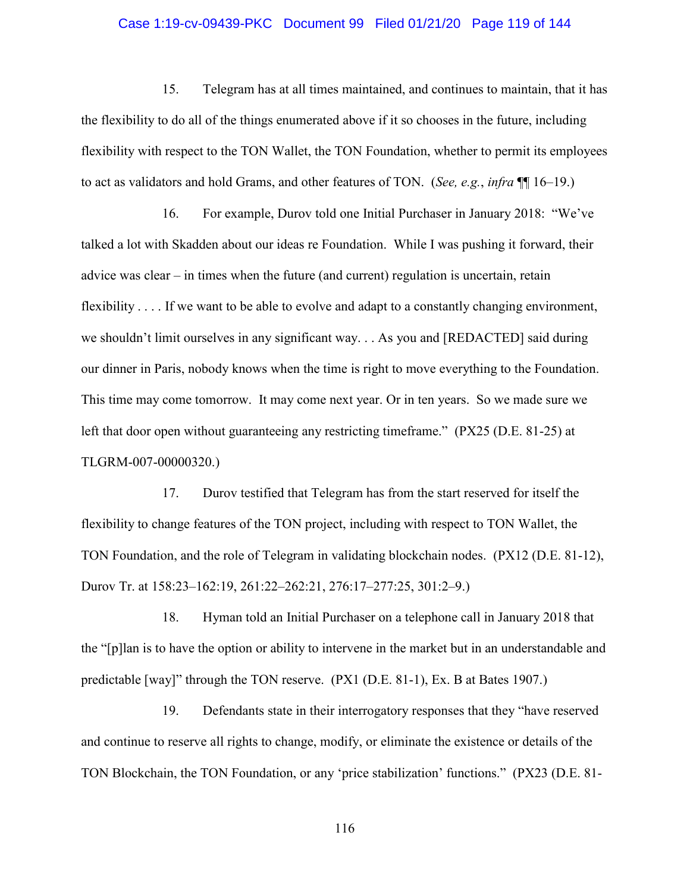### Case 1:19-cv-09439-PKC Document 99 Filed 01/21/20 Page 119 of 144

15. Telegram has at all times maintained, and continues to maintain, that it has the flexibility to do all of the things enumerated above if it so chooses in the future, including flexibility with respect to the TON Wallet, the TON Foundation, whether to permit its employees to act as validators and hold Grams, and other features of TON. (*See, e.g.*, *infra* ¶¶ 16–19.)

16. For example, Durov told one Initial Purchaser in January 2018: "We've talked a lot with Skadden about our ideas re Foundation. While I was pushing it forward, their advice was clear – in times when the future (and current) regulation is uncertain, retain flexibility . . . . If we want to be able to evolve and adapt to a constantly changing environment, we shouldn't limit ourselves in any significant way. . . As you and [REDACTED] said during our dinner in Paris, nobody knows when the time is right to move everything to the Foundation. This time may come tomorrow. It may come next year. Or in ten years. So we made sure we left that door open without guaranteeing any restricting timeframe." (PX25 (D.E. 81-25) at TLGRM-007-00000320.)

17. Durov testified that Telegram has from the start reserved for itself the flexibility to change features of the TON project, including with respect to TON Wallet, the TON Foundation, and the role of Telegram in validating blockchain nodes. (PX12 (D.E. 81-12), Durov Tr. at 158:23–162:19, 261:22–262:21, 276:17–277:25, 301:2–9.)

18. Hyman told an Initial Purchaser on a telephone call in January 2018 that the "[p]lan is to have the option or ability to intervene in the market but in an understandable and predictable [way]" through the TON reserve. (PX1 (D.E. 81-1), Ex. B at Bates 1907.)

19. Defendants state in their interrogatory responses that they "have reserved and continue to reserve all rights to change, modify, or eliminate the existence or details of the TON Blockchain, the TON Foundation, or any 'price stabilization' functions." (PX23 (D.E. 81-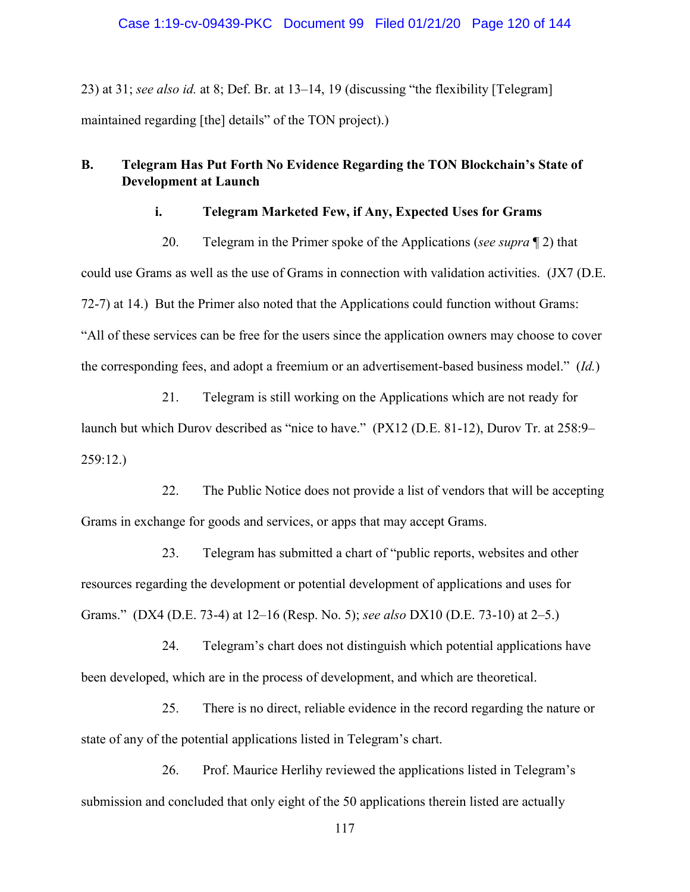23) at 31; *see also id.* at 8; Def. Br. at 13–14, 19 (discussing "the flexibility [Telegram] maintained regarding [the] details" of the TON project).)

# **B. Telegram Has Put Forth No Evidence Regarding the TON Blockchain's State of Development at Launch**

### **i. Telegram Marketed Few, if Any, Expected Uses for Grams**

20. Telegram in the Primer spoke of the Applications (*see supra* ¶ 2) that

could use Grams as well as the use of Grams in connection with validation activities. (JX7 (D.E. 72-7) at 14.) But the Primer also noted that the Applications could function without Grams: "All of these services can be free for the users since the application owners may choose to cover the corresponding fees, and adopt a freemium or an advertisement-based business model." (*Id.*)

21. Telegram is still working on the Applications which are not ready for launch but which Durov described as "nice to have." (PX12 (D.E. 81-12), Durov Tr. at 258:9– 259:12.)

22. The Public Notice does not provide a list of vendors that will be accepting Grams in exchange for goods and services, or apps that may accept Grams.

23. Telegram has submitted a chart of "public reports, websites and other resources regarding the development or potential development of applications and uses for Grams." (DX4 (D.E. 73-4) at 12–16 (Resp. No. 5); *see also* DX10 (D.E. 73-10) at 2–5.)

24. Telegram's chart does not distinguish which potential applications have been developed, which are in the process of development, and which are theoretical.

25. There is no direct, reliable evidence in the record regarding the nature or state of any of the potential applications listed in Telegram's chart.

26. Prof. Maurice Herlihy reviewed the applications listed in Telegram's submission and concluded that only eight of the 50 applications therein listed are actually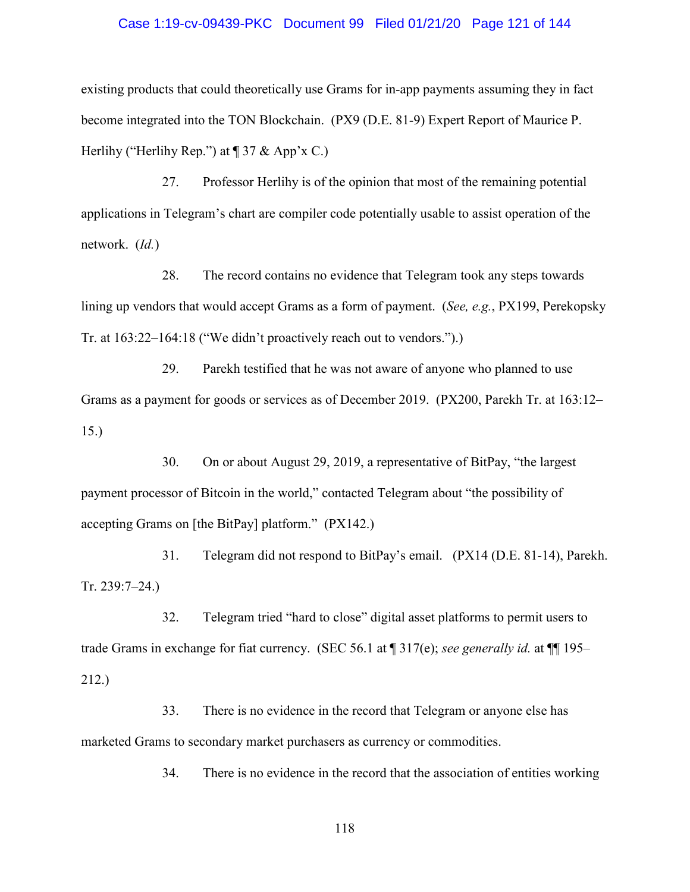#### Case 1:19-cv-09439-PKC Document 99 Filed 01/21/20 Page 121 of 144

existing products that could theoretically use Grams for in-app payments assuming they in fact become integrated into the TON Blockchain. (PX9 (D.E. 81-9) Expert Report of Maurice P. Herlihy ("Herlihy Rep.") at  $\P$  37 & App'x C.)

27. Professor Herlihy is of the opinion that most of the remaining potential applications in Telegram's chart are compiler code potentially usable to assist operation of the network. (*Id.*)

28. The record contains no evidence that Telegram took any steps towards lining up vendors that would accept Grams as a form of payment. (*See, e.g.*, PX199, Perekopsky Tr. at 163:22–164:18 ("We didn't proactively reach out to vendors.").)

29. Parekh testified that he was not aware of anyone who planned to use Grams as a payment for goods or services as of December 2019. (PX200, Parekh Tr. at 163:12– 15.)

30. On or about August 29, 2019, a representative of BitPay, "the largest payment processor of Bitcoin in the world," contacted Telegram about "the possibility of accepting Grams on [the BitPay] platform." (PX142.)

31. Telegram did not respond to BitPay's email. (PX14 (D.E. 81-14), Parekh. Tr. 239:7–24.)

32. Telegram tried "hard to close" digital asset platforms to permit users to trade Grams in exchange for fiat currency. (SEC 56.1 at ¶ 317(e); *see generally id.* at ¶¶ 195– 212.)

33. There is no evidence in the record that Telegram or anyone else has marketed Grams to secondary market purchasers as currency or commodities.

34. There is no evidence in the record that the association of entities working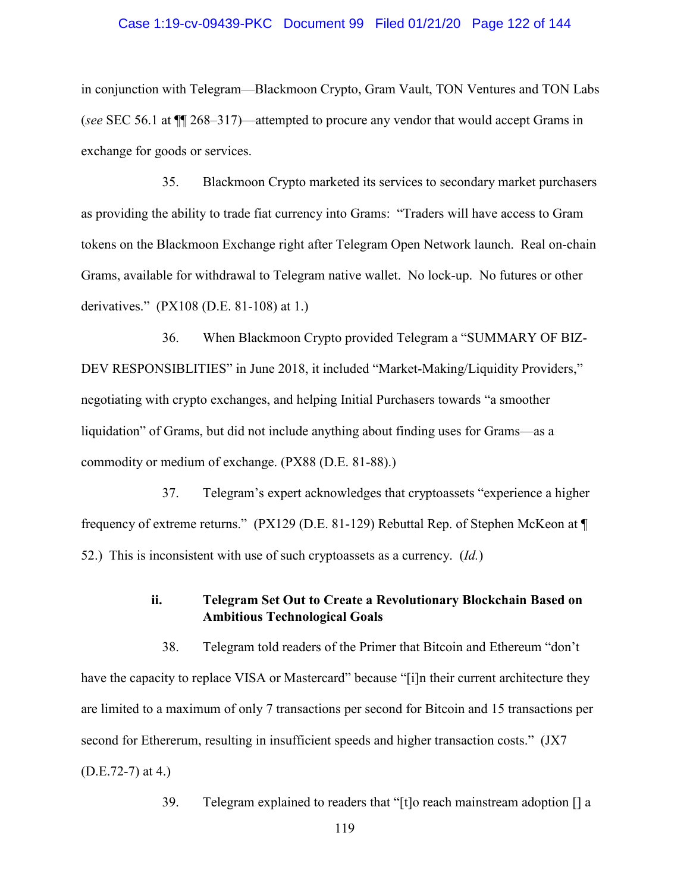### Case 1:19-cv-09439-PKC Document 99 Filed 01/21/20 Page 122 of 144

in conjunction with Telegram—Blackmoon Crypto, Gram Vault, TON Ventures and TON Labs (*see* SEC 56.1 at ¶¶ 268–317)—attempted to procure any vendor that would accept Grams in exchange for goods or services.

35. Blackmoon Crypto marketed its services to secondary market purchasers as providing the ability to trade fiat currency into Grams: "Traders will have access to Gram tokens on the Blackmoon Exchange right after Telegram Open Network launch. Real on-chain Grams, available for withdrawal to Telegram native wallet. No lock-up. No futures or other derivatives." (PX108 (D.E. 81-108) at 1.)

36. When Blackmoon Crypto provided Telegram a "SUMMARY OF BIZ-DEV RESPONSIBLITIES" in June 2018, it included "Market-Making/Liquidity Providers," negotiating with crypto exchanges, and helping Initial Purchasers towards "a smoother liquidation" of Grams, but did not include anything about finding uses for Grams—as a commodity or medium of exchange. (PX88 (D.E. 81-88).)

37. Telegram's expert acknowledges that cryptoassets "experience a higher frequency of extreme returns." (PX129 (D.E. 81-129) Rebuttal Rep. of Stephen McKeon at ¶ 52.) This is inconsistent with use of such cryptoassets as a currency. (*Id.*)

### **ii. Telegram Set Out to Create a Revolutionary Blockchain Based on Ambitious Technological Goals**

38. Telegram told readers of the Primer that Bitcoin and Ethereum "don't have the capacity to replace VISA or Mastercard" because "[i]n their current architecture they are limited to a maximum of only 7 transactions per second for Bitcoin and 15 transactions per second for Ethererum, resulting in insufficient speeds and higher transaction costs." (JX7 (D.E.72-7) at 4.)

39. Telegram explained to readers that "[t]o reach mainstream adoption [] a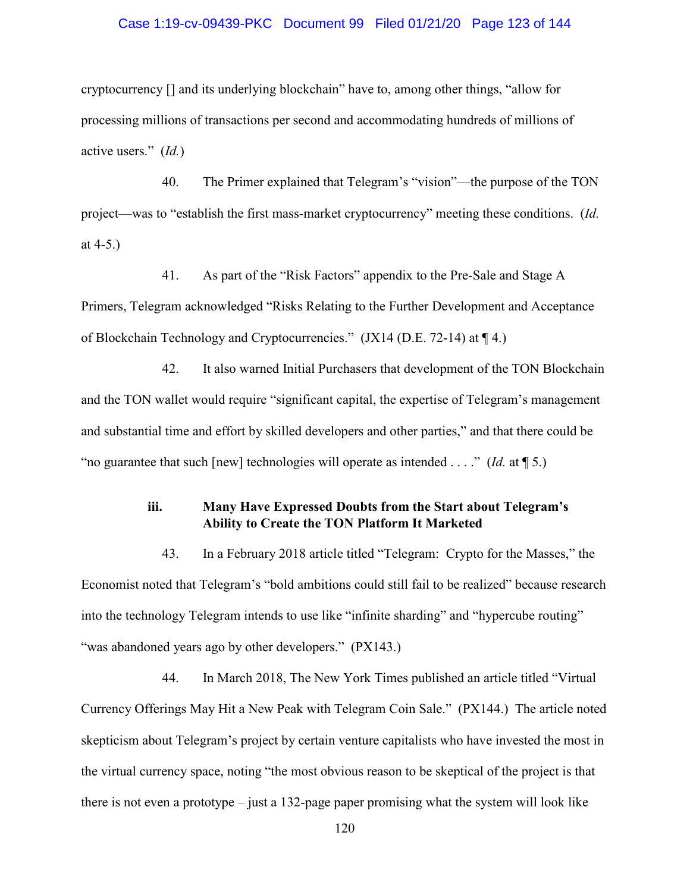### Case 1:19-cv-09439-PKC Document 99 Filed 01/21/20 Page 123 of 144

cryptocurrency [] and its underlying blockchain" have to, among other things, "allow for processing millions of transactions per second and accommodating hundreds of millions of active users." (*Id.*)

40. The Primer explained that Telegram's "vision"—the purpose of the TON project—was to "establish the first mass-market cryptocurrency" meeting these conditions. (*Id.* at 4-5.)

41. As part of the "Risk Factors" appendix to the Pre-Sale and Stage A Primers, Telegram acknowledged "Risks Relating to the Further Development and Acceptance of Blockchain Technology and Cryptocurrencies." (JX14 (D.E. 72-14) at ¶ 4.)

42. It also warned Initial Purchasers that development of the TON Blockchain and the TON wallet would require "significant capital, the expertise of Telegram's management and substantial time and effort by skilled developers and other parties," and that there could be "no guarantee that such [new] technologies will operate as intended . . . ." (*Id.* at ¶ 5.)

# **iii. Many Have Expressed Doubts from the Start about Telegram's Ability to Create the TON Platform It Marketed**

43. In a February 2018 article titled "Telegram: Crypto for the Masses," the Economist noted that Telegram's "bold ambitions could still fail to be realized" because research into the technology Telegram intends to use like "infinite sharding" and "hypercube routing" "was abandoned years ago by other developers." (PX143.)

44. In March 2018, The New York Times published an article titled "Virtual Currency Offerings May Hit a New Peak with Telegram Coin Sale." (PX144.) The article noted skepticism about Telegram's project by certain venture capitalists who have invested the most in the virtual currency space, noting "the most obvious reason to be skeptical of the project is that there is not even a prototype – just a 132-page paper promising what the system will look like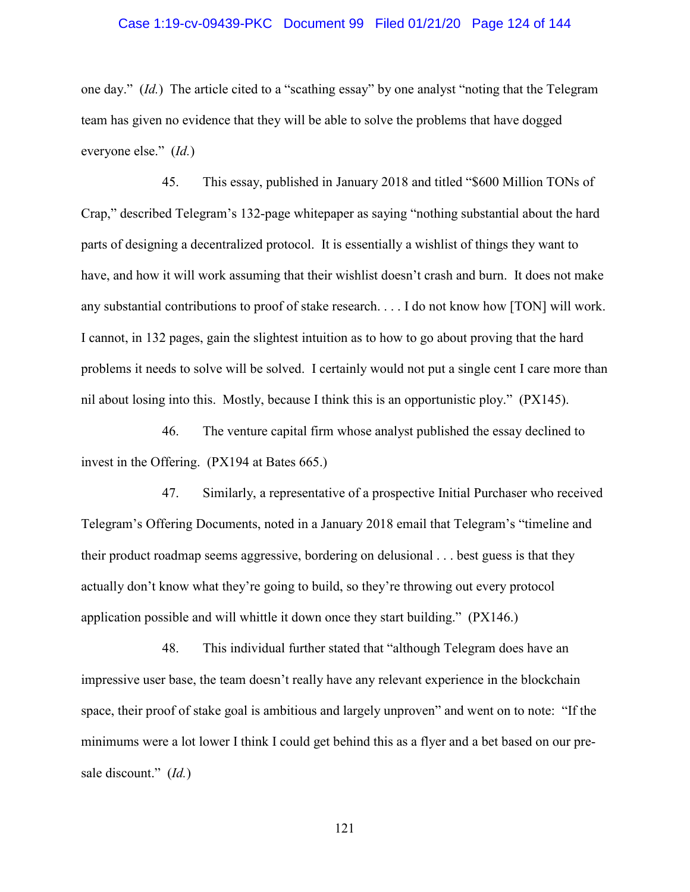### Case 1:19-cv-09439-PKC Document 99 Filed 01/21/20 Page 124 of 144

one day." (*Id.*) The article cited to a "scathing essay" by one analyst "noting that the Telegram team has given no evidence that they will be able to solve the problems that have dogged everyone else." (*Id.*)

45. This essay, published in January 2018 and titled "\$600 Million TONs of Crap," described Telegram's 132-page whitepaper as saying "nothing substantial about the hard parts of designing a decentralized protocol. It is essentially a wishlist of things they want to have, and how it will work assuming that their wishlist doesn't crash and burn. It does not make any substantial contributions to proof of stake research. . . . I do not know how [TON] will work. I cannot, in 132 pages, gain the slightest intuition as to how to go about proving that the hard problems it needs to solve will be solved. I certainly would not put a single cent I care more than nil about losing into this. Mostly, because I think this is an opportunistic ploy." (PX145).

46. The venture capital firm whose analyst published the essay declined to invest in the Offering. (PX194 at Bates 665.)

47. Similarly, a representative of a prospective Initial Purchaser who received Telegram's Offering Documents, noted in a January 2018 email that Telegram's "timeline and their product roadmap seems aggressive, bordering on delusional . . . best guess is that they actually don't know what they're going to build, so they're throwing out every protocol application possible and will whittle it down once they start building." (PX146.)

48. This individual further stated that "although Telegram does have an impressive user base, the team doesn't really have any relevant experience in the blockchain space, their proof of stake goal is ambitious and largely unproven" and went on to note: "If the minimums were a lot lower I think I could get behind this as a flyer and a bet based on our presale discount." (*Id.*)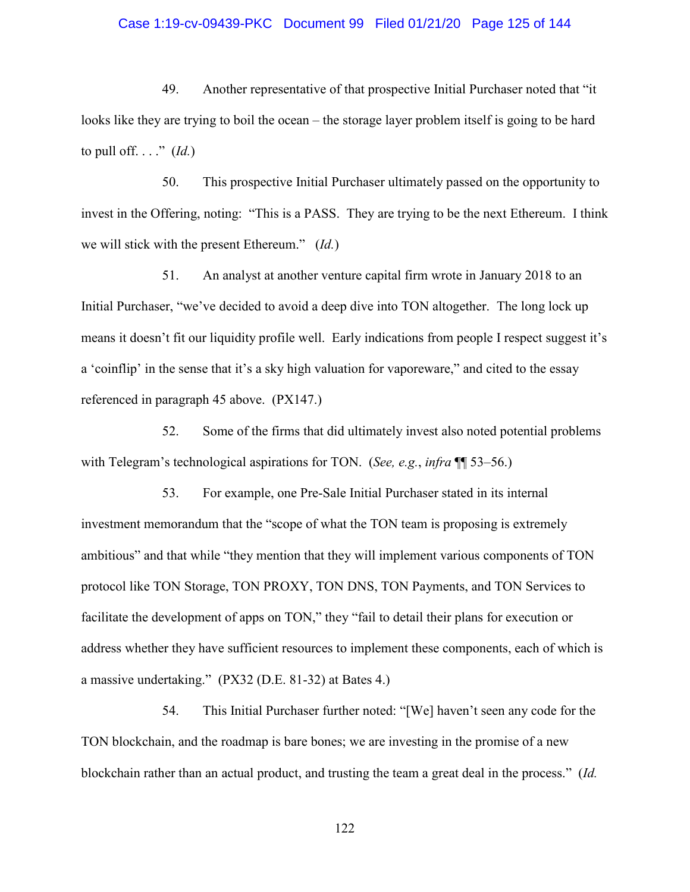### Case 1:19-cv-09439-PKC Document 99 Filed 01/21/20 Page 125 of 144

49. Another representative of that prospective Initial Purchaser noted that "it looks like they are trying to boil the ocean – the storage layer problem itself is going to be hard to pull off...."  $(Id.)$ 

50. This prospective Initial Purchaser ultimately passed on the opportunity to invest in the Offering, noting: "This is a PASS. They are trying to be the next Ethereum. I think we will stick with the present Ethereum." (*Id.*)

51. An analyst at another venture capital firm wrote in January 2018 to an Initial Purchaser, "we've decided to avoid a deep dive into TON altogether. The long lock up means it doesn't fit our liquidity profile well. Early indications from people I respect suggest it's a 'coinflip' in the sense that it's a sky high valuation for vaporeware," and cited to the essay referenced in paragraph 45 above. (PX147.)

52. Some of the firms that did ultimately invest also noted potential problems with Telegram's technological aspirations for TON. (*See, e.g.*, *infra* ¶¶ 53–56.)

53. For example, one Pre-Sale Initial Purchaser stated in its internal investment memorandum that the "scope of what the TON team is proposing is extremely ambitious" and that while "they mention that they will implement various components of TON protocol like TON Storage, TON PROXY, TON DNS, TON Payments, and TON Services to facilitate the development of apps on TON," they "fail to detail their plans for execution or address whether they have sufficient resources to implement these components, each of which is a massive undertaking." (PX32 (D.E. 81-32) at Bates 4.)

54. This Initial Purchaser further noted: "[We] haven't seen any code for the TON blockchain, and the roadmap is bare bones; we are investing in the promise of a new blockchain rather than an actual product, and trusting the team a great deal in the process." (*Id.*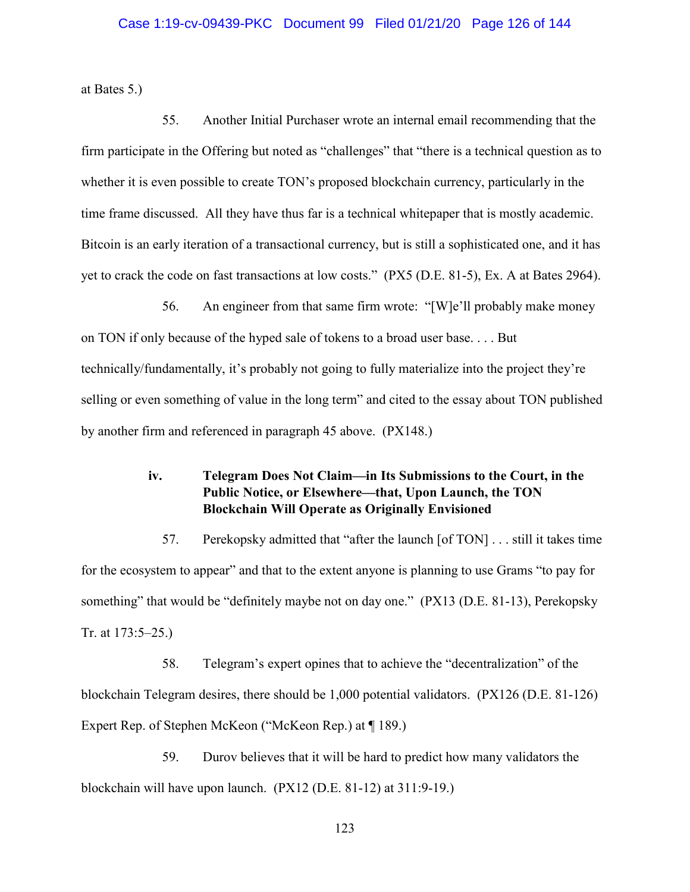### Case 1:19-cv-09439-PKC Document 99 Filed 01/21/20 Page 126 of 144

at Bates 5.)

55. Another Initial Purchaser wrote an internal email recommending that the firm participate in the Offering but noted as "challenges" that "there is a technical question as to whether it is even possible to create TON's proposed blockchain currency, particularly in the time frame discussed. All they have thus far is a technical whitepaper that is mostly academic. Bitcoin is an early iteration of a transactional currency, but is still a sophisticated one, and it has yet to crack the code on fast transactions at low costs." (PX5 (D.E. 81-5), Ex. A at Bates 2964).

56. An engineer from that same firm wrote: "[W]e'll probably make money on TON if only because of the hyped sale of tokens to a broad user base. . . . But technically/fundamentally, it's probably not going to fully materialize into the project they're selling or even something of value in the long term" and cited to the essay about TON published by another firm and referenced in paragraph 45 above. (PX148.)

# **iv. Telegram Does Not Claim—in Its Submissions to the Court, in the Public Notice, or Elsewhere—that, Upon Launch, the TON Blockchain Will Operate as Originally Envisioned**

57. Perekopsky admitted that "after the launch [of TON] . . . still it takes time for the ecosystem to appear" and that to the extent anyone is planning to use Grams "to pay for something" that would be "definitely maybe not on day one." (PX13 (D.E. 81-13), Perekopsky Tr. at 173:5–25.)

58. Telegram's expert opines that to achieve the "decentralization" of the blockchain Telegram desires, there should be 1,000 potential validators. (PX126 (D.E. 81-126) Expert Rep. of Stephen McKeon ("McKeon Rep.) at ¶ 189.)

59. Durov believes that it will be hard to predict how many validators the blockchain will have upon launch. (PX12 (D.E. 81-12) at 311:9-19.)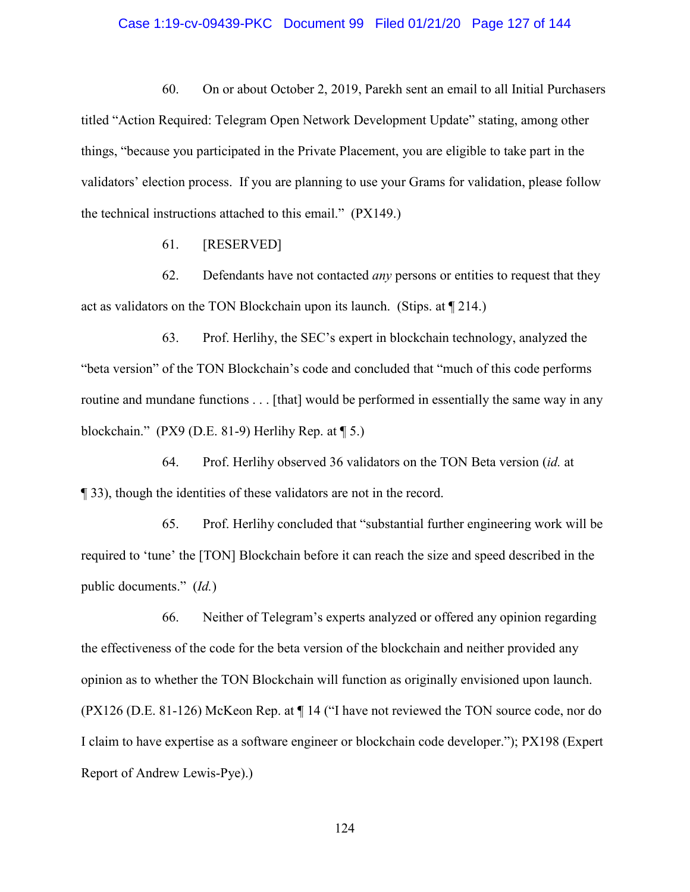### Case 1:19-cv-09439-PKC Document 99 Filed 01/21/20 Page 127 of 144

60. On or about October 2, 2019, Parekh sent an email to all Initial Purchasers titled "Action Required: Telegram Open Network Development Update" stating, among other things, "because you participated in the Private Placement, you are eligible to take part in the validators' election process. If you are planning to use your Grams for validation, please follow the technical instructions attached to this email." (PX149.)

61. [RESERVED]

62. Defendants have not contacted *any* persons or entities to request that they act as validators on the TON Blockchain upon its launch. (Stips. at ¶ 214.)

63. Prof. Herlihy, the SEC's expert in blockchain technology, analyzed the "beta version" of the TON Blockchain's code and concluded that "much of this code performs routine and mundane functions . . . [that] would be performed in essentially the same way in any blockchain." (PX9 (D.E. 81-9) Herlihy Rep. at ¶ 5.)

64. Prof. Herlihy observed 36 validators on the TON Beta version (*id.* at ¶ 33), though the identities of these validators are not in the record.

65. Prof. Herlihy concluded that "substantial further engineering work will be required to 'tune' the [TON] Blockchain before it can reach the size and speed described in the public documents." (*Id.*)

66. Neither of Telegram's experts analyzed or offered any opinion regarding the effectiveness of the code for the beta version of the blockchain and neither provided any opinion as to whether the TON Blockchain will function as originally envisioned upon launch. (PX126 (D.E. 81-126) McKeon Rep. at ¶ 14 ("I have not reviewed the TON source code, nor do I claim to have expertise as a software engineer or blockchain code developer."); PX198 (Expert Report of Andrew Lewis-Pye).)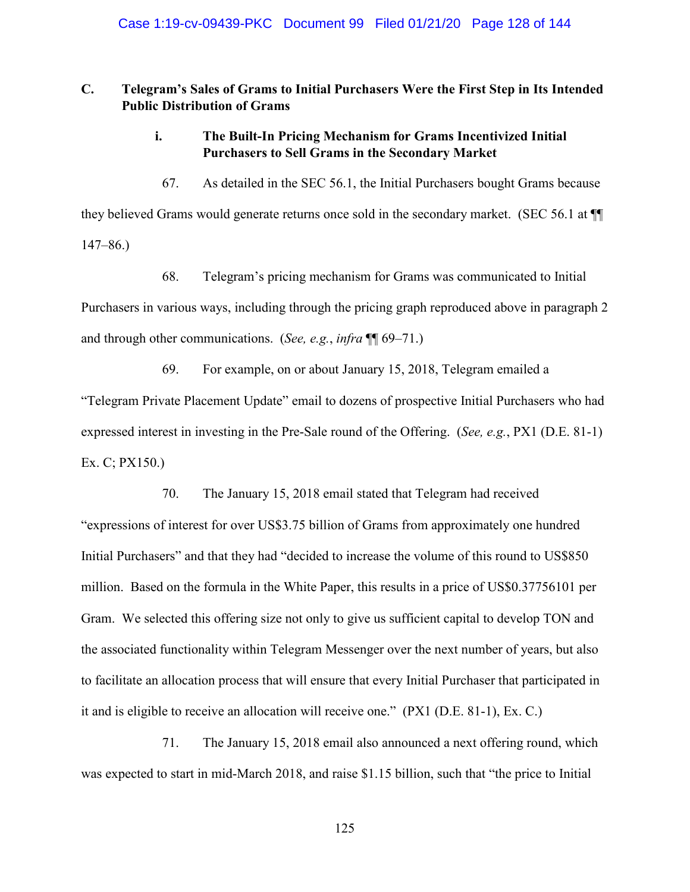# **C. Telegram's Sales of Grams to Initial Purchasers Were the First Step in Its Intended Public Distribution of Grams**

# **i. The Built-In Pricing Mechanism for Grams Incentivized Initial Purchasers to Sell Grams in the Secondary Market**

67. As detailed in the SEC 56.1, the Initial Purchasers bought Grams because they believed Grams would generate returns once sold in the secondary market. (SEC 56.1 at ¶¶ 147–86.)

68. Telegram's pricing mechanism for Grams was communicated to Initial Purchasers in various ways, including through the pricing graph reproduced above in paragraph 2 and through other communications. (*See, e.g.*, *infra* ¶¶ 69–71.)

69. For example, on or about January 15, 2018, Telegram emailed a

"Telegram Private Placement Update" email to dozens of prospective Initial Purchasers who had expressed interest in investing in the Pre-Sale round of the Offering. (*See, e.g.*, PX1 (D.E. 81-1) Ex. C; PX150.)

70. The January 15, 2018 email stated that Telegram had received

"expressions of interest for over US\$3.75 billion of Grams from approximately one hundred Initial Purchasers" and that they had "decided to increase the volume of this round to US\$850 million. Based on the formula in the White Paper, this results in a price of US\$0.37756101 per Gram. We selected this offering size not only to give us sufficient capital to develop TON and the associated functionality within Telegram Messenger over the next number of years, but also to facilitate an allocation process that will ensure that every Initial Purchaser that participated in it and is eligible to receive an allocation will receive one." (PX1 (D.E. 81-1), Ex. C.)

71. The January 15, 2018 email also announced a next offering round, which was expected to start in mid-March 2018, and raise \$1.15 billion, such that "the price to Initial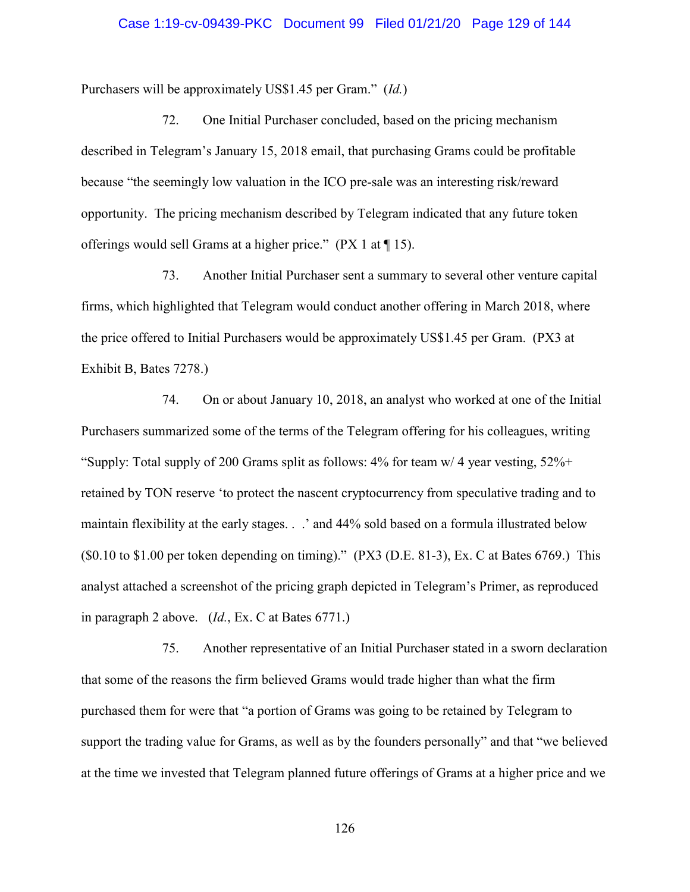### Case 1:19-cv-09439-PKC Document 99 Filed 01/21/20 Page 129 of 144

Purchasers will be approximately US\$1.45 per Gram." (*Id.*)

72. One Initial Purchaser concluded, based on the pricing mechanism described in Telegram's January 15, 2018 email, that purchasing Grams could be profitable because "the seemingly low valuation in the ICO pre-sale was an interesting risk/reward opportunity. The pricing mechanism described by Telegram indicated that any future token offerings would sell Grams at a higher price."  $(PX 1$  at  $\P 15)$ .

73. Another Initial Purchaser sent a summary to several other venture capital firms, which highlighted that Telegram would conduct another offering in March 2018, where the price offered to Initial Purchasers would be approximately US\$1.45 per Gram. (PX3 at Exhibit B, Bates 7278.)

74. On or about January 10, 2018, an analyst who worked at one of the Initial Purchasers summarized some of the terms of the Telegram offering for his colleagues, writing "Supply: Total supply of 200 Grams split as follows: 4% for team w/ 4 year vesting, 52%+ retained by TON reserve 'to protect the nascent cryptocurrency from speculative trading and to maintain flexibility at the early stages. . .' and 44% sold based on a formula illustrated below  $(S0.10 \text{ to } $1.00 \text{ per token depending on timing).}$  (PX3 (D.E. 81-3), Ex. C at Bates 6769.) This analyst attached a screenshot of the pricing graph depicted in Telegram's Primer, as reproduced in paragraph 2 above. (*Id.*, Ex. C at Bates 6771.)

75. Another representative of an Initial Purchaser stated in a sworn declaration that some of the reasons the firm believed Grams would trade higher than what the firm purchased them for were that "a portion of Grams was going to be retained by Telegram to support the trading value for Grams, as well as by the founders personally" and that "we believed at the time we invested that Telegram planned future offerings of Grams at a higher price and we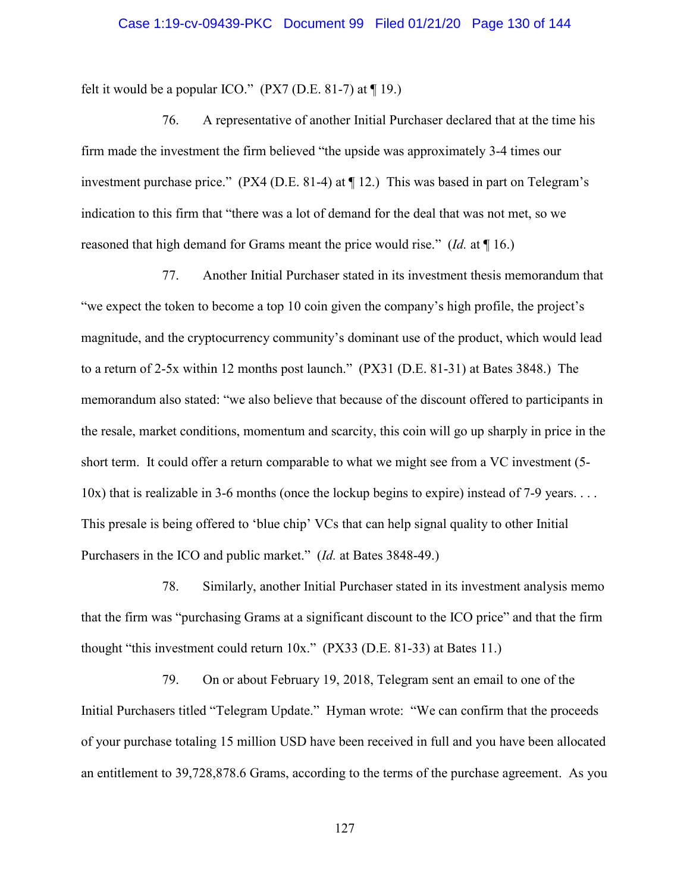### Case 1:19-cv-09439-PKC Document 99 Filed 01/21/20 Page 130 of 144

felt it would be a popular ICO."  $(PX7 (D.E. 81-7)$  at  $\P$  19.)

76. A representative of another Initial Purchaser declared that at the time his firm made the investment the firm believed "the upside was approximately 3-4 times our investment purchase price." (PX4 (D.E. 81-4) at ¶ 12.) This was based in part on Telegram's indication to this firm that "there was a lot of demand for the deal that was not met, so we reasoned that high demand for Grams meant the price would rise." (*Id.* at ¶ 16.)

77. Another Initial Purchaser stated in its investment thesis memorandum that "we expect the token to become a top 10 coin given the company's high profile, the project's magnitude, and the cryptocurrency community's dominant use of the product, which would lead to a return of 2-5x within 12 months post launch." (PX31 (D.E. 81-31) at Bates 3848.) The memorandum also stated: "we also believe that because of the discount offered to participants in the resale, market conditions, momentum and scarcity, this coin will go up sharply in price in the short term. It could offer a return comparable to what we might see from a VC investment (5-  $10x$ ) that is realizable in 3-6 months (once the lockup begins to expire) instead of 7-9 years. . . . This presale is being offered to 'blue chip' VCs that can help signal quality to other Initial Purchasers in the ICO and public market." (*Id.* at Bates 3848-49.)

78. Similarly, another Initial Purchaser stated in its investment analysis memo that the firm was "purchasing Grams at a significant discount to the ICO price" and that the firm thought "this investment could return 10x." (PX33 (D.E. 81-33) at Bates 11.)

79. On or about February 19, 2018, Telegram sent an email to one of the Initial Purchasers titled "Telegram Update." Hyman wrote: "We can confirm that the proceeds of your purchase totaling 15 million USD have been received in full and you have been allocated an entitlement to 39,728,878.6 Grams, according to the terms of the purchase agreement. As you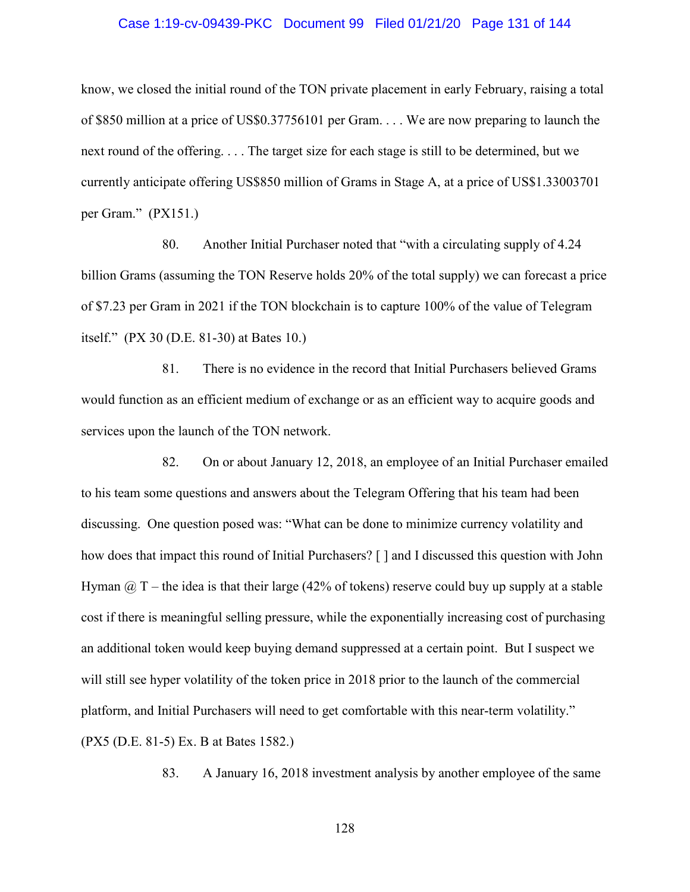### Case 1:19-cv-09439-PKC Document 99 Filed 01/21/20 Page 131 of 144

know, we closed the initial round of the TON private placement in early February, raising a total of \$850 million at a price of US\$0.37756101 per Gram. . . . We are now preparing to launch the next round of the offering. . . . The target size for each stage is still to be determined, but we currently anticipate offering US\$850 million of Grams in Stage A, at a price of US\$1.33003701 per Gram." (PX151.)

80. Another Initial Purchaser noted that "with a circulating supply of 4.24 billion Grams (assuming the TON Reserve holds 20% of the total supply) we can forecast a price of \$7.23 per Gram in 2021 if the TON blockchain is to capture 100% of the value of Telegram itself." (PX 30 (D.E. 81-30) at Bates 10.)

81. There is no evidence in the record that Initial Purchasers believed Grams would function as an efficient medium of exchange or as an efficient way to acquire goods and services upon the launch of the TON network.

82. On or about January 12, 2018, an employee of an Initial Purchaser emailed to his team some questions and answers about the Telegram Offering that his team had been discussing. One question posed was: "What can be done to minimize currency volatility and how does that impact this round of Initial Purchasers? [ ] and I discussed this question with John Hyman  $\omega$  T – the idea is that their large (42% of tokens) reserve could buy up supply at a stable cost if there is meaningful selling pressure, while the exponentially increasing cost of purchasing an additional token would keep buying demand suppressed at a certain point. But I suspect we will still see hyper volatility of the token price in 2018 prior to the launch of the commercial platform, and Initial Purchasers will need to get comfortable with this near-term volatility." (PX5 (D.E. 81-5) Ex. B at Bates 1582.)

83. A January 16, 2018 investment analysis by another employee of the same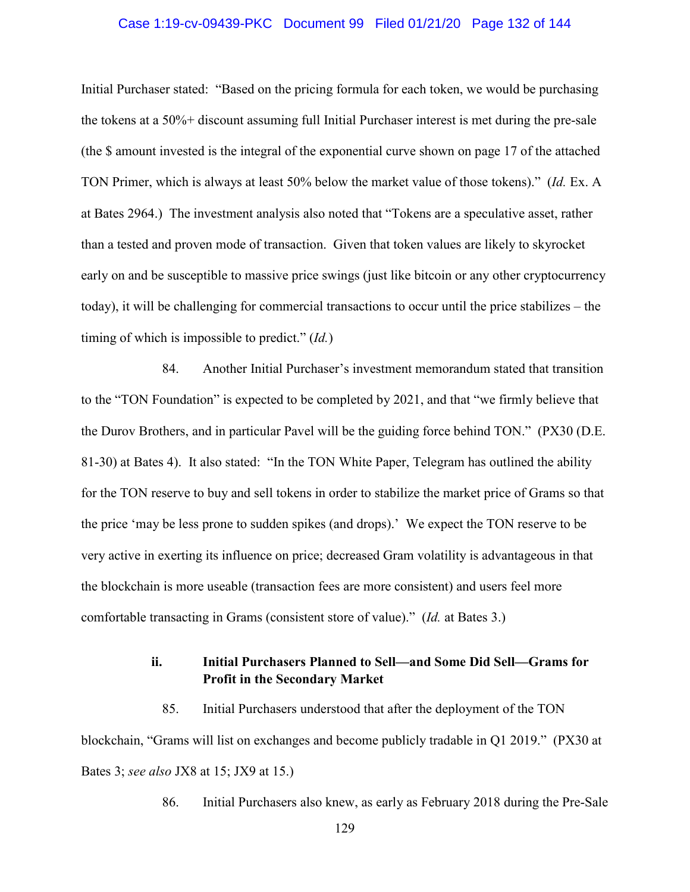### Case 1:19-cv-09439-PKC Document 99 Filed 01/21/20 Page 132 of 144

Initial Purchaser stated: "Based on the pricing formula for each token, we would be purchasing the tokens at a 50%+ discount assuming full Initial Purchaser interest is met during the pre-sale (the \$ amount invested is the integral of the exponential curve shown on page 17 of the attached TON Primer, which is always at least 50% below the market value of those tokens)." (*Id.* Ex. A at Bates 2964.) The investment analysis also noted that "Tokens are a speculative asset, rather than a tested and proven mode of transaction. Given that token values are likely to skyrocket early on and be susceptible to massive price swings (just like bitcoin or any other cryptocurrency today), it will be challenging for commercial transactions to occur until the price stabilizes – the timing of which is impossible to predict." (*Id.*)

84. Another Initial Purchaser's investment memorandum stated that transition to the "TON Foundation" is expected to be completed by 2021, and that "we firmly believe that the Durov Brothers, and in particular Pavel will be the guiding force behind TON." (PX30 (D.E. 81-30) at Bates 4). It also stated: "In the TON White Paper, Telegram has outlined the ability for the TON reserve to buy and sell tokens in order to stabilize the market price of Grams so that the price 'may be less prone to sudden spikes (and drops).' We expect the TON reserve to be very active in exerting its influence on price; decreased Gram volatility is advantageous in that the blockchain is more useable (transaction fees are more consistent) and users feel more comfortable transacting in Grams (consistent store of value)." (*Id.* at Bates 3.)

### **ii. Initial Purchasers Planned to Sell—and Some Did Sell—Grams for Profit in the Secondary Market**

85. Initial Purchasers understood that after the deployment of the TON blockchain, "Grams will list on exchanges and become publicly tradable in Q1 2019." (PX30 at Bates 3; *see also* JX8 at 15; JX9 at 15.)

86. Initial Purchasers also knew, as early as February 2018 during the Pre-Sale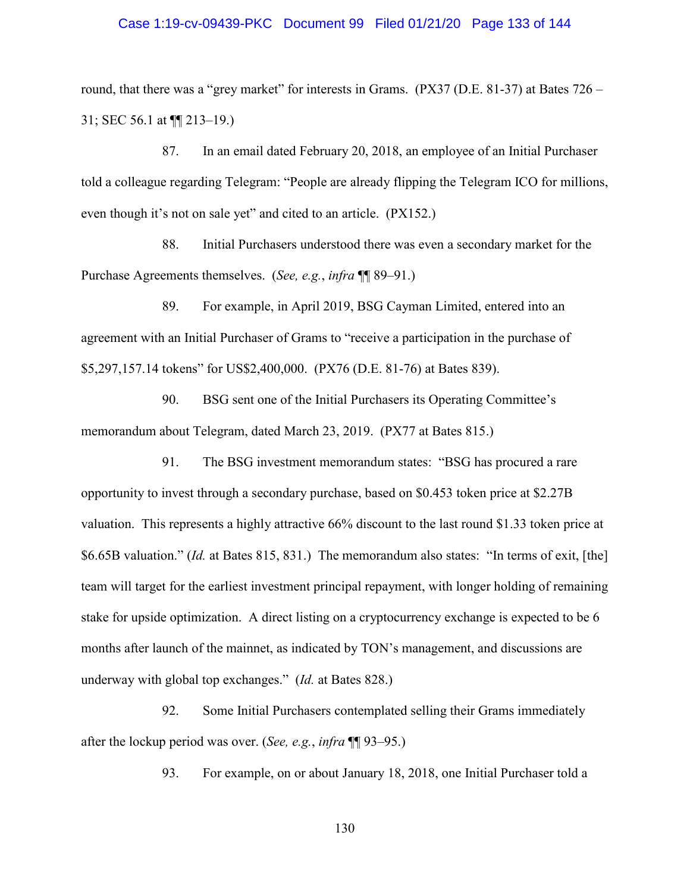### Case 1:19-cv-09439-PKC Document 99 Filed 01/21/20 Page 133 of 144

round, that there was a "grey market" for interests in Grams. (PX37 (D.E. 81-37) at Bates 726 – 31; SEC 56.1 at ¶¶ 213–19.)

87. In an email dated February 20, 2018, an employee of an Initial Purchaser told a colleague regarding Telegram: "People are already flipping the Telegram ICO for millions, even though it's not on sale yet" and cited to an article. (PX152.)

88. Initial Purchasers understood there was even a secondary market for the Purchase Agreements themselves. (*See, e.g.*, *infra* ¶¶ 89–91.)

89. For example, in April 2019, BSG Cayman Limited, entered into an agreement with an Initial Purchaser of Grams to "receive a participation in the purchase of \$5,297,157.14 tokens" for US\$2,400,000. (PX76 (D.E. 81-76) at Bates 839).

90. BSG sent one of the Initial Purchasers its Operating Committee's memorandum about Telegram, dated March 23, 2019. (PX77 at Bates 815.)

91. The BSG investment memorandum states: "BSG has procured a rare opportunity to invest through a secondary purchase, based on \$0.453 token price at \$2.27B valuation. This represents a highly attractive 66% discount to the last round \$1.33 token price at \$6.65B valuation." (*Id.* at Bates 815, 831.) The memorandum also states: "In terms of exit, [the] team will target for the earliest investment principal repayment, with longer holding of remaining stake for upside optimization. A direct listing on a cryptocurrency exchange is expected to be 6 months after launch of the mainnet, as indicated by TON's management, and discussions are underway with global top exchanges." (*Id.* at Bates 828.)

92. Some Initial Purchasers contemplated selling their Grams immediately after the lockup period was over. (*See, e.g.*, *infra* ¶¶ 93–95.)

93. For example, on or about January 18, 2018, one Initial Purchaser told a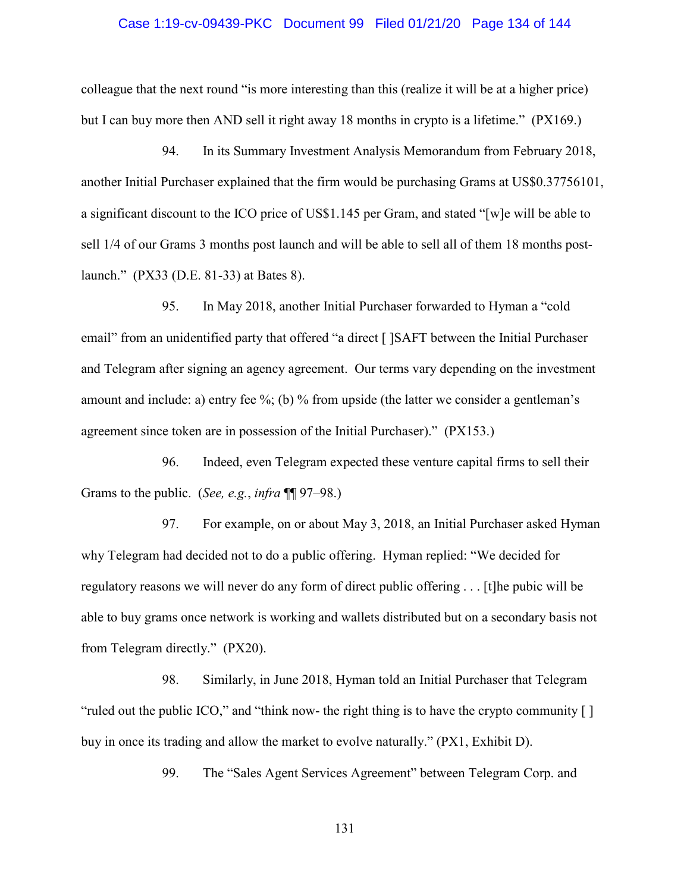### Case 1:19-cv-09439-PKC Document 99 Filed 01/21/20 Page 134 of 144

colleague that the next round "is more interesting than this (realize it will be at a higher price) but I can buy more then AND sell it right away 18 months in crypto is a lifetime." (PX169.)

94. In its Summary Investment Analysis Memorandum from February 2018, another Initial Purchaser explained that the firm would be purchasing Grams at US\$0.37756101, a significant discount to the ICO price of US\$1.145 per Gram, and stated "[w]e will be able to sell 1/4 of our Grams 3 months post launch and will be able to sell all of them 18 months postlaunch." (PX33 (D.E. 81-33) at Bates 8).

95. In May 2018, another Initial Purchaser forwarded to Hyman a "cold email" from an unidentified party that offered "a direct [ ]SAFT between the Initial Purchaser and Telegram after signing an agency agreement. Our terms vary depending on the investment amount and include: a) entry fee %; (b) % from upside (the latter we consider a gentleman's agreement since token are in possession of the Initial Purchaser)." (PX153.)

96. Indeed, even Telegram expected these venture capital firms to sell their Grams to the public. (*See, e.g.*, *infra* ¶¶ 97–98.)

97. For example, on or about May 3, 2018, an Initial Purchaser asked Hyman why Telegram had decided not to do a public offering. Hyman replied: "We decided for regulatory reasons we will never do any form of direct public offering . . . [t]he pubic will be able to buy grams once network is working and wallets distributed but on a secondary basis not from Telegram directly." (PX20).

98. Similarly, in June 2018, Hyman told an Initial Purchaser that Telegram "ruled out the public ICO," and "think now- the right thing is to have the crypto community [ ] buy in once its trading and allow the market to evolve naturally." (PX1, Exhibit D).

99. The "Sales Agent Services Agreement" between Telegram Corp. and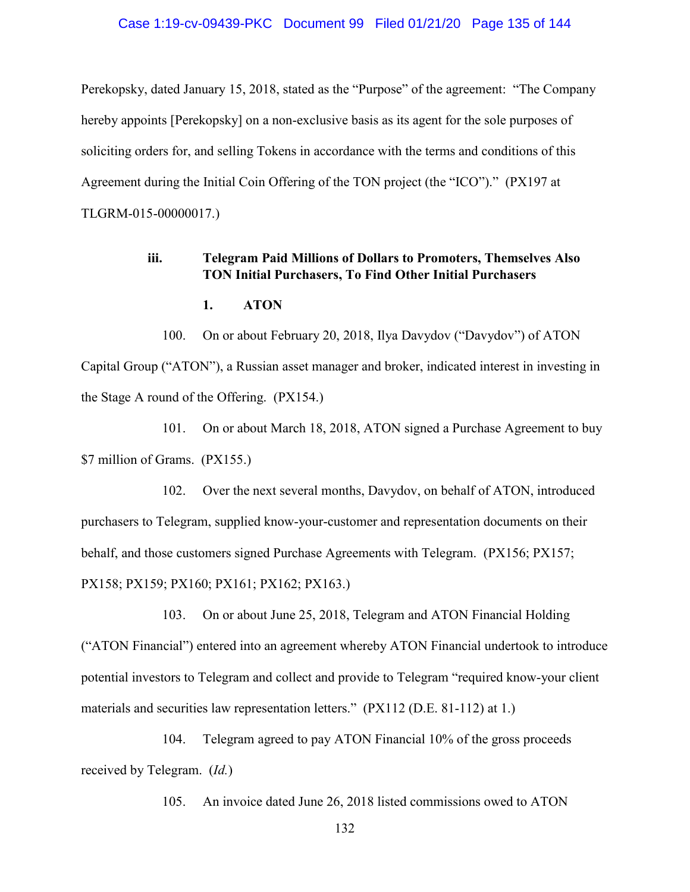Perekopsky, dated January 15, 2018, stated as the "Purpose" of the agreement: "The Company hereby appoints [Perekopsky] on a non-exclusive basis as its agent for the sole purposes of soliciting orders for, and selling Tokens in accordance with the terms and conditions of this Agreement during the Initial Coin Offering of the TON project (the "ICO")." (PX197 at TLGRM-015-00000017.)

# **iii. Telegram Paid Millions of Dollars to Promoters, Themselves Also TON Initial Purchasers, To Find Other Initial Purchasers**

### **1. ATON**

100. On or about February 20, 2018, Ilya Davydov ("Davydov") of ATON Capital Group ("ATON"), a Russian asset manager and broker, indicated interest in investing in the Stage A round of the Offering. (PX154.)

101. On or about March 18, 2018, ATON signed a Purchase Agreement to buy \$7 million of Grams. (PX155.)

102. Over the next several months, Davydov, on behalf of ATON, introduced purchasers to Telegram, supplied know-your-customer and representation documents on their behalf, and those customers signed Purchase Agreements with Telegram. (PX156; PX157; PX158; PX159; PX160; PX161; PX162; PX163.)

103. On or about June 25, 2018, Telegram and ATON Financial Holding ("ATON Financial") entered into an agreement whereby ATON Financial undertook to introduce potential investors to Telegram and collect and provide to Telegram "required know-your client materials and securities law representation letters." (PX112 (D.E. 81-112) at 1.)

104. Telegram agreed to pay ATON Financial 10% of the gross proceeds received by Telegram. (*Id.*)

105. An invoice dated June 26, 2018 listed commissions owed to ATON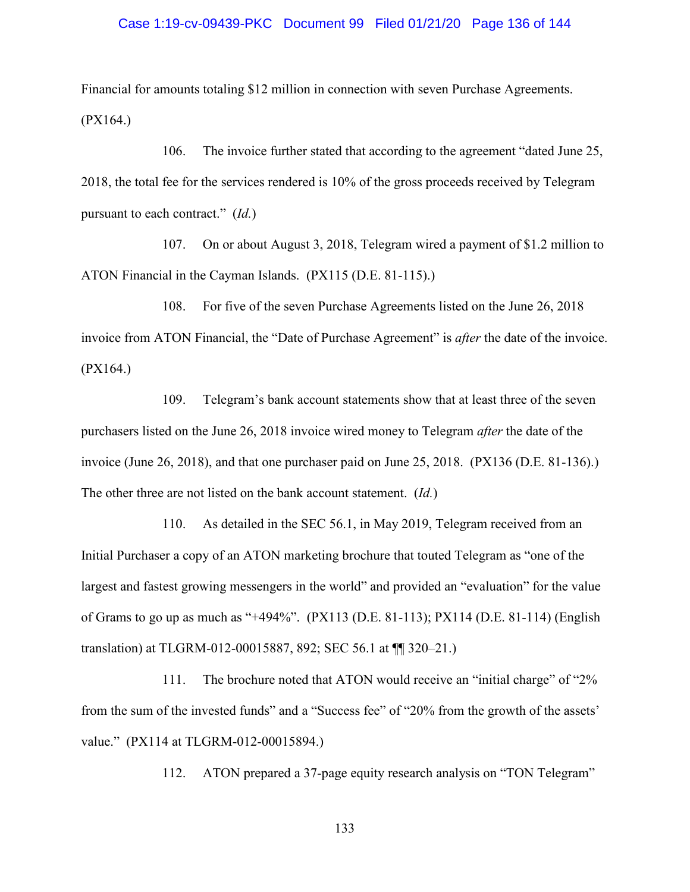### Case 1:19-cv-09439-PKC Document 99 Filed 01/21/20 Page 136 of 144

Financial for amounts totaling \$12 million in connection with seven Purchase Agreements. (PX164.)

106. The invoice further stated that according to the agreement "dated June 25, 2018, the total fee for the services rendered is 10% of the gross proceeds received by Telegram pursuant to each contract." (*Id.*)

107. On or about August 3, 2018, Telegram wired a payment of \$1.2 million to ATON Financial in the Cayman Islands. (PX115 (D.E. 81-115).)

108. For five of the seven Purchase Agreements listed on the June 26, 2018 invoice from ATON Financial, the "Date of Purchase Agreement" is *after* the date of the invoice. (PX164.)

109. Telegram's bank account statements show that at least three of the seven purchasers listed on the June 26, 2018 invoice wired money to Telegram *after* the date of the invoice (June 26, 2018), and that one purchaser paid on June 25, 2018. (PX136 (D.E. 81-136).) The other three are not listed on the bank account statement. (*Id.*)

110. As detailed in the SEC 56.1, in May 2019, Telegram received from an Initial Purchaser a copy of an ATON marketing brochure that touted Telegram as "one of the largest and fastest growing messengers in the world" and provided an "evaluation" for the value of Grams to go up as much as "+494%". (PX113 (D.E. 81-113); PX114 (D.E. 81-114) (English translation) at TLGRM-012-00015887, 892; SEC 56.1 at ¶¶ 320–21.)

111. The brochure noted that ATON would receive an "initial charge" of "2% from the sum of the invested funds" and a "Success fee" of "20% from the growth of the assets' value." (PX114 at TLGRM-012-00015894.)

112. ATON prepared a 37-page equity research analysis on "TON Telegram"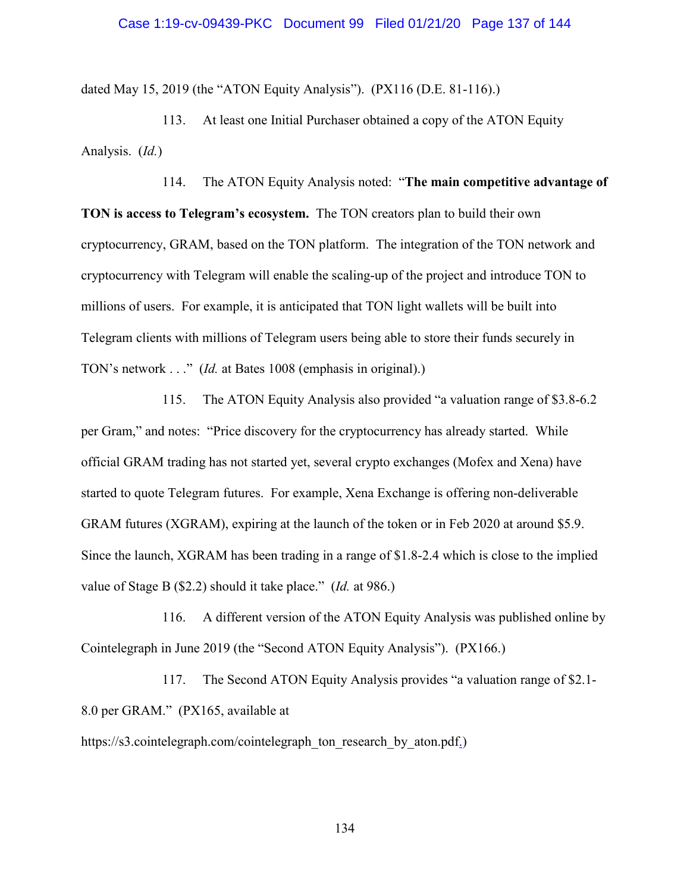### Case 1:19-cv-09439-PKC Document 99 Filed 01/21/20 Page 137 of 144

dated May 15, 2019 (the "ATON Equity Analysis"). (PX116 (D.E. 81-116).)

113. At least one Initial Purchaser obtained a copy of the ATON Equity Analysis. (*Id.*)

114. The ATON Equity Analysis noted: "**The main competitive advantage of TON is access to Telegram's ecosystem.** The TON creators plan to build their own cryptocurrency, GRAM, based on the TON platform. The integration of the TON network and cryptocurrency with Telegram will enable the scaling-up of the project and introduce TON to millions of users. For example, it is anticipated that TON light wallets will be built into Telegram clients with millions of Telegram users being able to store their funds securely in TON's network . . ." (*Id.* at Bates 1008 (emphasis in original).)

115. The ATON Equity Analysis also provided "a valuation range of \$3.8-6.2 per Gram," and notes: "Price discovery for the cryptocurrency has already started. While official GRAM trading has not started yet, several crypto exchanges (Mofex and Xena) have started to quote Telegram futures. For example, Xena Exchange is offering non-deliverable GRAM futures (XGRAM), expiring at the launch of the token or in Feb 2020 at around \$5.9. Since the launch, XGRAM has been trading in a range of \$1.8-2.4 which is close to the implied value of Stage B (\$2.2) should it take place." (*Id.* at 986.)

116. A different version of the ATON Equity Analysis was published online by Cointelegraph in June 2019 (the "Second ATON Equity Analysis"). (PX166.)

117. The Second ATON Equity Analysis provides "a valuation range of \$2.1- 8.0 per GRAM." (PX165, available at

https://s3.cointelegraph.com/cointelegraph\_ton\_research\_by\_aton.pdf.)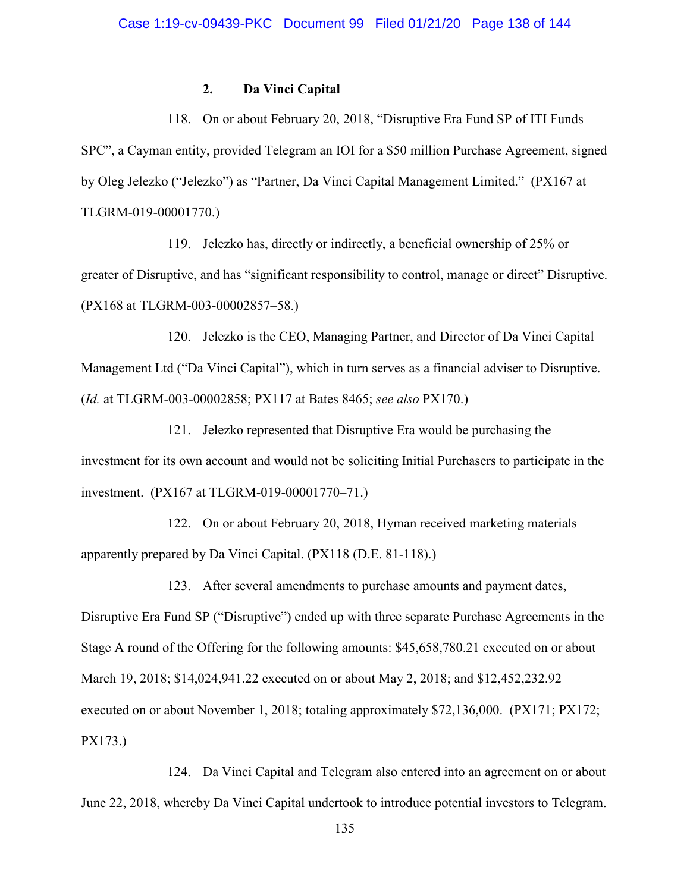# **2. Da Vinci Capital**

118. On or about February 20, 2018, "Disruptive Era Fund SP of ITI Funds SPC", a Cayman entity, provided Telegram an IOI for a \$50 million Purchase Agreement, signed by Oleg Jelezko ("Jelezko") as "Partner, Da Vinci Capital Management Limited." (PX167 at TLGRM-019-00001770.)

119. Jelezko has, directly or indirectly, a beneficial ownership of 25% or greater of Disruptive, and has "significant responsibility to control, manage or direct" Disruptive. (PX168 at TLGRM-003-00002857–58.)

120. Jelezko is the CEO, Managing Partner, and Director of Da Vinci Capital Management Ltd ("Da Vinci Capital"), which in turn serves as a financial adviser to Disruptive. (*Id.* at TLGRM-003-00002858; PX117 at Bates 8465; *see also* PX170.)

121. Jelezko represented that Disruptive Era would be purchasing the investment for its own account and would not be soliciting Initial Purchasers to participate in the investment. (PX167 at TLGRM-019-00001770–71.)

122. On or about February 20, 2018, Hyman received marketing materials apparently prepared by Da Vinci Capital. (PX118 (D.E. 81-118).)

123. After several amendments to purchase amounts and payment dates, Disruptive Era Fund SP ("Disruptive") ended up with three separate Purchase Agreements in the Stage A round of the Offering for the following amounts: \$45,658,780.21 executed on or about March 19, 2018; \$14,024,941.22 executed on or about May 2, 2018; and \$12,452,232.92 executed on or about November 1, 2018; totaling approximately \$72,136,000. (PX171; PX172; PX173.)

124. Da Vinci Capital and Telegram also entered into an agreement on or about June 22, 2018, whereby Da Vinci Capital undertook to introduce potential investors to Telegram.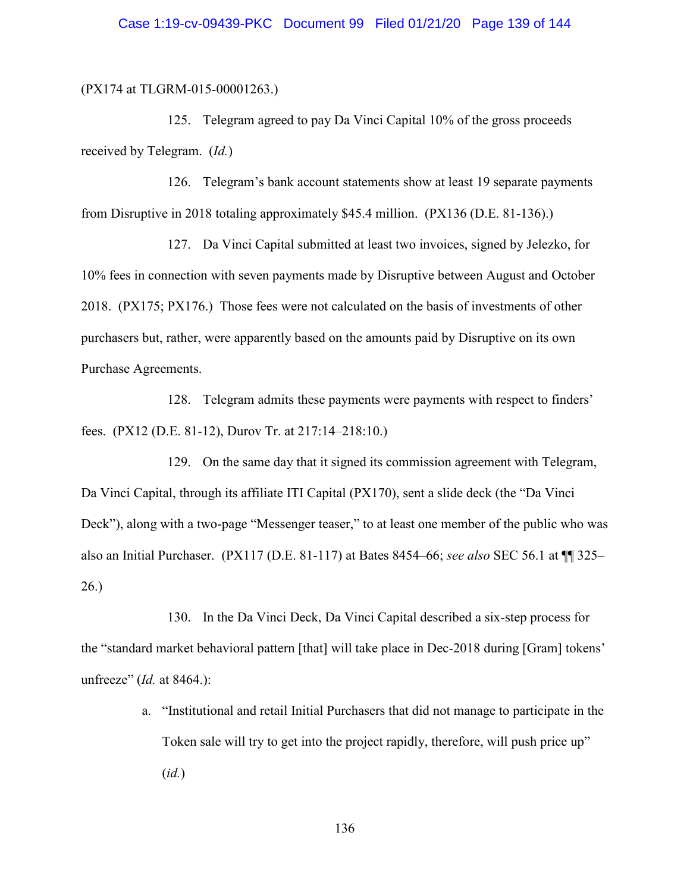(PX174 at TLGRM-015-00001263.)

125. Telegram agreed to pay Da Vinci Capital 10% of the gross proceeds received by Telegram. (*Id.*)

126. Telegram's bank account statements show at least 19 separate payments from Disruptive in 2018 totaling approximately \$45.4 million. (PX136 (D.E. 81-136).)

127. Da Vinci Capital submitted at least two invoices, signed by Jelezko, for 10% fees in connection with seven payments made by Disruptive between August and October 2018. (PX175; PX176.) Those fees were not calculated on the basis of investments of other purchasers but, rather, were apparently based on the amounts paid by Disruptive on its own Purchase Agreements.

128. Telegram admits these payments were payments with respect to finders' fees. (PX12 (D.E. 81-12), Durov Tr. at 217:14–218:10.)

129. On the same day that it signed its commission agreement with Telegram, Da Vinci Capital, through its affiliate ITI Capital (PX170), sent a slide deck (the "Da Vinci Deck"), along with a two-page "Messenger teaser," to at least one member of the public who was also an Initial Purchaser. (PX117 (D.E. 81-117) at Bates 8454–66; *see also* SEC 56.1 at ¶¶ 325– 26.)

130. In the Da Vinci Deck, Da Vinci Capital described a six-step process for the "standard market behavioral pattern [that] will take place in Dec-2018 during [Gram] tokens' unfreeze" (*Id.* at 8464.):

> a. "Institutional and retail Initial Purchasers that did not manage to participate in the Token sale will try to get into the project rapidly, therefore, will push price up" (*id.*)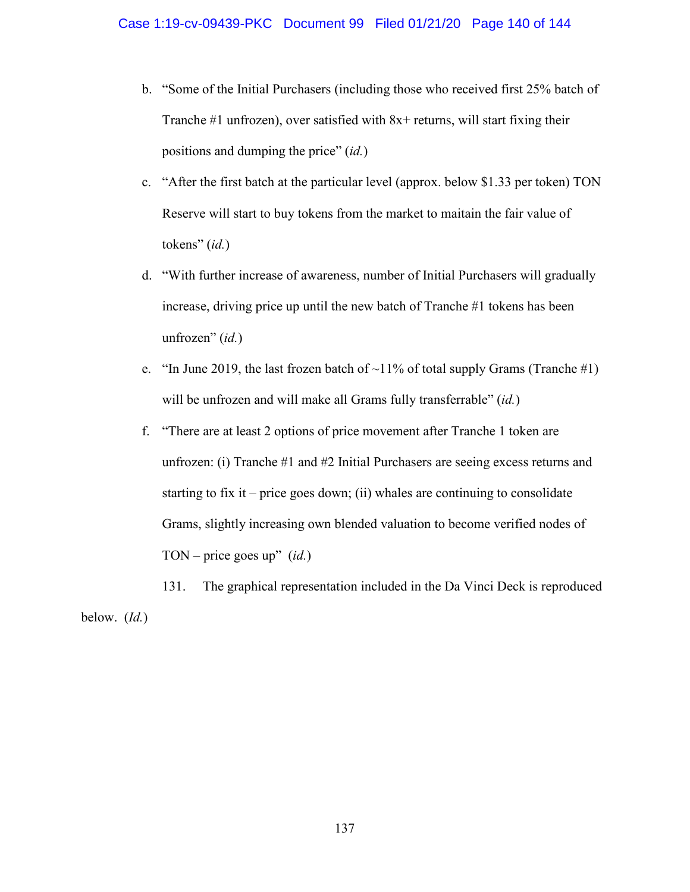- b. "Some of the Initial Purchasers (including those who received first 25% batch of Tranche  $#1$  unfrozen), over satisfied with  $8x+$  returns, will start fixing their positions and dumping the price" (*id.*)
- c. "After the first batch at the particular level (approx. below \$1.33 per token) TON Reserve will start to buy tokens from the market to maitain the fair value of tokens" (*id.*)
- d. "With further increase of awareness, number of Initial Purchasers will gradually increase, driving price up until the new batch of Tranche #1 tokens has been unfrozen" (*id.*)
- e. "In June 2019, the last frozen batch of  $\sim$ 11% of total supply Grams (Tranche #1) will be unfrozen and will make all Grams fully transferrable" (*id.*)
- f. "There are at least 2 options of price movement after Tranche 1 token are unfrozen: (i) Tranche #1 and #2 Initial Purchasers are seeing excess returns and starting to fix it – price goes down; (ii) whales are continuing to consolidate Grams, slightly increasing own blended valuation to become verified nodes of TON – price goes up" (*id.*)
- 131. The graphical representation included in the Da Vinci Deck is reproduced below. (*Id.*)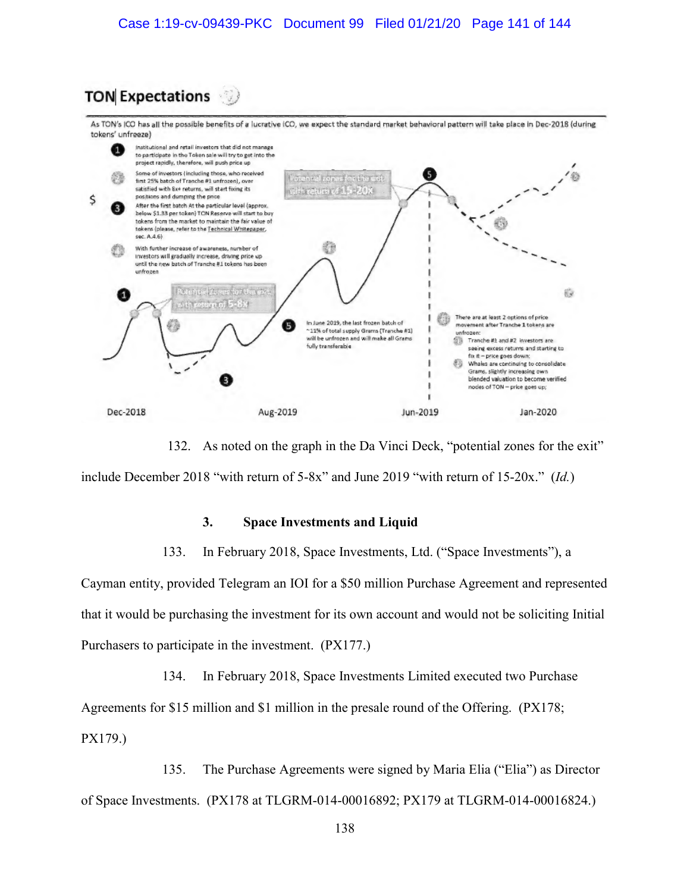# **TON Expectations**

As TON's ICO has all the possible benefits of a lucrative ICO, we expect the standard market behavioral pattern will take place in Dec-2018 (during tokens' unfreeze)



132. As noted on the graph in the Da Vinci Deck, "potential zones for the exit" include December 2018 "with return of 5-8x" and June 2019 "with return of 15-20x." (*Id.*)

### **3. Space Investments and Liquid**

133. In February 2018, Space Investments, Ltd. ("Space Investments"), a

Cayman entity, provided Telegram an IOI for a \$50 million Purchase Agreement and represented that it would be purchasing the investment for its own account and would not be soliciting Initial Purchasers to participate in the investment. (PX177.)

134. In February 2018, Space Investments Limited executed two Purchase Agreements for \$15 million and \$1 million in the presale round of the Offering. (PX178; PX179.)

135. The Purchase Agreements were signed by Maria Elia ("Elia") as Director of Space Investments. (PX178 at TLGRM-014-00016892; PX179 at TLGRM-014-00016824.)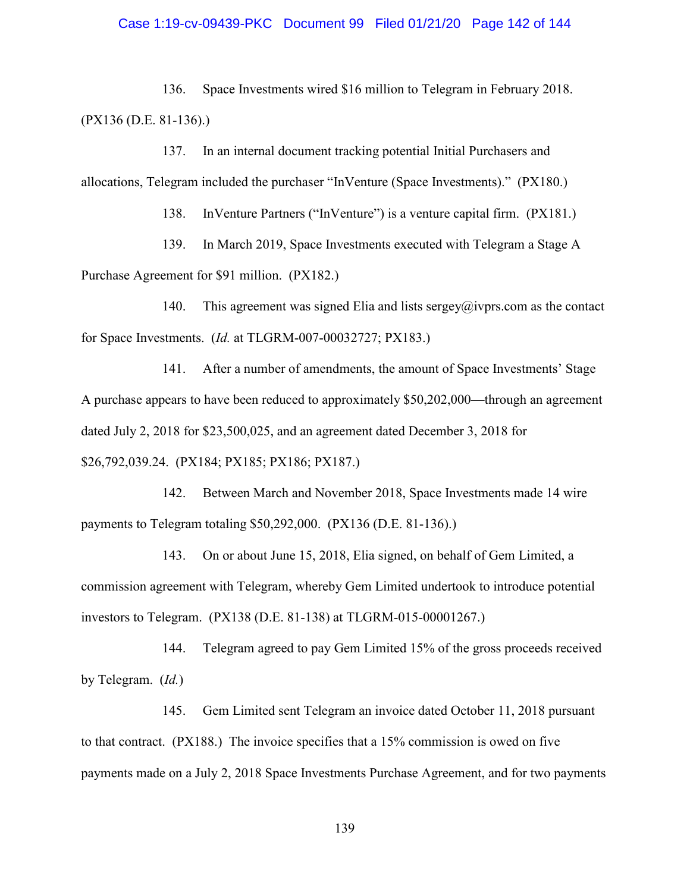### Case 1:19-cv-09439-PKC Document 99 Filed 01/21/20 Page 142 of 144

136. Space Investments wired \$16 million to Telegram in February 2018. (PX136 (D.E. 81-136).)

137. In an internal document tracking potential Initial Purchasers and allocations, Telegram included the purchaser "InVenture (Space Investments)." (PX180.)

138. InVenture Partners ("InVenture") is a venture capital firm. (PX181.)

139. In March 2019, Space Investments executed with Telegram a Stage A Purchase Agreement for \$91 million. (PX182.)

140. This agreement was signed Elia and lists sergey@ivprs.com as the contact for Space Investments. (*Id.* at TLGRM-007-00032727; PX183.)

141. After a number of amendments, the amount of Space Investments' Stage A purchase appears to have been reduced to approximately \$50,202,000—through an agreement dated July 2, 2018 for \$23,500,025, and an agreement dated December 3, 2018 for \$26,792,039.24. (PX184; PX185; PX186; PX187.)

142. Between March and November 2018, Space Investments made 14 wire payments to Telegram totaling \$50,292,000. (PX136 (D.E. 81-136).)

143. On or about June 15, 2018, Elia signed, on behalf of Gem Limited, a commission agreement with Telegram, whereby Gem Limited undertook to introduce potential investors to Telegram. (PX138 (D.E. 81-138) at TLGRM-015-00001267.)

144. Telegram agreed to pay Gem Limited 15% of the gross proceeds received by Telegram. (*Id.*)

145. Gem Limited sent Telegram an invoice dated October 11, 2018 pursuant to that contract. (PX188.) The invoice specifies that a 15% commission is owed on five payments made on a July 2, 2018 Space Investments Purchase Agreement, and for two payments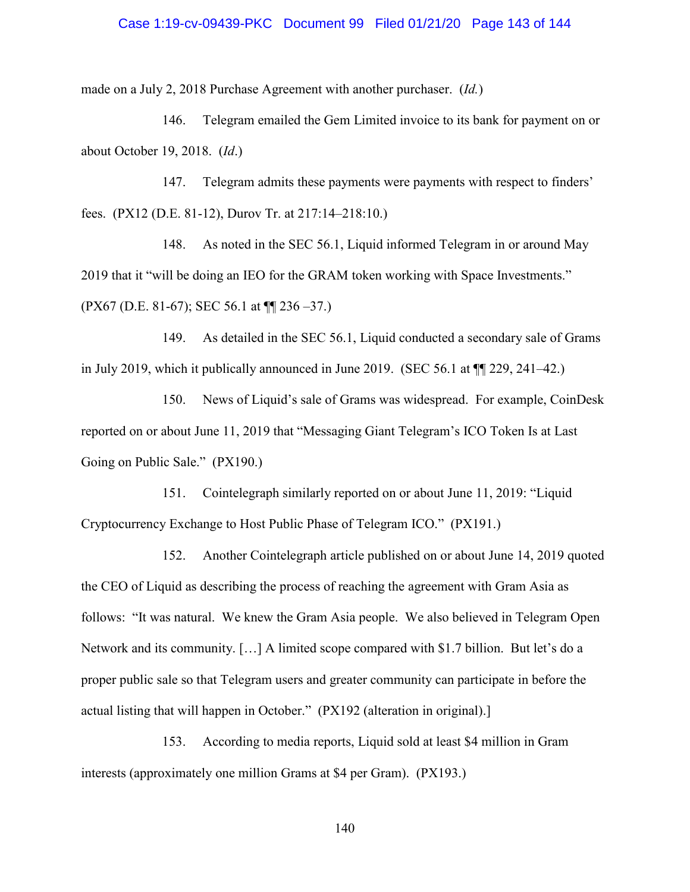### Case 1:19-cv-09439-PKC Document 99 Filed 01/21/20 Page 143 of 144

made on a July 2, 2018 Purchase Agreement with another purchaser. (*Id.*)

146. Telegram emailed the Gem Limited invoice to its bank for payment on or about October 19, 2018. (*Id*.)

147. Telegram admits these payments were payments with respect to finders' fees. (PX12 (D.E. 81-12), Durov Tr. at 217:14–218:10.)

148. As noted in the SEC 56.1, Liquid informed Telegram in or around May 2019 that it "will be doing an IEO for the GRAM token working with Space Investments." (PX67 (D.E. 81-67); SEC 56.1 at ¶¶ 236 –37.)

149. As detailed in the SEC 56.1, Liquid conducted a secondary sale of Grams in July 2019, which it publically announced in June 2019. (SEC 56.1 at ¶¶ 229, 241–42.)

150. News of Liquid's sale of Grams was widespread. For example, CoinDesk reported on or about June 11, 2019 that "Messaging Giant Telegram's ICO Token Is at Last Going on Public Sale." (PX190.)

151. Cointelegraph similarly reported on or about June 11, 2019: "Liquid Cryptocurrency Exchange to Host Public Phase of Telegram ICO." (PX191.)

152. Another Cointelegraph article published on or about June 14, 2019 quoted the CEO of Liquid as describing the process of reaching the agreement with Gram Asia as follows: "It was natural. We knew the Gram Asia people. We also believed in Telegram Open Network and its community. […] A limited scope compared with \$1.7 billion. But let's do a proper public sale so that Telegram users and greater community can participate in before the actual listing that will happen in October." (PX192 (alteration in original).]

153. According to media reports, Liquid sold at least \$4 million in Gram interests (approximately one million Grams at \$4 per Gram). (PX193.)